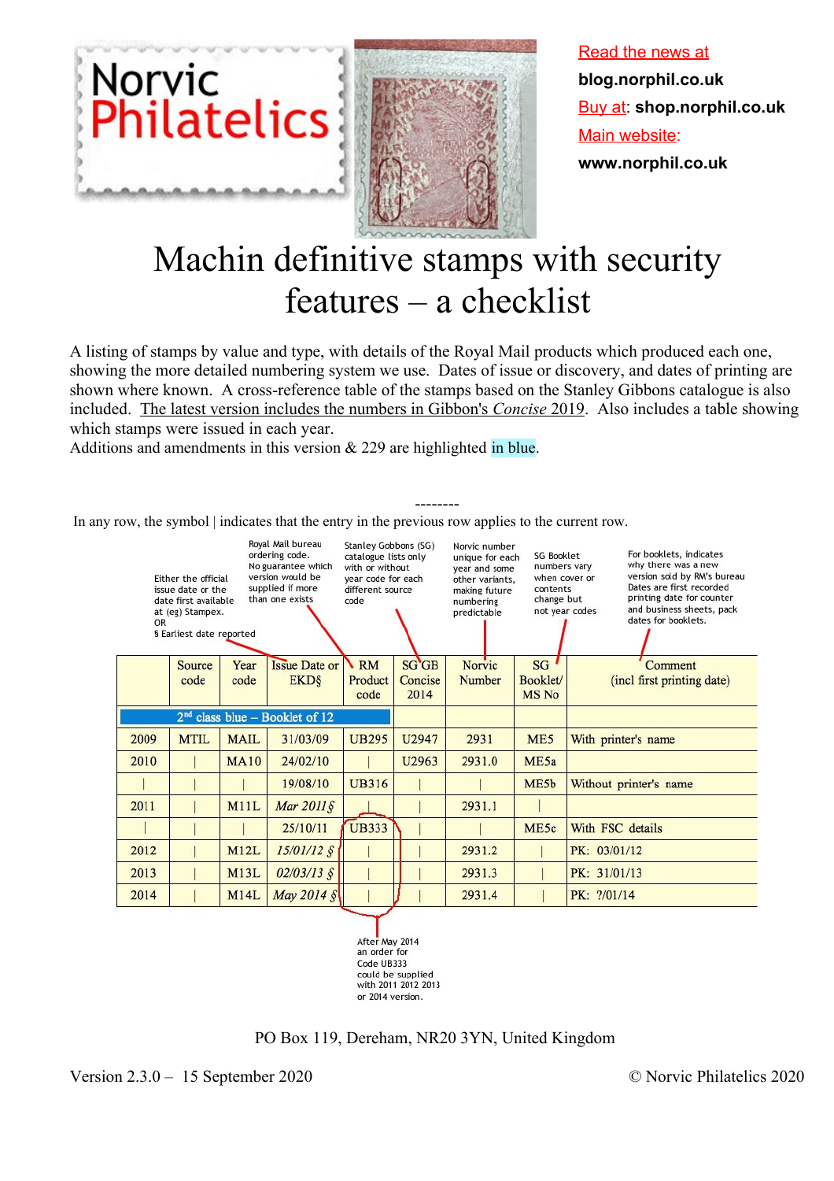

Read the news at **blog.norphil.co.uk** Buy at: **shop.norphil.co.uk** Main website: **www.norphil.co.uk**

# Machin definitive stamps with security features – a checklist

A listing of stamps by value and type, with details of the Royal Mail products which produced each one, showing the more detailed numbering system we use. Dates of issue or discovery, and dates of printing are shown where known. A cross-reference table of the stamps based on the Stanley Gibbons catalogue is also included. The latest version includes the numbers in Gibbon's *Concise* 2019. Also includes a table showing which stamps were issued in each year.

--------

Additions and amendments in this version & 229 are highlighted in blue.

In any row, the symbol | indicates that the entry in the previous row applies to the current row.



with 2011 2012 2013 or 2014 version.

PO Box 119, Dereham, NR20 3YN, United Kingdom

Version 2.3.0 – 15 September 2020 © Norvic Philatelics 2020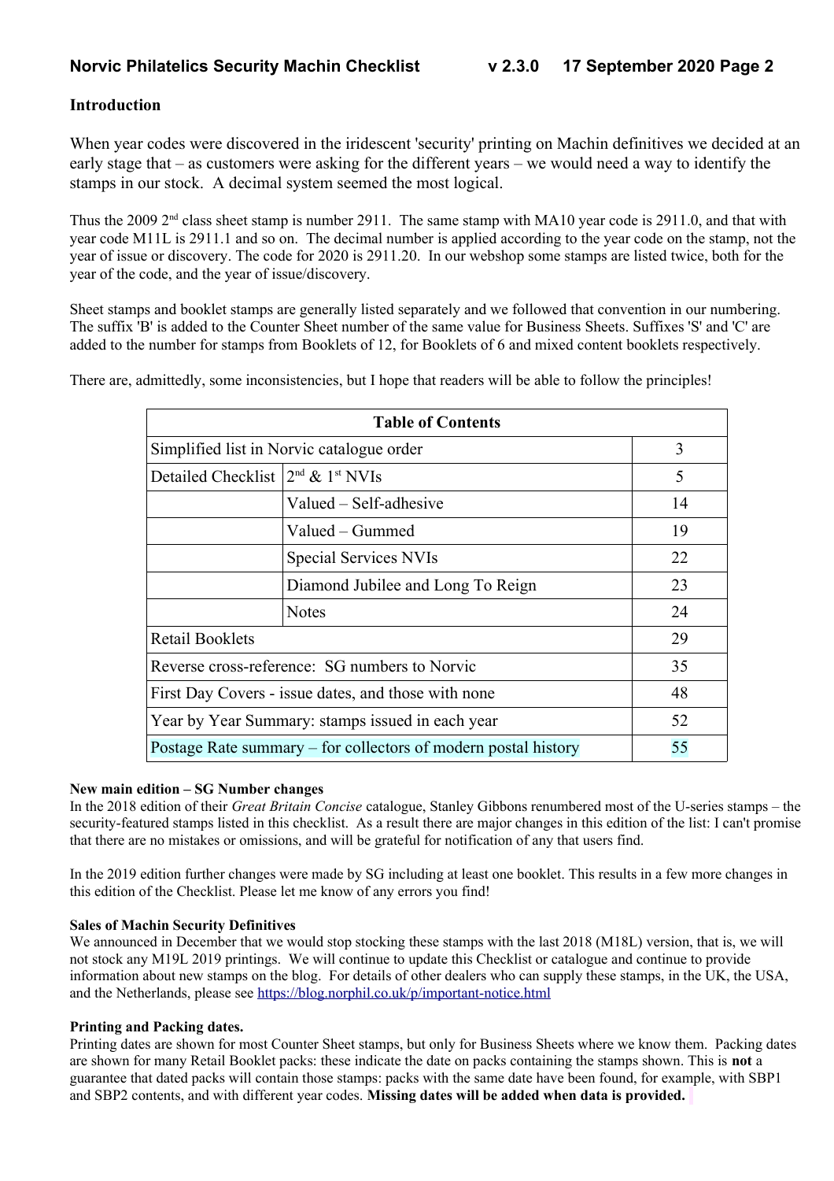#### **Introduction**

When year codes were discovered in the iridescent 'security' printing on Machin definitives we decided at an early stage that – as customers were asking for the different years – we would need a way to identify the stamps in our stock. A decimal system seemed the most logical.

Thus the 2009  $2<sup>nd</sup>$  class sheet stamp is number 2911. The same stamp with MA10 year code is 2911.0, and that with year code M11L is 2911.1 and so on. The decimal number is applied according to the year code on the stamp, not the year of issue or discovery. The code for 2020 is 2911.20. In our webshop some stamps are listed twice, both for the year of the code, and the year of issue/discovery.

Sheet stamps and booklet stamps are generally listed separately and we followed that convention in our numbering. The suffix 'B' is added to the Counter Sheet number of the same value for Business Sheets. Suffixes 'S' and 'C' are added to the number for stamps from Booklets of 12, for Booklets of 6 and mixed content booklets respectively.

There are, admittedly, some inconsistencies, but I hope that readers will be able to follow the principles!

| <b>Table of Contents</b>                                             |                                                        |    |  |  |  |  |
|----------------------------------------------------------------------|--------------------------------------------------------|----|--|--|--|--|
|                                                                      | Simplified list in Norvic catalogue order              | 3  |  |  |  |  |
| Detailed Checklist $2^{nd}$ & $1^{st}$ NVIs                          |                                                        | 5  |  |  |  |  |
|                                                                      | Valued – Self-adhesive                                 | 14 |  |  |  |  |
|                                                                      | Valued – Gummed                                        | 19 |  |  |  |  |
|                                                                      | Special Services NVIs                                  | 22 |  |  |  |  |
|                                                                      | Diamond Jubilee and Long To Reign                      | 23 |  |  |  |  |
|                                                                      | <b>Notes</b>                                           | 24 |  |  |  |  |
| <b>Retail Booklets</b>                                               |                                                        | 29 |  |  |  |  |
|                                                                      | Reverse cross-reference: SG numbers to Norvic          | 35 |  |  |  |  |
| First Day Covers - issue dates, and those with none<br>48            |                                                        |    |  |  |  |  |
|                                                                      | Year by Year Summary: stamps issued in each year<br>52 |    |  |  |  |  |
| 55<br>Postage Rate summary – for collectors of modern postal history |                                                        |    |  |  |  |  |

#### **New main edition – SG Number changes**

In the 2018 edition of their *Great Britain Concise* catalogue, Stanley Gibbons renumbered most of the U-series stamps – the security-featured stamps listed in this checklist. As a result there are major changes in this edition of the list: I can't promise that there are no mistakes or omissions, and will be grateful for notification of any that users find.

In the 2019 edition further changes were made by SG including at least one booklet. This results in a few more changes in this edition of the Checklist. Please let me know of any errors you find!

#### **Sales of Machin Security Definitives**

We announced in December that we would stop stocking these stamps with the last 2018 (M18L) version, that is, we will not stock any M19L 2019 printings. We will continue to update this Checklist or catalogue and continue to provide information about new stamps on the blog. For details of other dealers who can supply these stamps, in the UK, the USA, and the Netherlands, please see<https://blog.norphil.co.uk/p/important-notice.html>

#### **Printing and Packing dates.**

Printing dates are shown for most Counter Sheet stamps, but only for Business Sheets where we know them. Packing dates are shown for many Retail Booklet packs: these indicate the date on packs containing the stamps shown. This is **not** a guarantee that dated packs will contain those stamps: packs with the same date have been found, for example, with SBP1 and SBP2 contents, and with different year codes. **Missing dates will be added when data is provided.**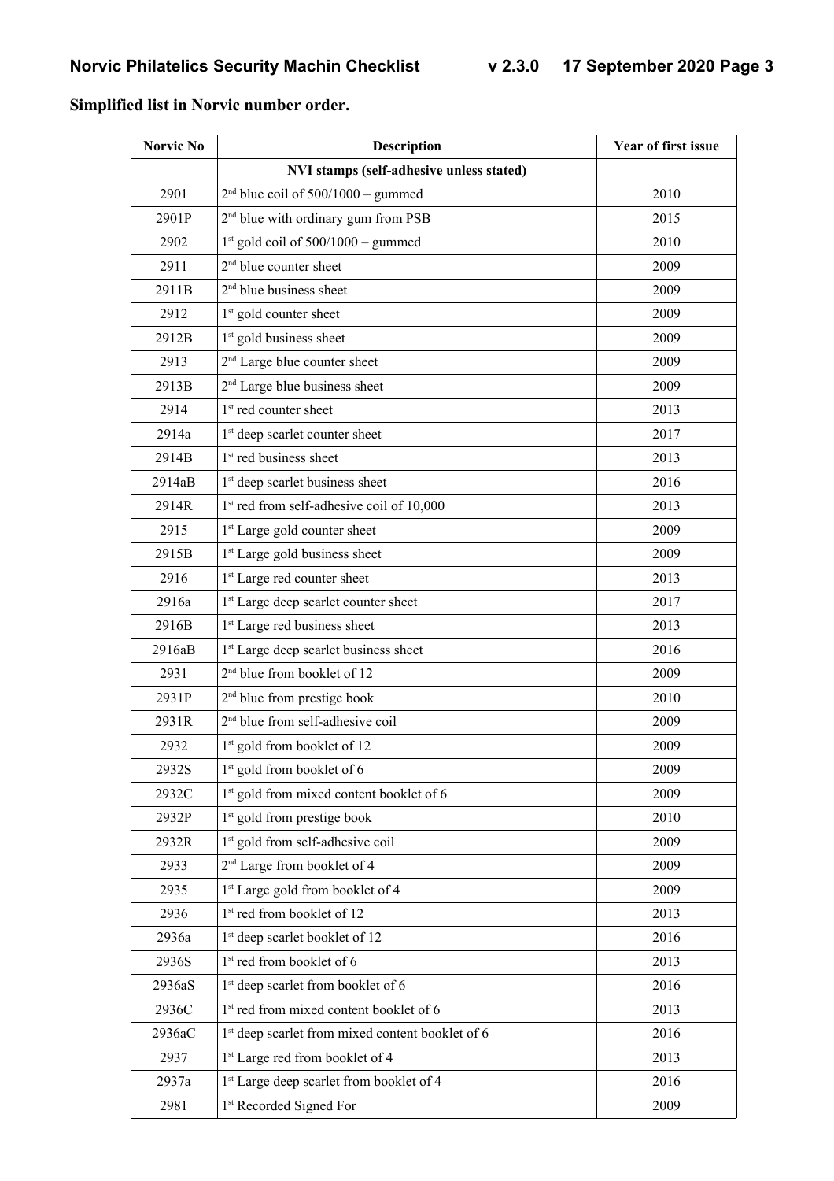#### **Norvic No Description Description Vear of first issue NVI stamps (self-adhesive unless stated)** 2901  $2<sup>nd</sup> blue coil of 500/1000 – gummed$  2010 2901P  $2<sup>nd</sup>$  blue with ordinary gum from PSB 2015 2902  $1^{st}$  gold coil of 500/1000 – gummed 2010 2911 2  $2<sup>nd</sup>$  blue counter sheet 2009 2911B  $2<sup>nd</sup>$  blue business sheet 2009 2912  $1<sup>st</sup>$  gold counter sheet 2009 2912B 1  $1<sup>st</sup>$  gold business sheet 2009 2913 2  $2<sup>nd</sup>$  Large blue counter sheet 2009 2913B 2  $2<sup>nd</sup>$  Large blue business sheet 2009 2914  $1<sup>st</sup>$  red counter sheet 2013 2914a 1 1<sup>st</sup> deep scarlet counter sheet 2017 2914B 1  $1<sup>st</sup>$  red business sheet 2013 2914aB 1  $1<sup>st</sup>$  deep scarlet business sheet 2016 2914R 1  $1<sup>st</sup>$  red from self-adhesive coil of  $10,000$  2013 2915 1<sup>st</sup> Large gold counter sheet 2009 2915B 1  $1<sup>st</sup>$  Large gold business sheet 2009 2916 1<sup>st</sup> Large red counter sheet 2013 2916a 1 1<sup>st</sup> Large deep scarlet counter sheet 2017 2916B 1 1<sup>st</sup> Large red business sheet 2013 2916aB 1 1<sup>st</sup> Large deep scarlet business sheet 2016 2931  $2<sup>nd</sup>$  blue from booklet of 12 2009 2931P  $2<sup>nd</sup>$  blue from prestige book 2010 2931R 2  $2<sup>nd</sup>$  blue from self-adhesive coil 2009 2932 1  $1<sup>st</sup>$  gold from booklet of 12 2009 2932S 1  $1<sup>st</sup>$  gold from booklet of 6 2009 2932C 1  $1<sup>st</sup>$  gold from mixed content booklet of 6 2009 2932P  $1<sup>st</sup>$  gold from prestige book 2010 2932R 1  $1<sup>st</sup>$  gold from self-adhesive coil 2009 2933 2  $2<sup>nd</sup>$  Large from booklet of 4 2009 2935 1 1<sup>st</sup> Large gold from booklet of 4 2009 2936  $1<sup>st</sup>$  red from booklet of 12 2013 2936a 1 1<sup>st</sup> deep scarlet booklet of 12 2016 2936S 1  $1<sup>st</sup>$  red from booklet of 6 2013 2936aS 1 1<sup>st</sup> deep scarlet from booklet of 6 2016 2936C 1  $1<sup>st</sup>$  red from mixed content booklet of 6 2013 2936aC 1  $1<sup>st</sup>$  deep scarlet from mixed content booklet of 6 2016 2937 1 1<sup>st</sup> Large red from booklet of 4 2013 2937a 1<sup>st</sup> Large deep scarlet from booklet of 4 2016 2981 1<sup>st</sup> Recorded Signed For 2009

#### **Simplified list in Norvic number order.**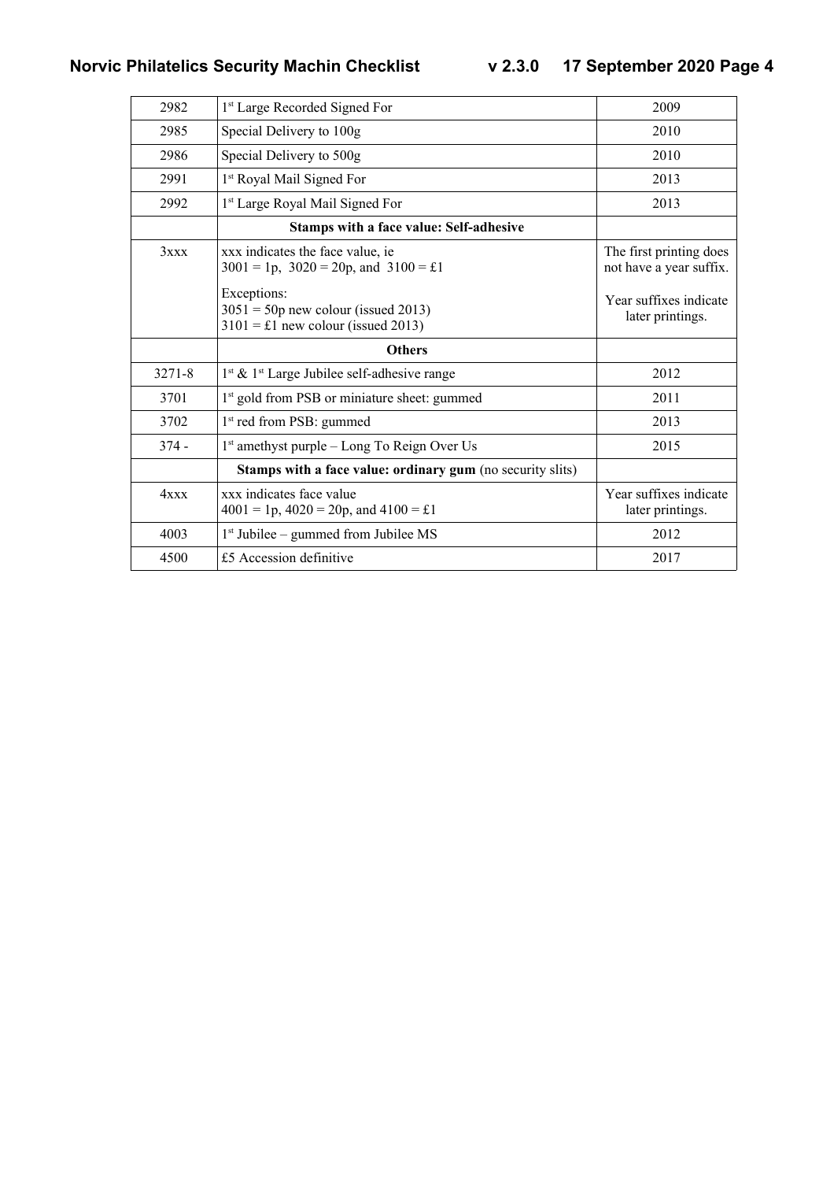| 2982       | 1 <sup>st</sup> Large Recorded Signed For                                                           | 2009                                               |
|------------|-----------------------------------------------------------------------------------------------------|----------------------------------------------------|
| 2985       | Special Delivery to 100g                                                                            | 2010                                               |
| 2986       | Special Delivery to 500g                                                                            | 2010                                               |
| 2991       | 1 <sup>st</sup> Royal Mail Signed For                                                               | 2013                                               |
| 2992       | 1 <sup>st</sup> Large Royal Mail Signed For                                                         | 2013                                               |
|            | Stamps with a face value: Self-adhesive                                                             |                                                    |
| 3xxx       | xxx indicates the face value, ie<br>$3001 = 1p$ , $3020 = 20p$ , and $3100 = \text{\textsterling}1$ | The first printing does<br>not have a year suffix. |
|            | Exceptions:<br>$3051 = 50p$ new colour (issued 2013)<br>$3101 = \pounds1$ new colour (issued 2013)  | Year suffixes indicate<br>later printings.         |
|            | <b>Others</b>                                                                                       |                                                    |
| $3271 - 8$ | $1st$ & $1st$ Large Jubilee self-adhesive range                                                     | 2012                                               |
| 3701       | 1 <sup>st</sup> gold from PSB or miniature sheet: gummed                                            | 2011                                               |
| 3702       | 1 <sup>st</sup> red from PSB: gummed                                                                | 2013                                               |
| $374 -$    | 1 <sup>st</sup> amethyst purple – Long To Reign Over Us                                             | 2015                                               |
|            | Stamps with a face value: ordinary gum (no security slits)                                          |                                                    |
| 4xxx       | xxx indicates face value<br>$4001 = 1p$ , $4020 = 20p$ , and $4100 = \pounds1$                      | Year suffixes indicate<br>later printings.         |
| 4003       | $1st$ Jubilee – gummed from Jubilee MS                                                              | 2012                                               |
| 4500       | £5 Accession definitive                                                                             | 2017                                               |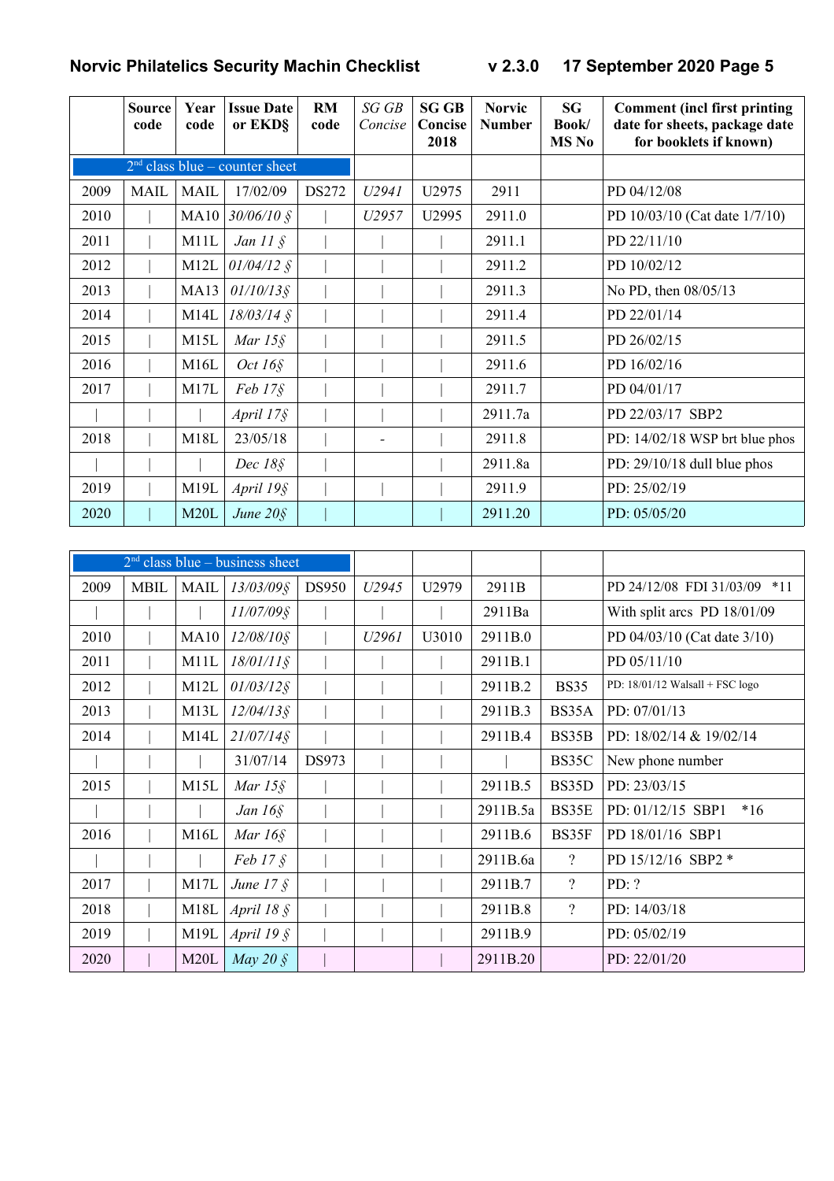|      | <b>Source</b><br>code | Year<br>code | <b>Issue Date</b><br>or EKD§     | RM<br>code | SGGB<br>Concise | <b>SG GB</b><br>Concise<br>2018 | <b>Norvic</b><br><b>Number</b> | <b>SG</b><br>Book/<br><b>MS</b> No | <b>Comment (incl first printing)</b><br>date for sheets, package date<br>for booklets if known) |
|------|-----------------------|--------------|----------------------------------|------------|-----------------|---------------------------------|--------------------------------|------------------------------------|-------------------------------------------------------------------------------------------------|
|      |                       |              | $2nd$ class blue – counter sheet |            |                 |                                 |                                |                                    |                                                                                                 |
| 2009 | <b>MAIL</b>           | <b>MAIL</b>  | 17/02/09                         | DS272      | U2941           | U2975                           | 2911                           |                                    | PD 04/12/08                                                                                     |
| 2010 |                       | MA10         | $30/06/10$ §                     |            | U2957           | U2995                           | 2911.0                         |                                    | PD 10/03/10 (Cat date 1/7/10)                                                                   |
| 2011 |                       | M11L         | Jan $11 \text{ } \S$             |            |                 |                                 | 2911.1                         |                                    | PD 22/11/10                                                                                     |
| 2012 |                       | M12L         | $01/04/12$ §                     |            |                 |                                 | 2911.2                         |                                    | PD 10/02/12                                                                                     |
| 2013 |                       | <b>MA13</b>  | $01/10/13$ §                     |            |                 |                                 | 2911.3                         |                                    | No PD, then 08/05/13                                                                            |
| 2014 |                       | M14L         | $18/03/14$ §                     |            |                 |                                 | 2911.4                         |                                    | PD 22/01/14                                                                                     |
| 2015 |                       | M15L         | Mar $15\$                        |            |                 |                                 | 2911.5                         |                                    | PD 26/02/15                                                                                     |
| 2016 |                       | M16L         | Oct $16\$                        |            |                 |                                 | 2911.6                         |                                    | PD 16/02/16                                                                                     |
| 2017 |                       | M17L         | $Feb 17\S$                       |            |                 |                                 | 2911.7                         |                                    | PD 04/01/17                                                                                     |
|      |                       |              | April $17\$                      |            |                 |                                 | 2911.7a                        |                                    | PD 22/03/17 SBP2                                                                                |
| 2018 |                       | M18L         | 23/05/18                         |            |                 |                                 | 2911.8                         |                                    | PD: $14/02/18$ WSP brt blue phos                                                                |
|      |                       |              | Dec $18\$                        |            |                 |                                 | 2911.8a                        |                                    | PD: $29/10/18$ dull blue phos                                                                   |
| 2019 |                       | M19L         | April 19§                        |            |                 |                                 | 2911.9                         |                                    | PD: 25/02/19                                                                                    |
| 2020 |                       | M20L         | June $20\$                       |            |                 |                                 | 2911.20                        |                                    | PD: 05/05/20                                                                                    |

|      |             |      | $2nd$ class blue – business sheet |              |       |       |          |                          |                                   |
|------|-------------|------|-----------------------------------|--------------|-------|-------|----------|--------------------------|-----------------------------------|
| 2009 | <b>MBIL</b> | MAIL | $13/03/09$ §                      | <b>DS950</b> | U2945 | U2979 | 2911B    |                          | PD 24/12/08 FDI 31/03/09 *11      |
|      |             |      | 11/07/09§                         |              |       |       | 2911Ba   |                          | With split arcs PD 18/01/09       |
| 2010 |             | MA10 | $12/08/10$ §                      |              | U2961 | U3010 | 2911B.0  |                          | PD 04/03/10 (Cat date 3/10)       |
| 2011 |             | M11L | $18/01/11$ §                      |              |       |       | 2911B.1  |                          | PD 05/11/10                       |
| 2012 |             | M12L | $01/03/12$ §                      |              |       |       | 2911B.2  | <b>BS35</b>              | PD: $18/01/12$ Walsall + FSC logo |
| 2013 |             | M13L | $12/04/13$ §                      |              |       |       | 2911B.3  | BS35A                    | PD: 07/01/13                      |
| 2014 |             | M14L | $21/07/14$ §                      |              |       |       | 2911B.4  | BS35B                    | PD: 18/02/14 & 19/02/14           |
|      |             |      | 31/07/14                          | <b>DS973</b> |       |       |          | BS35C                    | New phone number                  |
| 2015 |             | M15L | Mar $15\$                         |              |       |       | 2911B.5  | BS35D                    | PD: 23/03/15                      |
|      |             |      | Jan $16\$                         |              |       |       | 2911B.5a | BS35E                    | PD: 01/12/15 SBP1<br>$*16$        |
| 2016 |             | M16L | Mar $16\$                         |              |       |       | 2911B.6  | BS35F                    | PD 18/01/16 SBP1                  |
|      |             |      | $Feb 17 \xi$                      |              |       |       | 2911B.6a | $\overline{?}$           | PD 15/12/16 SBP2 *                |
| 2017 |             | M17L | June $17 \xi$                     |              |       |       | 2911B.7  | $\overline{\mathcal{L}}$ | PD: ?                             |
| 2018 |             | M18L | April $18 \text{ }$ S             |              |       |       | 2911B.8  | $\overline{?}$           | PD: $14/03/18$                    |
| 2019 |             | M19L | April 19 $\hat{\S}$               |              |       |       | 2911B.9  |                          | PD: 05/02/19                      |
| 2020 |             | M20L | May 20 $\AA$                      |              |       |       | 2911B.20 |                          | PD: 22/01/20                      |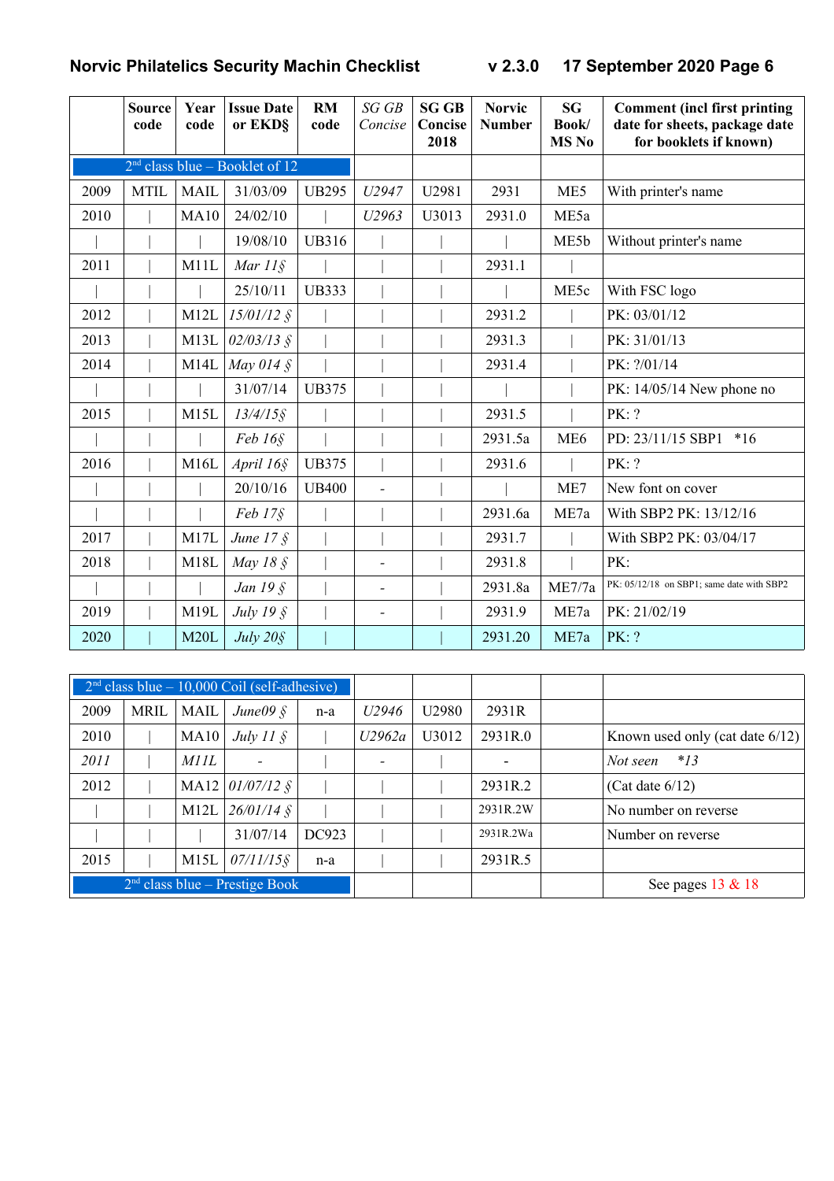|      | <b>Source</b><br>code | Year<br>code | <b>Issue Date</b><br>or EKD§     | <b>RM</b><br>code | SG GB<br>Concise         | <b>SG GB</b><br>Concise<br>2018 | <b>Norvic</b><br><b>Number</b> | <b>SG</b><br>Book/<br><b>MS No</b> | <b>Comment (incl first printing)</b><br>date for sheets, package date<br>for booklets if known) |
|------|-----------------------|--------------|----------------------------------|-------------------|--------------------------|---------------------------------|--------------------------------|------------------------------------|-------------------------------------------------------------------------------------------------|
|      |                       |              | $2nd$ class blue – Booklet of 12 |                   |                          |                                 |                                |                                    |                                                                                                 |
| 2009 | <b>MTIL</b>           | <b>MAIL</b>  | 31/03/09                         | <b>UB295</b>      | U2947                    | U2981                           | 2931                           | ME5                                | With printer's name                                                                             |
| 2010 |                       | <b>MA10</b>  | 24/02/10                         |                   | U2963                    | U3013                           | 2931.0                         | ME5a                               |                                                                                                 |
|      |                       |              | 19/08/10                         | <b>UB316</b>      |                          |                                 |                                | ME5b                               | Without printer's name                                                                          |
| 2011 |                       | M11L         | Mar $11\$                        |                   |                          |                                 | 2931.1                         |                                    |                                                                                                 |
|      |                       |              | 25/10/11                         | <b>UB333</b>      |                          |                                 |                                | ME5c                               | With FSC logo                                                                                   |
| 2012 |                       | M12L         | $15/01/12$ §                     |                   |                          |                                 | 2931.2                         |                                    | PK: 03/01/12                                                                                    |
| 2013 |                       | M13L         | $02/03/13$ §                     |                   |                          |                                 | 2931.3                         |                                    | PK: 31/01/13                                                                                    |
| 2014 |                       | M14L         | May 014 $\AA$                    |                   |                          |                                 | 2931.4                         |                                    | PK: ?/01/14                                                                                     |
|      |                       |              | 31/07/14                         | <b>UB375</b>      |                          |                                 |                                |                                    | PK: 14/05/14 New phone no                                                                       |
| 2015 |                       | M15L         | $13/4/15$ §                      |                   |                          |                                 | 2931.5                         |                                    | PK: ?                                                                                           |
|      |                       |              | Feb 16 <sub>§</sub>              |                   |                          |                                 | 2931.5a                        | ME <sub>6</sub>                    | PD: 23/11/15 SBP1<br>$*16$                                                                      |
| 2016 |                       | M16L         | April 16§                        | <b>UB375</b>      |                          |                                 | 2931.6                         |                                    | PK: ?                                                                                           |
|      |                       |              | 20/10/16                         | <b>UB400</b>      |                          |                                 |                                | ME7                                | New font on cover                                                                               |
|      |                       |              | $Feb 17\S$                       |                   |                          |                                 | 2931.6a                        | ME7a                               | With SBP2 PK: 13/12/16                                                                          |
| 2017 |                       | M17L         | June $17 \xi$                    |                   |                          |                                 | 2931.7                         |                                    | With SBP2 PK: 03/04/17                                                                          |
| 2018 |                       | M18L         | May $18 \text{ }$                |                   |                          |                                 | 2931.8                         |                                    | PK:                                                                                             |
|      |                       |              | Jan 19 §                         |                   | $\overline{\phantom{a}}$ |                                 | 2931.8a                        | ME7/7a                             | PK: 05/12/18 on SBP1; same date with SBP2                                                       |
| 2019 |                       | M19L         | July $19 \text{ }$               |                   |                          |                                 | 2931.9                         | ME7a                               | PK: 21/02/19                                                                                    |
| 2020 |                       | M20L         | July 20§                         |                   |                          |                                 | 2931.20                        | ME7a                               | PK: ?                                                                                           |

|      |             |      | $2nd class blue - 10,000 Coil (self-adhesive)$ |       |                   |       |           |                                    |
|------|-------------|------|------------------------------------------------|-------|-------------------|-------|-----------|------------------------------------|
| 2009 | <b>MRIL</b> | MAIL | June $09\$                                     | n-a   | U <sub>2946</sub> | U2980 | 2931R     |                                    |
| 2010 |             | MA10 | July 11 $\S$                                   |       | U2962a            | U3012 | 2931R.0   | Known used only (cat date $6/12$ ) |
| 2011 |             | MHL  |                                                |       |                   |       |           | Not seen $*13$                     |
| 2012 |             |      | MA12 $01/07/12$ §                              |       |                   |       | 2931R.2   | (Cat date $6/12$ )                 |
|      |             | M12L | $26/01/14$ §                                   |       |                   |       | 2931R.2W  | No number on reverse               |
|      |             |      | 31/07/14                                       | DC923 |                   |       | 2931R.2Wa | Number on reverse                  |
| 2015 |             | M15L | $07/11/15$ §                                   | n-a   |                   |       | 2931R.5   |                                    |
|      |             |      | $2nd class blue - Prestige Book$               |       |                   |       |           | See pages $13 \& 18$               |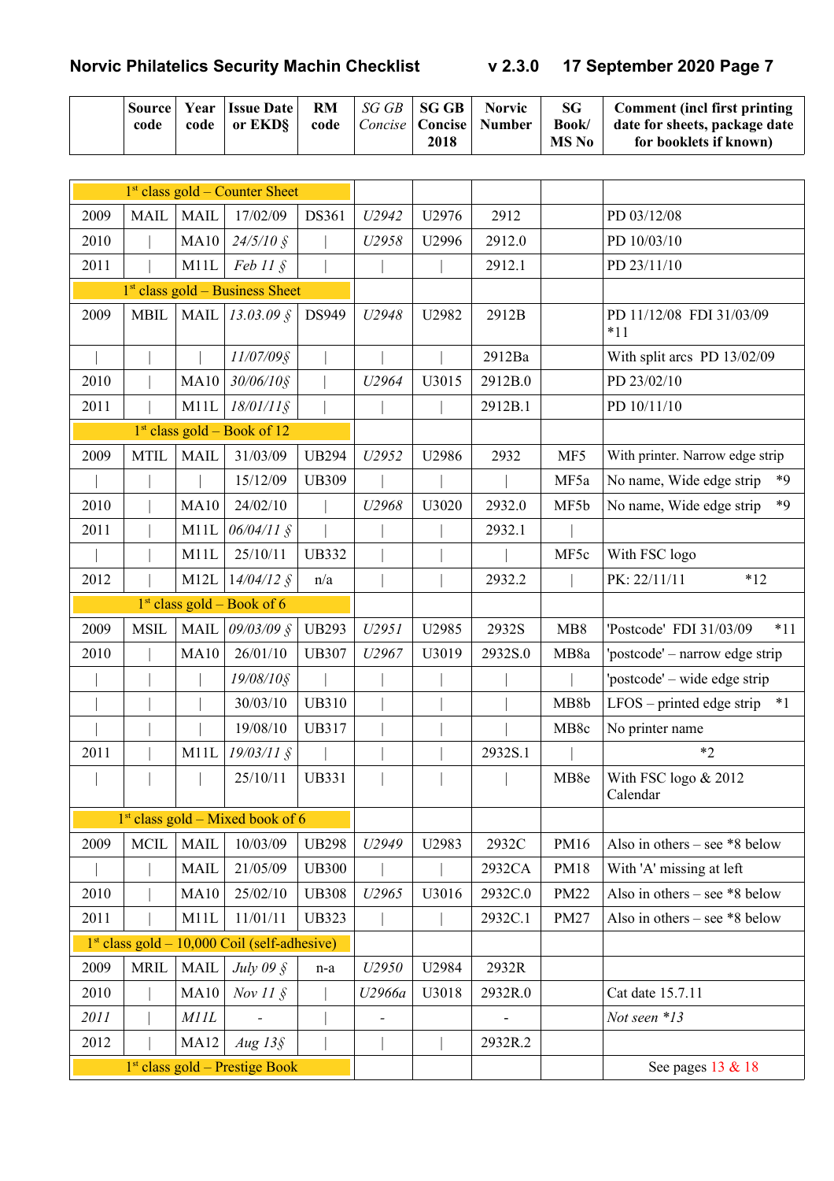|  | code |  | Source   Year   Issue Date  <br>code   or $EKD$ | code |  | 2018 | $\parallel$ RM $\parallel$ <i>SG GB</i> $\parallel$ <b>SG GB</b> $\parallel$ <b>Norvic</b><br><i>Concise</i>   Concise   Number | SG<br>Book/<br>MS No | Comment (incl first printing<br>date for sheets, package date<br>for booklets if known) |
|--|------|--|-------------------------------------------------|------|--|------|---------------------------------------------------------------------------------------------------------------------------------|----------------------|-----------------------------------------------------------------------------------------|
|--|------|--|-------------------------------------------------|------|--|------|---------------------------------------------------------------------------------------------------------------------------------|----------------------|-----------------------------------------------------------------------------------------|

|                              | $1st$ class gold – Counter Sheet |             |                                                |              |        |       |         |                  |                                     |
|------------------------------|----------------------------------|-------------|------------------------------------------------|--------------|--------|-------|---------|------------------|-------------------------------------|
| 2009                         | <b>MAIL</b>                      | <b>MAIL</b> | 17/02/09                                       | DS361        | U2942  | U2976 | 2912    |                  | PD 03/12/08                         |
| 2010                         |                                  | <b>MA10</b> | $24/5/10$ §                                    |              | U2958  | U2996 | 2912.0  |                  | PD 10/03/10                         |
| 2011                         |                                  | M11L        | $Feb 11 \S$                                    |              |        |       | 2912.1  |                  | PD 23/11/10                         |
|                              |                                  |             | $1st$ class gold – Business Sheet              |              |        |       |         |                  |                                     |
| 2009                         | <b>MBIL</b>                      | <b>MAIL</b> | $13.03.09\$                                    | DS949        | U2948  | U2982 | 2912B   |                  | PD 11/12/08 FDI 31/03/09<br>$*11$   |
|                              |                                  |             | 11/07/09§                                      |              |        |       | 2912Ba  |                  | With split arcs PD 13/02/09         |
| 2010                         |                                  | <b>MA10</b> | $30/06/10$ §                                   |              | U2964  | U3015 | 2912B.0 |                  | PD 23/02/10                         |
| 2011                         |                                  | M11L        | $18/01/11$ §                                   |              |        |       | 2912B.1 |                  | PD 10/11/10                         |
|                              |                                  |             | $1st class gold - Book of 12$                  |              |        |       |         |                  |                                     |
| 2009                         | <b>MTIL</b>                      | <b>MAIL</b> | 31/03/09                                       | <b>UB294</b> | U2952  | U2986 | 2932    | MF5              | With printer. Narrow edge strip     |
|                              |                                  |             | 15/12/09                                       | <b>UB309</b> |        |       |         | MF5a             | $*9$<br>No name, Wide edge strip    |
| 2010                         |                                  | <b>MA10</b> | 24/02/10                                       |              | U2968  | U3020 | 2932.0  | MF5b             | No name, Wide edge strip<br>$*9$    |
| 2011                         |                                  | M11L        | $06/04/11$ §                                   |              |        |       | 2932.1  |                  |                                     |
|                              |                                  | M11L        | 25/10/11                                       | <b>UB332</b> |        |       |         | MF5c             | With FSC logo                       |
| 2012                         |                                  | M12L        | $14/04/12$ §                                   | n/a          |        |       | 2932.2  |                  | $*12$<br>PK: 22/11/11               |
| $1st class gold - Book of 6$ |                                  |             |                                                |              |        |       |         |                  |                                     |
| 2009                         | <b>MSIL</b>                      | <b>MAIL</b> | 09/03/09 §                                     | <b>UB293</b> | U2951  | U2985 | 2932S   | MB8              | 'Postcode' FDI 31/03/09<br>$*11$    |
| 2010                         |                                  | <b>MA10</b> | 26/01/10                                       | <b>UB307</b> | U2967  | U3019 | 2932S.0 | MB8a             | 'postcode' – narrow edge strip      |
|                              |                                  |             | 19/08/10§                                      |              |        |       |         |                  | 'postcode' – wide edge strip        |
|                              |                                  |             | 30/03/10                                       | <b>UB310</b> |        |       |         | MB8b             | $*1$<br>$LFOS$ – printed edge strip |
|                              |                                  |             | 19/08/10                                       | <b>UB317</b> |        |       |         | MB8c             | No printer name                     |
| 2011                         |                                  | M11L        | $19/03/11$ §                                   |              |        |       | 2932S.1 |                  | $*2$                                |
|                              |                                  |             | 25/10/11                                       | <b>UB331</b> |        |       |         | MB <sub>8e</sub> | With FSC logo $& 2012$<br>Calendar  |
|                              |                                  |             | $1st$ class gold – Mixed book of 6             |              |        |       |         |                  |                                     |
| 2009                         | <b>MCIL</b>                      | <b>MAIL</b> | 10/03/09                                       | <b>UB298</b> | U2949  | U2983 | 2932C   | PM16             | Also in others – see $*8$ below     |
|                              |                                  | <b>MAIL</b> | 21/05/09                                       | <b>UB300</b> |        |       | 2932CA  | <b>PM18</b>      | With 'A' missing at left            |
| 2010                         |                                  | <b>MA10</b> | 25/02/10                                       | <b>UB308</b> | U2965  | U3016 | 2932C.0 | <b>PM22</b>      | Also in others – see $*8$ below     |
| 2011                         |                                  | M11L        | 11/01/11                                       | <b>UB323</b> |        |       | 2932C.1 | <b>PM27</b>      | Also in others – see $*8$ below     |
|                              |                                  |             | $1st class gold - 10,000 Coil (self-adhesive)$ |              |        |       |         |                  |                                     |
| 2009                         | <b>MRIL</b>                      | <b>MAIL</b> | July 09 $\hat{\mathcal{S}}$                    | n-a          | U2950  | U2984 | 2932R   |                  |                                     |
| 2010                         |                                  | <b>MA10</b> | Nov $11 \text{ }$ \$                           |              | U2966a | U3018 | 2932R.0 |                  | Cat date 15.7.11                    |
| 2011                         |                                  | MIII        |                                                |              |        |       |         |                  | Not seen *13                        |
| 2012                         |                                  | <b>MA12</b> | $Aug\,13\S$                                    |              |        |       | 2932R.2 |                  |                                     |
|                              |                                  |             | 1 <sup>st</sup> class gold - Prestige Book     |              |        |       |         |                  | See pages 13 & 18                   |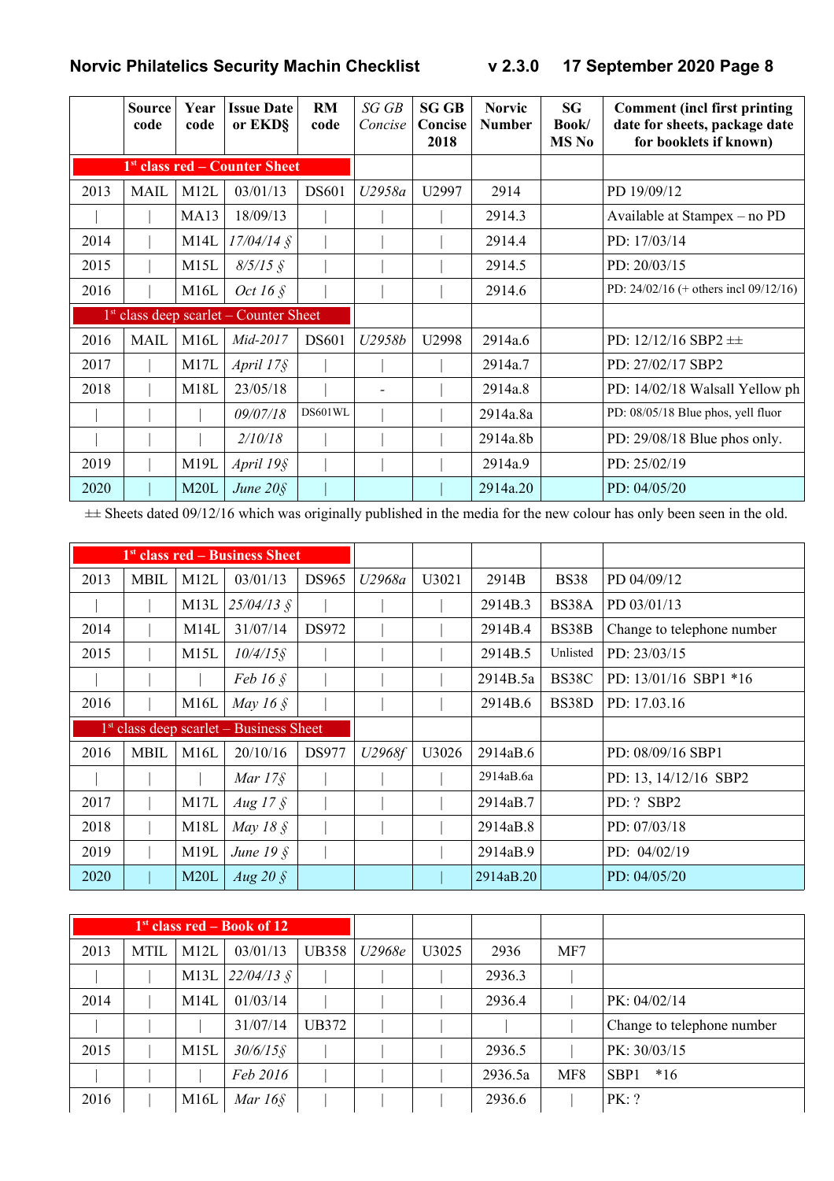|      | <b>Source</b><br>code | Year<br>code | <b>Issue Date</b><br>or EKD§              | <b>RM</b><br>code | SGGB<br>Concise | <b>SG GB</b><br>Concise<br>2018 | <b>Norvic</b><br><b>Number</b> | <b>SG</b><br>Book/<br><b>MS</b> No | <b>Comment (incl first printing)</b><br>date for sheets, package date<br>for booklets if known) |
|------|-----------------------|--------------|-------------------------------------------|-------------------|-----------------|---------------------------------|--------------------------------|------------------------------------|-------------------------------------------------------------------------------------------------|
|      |                       |              | 1 <sup>st</sup> class red – Counter Sheet |                   |                 |                                 |                                |                                    |                                                                                                 |
| 2013 | <b>MAIL</b>           | M12L         | 03/01/13                                  | <b>DS601</b>      | U2958a          | U2997                           | 2914                           |                                    | PD 19/09/12                                                                                     |
|      |                       | <b>MA13</b>  | 18/09/13                                  |                   |                 |                                 | 2914.3                         |                                    | Available at Stampex - no PD                                                                    |
| 2014 |                       | M14L         | $17/04/14$ §                              |                   |                 |                                 | 2914.4                         |                                    | PD: 17/03/14                                                                                    |
| 2015 |                       | M15L         | $8/5/15$ §                                |                   |                 |                                 | 2914.5                         |                                    | PD: 20/03/15                                                                                    |
| 2016 |                       | M16L         | Oct 16 $\S$                               |                   |                 |                                 | 2914.6                         |                                    | PD: $24/02/16$ (+ others incl $09/12/16$ )                                                      |
|      |                       |              | $1st$ class deep scarlet – Counter Sheet  |                   |                 |                                 |                                |                                    |                                                                                                 |
| 2016 | <b>MAIL</b>           | M16L         | Mid-2017                                  | <b>DS601</b>      | U2958b          | U2998                           | 2914a.6                        |                                    | PD: $12/12/16$ SBP2 $\pm\pm$                                                                    |
| 2017 |                       | M17L         | April $17\$                               |                   |                 |                                 | 2914a.7                        |                                    | PD: 27/02/17 SBP2                                                                               |
| 2018 |                       | M18L         | 23/05/18                                  |                   |                 |                                 | 2914a.8                        |                                    | PD: 14/02/18 Walsall Yellow ph                                                                  |
|      |                       |              | 09/07/18                                  | DS601WL           |                 |                                 | 2914a.8a                       |                                    | PD: 08/05/18 Blue phos, yell fluor                                                              |
|      |                       |              | 2/10/18                                   |                   |                 |                                 | 2914a.8b                       |                                    | PD: $29/08/18$ Blue phos only.                                                                  |
| 2019 |                       | M19L         | April 19§                                 |                   |                 |                                 | 2914a.9                        |                                    | PD: 25/02/19                                                                                    |
| 2020 |                       | M20L         | June $20\$                                |                   |                 |                                 | 2914a.20                       |                                    | PD: $04/05/20$                                                                                  |

±± Sheets dated 09/12/16 which was originally published in the media for the new colour has only been seen in the old.

|      | 1 <sup>st</sup> class red – Business Sheet |      |                                           |              |        |                   |           |             |                            |
|------|--------------------------------------------|------|-------------------------------------------|--------------|--------|-------------------|-----------|-------------|----------------------------|
| 2013 | <b>MBIL</b>                                | M12L | 03/01/13                                  | <b>DS965</b> | U2968a | U <sub>3021</sub> | 2914B     | <b>BS38</b> | PD 04/09/12                |
|      |                                            | M13L | $25/04/13$ §                              |              |        |                   | 2914B.3   | BS38A       | PD 03/01/13                |
| 2014 |                                            | M14L | 31/07/14                                  | DS972        |        |                   | 2914B.4   | BS38B       | Change to telephone number |
| 2015 |                                            | M15L | $10/4/15$ §                               |              |        |                   | 2914B.5   | Unlisted    | PD: 23/03/15               |
|      |                                            |      | Feb $16 \text{ }$                         |              |        |                   | 2914B.5a  | BS38C       | PD: $13/01/16$ SBP1 *16    |
| 2016 |                                            | M16L | May 16 $\AA$                              |              |        |                   | 2914B.6   | BS38D       | PD: 17.03.16               |
|      |                                            |      |                                           |              |        |                   |           |             |                            |
|      |                                            |      | $1st$ class deep scarlet – Business Sheet |              |        |                   |           |             |                            |
| 2016 | <b>MBIL</b>                                | M16L | 20/10/16                                  | <b>DS977</b> | U2968f | U3026             | 2914aB.6  |             | PD: 08/09/16 SBP1          |
|      |                                            |      | Mar $17\$                                 |              |        |                   | 2914aB.6a |             | PD: 13, 14/12/16 SBP2      |
| 2017 |                                            | M17L | Aug 17 $\frac{1}{5}$                      |              |        |                   | 2914aB.7  |             | PD: ? SBP2                 |
| 2018 |                                            | M18L | May 18 $\AA$                              |              |        |                   | 2914aB.8  |             | PD: 07/03/18               |
| 2019 |                                            | M19L | June $19\$                                |              |        |                   | 2914aB.9  |             | PD: $04/02/19$             |

|      |             |      | $1st$ class red – Book of 12 |              |        |                   |         |     |                            |
|------|-------------|------|------------------------------|--------------|--------|-------------------|---------|-----|----------------------------|
| 2013 | <b>MTIL</b> | M12L | 03/01/13                     | <b>UB358</b> | U2968e | U <sub>3025</sub> | 2936    | MF7 |                            |
|      |             | M13L | $22/04/13$ §                 |              |        |                   | 2936.3  |     |                            |
| 2014 |             | M14L | 01/03/14                     |              |        |                   | 2936.4  |     | PK: 04/02/14               |
|      |             |      | 31/07/14                     | UB372        |        |                   |         |     | Change to telephone number |
| 2015 |             | M15L | $30/6/15$ §                  |              |        |                   | 2936.5  |     | PK: 30/03/15               |
|      |             |      | Feb 2016                     |              |        |                   | 2936.5a | MF8 | SBP <sub>1</sub><br>$*16$  |
| 2016 |             | M16L | Mar $16\$                    |              |        |                   | 2936.6  |     | PK: ?                      |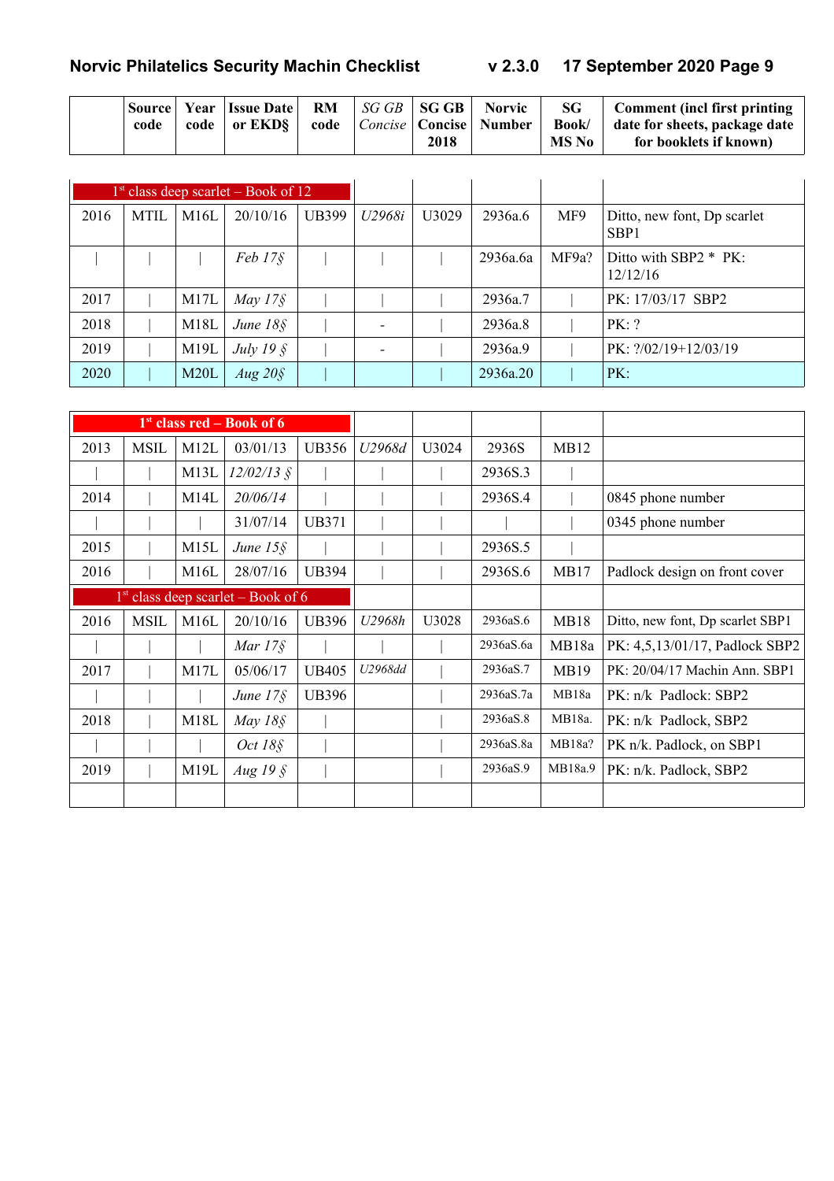|  | code |  | $ \text{Source} $ Year   Issue Date   RM   SG GB   SG GB   Norvic  <br>code   or $EKD$ |  |  | 2018 | code   <i>Concise</i>   <b>Concise</b>   <b>Number</b> | Book/<br><b>MS No</b> | $SG \mid$ Comment (incl first printing<br>date for sheets, package date<br>for booklets if known) |
|--|------|--|----------------------------------------------------------------------------------------|--|--|------|--------------------------------------------------------|-----------------------|---------------------------------------------------------------------------------------------------|
|--|------|--|----------------------------------------------------------------------------------------|--|--|------|--------------------------------------------------------|-----------------------|---------------------------------------------------------------------------------------------------|

|      |             |      | $1st$ class deep scarlet – Book of 12 |       |        |                   |          |       |                                                 |
|------|-------------|------|---------------------------------------|-------|--------|-------------------|----------|-------|-------------------------------------------------|
| 2016 | <b>MTIL</b> | M16L | 20/10/16                              | UB399 | U2968i | U <sub>3029</sub> | 2936a.6  | MF9   | Ditto, new font, Dp scarlet<br>SBP <sub>1</sub> |
|      |             |      | $Feb 17\$$                            |       |        |                   | 2936a.6a | MF9a? | Ditto with $SBP2 * PK$ :<br>12/12/16            |
| 2017 |             | M17L | May $17\$                             |       |        |                   | 2936a.7  |       | PK: 17/03/17 SBP2                               |
| 2018 |             | M18L | June $18\$                            |       |        |                   | 2936a.8  |       | PK: ?                                           |
| 2019 |             | M19L | July 19 $\hat{\S}$                    |       |        |                   | 2936a.9  |       | $PK: ?/02/19+12/03/19$                          |
| 2020 |             | M20L | $Aug\,20\S$                           |       |        |                   | 2936a.20 |       | PK:                                             |

|      |             |      | $1st$ class red – Book of 6          |              |         |       |           |             |                                  |
|------|-------------|------|--------------------------------------|--------------|---------|-------|-----------|-------------|----------------------------------|
| 2013 | <b>MSIL</b> | M12L | 03/01/13                             | <b>UB356</b> | U2968d  | U3024 | 2936S     | MB12        |                                  |
|      |             | M13L | $12/02/13$ §                         |              |         |       | 2936S.3   |             |                                  |
| 2014 |             | M14L | 20/06/14                             |              |         |       | 2936S.4   |             | 0845 phone number                |
|      |             |      | 31/07/14                             | <b>UB371</b> |         |       |           |             | 0345 phone number                |
| 2015 |             | M15L | June $15\$                           |              |         |       | 2936S.5   |             |                                  |
| 2016 |             | M16L | 28/07/16                             | <b>UB394</b> |         |       | 2936S.6   | MB17        | Padlock design on front cover    |
|      |             |      | $1st$ class deep scarlet – Book of 6 |              |         |       |           |             |                                  |
| 2016 | <b>MSIL</b> | M16L | 20/10/16                             | <b>UB396</b> | U2968h  | U3028 | 2936aS.6  | <b>MB18</b> | Ditto, new font, Dp scarlet SBP1 |
|      |             |      | Mar $17\$                            |              |         |       | 2936aS.6a | MB18a       | PK: 4,5,13/01/17, Padlock SBP2   |
| 2017 |             | M17L | 05/06/17                             | <b>UB405</b> | U2968dd |       | 2936aS.7  | <b>MB19</b> | PK: 20/04/17 Machin Ann. SBP1    |
|      |             |      | June $17\$                           | <b>UB396</b> |         |       | 2936aS.7a | MB18a       | PK: n/k Padlock: SBP2            |
| 2018 |             | M18L | May $18\$                            |              |         |       | 2936aS.8  | MB18a.      | PK: n/k Padlock, SBP2            |
|      |             |      | <i>Oct 18§</i>                       |              |         |       | 2936aS.8a | MB18a?      | PK n/k. Padlock, on SBP1         |
| 2019 |             | M19L | Aug $19\$                            |              |         |       | 2936aS.9  | MB18a.9     | PK: n/k. Padlock, SBP2           |
|      |             |      |                                      |              |         |       |           |             |                                  |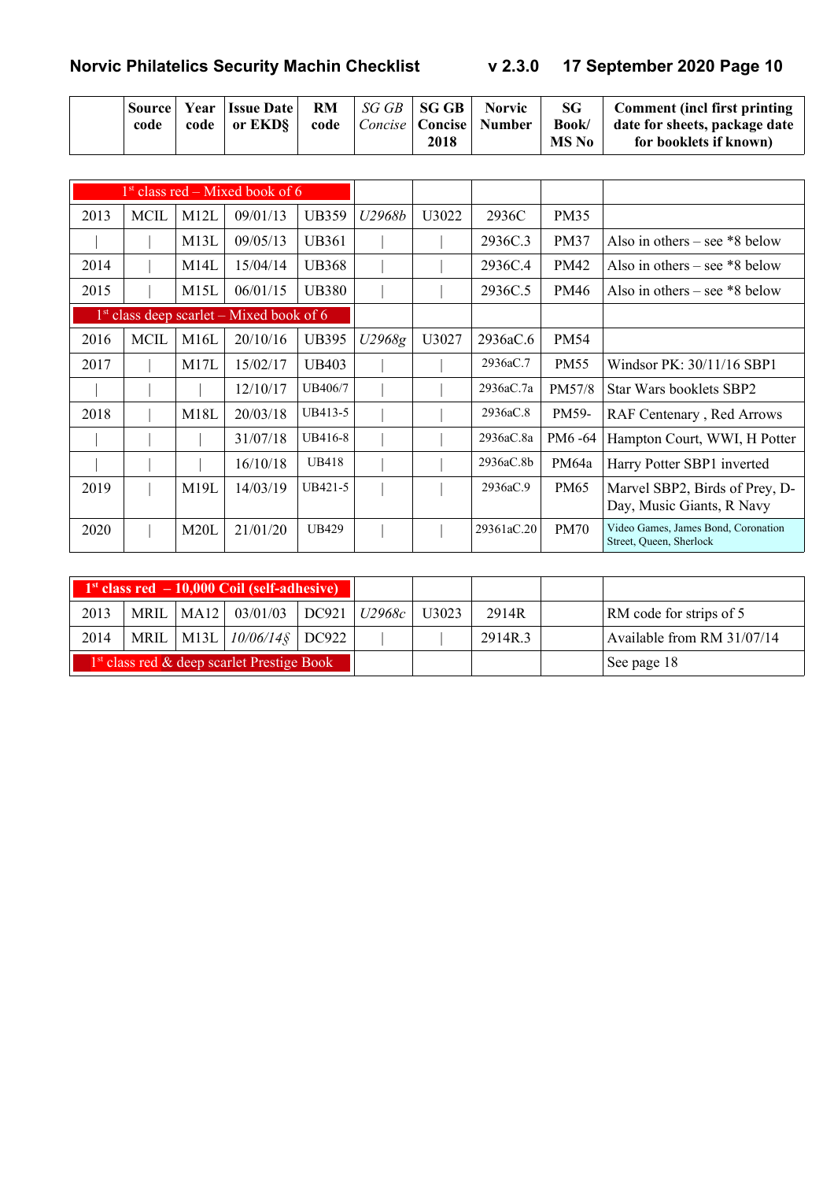|  | code | code | <b>Source Year Issue Date RM</b> .<br>$\vert$ or EKD§ $\vert$ | code |  | 2018 | $\mid$ SG GB $\mid$ SG GB $\mid$ Norvic<br><i>Concise</i>   Concise   Number | SG.<br><b>Book</b><br>MS No | Comment (incl first printing<br>date for sheets, package date<br>for booklets if known) |
|--|------|------|---------------------------------------------------------------|------|--|------|------------------------------------------------------------------------------|-----------------------------|-----------------------------------------------------------------------------------------|
|--|------|------|---------------------------------------------------------------|------|--|------|------------------------------------------------------------------------------|-----------------------------|-----------------------------------------------------------------------------------------|

|      |             |      | $1st$ class red – Mixed book of 6          |              |        |       |            |             |                                                                |
|------|-------------|------|--------------------------------------------|--------------|--------|-------|------------|-------------|----------------------------------------------------------------|
| 2013 | <b>MCIL</b> | M12L | 09/01/13                                   | <b>UB359</b> | U2968b | U3022 | 2936C      | <b>PM35</b> |                                                                |
|      |             | M13L | 09/05/13                                   | <b>UB361</b> |        |       | 2936C.3    | <b>PM37</b> | Also in others – see $*8$ below                                |
| 2014 |             | M14L | 15/04/14                                   | <b>UB368</b> |        |       | 2936C.4    | <b>PM42</b> | Also in others – see $*8$ below                                |
| 2015 |             | M15L | 06/01/15                                   | <b>UB380</b> |        |       | 2936C.5    | PM46        | Also in others – see $*8$ below                                |
|      |             |      | $1st$ class deep scarlet – Mixed book of 6 |              |        |       |            |             |                                                                |
| 2016 | <b>MCIL</b> | M16L | 20/10/16                                   | <b>UB395</b> | U2968g | U3027 | 2936aC.6   | <b>PM54</b> |                                                                |
| 2017 |             | M17L | 15/02/17                                   | <b>UB403</b> |        |       | 2936aC.7   | <b>PM55</b> | Windsor PK: 30/11/16 SBP1                                      |
|      |             |      | 12/10/17                                   | UB406/7      |        |       | 2936aC.7a  | PM57/8      | Star Wars booklets SBP2                                        |
| 2018 |             | M18L | 20/03/18                                   | UB413-5      |        |       | 2936aC.8   | PM59-       | RAF Centenary, Red Arrows                                      |
|      |             |      | 31/07/18                                   | UB416-8      |        |       | 2936aC.8a  | PM6 -64     | Hampton Court, WWI, H Potter                                   |
|      |             |      | 16/10/18                                   | <b>UB418</b> |        |       | 2936aC.8b  | PM64a       | Harry Potter SBP1 inverted                                     |
| 2019 |             | M19L | 14/03/19                                   | UB421-5      |        |       | 2936aC.9   | <b>PM65</b> | Marvel SBP2, Birds of Prey, D-<br>Day, Music Giants, R Navy    |
| 2020 |             | M20L | 21/01/20                                   | <b>UB429</b> |        |       | 29361aC.20 | <b>PM70</b> | Video Games, James Bond, Coronation<br>Street, Queen, Sherlock |

|      |  | $1st class red - 10,000 Coil (self-adhesive)$ |  |       |         |                            |
|------|--|-----------------------------------------------|--|-------|---------|----------------------------|
| 2013 |  | MRIL   MA12   03/01/03   DC921   $U2968c$     |  | U3023 | 2914R   | RM code for strips of 5    |
| 2014 |  | MRIL   M13L   10/06/14§   DC922               |  |       | 2914R.3 | Available from RM 31/07/14 |
|      |  | $1st$ class red & deep scarlet Prestige Book  |  |       |         | See page 18                |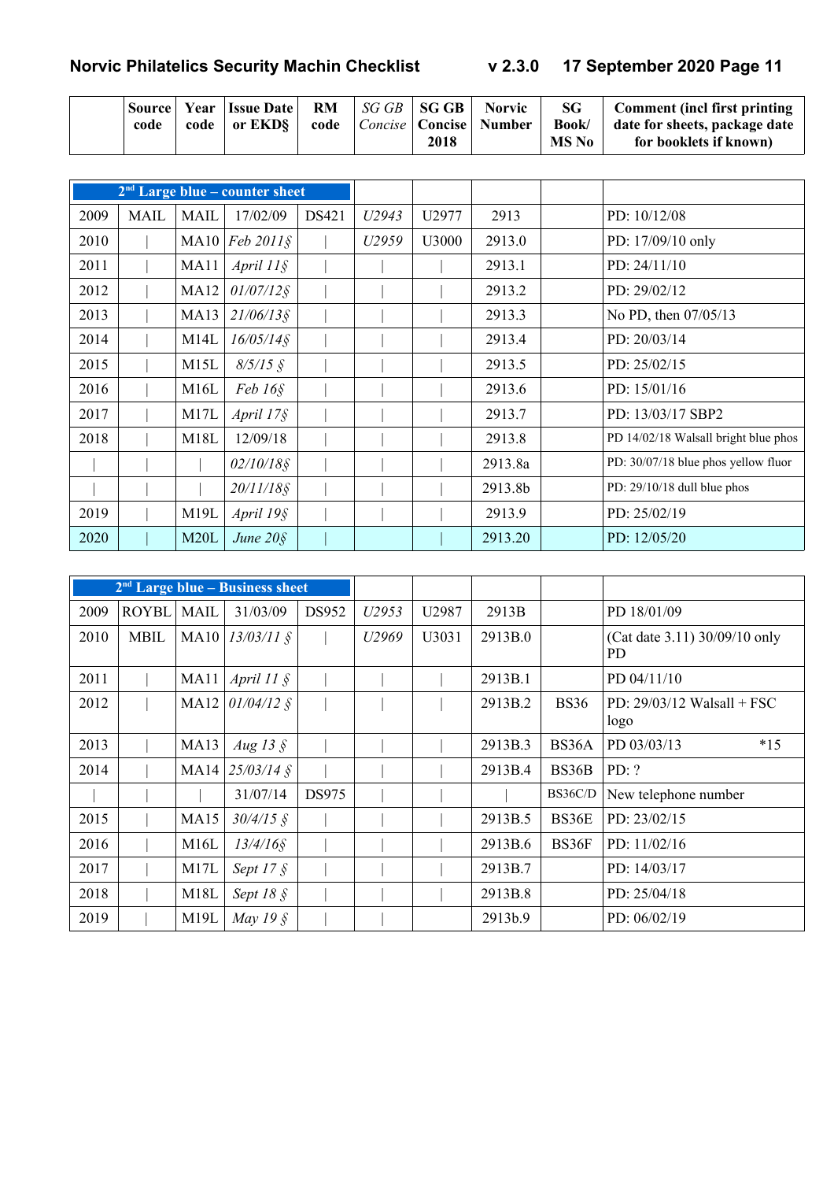|  | code |  | Source Year Issue Date<br>code   or $EKD$ | RM |  | 2018 | $\vert$ SG GB $\vert$ SG GB $\vert$ Norvic<br>code   Concise   Concise   Number | SG<br>Book/<br>MS No | Comment (incl first printing<br>  date for sheets, package date<br>for booklets if known) |
|--|------|--|-------------------------------------------|----|--|------|---------------------------------------------------------------------------------|----------------------|-------------------------------------------------------------------------------------------|
|--|------|--|-------------------------------------------|----|--|------|---------------------------------------------------------------------------------|----------------------|-------------------------------------------------------------------------------------------|

|      |             |             | $2nd$ Large blue – counter sheet |       |                   |       |         |                                      |
|------|-------------|-------------|----------------------------------|-------|-------------------|-------|---------|--------------------------------------|
| 2009 | <b>MAIL</b> | <b>MAIL</b> | 17/02/09                         | DS421 | U <sub>2943</sub> | U2977 | 2913    | PD: $10/12/08$                       |
| 2010 |             | MA10        | $Feb 2011$ $\S$                  |       | U2959             | U3000 | 2913.0  | PD: 17/09/10 only                    |
| 2011 |             | MA11        | April $11\$                      |       |                   |       | 2913.1  | PD: 24/11/10                         |
| 2012 |             | <b>MA12</b> | $01/07/12$ §                     |       |                   |       | 2913.2  | PD: $29/02/12$                       |
| 2013 |             | <b>MA13</b> | $21/06/13$ §                     |       |                   |       | 2913.3  | No PD, then 07/05/13                 |
| 2014 |             | M14L        | $16/05/14$ §                     |       |                   |       | 2913.4  | PD: $20/03/14$                       |
| 2015 |             | M15L        | $8/5/15$ §                       |       |                   |       | 2913.5  | PD: $25/02/15$                       |
| 2016 |             | M16L        | $Feb 16\$                        |       |                   |       | 2913.6  | PD: $15/01/16$                       |
| 2017 |             | M17L        | April $17\$                      |       |                   |       | 2913.7  | PD: 13/03/17 SBP2                    |
| 2018 |             | M18L        | 12/09/18                         |       |                   |       | 2913.8  | PD 14/02/18 Walsall bright blue phos |
|      |             |             | $02/10/18$ §                     |       |                   |       | 2913.8a | PD: 30/07/18 blue phos yellow fluor  |
|      |             |             | 20/11/18§                        |       |                   |       | 2913.8b | PD: $29/10/18$ dull blue phos        |
| 2019 |             | M19L        | April 19§                        |       |                   |       | 2913.9  | PD: 25/02/19                         |
| 2020 |             | M20L        | June $20\$                       |       |                   |       | 2913.20 | PD: $12/05/20$                       |

|      |              |             | 2 <sup>nd</sup> Large blue – Business sheet |       |       |       |         |             |                                      |
|------|--------------|-------------|---------------------------------------------|-------|-------|-------|---------|-------------|--------------------------------------|
| 2009 | <b>ROYBL</b> | MAIL        | 31/03/09                                    | DS952 | U2953 | U2987 | 2913B   |             | PD 18/01/09                          |
| 2010 | <b>MBIL</b>  |             | MA10 $13/03/11$ §                           |       | U2969 | U3031 | 2913B.0 |             | (Cat date 3.11) 30/09/10 only<br>PD  |
| 2011 |              | MA11        | April $11 \xi$                              |       |       |       | 2913B.1 |             | PD 04/11/10                          |
| 2012 |              | MA12        | $01/04/12$ §                                |       |       |       | 2913B.2 | <b>BS36</b> | PD: $29/03/12$ Walsall + FSC<br>logo |
| 2013 |              | <b>MA13</b> | Aug 13 $\AA$                                |       |       |       | 2913B.3 | BS36A       | $*15$<br>PD 03/03/13                 |
| 2014 |              | MA14        | $25/03/14$ §                                |       |       |       | 2913B.4 | BS36B       | PD: ?                                |
|      |              |             | 31/07/14                                    | DS975 |       |       |         | BS36C/D     | New telephone number                 |
| 2015 |              | MA15        | $30/4/15$ §                                 |       |       |       | 2913B.5 | BS36E       | PD: 23/02/15                         |
| 2016 |              | M16L        | $13/4/16$ §                                 |       |       |       | 2913B.6 | BS36F       | PD: $11/02/16$                       |
| 2017 |              | M17L        | Sept 17 $\frac{1}{5}$                       |       |       |       | 2913B.7 |             | PD: 14/03/17                         |
| 2018 |              | M18L        | Sept 18 $\S$                                |       |       |       | 2913B.8 |             | PD: 25/04/18                         |
| 2019 |              | M19L        | May 19 $\S$                                 |       |       |       | 2913b.9 |             | PD: 06/02/19                         |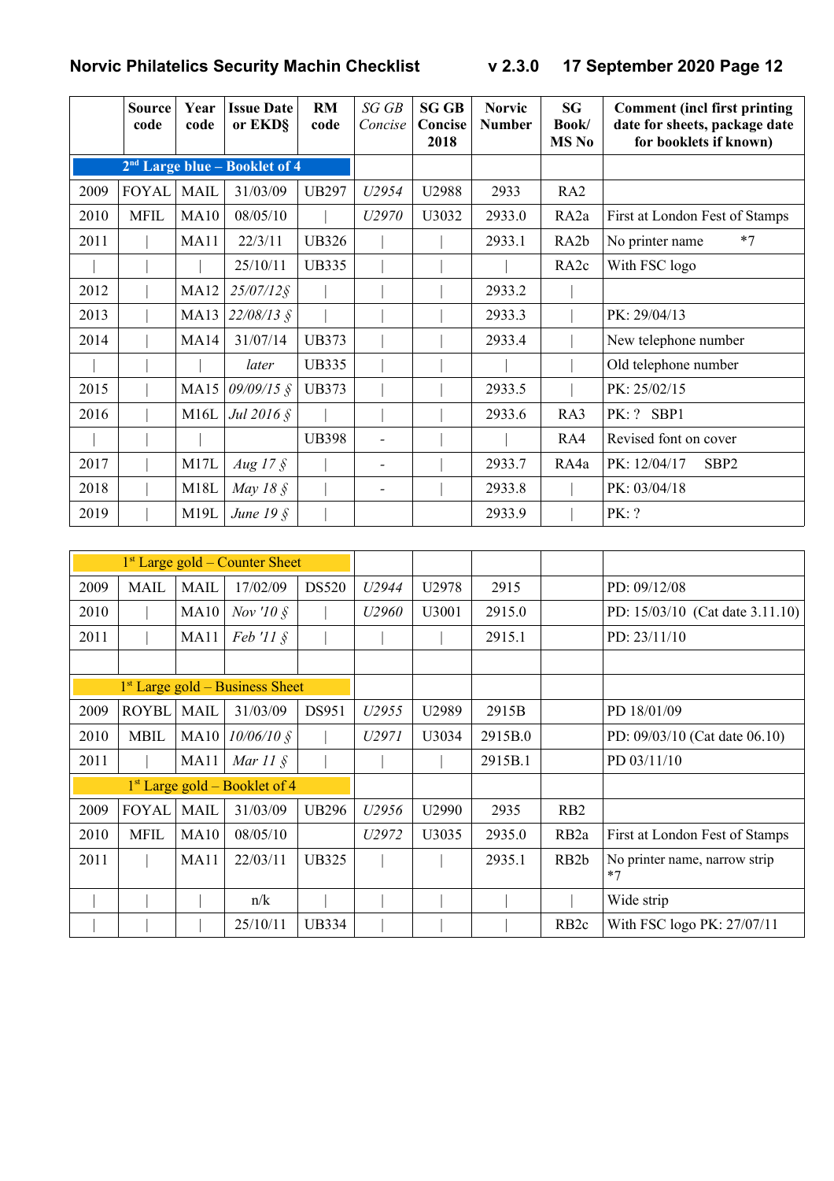|      | <b>Source</b><br>code | Year<br>code     | <b>Issue Date</b><br>or EKD§    | <b>RM</b><br>code | SGGB<br>Concise | <b>SG GB</b><br>Concise<br>2018 | <b>Norvic</b><br><b>Number</b> | <b>SG</b><br>Book/<br>MS No | <b>Comment (incl first printing</b><br>date for sheets, package date<br>for booklets if known) |
|------|-----------------------|------------------|---------------------------------|-------------------|-----------------|---------------------------------|--------------------------------|-----------------------------|------------------------------------------------------------------------------------------------|
|      |                       |                  | $2nd$ Large blue – Booklet of 4 |                   |                 |                                 |                                |                             |                                                                                                |
| 2009 | <b>FOYAL</b>          | <b>MAIL</b>      | 31/03/09                        | <b>UB297</b>      | U2954           | U2988                           | 2933                           | RA <sub>2</sub>             |                                                                                                |
| 2010 | <b>MFIL</b>           | <b>MA10</b>      | 08/05/10                        |                   | U2970           | U3032                           | 2933.0                         | RA <sub>2a</sub>            | First at London Fest of Stamps                                                                 |
| 2011 |                       | MA11             | 22/3/11                         | <b>UB326</b>      |                 |                                 | 2933.1                         | RA <sub>2</sub> b           | $*7$<br>No printer name                                                                        |
|      |                       |                  | 25/10/11                        | <b>UB335</b>      |                 |                                 |                                | RA <sub>2c</sub>            | With FSC logo                                                                                  |
| 2012 |                       | <b>MA12</b>      | $25/07/12$ §                    |                   |                 |                                 | 2933.2                         |                             |                                                                                                |
| 2013 |                       | <b>MA13</b>      | $22/08/13$ §                    |                   |                 |                                 | 2933.3                         |                             | PK: 29/04/13                                                                                   |
| 2014 |                       | MA14             | 31/07/14                        | <b>UB373</b>      |                 |                                 | 2933.4                         |                             | New telephone number                                                                           |
|      |                       |                  | later                           | <b>UB335</b>      |                 |                                 |                                |                             | Old telephone number                                                                           |
| 2015 |                       | MA15             | $09/09/15$ §                    | <b>UB373</b>      |                 |                                 | 2933.5                         |                             | PK: 25/02/15                                                                                   |
| 2016 |                       | M16L             | Jul 2016 §                      |                   |                 |                                 | 2933.6                         | RA3                         | PK: ? SBP1                                                                                     |
|      |                       |                  |                                 | <b>UB398</b>      |                 |                                 |                                | RA4                         | Revised font on cover                                                                          |
| 2017 |                       | M17L             | Aug 17 $\frac{1}{5}$            |                   |                 |                                 | 2933.7                         | RA4a                        | PK: 12/04/17<br>SBP <sub>2</sub>                                                               |
| 2018 |                       | M18L             | May 18 $\AA$                    |                   |                 |                                 | 2933.8                         |                             | PK: 03/04/18                                                                                   |
| 2019 |                       | M <sub>19L</sub> | June 19 $\hat{\S}$              |                   |                 |                                 | 2933.9                         |                             | PK: ?                                                                                          |

|      |              |             | $1st$ Large gold – Counter Sheet  |              |                   |       |         |                   |                                       |
|------|--------------|-------------|-----------------------------------|--------------|-------------------|-------|---------|-------------------|---------------------------------------|
| 2009 | <b>MAIL</b>  | <b>MAIL</b> | 17/02/09                          | <b>DS520</b> | U2944             | U2978 | 2915    |                   | PD: 09/12/08                          |
| 2010 |              | MA10        | Nov '10 $\AA$                     |              | U2960             | U3001 | 2915.0  |                   | PD: 15/03/10 (Cat date 3.11.10)       |
| 2011 |              | MA11        | $Feb'II \$                        |              |                   |       | 2915.1  |                   | PD: $23/11/10$                        |
|      |              |             |                                   |              |                   |       |         |                   |                                       |
|      |              |             | $1st$ Large gold – Business Sheet |              |                   |       |         |                   |                                       |
| 2009 | <b>ROYBL</b> | <b>MAIL</b> | 31/03/09                          | DS951        | U <sub>2955</sub> | U2989 | 2915B   |                   | PD 18/01/09                           |
| 2010 | <b>MBIL</b>  | MA10        | $10/06/10$ §                      |              | U2971             | U3034 | 2915B.0 |                   | PD: 09/03/10 (Cat date 06.10)         |
| 2011 |              | MA11        | Mar $11 \text{ }$ \$              |              |                   |       | 2915B.1 |                   | PD 03/11/10                           |
|      |              |             | $1st$ Large gold – Booklet of 4   |              |                   |       |         |                   |                                       |
| 2009 | <b>FOYAL</b> | <b>MAIL</b> | 31/03/09                          | <b>UB296</b> | U2956             | U2990 | 2935    | R <sub>B</sub> 2  |                                       |
| 2010 | <b>MFIL</b>  | <b>MA10</b> | 08/05/10                          |              | U2972             | U3035 | 2935.0  | RB <sub>2a</sub>  | First at London Fest of Stamps        |
| 2011 |              | <b>MA11</b> | 22/03/11                          | <b>UB325</b> |                   |       | 2935.1  | RB <sub>2</sub> b | No printer name, narrow strip<br>$*7$ |
|      |              |             | n/k                               |              |                   |       |         |                   | Wide strip                            |
|      |              |             | 25/10/11                          | <b>UB334</b> |                   |       |         | RB <sub>2c</sub>  | With FSC logo PK: 27/07/11            |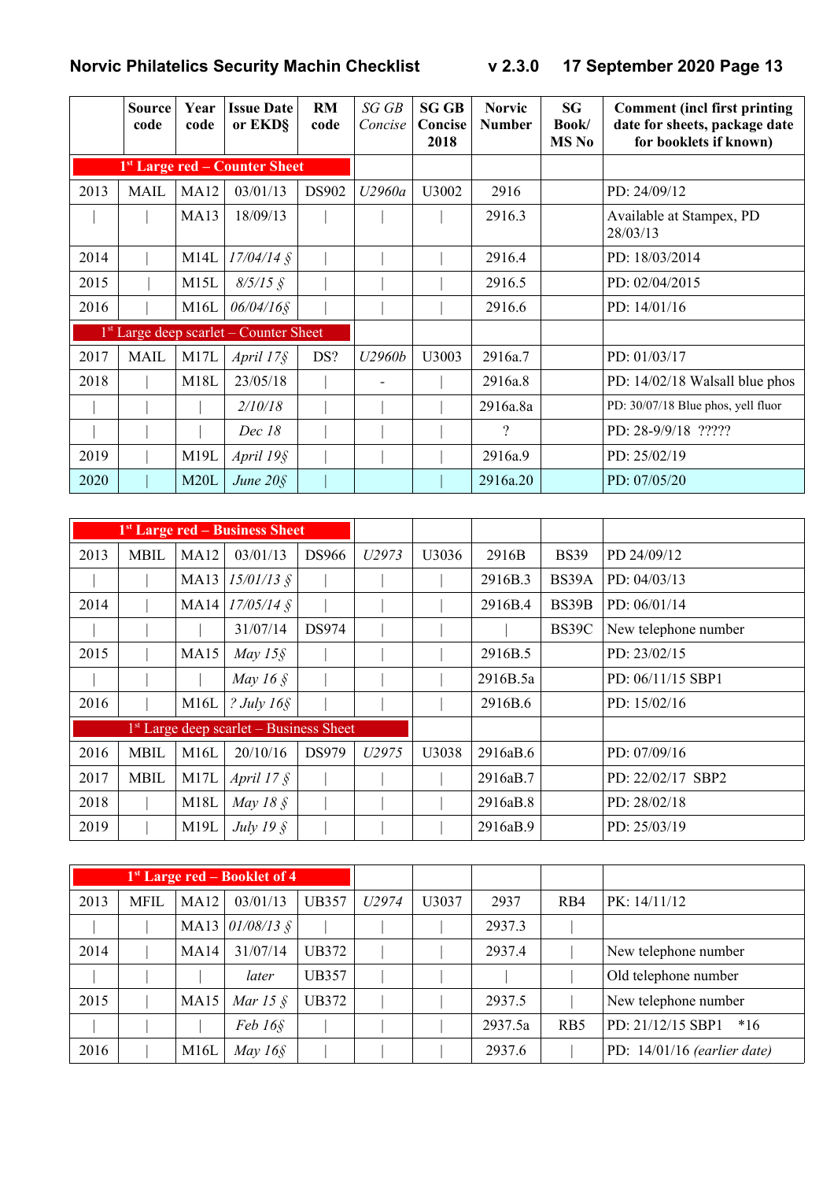|      | <b>Source</b><br>code | Year<br>code      | <b>Issue Date</b><br>or EKD§              | <b>RM</b><br>code | SG GB<br>Concise | <b>SG GB</b><br>Concise<br>2018 | <b>Norvic</b><br><b>Number</b> | SG<br>Book/<br><b>MS</b> No | <b>Comment (incl first printing)</b><br>date for sheets, package date<br>for booklets if known) |
|------|-----------------------|-------------------|-------------------------------------------|-------------------|------------------|---------------------------------|--------------------------------|-----------------------------|-------------------------------------------------------------------------------------------------|
|      |                       |                   | 1 <sup>st</sup> Large red – Counter Sheet |                   |                  |                                 |                                |                             |                                                                                                 |
| 2013 | <b>MAIL</b>           | <b>MA12</b>       | 03/01/13                                  | <b>DS902</b>      | U2960a           | U3002                           | 2916                           |                             | PD: 24/09/12                                                                                    |
|      |                       | <b>MA13</b>       | 18/09/13                                  |                   |                  |                                 | 2916.3                         |                             | Available at Stampex, PD<br>28/03/13                                                            |
| 2014 |                       | M <sub>14</sub> L | $17/04/14$ §                              |                   |                  |                                 | 2916.4                         |                             | PD: 18/03/2014                                                                                  |
| 2015 |                       | M15L              | $8/5/15$ §                                |                   |                  |                                 | 2916.5                         |                             | PD: 02/04/2015                                                                                  |
| 2016 |                       | M16L              | $06/04/16$ §                              |                   |                  |                                 | 2916.6                         |                             | PD: 14/01/16                                                                                    |
|      |                       |                   | $1st$ Large deep scarlet – Counter Sheet  |                   |                  |                                 |                                |                             |                                                                                                 |
| 2017 | <b>MAIL</b>           | M17L              | April $17\$                               | DS?               | U2960b           | U3003                           | 2916a.7                        |                             | PD: 01/03/17                                                                                    |
| 2018 |                       | M18L              | 23/05/18                                  |                   |                  |                                 | 2916a.8                        |                             | PD: 14/02/18 Walsall blue phos                                                                  |
|      |                       |                   | 2/10/18                                   |                   |                  |                                 | 2916a.8a                       |                             | PD: 30/07/18 Blue phos, yell fluor                                                              |
|      |                       |                   | Dec 18                                    |                   |                  |                                 | $\gamma$                       |                             | PD: 28-9/9/18 ?????                                                                             |
| 2019 |                       | M19L              | April 19§                                 |                   |                  |                                 | 2916a.9                        |                             | PD: 25/02/19                                                                                    |
| 2020 |                       | M20L              | June $20\$                                |                   |                  |                                 | 2916a.20                       |                             | PD: 07/05/20                                                                                    |

|      |             |             | <sup>1st</sup> Large red – Business Sheet          |              |                   |       |          |             |                      |
|------|-------------|-------------|----------------------------------------------------|--------------|-------------------|-------|----------|-------------|----------------------|
| 2013 | <b>MBIL</b> | <b>MA12</b> | 03/01/13                                           | <b>DS966</b> | U2973             | U3036 | 2916B    | <b>BS39</b> | PD 24/09/12          |
|      |             | MA13        | $15/01/13$ §                                       |              |                   |       | 2916B.3  | BS39A       | PD: 04/03/13         |
| 2014 |             |             | MA14 $17/05/14$ §                                  |              |                   |       | 2916B.4  | BS39B       | PD: $06/01/14$       |
|      |             |             | 31/07/14                                           | DS974        |                   |       |          | BS39C       | New telephone number |
| 2015 |             | <b>MA15</b> | May $15\$                                          |              |                   |       | 2916B.5  |             | PD: 23/02/15         |
|      |             |             | May 16 $\AA$                                       |              |                   |       | 2916B.5a |             | PD: 06/11/15 SBP1    |
| 2016 |             | M16L        | ? July $16\$                                       |              |                   |       | 2916B.6  |             | PD: 15/02/16         |
|      |             |             | <sup>1st</sup> Large deep scarlet – Business Sheet |              |                   |       |          |             |                      |
| 2016 | <b>MBIL</b> | M16L        | 20/10/16                                           | <b>DS979</b> | U <sub>2975</sub> | U3038 | 2916aB.6 |             | PD: 07/09/16         |
| 2017 | <b>MBIL</b> | M17L        | April 17 $\hat{\S}$                                |              |                   |       | 2916aB.7 |             | PD: 22/02/17 SBP2    |
| 2018 |             | M18L        | May 18 $\AA$                                       |              |                   |       | 2916aB.8 |             | PD: 28/02/18         |
| 2019 |             | M19L        | July 19 $\hat{\S}$                                 |              |                   |       | 2916aB.9 |             | PD: 25/03/19         |

|      |      |                   | $1st$ Large red – Booklet of 4 |              |                   |       |         |                 |                               |
|------|------|-------------------|--------------------------------|--------------|-------------------|-------|---------|-----------------|-------------------------------|
| 2013 | MFIL | MA12              | 03/01/13                       | <b>UB357</b> | U <sub>2974</sub> | U3037 | 2937    | R <sub>B4</sub> | PK: 14/11/12                  |
|      |      | MA13              | $01/08/13$ §                   |              |                   |       | 2937.3  |                 |                               |
| 2014 |      | MA14              | 31/07/14                       | UB372        |                   |       | 2937.4  |                 | New telephone number          |
|      |      |                   | later                          | <b>UB357</b> |                   |       |         |                 | Old telephone number          |
| 2015 |      | MA <sub>15</sub>  | Mar 15 $\AA$                   | UB372        |                   |       | 2937.5  |                 | New telephone number          |
|      |      |                   | Feb 16 <sub>9</sub>            |              |                   |       | 2937.5a | R <sub>B5</sub> | PD: 21/12/15 SBP1<br>$*16$    |
| 2016 |      | M <sub>16</sub> L | May $16\$                      |              |                   |       | 2937.6  |                 | PD: $14/01/16$ (earlier date) |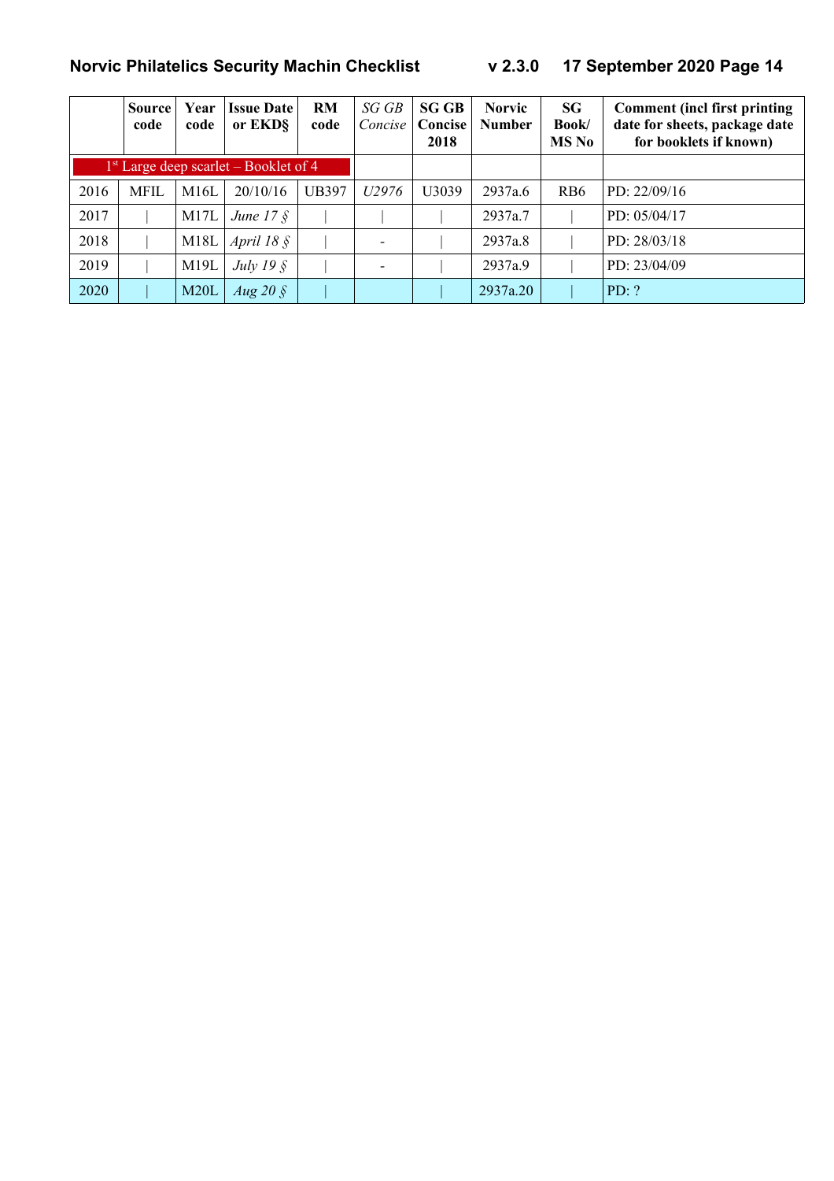|      | Source<br>code | Year<br>code | <b>Issue Date</b><br>or EKD§            | <b>RM</b><br>code | SG GB<br>Concise  | <b>SG GB</b><br>Concise<br>2018 | <b>Norvic</b><br><b>Number</b> | <b>SG</b><br>Book/<br>MS No | <b>Comment</b> (incl first printing<br>date for sheets, package date<br>for booklets if known) |
|------|----------------|--------------|-----------------------------------------|-------------------|-------------------|---------------------------------|--------------------------------|-----------------------------|------------------------------------------------------------------------------------------------|
|      |                |              | $1st$ Large deep scarlet – Booklet of 4 |                   |                   |                                 |                                |                             |                                                                                                |
| 2016 | MFIL           | M16L         | 20/10/16                                | UB397             | U <sub>2976</sub> | U3039                           | 2937a.6                        | R <sub>B6</sub>             | PD: $22/09/16$                                                                                 |
| 2017 |                | M17L         | June $17 \text{ }$ \$                   |                   |                   |                                 | 2937a.7                        |                             | PD: 05/04/17                                                                                   |
| 2018 |                | M18L         | April $18 \xi$                          |                   |                   |                                 | 2937a.8                        |                             | PD: 28/03/18                                                                                   |
| 2019 |                | M19L         | July 19 $\hat{\S}$                      |                   |                   |                                 | 2937a.9                        |                             | PD: 23/04/09                                                                                   |
| 2020 |                | M20L         | Aug 20 $\AA$                            |                   |                   |                                 | 2937a.20                       |                             | PD: ?                                                                                          |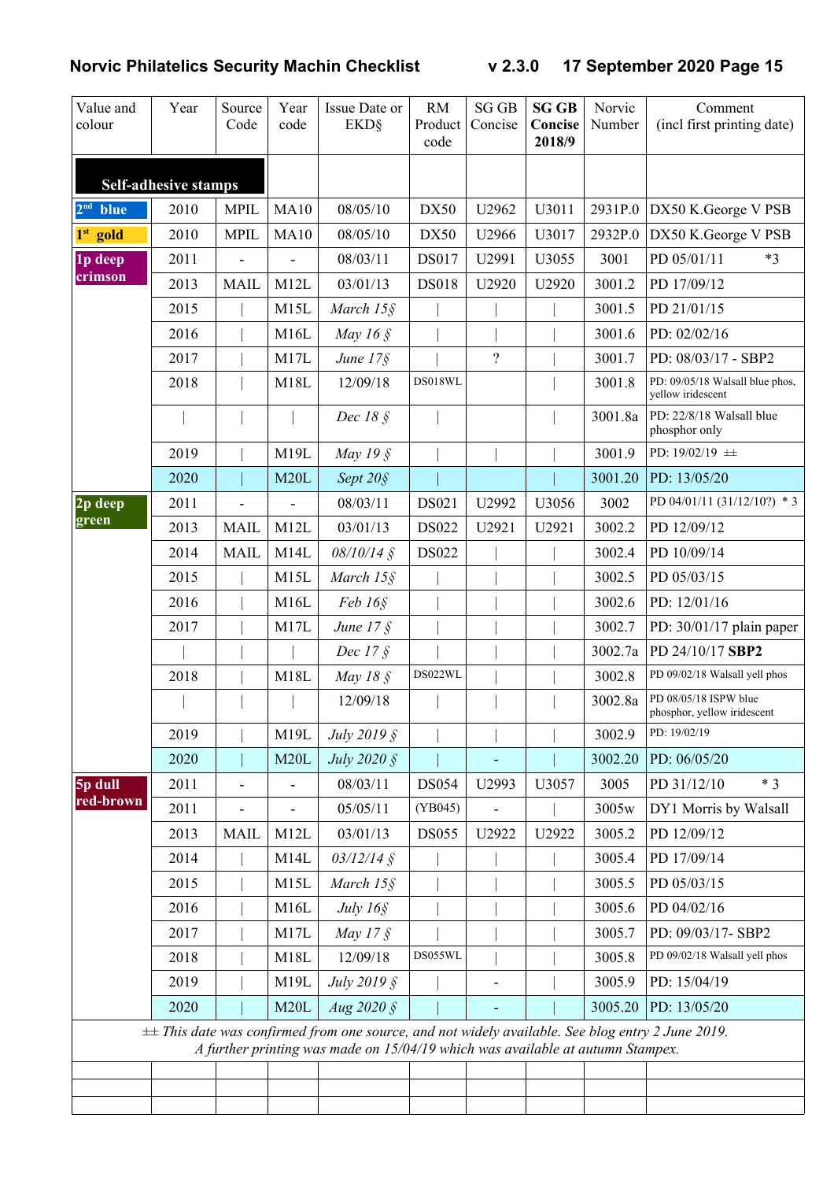| Value and<br>colour | Year                        | Source<br>Code | Year<br>code | Issue Date or<br><b>EKD</b> §                                                                                                                                                             | <b>RM</b><br>Product<br>code | <b>SG GB</b><br>Concise  | <b>SG GB</b><br>Concise<br>2018/9 | Norvic<br>Number | Comment<br>(incl first printing date)                |
|---------------------|-----------------------------|----------------|--------------|-------------------------------------------------------------------------------------------------------------------------------------------------------------------------------------------|------------------------------|--------------------------|-----------------------------------|------------------|------------------------------------------------------|
|                     | <b>Self-adhesive stamps</b> |                |              |                                                                                                                                                                                           |                              |                          |                                   |                  |                                                      |
| $2nd$ blue          | 2010                        | <b>MPIL</b>    | MA10         | 08/05/10                                                                                                                                                                                  | <b>DX50</b>                  | U2962                    | U3011                             | 2931P.0          | DX50 K.George V PSB                                  |
| $1st$ gold          | 2010                        | <b>MPIL</b>    | <b>MA10</b>  | 08/05/10                                                                                                                                                                                  | DX50                         | U2966                    | U3017                             | 2932P.0          | DX50 K.George V PSB                                  |
| 1p deep             | 2011                        |                |              | 08/03/11                                                                                                                                                                                  | DS017                        | U2991                    | U3055                             | 3001             | PD 05/01/11<br>$*3$                                  |
| crimson             | 2013                        | <b>MAIL</b>    | M12L         | 03/01/13                                                                                                                                                                                  | <b>DS018</b>                 | U2920                    | U2920                             | 3001.2           | PD 17/09/12                                          |
|                     | 2015                        |                | M15L         | March 15§                                                                                                                                                                                 |                              |                          |                                   | 3001.5           | PD 21/01/15                                          |
|                     | 2016                        |                | M16L         | May 16 $\hat{\S}$                                                                                                                                                                         |                              |                          |                                   | 3001.6           | PD: 02/02/16                                         |
|                     | 2017                        |                | M17L         | June 17§                                                                                                                                                                                  |                              | $\overline{\mathcal{L}}$ |                                   | 3001.7           | PD: 08/03/17 - SBP2                                  |
|                     | 2018                        |                | M18L         | 12/09/18                                                                                                                                                                                  | DS018WL                      |                          |                                   | 3001.8           | PD: 09/05/18 Walsall blue phos,<br>yellow iridescent |
|                     |                             |                |              | Dec $18 \text{ }$                                                                                                                                                                         |                              |                          |                                   | 3001.8a          | PD: 22/8/18 Walsall blue<br>phosphor only            |
|                     | 2019                        |                | M19L         | May 19 §                                                                                                                                                                                  |                              |                          |                                   | 3001.9           | PD: 19/02/19 ±                                       |
|                     | 2020                        |                | M20L         | Sept 20§                                                                                                                                                                                  |                              |                          |                                   | 3001.20          | PD: 13/05/20                                         |
| $2p$ deep           | 2011                        |                |              | 08/03/11                                                                                                                                                                                  | DS021                        | U2992                    | U3056                             | 3002             | PD 04/01/11 (31/12/10?) * 3                          |
| green               | 2013                        | <b>MAIL</b>    | M12L         | 03/01/13                                                                                                                                                                                  | DS022                        | U2921                    | U2921                             | 3002.2           | PD 12/09/12                                          |
|                     | 2014                        | <b>MAIL</b>    | M14L         | 08/10/14 §                                                                                                                                                                                | DS022                        |                          |                                   | 3002.4           | PD 10/09/14                                          |
|                     | 2015                        |                | M15L         | March 15§                                                                                                                                                                                 |                              |                          |                                   | 3002.5           | PD 05/03/15                                          |
|                     | 2016                        |                | M16L         | Feb 16 <sub>9</sub>                                                                                                                                                                       |                              |                          |                                   | 3002.6           | PD: 12/01/16                                         |
|                     | 2017                        |                | M17L         | June 17 §                                                                                                                                                                                 |                              |                          |                                   | 3002.7           | PD: $30/01/17$ plain paper                           |
|                     |                             |                |              | Dec 17 §                                                                                                                                                                                  |                              |                          |                                   | 3002.7a          | PD 24/10/17 SBP2                                     |
|                     | 2018                        |                | M18L         | May 18 §                                                                                                                                                                                  | DS022WL                      |                          |                                   | 3002.8           | PD 09/02/18 Walsall yell phos                        |
|                     |                             |                |              | 12/09/18                                                                                                                                                                                  |                              |                          |                                   | 3002.8a          | PD 08/05/18 ISPW blue<br>phosphor, yellow iridescent |
|                     | 2019                        |                | M19L         | July 2019 §                                                                                                                                                                               |                              |                          |                                   | 3002.9           | PD: 19/02/19                                         |
|                     | 2020                        |                | M20L         | July 2020 §                                                                                                                                                                               |                              |                          |                                   | 3002.20          | PD: 06/05/20                                         |
| 5p dull             | 2011                        | -              |              | 08/03/11                                                                                                                                                                                  | <b>DS054</b>                 | U2993                    | U3057                             | 3005             | $*3$<br>PD 31/12/10                                  |
| red-brown           | 2011                        |                |              | 05/05/11                                                                                                                                                                                  | (YB045)                      |                          |                                   | 3005w            | DY1 Morris by Walsall                                |
|                     | 2013                        | <b>MAIL</b>    | M12L         | 03/01/13                                                                                                                                                                                  | <b>DS055</b>                 | U2922                    | U2922                             | 3005.2           | PD 12/09/12                                          |
|                     | 2014                        |                | M14L         | $03/12/14$ §                                                                                                                                                                              |                              |                          |                                   | 3005.4           | PD 17/09/14                                          |
|                     | 2015                        |                | M15L         | March $15\$                                                                                                                                                                               |                              |                          |                                   | 3005.5           | PD 05/03/15                                          |
|                     | 2016                        |                | M16L         | July 16§                                                                                                                                                                                  |                              |                          |                                   | 3005.6           | PD 04/02/16                                          |
|                     | 2017                        |                | M17L         | May 17 $\AA$                                                                                                                                                                              |                              |                          |                                   | 3005.7           | PD: 09/03/17-SBP2                                    |
|                     | 2018                        |                | M18L         | 12/09/18                                                                                                                                                                                  | DS055WL                      |                          |                                   | 3005.8           | PD 09/02/18 Walsall yell phos                        |
|                     | 2019                        |                | M19L         | July 2019 §                                                                                                                                                                               |                              |                          |                                   | 3005.9           | PD: 15/04/19                                         |
|                     | 2020                        |                | M20L         | Aug $2020 \text{ }$ §                                                                                                                                                                     |                              |                          |                                   | 3005.20          | PD: 13/05/20                                         |
|                     |                             |                |              | $\pm\pm$ This date was confirmed from one source, and not widely available. See blog entry 2 June 2019.<br>A further printing was made on 15/04/19 which was available at autumn Stampex. |                              |                          |                                   |                  |                                                      |
|                     |                             |                |              |                                                                                                                                                                                           |                              |                          |                                   |                  |                                                      |
|                     |                             |                |              |                                                                                                                                                                                           |                              |                          |                                   |                  |                                                      |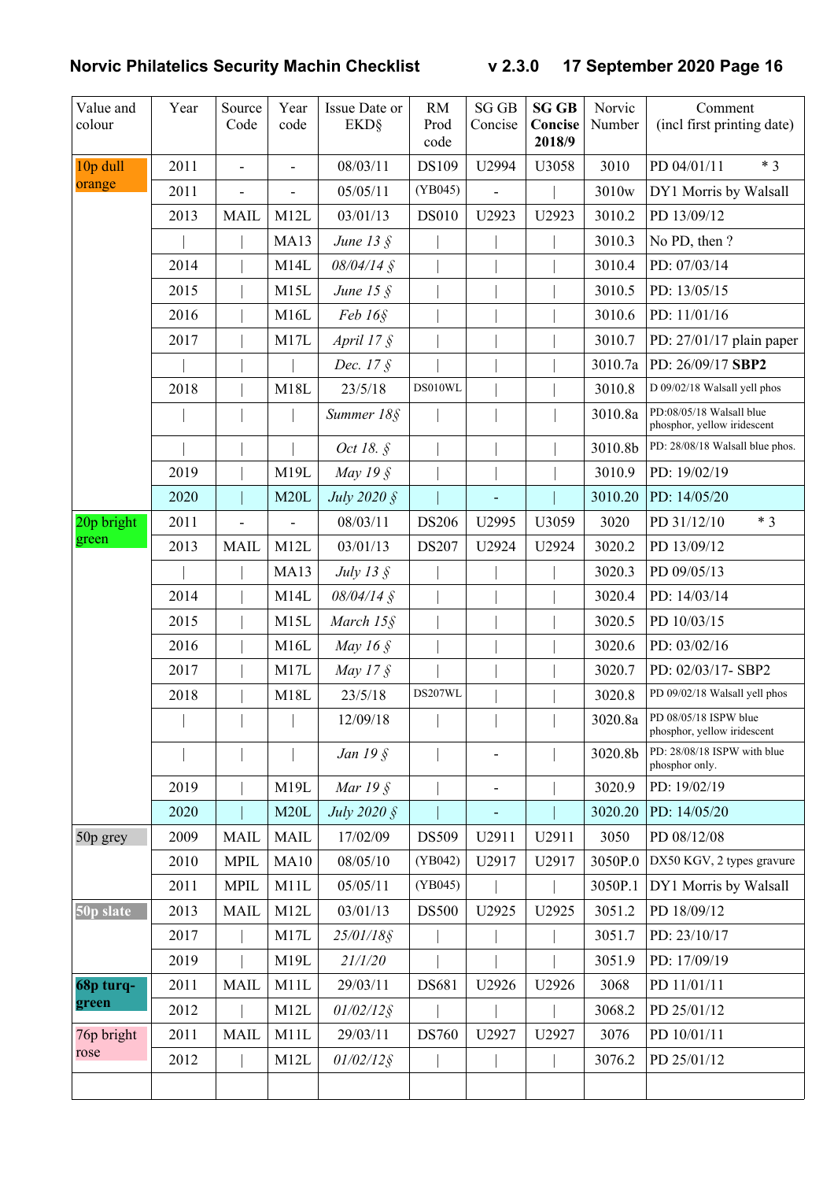| Value and<br>colour | Year | Source<br>Code | Year<br>code   | Issue Date or<br><b>EKD</b> § | RM<br>Prod<br>code | <b>SG GB</b><br>Concise      | <b>SG GB</b><br>Concise<br>2018/9 | Norvic<br>Number | Comment<br>(incl first printing date)                   |
|---------------------|------|----------------|----------------|-------------------------------|--------------------|------------------------------|-----------------------------------|------------------|---------------------------------------------------------|
| 10p dull            | 2011 | $\overline{a}$ | $\blacksquare$ | 08/03/11                      | DS109              | U2994                        | U3058                             | 3010             | $*3$<br>PD 04/01/11                                     |
| orange              | 2011 | $\frac{1}{2}$  |                | 05/05/11                      | (YB045)            | $\frac{1}{2}$                |                                   | 3010w            | DY1 Morris by Walsall                                   |
|                     | 2013 | <b>MAIL</b>    | M12L           | 03/01/13                      | <b>DS010</b>       | U2923                        | U2923                             | 3010.2           | PD 13/09/12                                             |
|                     |      |                | <b>MA13</b>    | June $13 \xi$                 |                    |                              |                                   | 3010.3           | No PD, then?                                            |
|                     | 2014 |                | M14L           | $08/04/14$ §                  |                    |                              |                                   | 3010.4           | PD: 07/03/14                                            |
|                     | 2015 |                | M15L           | June 15 $\hat{S}$             |                    |                              |                                   | 3010.5           | PD: 13/05/15                                            |
|                     | 2016 |                | M16L           | Feb 16 <sub>9</sub>           |                    |                              |                                   | 3010.6           | PD: 11/01/16                                            |
|                     | 2017 |                | M17L           | April $17 \xi$                |                    |                              |                                   | 3010.7           | PD: $27/01/17$ plain paper                              |
|                     |      |                |                | Dec. 17 §                     |                    |                              |                                   | 3010.7a          | PD: 26/09/17 SBP2                                       |
|                     | 2018 |                | M18L           | 23/5/18                       | DS010WL            |                              |                                   | 3010.8           | D 09/02/18 Walsall yell phos                            |
|                     |      |                |                | Summer 18§                    |                    |                              |                                   | 3010.8a          | PD:08/05/18 Walsall blue<br>phosphor, yellow iridescent |
|                     |      |                |                | Oct 18. §                     |                    |                              |                                   | 3010.8b          | PD: 28/08/18 Walsall blue phos.                         |
|                     | 2019 |                | M19L           | May 19 §                      |                    |                              |                                   | 3010.9           | PD: 19/02/19                                            |
|                     | 2020 |                | M20L           | July 2020 §                   |                    |                              |                                   | 3010.20          | PD: 14/05/20                                            |
| 20p bright          | 2011 |                |                | 08/03/11                      | <b>DS206</b>       | U2995                        | U3059                             | 3020             | $*3$<br>PD 31/12/10                                     |
| green               | 2013 | <b>MAIL</b>    | M12L           | 03/01/13                      | DS207              | U2924                        | U2924                             | 3020.2           | PD 13/09/12                                             |
|                     |      |                | <b>MA13</b>    | July 13 $\S$                  |                    |                              |                                   | 3020.3           | PD 09/05/13                                             |
|                     | 2014 |                | M14L           | $08/04/14$ §                  |                    |                              |                                   | 3020.4           | PD: 14/03/14                                            |
|                     | 2015 |                | M15L           | March 15§                     |                    |                              |                                   | 3020.5           | PD 10/03/15                                             |
|                     | 2016 |                | M16L           | May 16 $\ S$                  |                    |                              |                                   | 3020.6           | PD: 03/02/16                                            |
|                     | 2017 |                | M17L           | May $17 \xi$                  |                    |                              |                                   | 3020.7           | PD: 02/03/17-SBP2                                       |
|                     | 2018 |                | M18L           | 23/5/18                       | DS207WL            |                              |                                   | 3020.8           | PD 09/02/18 Walsall yell phos                           |
|                     |      |                |                | 12/09/18                      |                    |                              |                                   | 3020.8a          | PD 08/05/18 ISPW blue<br>phosphor, yellow iridescent    |
|                     |      |                |                | Jan $19§$                     |                    | $\overline{\phantom{a}}$     |                                   | 3020.8b          | PD: 28/08/18 ISPW with blue<br>phosphor only.           |
|                     | 2019 |                | M19L           | Mar $19 \text{ }$ \$          |                    | $\qquad \qquad \blacksquare$ |                                   | 3020.9           | PD: 19/02/19                                            |
|                     | 2020 |                | M20L           | <i>July 2020</i> §            |                    |                              |                                   | 3020.20          | PD: 14/05/20                                            |
| 50p grey            | 2009 | <b>MAIL</b>    | <b>MAIL</b>    | 17/02/09                      | DS509              | U2911                        | U2911                             | 3050             | PD 08/12/08                                             |
|                     | 2010 | <b>MPIL</b>    | MA10           | 08/05/10                      | (YB042)            | U2917                        | U2917                             | 3050P.0          | DX50 KGV, 2 types gravure                               |
|                     | 2011 | <b>MPIL</b>    | M11L           | 05/05/11                      | (YB045)            |                              |                                   | 3050P.1          | DY1 Morris by Walsall                                   |
| 50p slate           | 2013 | <b>MAIL</b>    | M12L           | 03/01/13                      | <b>DS500</b>       | U2925                        | U2925                             | 3051.2           | PD 18/09/12                                             |
|                     | 2017 |                | M17L           | 25/01/18§                     |                    |                              |                                   | 3051.7           | PD: 23/10/17                                            |
|                     | 2019 |                | M19L           | 21/1/20                       |                    |                              |                                   | 3051.9           | PD: 17/09/19                                            |
| 68p turq-           | 2011 | <b>MAIL</b>    | M11L           | 29/03/11                      | DS681              | U2926                        | U2926                             | 3068             | PD 11/01/11                                             |
| green               | 2012 |                | M12L           | $01/02/12$ §                  |                    |                              |                                   | 3068.2           | PD 25/01/12                                             |
| 76p bright          | 2011 | <b>MAIL</b>    | M11L           | 29/03/11                      | <b>DS760</b>       | U2927                        | U2927                             | 3076             | PD 10/01/11                                             |
| rose                | 2012 |                | M12L           | $01/02/12$ §                  |                    |                              |                                   | 3076.2           | PD 25/01/12                                             |
|                     |      |                |                |                               |                    |                              |                                   |                  |                                                         |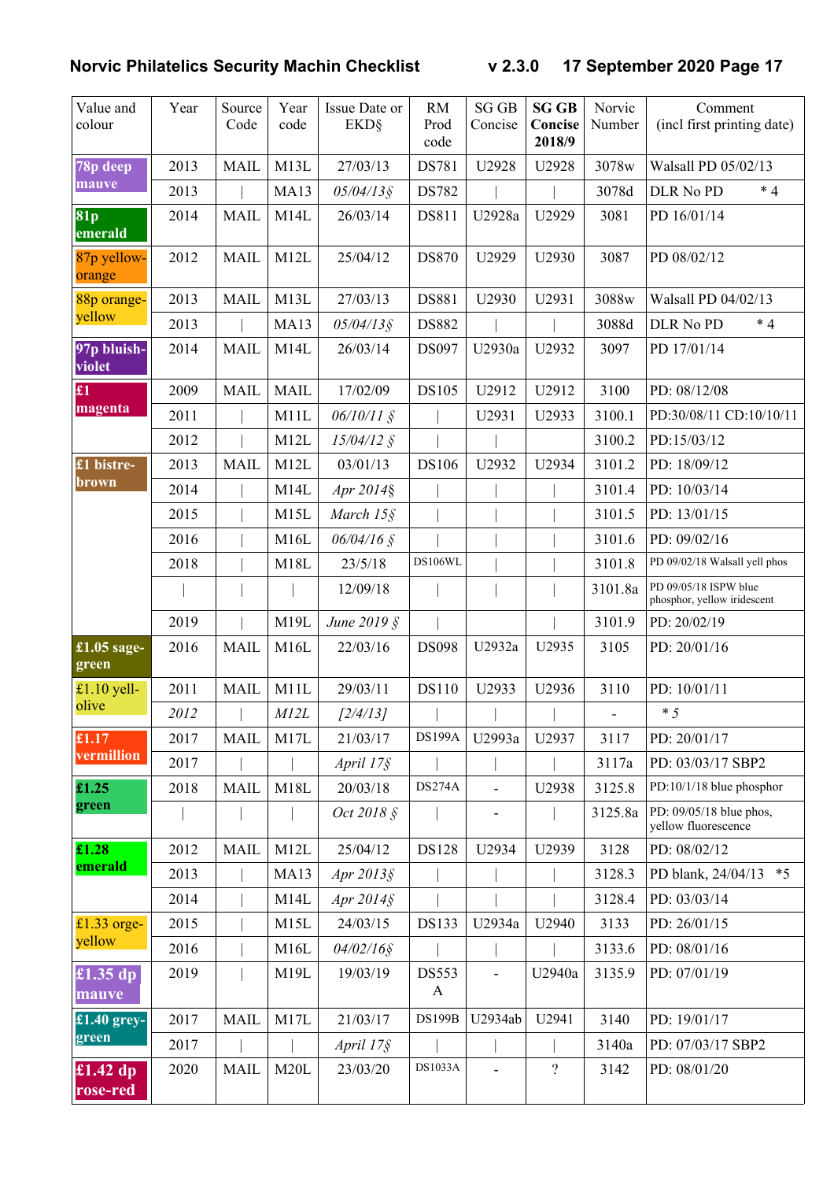| Value and<br>colour    | Year | Source<br>Code | Year<br>code      | Issue Date or<br><b>EKD</b> § | <b>RM</b><br>Prod<br>code    | <b>SG GB</b><br>Concise      | <b>SG GB</b><br>Concise<br>2018/9 | Norvic<br>Number         | Comment<br>(incl first printing date)                |
|------------------------|------|----------------|-------------------|-------------------------------|------------------------------|------------------------------|-----------------------------------|--------------------------|------------------------------------------------------|
| 78p deep               | 2013 | <b>MAIL</b>    | M13L              | 27/03/13                      | DS781                        | U2928                        | U2928                             | 3078w                    | Walsall PD 05/02/13                                  |
| mauve                  | 2013 |                | <b>MA13</b>       | 05/04/13§                     | <b>DS782</b>                 |                              |                                   | 3078d                    | $*4$<br>DLR No PD                                    |
| 81p<br>emerald         | 2014 | <b>MAIL</b>    | M14L              | 26/03/14                      | DS811                        | U2928a                       | U2929                             | 3081                     | PD 16/01/14                                          |
| 87p yellow-<br>orange  | 2012 | <b>MAIL</b>    | M12L              | 25/04/12                      | <b>DS870</b>                 | U2929                        | U2930                             | 3087                     | PD 08/02/12                                          |
| 88p orange-            | 2013 | <b>MAIL</b>    | M13L              | 27/03/13                      | DS881                        | U2930                        | U2931                             | 3088w                    | Walsall PD 04/02/13                                  |
| yellow                 | 2013 |                | <b>MA13</b>       | 05/04/13§                     | <b>DS882</b>                 |                              |                                   | 3088d                    | $*4$<br>DLR No PD                                    |
| 97p bluish-<br>violet  | 2014 | <b>MAIL</b>    | M14L              | 26/03/14                      | DS097                        | U2930a                       | U2932                             | 3097                     | PD 17/01/14                                          |
| $\pmb{\pounds}1$       | 2009 | <b>MAIL</b>    | <b>MAIL</b>       | 17/02/09                      | DS105                        | U2912                        | U2912                             | 3100                     | PD: 08/12/08                                         |
| magenta                | 2011 |                | M11L              | $06/10/11 \text{ }$ \$        |                              | U2931                        | U2933                             | 3100.1                   | PD:30/08/11 CD:10/10/11                              |
|                        | 2012 |                | M <sub>12</sub> L | $15/04/12$ §                  |                              |                              |                                   | 3100.2                   | PD:15/03/12                                          |
| £1 bistre-             | 2013 | <b>MAIL</b>    | M12L              | 03/01/13                      | <b>DS106</b>                 | U2932                        | U2934                             | 3101.2                   | PD: 18/09/12                                         |
| brown                  | 2014 |                | M14L              | Apr 2014§                     |                              |                              |                                   | 3101.4                   | PD: 10/03/14                                         |
|                        | 2015 |                | M15L              | March 15§                     |                              |                              |                                   | 3101.5                   | PD: 13/01/15                                         |
|                        | 2016 |                | M16L              | $06/04/16$ §                  |                              |                              |                                   | 3101.6                   | PD: 09/02/16                                         |
|                        | 2018 |                | M18L              | 23/5/18                       | <b>DS106WL</b>               |                              |                                   | 3101.8                   | PD 09/02/18 Walsall yell phos                        |
|                        |      |                |                   | 12/09/18                      |                              |                              |                                   | 3101.8a                  | PD 09/05/18 ISPW blue<br>phosphor, yellow iridescent |
|                        | 2019 |                | M19L              | June 2019 §                   |                              |                              |                                   | 3101.9                   | PD: 20/02/19                                         |
| $£1.05$ sage-<br>green | 2016 | <b>MAIL</b>    | M16L              | 22/03/16                      | <b>DS098</b>                 | U2932a                       | U2935                             | 3105                     | PD: 20/01/16                                         |
| £1.10 yell-            | 2011 | <b>MAIL</b>    | M11L              | 29/03/11                      | <b>DS110</b>                 | U2933                        | U2936                             | 3110                     | PD: 10/01/11                                         |
| olive                  | 2012 |                | M12L              | [2/4/13]                      |                              |                              |                                   | $\overline{\phantom{0}}$ | $*5$                                                 |
| £1.17                  | 2017 | <b>MAIL</b>    | M17L              | 21/03/17                      | <b>DS199A</b>                | U2993a                       | U2937                             | 3117                     | PD: 20/01/17                                         |
| vermillion             | 2017 |                |                   | April 17§                     |                              |                              |                                   | 3117a                    | PD: 03/03/17 SBP2                                    |
| £1.25                  | 2018 | <b>MAIL</b>    | M18L              | 20/03/18                      | <b>DS274A</b>                | $\overline{a}$               | U2938                             | 3125.8                   | PD:10/1/18 blue phosphor                             |
| green                  |      |                |                   | Oct 2018 §                    |                              | $\qquad \qquad \blacksquare$ |                                   | 3125.8a                  | PD: 09/05/18 blue phos,<br>yellow fluorescence       |
| £1.28                  | 2012 | <b>MAIL</b>    | M12L              | 25/04/12                      | <b>DS128</b>                 | U2934                        | U2939                             | 3128                     | PD: 08/02/12                                         |
| emerald                | 2013 |                | <b>MA13</b>       | Apr $2013$ §                  |                              |                              |                                   | 3128.3                   | PD blank, 24/04/13 *5                                |
|                        | 2014 |                | M14L              | Apr $2014$ §                  |                              |                              |                                   | 3128.4                   | PD: 03/03/14                                         |
| £1.33 orge-            | 2015 |                | M15L              | 24/03/15                      | <b>DS133</b>                 | U2934a                       | U2940                             | 3133                     | PD: 26/01/15                                         |
| yellow                 | 2016 |                | M16L              | $04/02/16$ §                  |                              |                              |                                   | 3133.6                   | PD: 08/01/16                                         |
| £1.35 dp<br>mauve      | 2019 |                | M19L              | 19/03/19                      | <b>DS553</b><br>$\mathbf{A}$ | $\overline{a}$               | U2940a                            | 3135.9                   | PD: 07/01/19                                         |
| £1.40 grey-            | 2017 | <b>MAIL</b>    | M17L              | 21/03/17                      | <b>DS199B</b>                | U2934ab                      | U2941                             | 3140                     | PD: 19/01/17                                         |
| green                  | 2017 |                |                   | April 17§                     |                              |                              |                                   | 3140a                    | PD: 07/03/17 SBP2                                    |
| £1.42 dp<br>rose-red   | 2020 | <b>MAIL</b>    | M20L              | 23/03/20                      | <b>DS1033A</b>               |                              | $\overline{\mathcal{L}}$          | 3142                     | PD: 08/01/20                                         |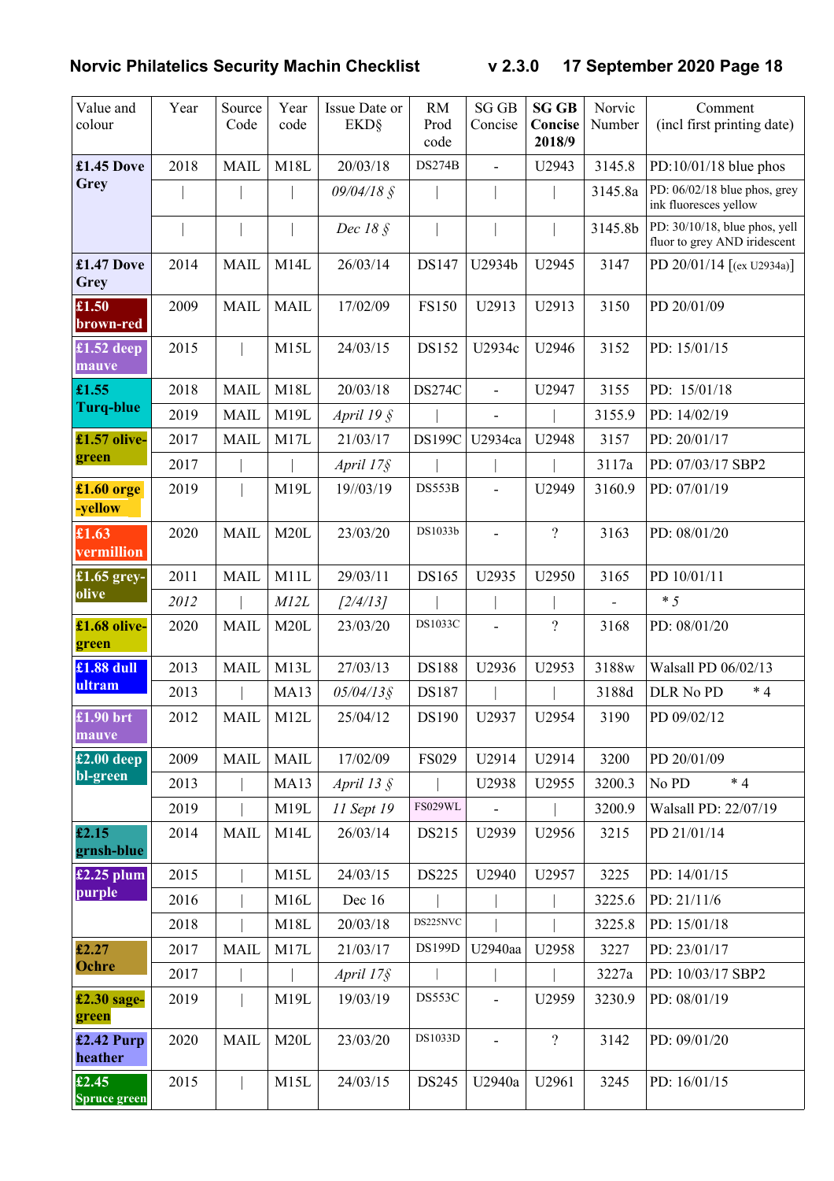| Value and<br>colour          | Year | Source<br>Code | Year<br>code | Issue Date or<br><b>EKD</b> § | <b>RM</b><br>Prod<br>code | <b>SG GB</b><br>Concise  | <b>SG GB</b><br>Concise<br>2018/9 | Norvic<br>Number | Comment<br>(incl first printing date)                         |
|------------------------------|------|----------------|--------------|-------------------------------|---------------------------|--------------------------|-----------------------------------|------------------|---------------------------------------------------------------|
| £1.45 Dove                   | 2018 | <b>MAIL</b>    | M18L         | 20/03/18                      | <b>DS274B</b>             | $\overline{a}$           | U2943                             | 3145.8           | $PD:10/01/18$ blue phos                                       |
| Grey                         |      |                |              | 09/04/18 §                    |                           |                          |                                   | 3145.8a          | PD: 06/02/18 blue phos, grey<br>ink fluoresces yellow         |
|                              |      |                |              | Dec 18 §                      |                           |                          |                                   | 3145.8b          | PD: 30/10/18, blue phos, yell<br>fluor to grey AND iridescent |
| £1.47 Dove<br>Grey           | 2014 | <b>MAIL</b>    | M14L         | 26/03/14                      | DS147                     | U2934b                   | U2945                             | 3147             | PD 20/01/14 $[(ex U2934a)]$                                   |
| £1.50<br>brown-red           | 2009 | <b>MAIL</b>    | <b>MAIL</b>  | 17/02/09                      | <b>FS150</b>              | U2913                    | U2913                             | 3150             | PD 20/01/09                                                   |
| $£1.52$ deep<br>mauve        | 2015 |                | M15L         | 24/03/15                      | DS152                     | U2934c                   | U2946                             | 3152             | PD: 15/01/15                                                  |
| £1.55                        | 2018 | <b>MAIL</b>    | M18L         | 20/03/18                      | <b>DS274C</b>             | $\overline{\phantom{0}}$ | U2947                             | 3155             | PD: 15/01/18                                                  |
| <b>Turq-blue</b>             | 2019 | <b>MAIL</b>    | M19L         | April 19 $\hat{\S}$           |                           | $\overline{\phantom{0}}$ |                                   | 3155.9           | PD: 14/02/19                                                  |
| £1.57 olive-                 | 2017 | <b>MAIL</b>    | M17L         | 21/03/17                      | <b>DS199C</b>             | U2934ca                  | U2948                             | 3157             | PD: 20/01/17                                                  |
| green                        | 2017 |                |              | April 17§                     |                           |                          |                                   | 3117a            | PD: 07/03/17 SBP2                                             |
| $£1.60$ orge<br>-yellow      | 2019 |                | M19L         | 19//03/19                     | DS553B                    |                          | U2949                             | 3160.9           | PD: 07/01/19                                                  |
| £1.63<br>vermillion          | 2020 | <b>MAIL</b>    | M20L         | 23/03/20                      | DS1033b                   | $\overline{\phantom{0}}$ | $\overline{\mathcal{L}}$          | 3163             | PD: 08/01/20                                                  |
| £1.65 grey-                  | 2011 | <b>MAIL</b>    | M11L         | 29/03/11                      | DS165                     | U2935                    | U2950                             | 3165             | PD 10/01/11                                                   |
| olive                        | 2012 |                | M12L         | [2/4/13]                      |                           |                          |                                   |                  | $*5$                                                          |
| £1.68 olive-<br>green        | 2020 | <b>MAIL</b>    | M20L         | 23/03/20                      | DS1033C                   |                          | $\overline{\mathcal{L}}$          | 3168             | PD: 08/01/20                                                  |
| £1.88 dull                   | 2013 | <b>MAIL</b>    | M13L         | 27/03/13                      | <b>DS188</b>              | U2936                    | U2953                             | 3188w            | Walsall PD 06/02/13                                           |
| ultram                       | 2013 |                | <b>MA13</b>  | $05/04/13$ §                  | DS187                     |                          |                                   | 3188d            | $*4$<br>DLR No PD                                             |
| £1.90 brt<br>mauve           | 2012 | MAIL           | M12L         | 25/04/12                      | DS190                     | U2937                    | U2954                             | 3190             | PD 09/02/12                                                   |
| $£2.00$ deep                 | 2009 | <b>MAIL</b>    | <b>MAIL</b>  | 17/02/09                      | <b>FS029</b>              | U2914                    | U2914                             | 3200             | PD 20/01/09                                                   |
| bl-green                     | 2013 |                | <b>MA13</b>  | April 13 $\S$                 |                           | U2938                    | U2955                             | 3200.3           | $*4$<br>No PD                                                 |
|                              | 2019 |                | M19L         | 11 Sept 19                    | FS029WL                   |                          |                                   | 3200.9           | Walsall PD: 22/07/19                                          |
| £2.15<br>grnsh-blue          | 2014 | <b>MAIL</b>    | M14L         | 26/03/14                      | DS215                     | U2939                    | U2956                             | 3215             | PD 21/01/14                                                   |
| $£2.25$ plum                 | 2015 |                | M15L         | 24/03/15                      | <b>DS225</b>              | U2940                    | U2957                             | 3225             | PD: 14/01/15                                                  |
| purple                       | 2016 |                | M16L         | Dec 16                        |                           |                          |                                   | 3225.6           | PD: 21/11/6                                                   |
|                              | 2018 |                | M18L         | 20/03/18                      | DS225NVC                  |                          |                                   | 3225.8           | PD: 15/01/18                                                  |
| £2.27<br>Ochre               | 2017 | <b>MAIL</b>    | M17L         | 21/03/17                      | DS199D                    | U2940aa                  | U2958                             | 3227             | PD: 23/01/17                                                  |
|                              | 2017 |                |              | April 17§                     |                           |                          |                                   | 3227a            | PD: 10/03/17 SBP2                                             |
| £2.30 sage-<br>green         | 2019 |                | M19L         | 19/03/19                      | DS553C                    | $\overline{a}$           | U2959                             | 3230.9           | PD: 08/01/19                                                  |
| $£2.42$ Purp<br>heather      | 2020 | <b>MAIL</b>    | M20L         | 23/03/20                      | DS1033D                   | $\overline{a}$           | $\overline{?}$                    | 3142             | PD: 09/01/20                                                  |
| £2.45<br><b>Spruce green</b> | 2015 |                | M15L         | 24/03/15                      | DS245                     | U2940a                   | U2961                             | 3245             | PD: 16/01/15                                                  |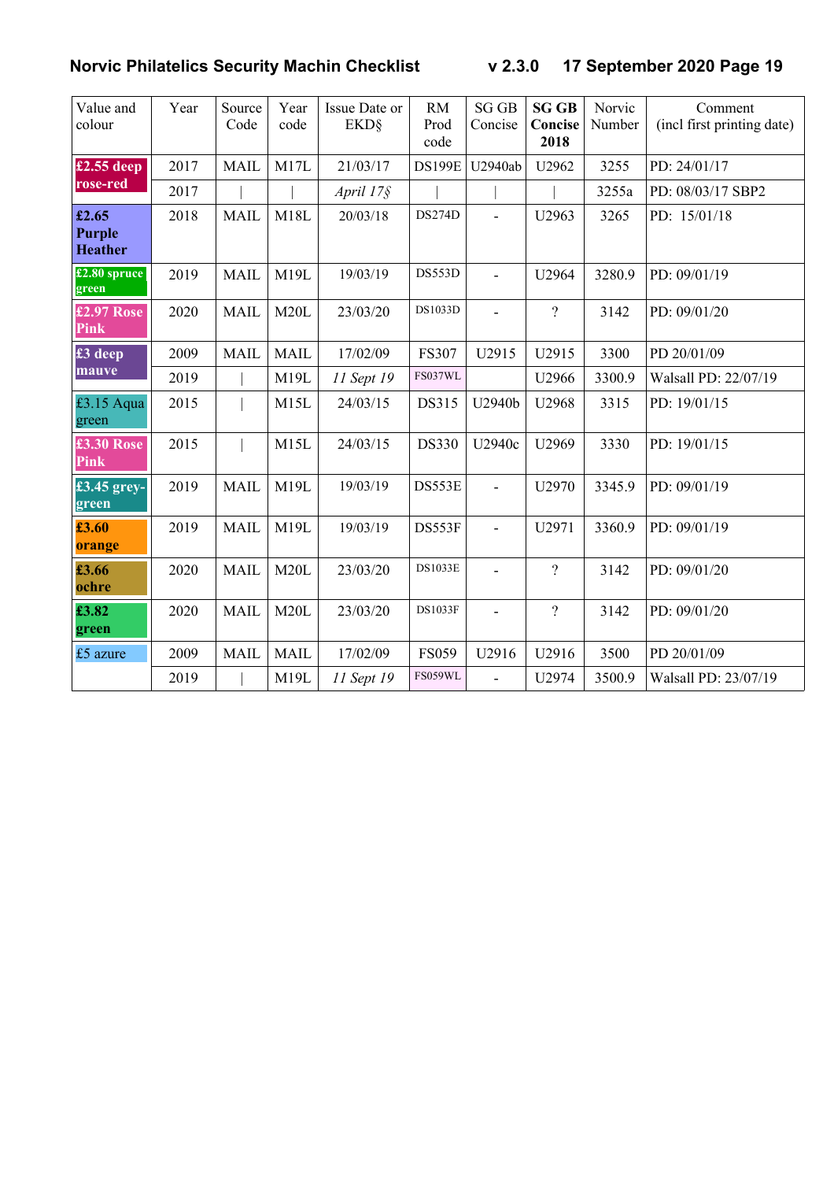| Value and<br>colour                       | Year | Source<br>Code | Year<br>code | Issue Date or<br><b>EKD</b> § | <b>RM</b><br>Prod<br>code | <b>SG GB</b><br>Concise | <b>SG GB</b><br>Concise<br>2018 | Norvic<br>Number | Comment<br>(incl first printing date) |
|-------------------------------------------|------|----------------|--------------|-------------------------------|---------------------------|-------------------------|---------------------------------|------------------|---------------------------------------|
| $£2.55$ deep                              | 2017 | <b>MAIL</b>    | M17L         | 21/03/17                      | <b>DS199E</b>             | U2940ab                 | U2962                           | 3255             | PD: 24/01/17                          |
| rose-red                                  | 2017 |                |              | April 17§                     |                           |                         |                                 | 3255a            | PD: 08/03/17 SBP2                     |
| £2.65<br><b>Purple</b><br><b>Heather</b>  | 2018 | <b>MAIL</b>    | M18L         | 20/03/18                      | <b>DS274D</b>             | ÷.                      | U2963                           | 3265             | PD: 15/01/18                          |
| $£2.80$ spruce<br>green                   | 2019 | <b>MAIL</b>    | M19L         | 19/03/19                      | DS553D                    | $\overline{a}$          | U2964                           | 3280.9           | PD: 09/01/19                          |
| £2.97 Rose<br><b>Pink</b>                 | 2020 | <b>MAIL</b>    | M20L         | 23/03/20                      | DS1033D                   |                         | $\overline{\mathcal{L}}$        | 3142             | PD: 09/01/20                          |
| $\overline{\textbf{\textsterling}}3$ deep | 2009 | <b>MAIL</b>    | <b>MAIL</b>  | 17/02/09                      | <b>FS307</b>              | U2915                   | U2915                           | 3300             | PD 20/01/09                           |
| mauve                                     | 2019 |                | M19L         | 11 Sept 19                    | FS037WL                   |                         | U2966                           | 3300.9           | Walsall PD: 22/07/19                  |
| £3.15 Aqua<br>green                       | 2015 |                | M15L         | 24/03/15                      | DS315                     | U2940b                  | U2968                           | 3315             | PD: 19/01/15                          |
| £3.30 Rose<br>Pink                        | 2015 |                | M15L         | 24/03/15                      | <b>DS330</b>              | U2940c                  | U2969                           | 3330             | PD: 19/01/15                          |
| £3.45 grey-<br>green                      | 2019 | <b>MAIL</b>    | M19L         | 19/03/19                      | DS553E                    | $\overline{a}$          | U2970                           | 3345.9           | PD: 09/01/19                          |
| £3.60<br>orange                           | 2019 | <b>MAIL</b>    | M19L         | 19/03/19                      | DS553F                    | $\overline{a}$          | U2971                           | 3360.9           | PD: 09/01/19                          |
| £3.66<br>ochre                            | 2020 | <b>MAIL</b>    | M20L         | 23/03/20                      | <b>DS1033E</b>            | $\overline{a}$          | $\overline{?}$                  | 3142             | PD: 09/01/20                          |
| £3.82<br>green                            | 2020 | <b>MAIL</b>    | M20L         | 23/03/20                      | <b>DS1033F</b>            | $\overline{a}$          | $\overline{\mathcal{L}}$        | 3142             | PD: 09/01/20                          |
| £5 azure                                  | 2009 | <b>MAIL</b>    | <b>MAIL</b>  | 17/02/09                      | <b>FS059</b>              | U2916                   | U2916                           | 3500             | PD 20/01/09                           |
|                                           | 2019 |                | M19L         | 11 Sept 19                    | <b>FS059WL</b>            | $\overline{a}$          | U2974                           | 3500.9           | Walsall PD: 23/07/19                  |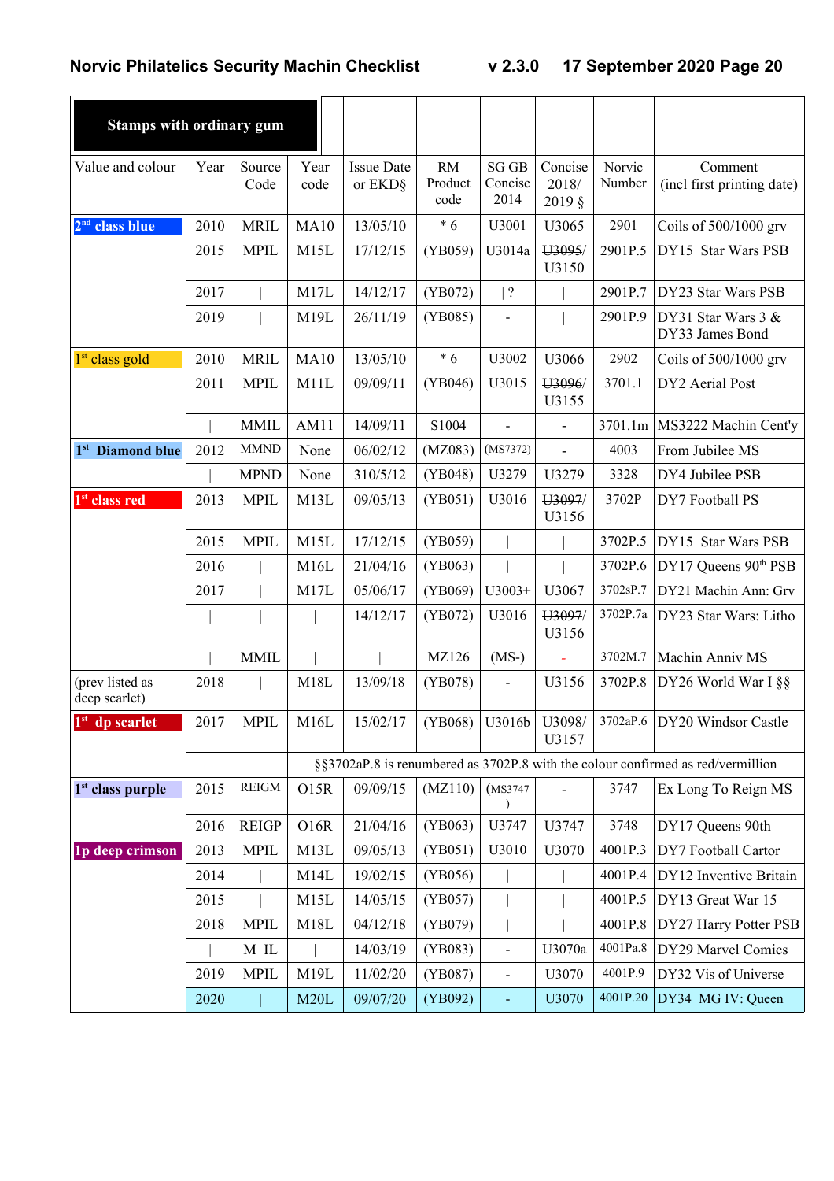| <b>Stamps with ordinary gum</b>  |      |                |                   |                              |                              |                                 |                                       |                  |                                                                                 |
|----------------------------------|------|----------------|-------------------|------------------------------|------------------------------|---------------------------------|---------------------------------------|------------------|---------------------------------------------------------------------------------|
| Value and colour                 | Year | Source<br>Code | Year<br>code      | <b>Issue Date</b><br>or EKD§ | <b>RM</b><br>Product<br>code | <b>SG GB</b><br>Concise<br>2014 | Concise<br>2018/<br>$2019 \text{ }$ § | Norvic<br>Number | Comment<br>(incl first printing date)                                           |
| 2 <sup>nd</sup> class blue       | 2010 | <b>MRIL</b>    | <b>MA10</b>       | 13/05/10                     | $*6$                         | U3001                           | U3065                                 | 2901             | Coils of 500/1000 grv                                                           |
|                                  | 2015 | <b>MPIL</b>    | M15L              | 17/12/15                     | (YB059)                      | U3014a                          | U3095/<br>U3150                       | 2901P.5          | DY15 Star Wars PSB                                                              |
|                                  | 2017 |                | M17L              | 14/12/17                     | (YB072)                      | ?                               |                                       | 2901P.7          | DY23 Star Wars PSB                                                              |
|                                  | 2019 |                | M19L              | 26/11/19                     | (YB085)                      | $\overline{a}$                  |                                       | 2901P.9          | DY31 Star Wars $3 &$<br>DY33 James Bond                                         |
| 1 <sup>st</sup> class gold       | 2010 | <b>MRIL</b>    | MA10              | 13/05/10                     | $*6$                         | U3002                           | U3066                                 | 2902             | Coils of $500/1000$ grv                                                         |
|                                  | 2011 | <b>MPIL</b>    | M11L              | 09/09/11                     | (YB046)                      | U3015                           | U3096/<br>U3155                       | 3701.1           | DY2 Aerial Post                                                                 |
|                                  |      | <b>MMIL</b>    | AM11              | 14/09/11                     | S1004                        | $\blacksquare$                  | $\overline{\phantom{a}}$              | 3701.1m          | MS3222 Machin Cent'y                                                            |
| 1 <sup>st</sup> Diamond blue     | 2012 | <b>MMND</b>    | None              | 06/02/12                     | (MZ083)                      | (MS7372)                        |                                       | 4003             | From Jubilee MS                                                                 |
|                                  |      | <b>MPND</b>    | None              | 310/5/12                     | (YB048)                      | U3279                           | U3279                                 | 3328             | DY4 Jubilee PSB                                                                 |
| 1 <sup>st</sup> class red        | 2013 | <b>MPIL</b>    | M13L              | 09/05/13                     | (YB051)                      | U3016                           | U3097/<br>U3156                       | 3702P            | DY7 Football PS                                                                 |
|                                  | 2015 | <b>MPIL</b>    | M15L              | 17/12/15                     | (YB059)                      |                                 |                                       | 3702P.5          | DY15 Star Wars PSB                                                              |
|                                  | 2016 |                | M16L              | 21/04/16                     | (YB063)                      |                                 |                                       | 3702P.6          | DY17 Queens 90 <sup>th</sup> PSB                                                |
|                                  | 2017 |                | M17L              | 05/06/17                     | (YB069)                      | $U3003\pm$                      | U3067                                 | 3702sP.7         | DY21 Machin Ann: Grv                                                            |
|                                  |      |                |                   | 14/12/17                     | (YB072)                      | U3016                           | U3097/<br>U3156                       | 3702P.7a         | DY23 Star Wars: Litho                                                           |
|                                  |      | <b>MMIL</b>    |                   |                              | MZ126                        | $(MS-)$                         |                                       | 3702M.7          | Machin Anniv MS                                                                 |
| (prev listed as<br>deep scarlet) | 2018 |                | M18L              | 13/09/18                     | (YB078)                      | $\blacksquare$                  | U3156                                 | 3702P.8          | DY26 World War I §§                                                             |
| $1st$ dp scarlet                 | 2017 | <b>MPIL</b>    | M <sub>16</sub> L | 15/02/17                     | (YB068)                      | U3016b                          | U3098/<br>U3157                       |                  | 3702aP.6 DY20 Windsor Castle                                                    |
|                                  |      |                |                   |                              |                              |                                 |                                       |                  | §§3702aP.8 is renumbered as 3702P.8 with the colour confirmed as red/vermillion |
| $1st$ class purple               | 2015 | <b>REIGM</b>   | <b>O15R</b>       | 09/09/15                     | (MZ110)                      | (MS3747                         |                                       | 3747             | Ex Long To Reign MS                                                             |
|                                  | 2016 | <b>REIGP</b>   | O16R              | 21/04/16                     | (YB063)                      | U3747                           | U3747                                 | 3748             | DY17 Queens 90th                                                                |
| <b>1p</b> deep crimson           | 2013 | <b>MPIL</b>    | M13L              | 09/05/13                     | (YB051)                      | U3010                           | U3070                                 | 4001P.3          | DY7 Football Cartor                                                             |
|                                  | 2014 |                | M14L              | 19/02/15                     | (YB056)                      |                                 |                                       | 4001P.4          | DY12 Inventive Britain                                                          |
|                                  | 2015 |                | M15L              | 14/05/15                     | (YB057)                      |                                 |                                       | 4001P.5          | DY13 Great War 15                                                               |
|                                  | 2018 | <b>MPIL</b>    | M18L              | 04/12/18                     | (YB079)                      |                                 |                                       | 4001P.8          | DY27 Harry Potter PSB                                                           |
|                                  |      | M IL           |                   | 14/03/19                     | (YB083)                      | $\blacksquare$                  | U3070a                                | 4001Pa.8         | DY29 Marvel Comics                                                              |
|                                  | 2019 | <b>MPIL</b>    | M19L              | 11/02/20                     | (YB087)                      | $\qquad \qquad \blacksquare$    | U3070                                 | 4001P.9          | DY32 Vis of Universe                                                            |
|                                  | 2020 |                | M20L              | 09/07/20                     | (YB092)                      | $\equiv$                        | U3070                                 | 4001P.20         | DY34 MG IV: Queen                                                               |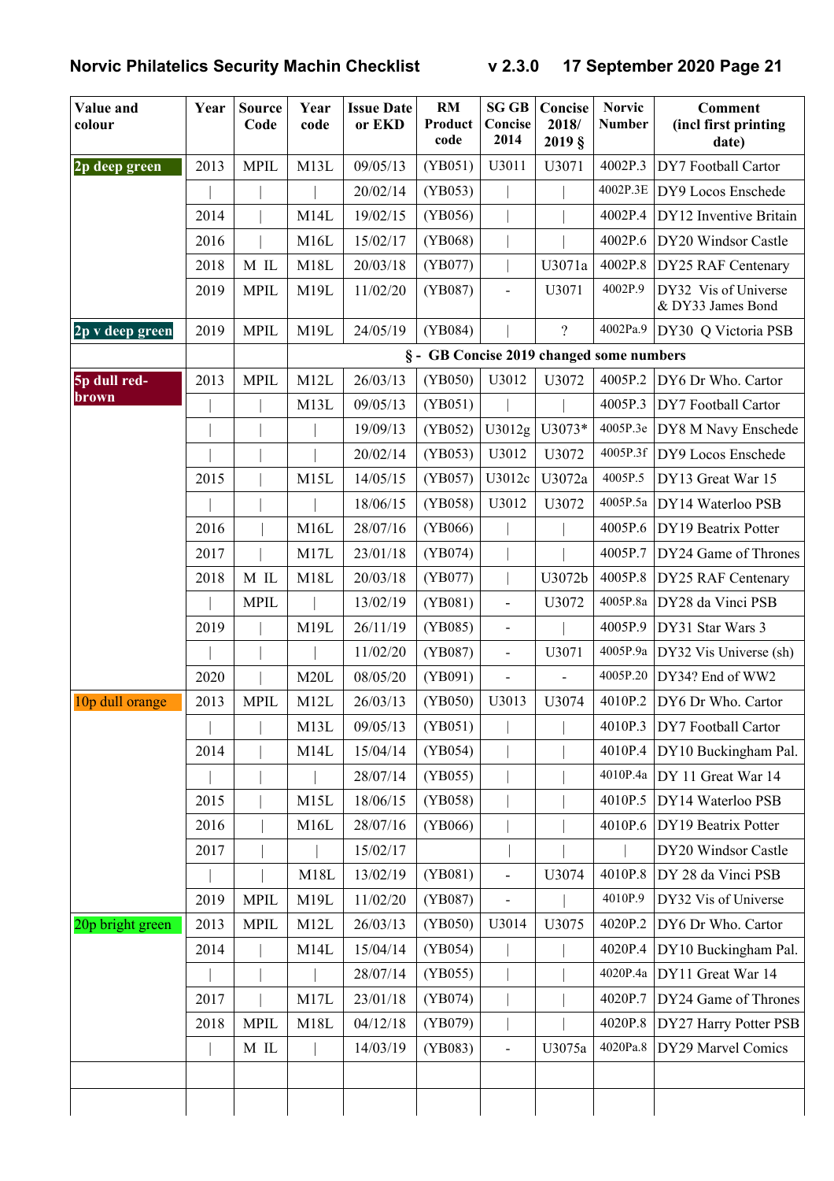| Value and<br>colour | Year | <b>Source</b><br>Code | Year<br>code | <b>Issue Date</b><br>or EKD | RM<br>Product<br>code                    | <b>SG GB</b><br>Concise<br>2014 | Concise<br>2018/<br>2019 <sub>§</sub> | <b>Norvic</b><br><b>Number</b> | <b>Comment</b><br>(incl first printing<br>date) |
|---------------------|------|-----------------------|--------------|-----------------------------|------------------------------------------|---------------------------------|---------------------------------------|--------------------------------|-------------------------------------------------|
| 2p deep green       | 2013 | <b>MPIL</b>           | M13L         | 09/05/13                    | (YB051)                                  | U3011                           | U3071                                 | 4002P.3                        | DY7 Football Cartor                             |
|                     |      |                       |              | 20/02/14                    | (YB053)                                  |                                 |                                       | 4002P.3E                       | DY9 Locos Enschede                              |
|                     | 2014 |                       | M14L         | 19/02/15                    | (YB056)                                  |                                 |                                       | 4002P.4                        | DY12 Inventive Britain                          |
|                     | 2016 |                       | M16L         | 15/02/17                    | (YB068)                                  |                                 |                                       | 4002P.6                        | DY20 Windsor Castle                             |
|                     | 2018 | M IL                  | M18L         | 20/03/18                    | (YB077)                                  |                                 | U3071a                                | 4002P.8                        | DY25 RAF Centenary                              |
|                     | 2019 | <b>MPIL</b>           | M19L         | 11/02/20                    | (YB087)                                  | $\frac{1}{2}$                   | U3071                                 | 4002P.9                        | DY32 Vis of Universe<br>& DY33 James Bond       |
| 2p v deep green     | 2019 | <b>MPIL</b>           | M19L         | 24/05/19                    | (YB084)                                  |                                 | $\overline{?}$                        | 4002Pa.9                       | DY30 Q Victoria PSB                             |
|                     |      |                       |              |                             | § - GB Concise 2019 changed some numbers |                                 |                                       |                                |                                                 |
| 5p dull red-        | 2013 | <b>MPIL</b>           | M12L         | 26/03/13                    | (YB050)                                  | U3012                           | U3072                                 | 4005P.2                        | DY6 Dr Who. Cartor                              |
| brown               |      |                       | M13L         | 09/05/13                    | (YB051)                                  |                                 |                                       | 4005P.3                        | DY7 Football Cartor                             |
|                     |      |                       |              | 19/09/13                    | (YB052)                                  | U3012g                          | U3073*                                | 4005P.3e                       | DY8 M Navy Enschede                             |
|                     |      |                       |              | 20/02/14                    | (YB053)                                  | U3012                           | U3072                                 | 4005P.3f                       | DY9 Locos Enschede                              |
|                     | 2015 |                       | M15L         | 14/05/15                    | (YB057)                                  | U3012c                          | U3072a                                | 4005P.5                        | DY13 Great War 15                               |
|                     |      |                       |              | 18/06/15                    | (YB058)                                  | U3012                           | U3072                                 | 4005P.5a                       | DY14 Waterloo PSB                               |
|                     | 2016 |                       | M16L         | 28/07/16                    | (YB066)                                  |                                 |                                       | 4005P.6                        | DY19 Beatrix Potter                             |
|                     | 2017 |                       | M17L         | 23/01/18                    | (YB074)                                  |                                 |                                       | 4005P.7                        | DY24 Game of Thrones                            |
|                     | 2018 | M IL                  | M18L         | 20/03/18                    | (YB077)                                  |                                 | U3072b                                | 4005P.8                        | DY25 RAF Centenary                              |
|                     |      | <b>MPIL</b>           |              | 13/02/19                    | (YB081)                                  | $\overline{a}$                  | U3072                                 | 4005P.8a                       | DY28 da Vinci PSB                               |
|                     | 2019 |                       | M19L         | 26/11/19                    | (YB085)                                  | $\blacksquare$                  |                                       | 4005P.9                        | DY31 Star Wars 3                                |
|                     |      |                       |              | 11/02/20                    | (YB087)                                  | $\frac{1}{2}$                   | U3071                                 | 4005P.9a                       | DY32 Vis Universe (sh)                          |
|                     | 2020 |                       | M20L         | 08/05/20                    | (YB091)                                  | $\overline{a}$                  | $\overline{a}$                        | 4005P.20                       | DY34? End of WW2                                |
| 10p dull orange     | 2013 | <b>MPIL</b>           | M12L         | 26/03/13                    | (YB050)                                  | U3013                           | U3074                                 | 4010P.2                        | DY6 Dr Who. Cartor                              |
|                     |      |                       | M13L         | 09/05/13                    | (YB051)                                  |                                 |                                       | 4010P.3                        | DY7 Football Cartor                             |
|                     | 2014 |                       | M14L         | 15/04/14                    | (YB054)                                  |                                 |                                       | 4010P.4                        | DY10 Buckingham Pal.                            |
|                     |      |                       |              | 28/07/14                    | (YB055)                                  |                                 |                                       | 4010P.4a                       | DY 11 Great War 14                              |
|                     | 2015 |                       | M15L         | 18/06/15                    | (YB058)                                  |                                 |                                       | 4010P.5                        | DY14 Waterloo PSB                               |
|                     | 2016 |                       | M16L         | 28/07/16                    | (YB066)                                  |                                 |                                       | 4010P.6                        | DY19 Beatrix Potter                             |
|                     | 2017 |                       |              | 15/02/17                    |                                          |                                 |                                       |                                | DY20 Windsor Castle                             |
|                     |      |                       | M18L         | 13/02/19                    | (YB081)                                  | $\qquad \qquad \blacksquare$    | U3074                                 | 4010P.8                        | DY 28 da Vinci PSB                              |
|                     | 2019 | <b>MPIL</b>           | M19L         | 11/02/20                    | (YB087)                                  |                                 |                                       | 4010P.9                        | DY32 Vis of Universe                            |
| 20p bright green    | 2013 | <b>MPIL</b>           | M12L         | 26/03/13                    | (YB050)                                  | U3014                           | U3075                                 | 4020P.2                        | DY6 Dr Who. Cartor                              |
|                     | 2014 |                       | M14L         | 15/04/14                    | (YB054)                                  |                                 |                                       | 4020P.4                        | DY10 Buckingham Pal.                            |
|                     |      |                       |              | 28/07/14                    | (YB055)                                  |                                 |                                       | 4020P.4a                       | DY11 Great War 14                               |
|                     | 2017 |                       | M17L         | 23/01/18                    | (YB074)                                  |                                 |                                       | 4020P.7                        | DY24 Game of Thrones                            |
|                     | 2018 | <b>MPIL</b>           | M18L         | 04/12/18                    | (YB079)                                  |                                 |                                       | 4020P.8                        | DY27 Harry Potter PSB                           |
|                     |      | M IL                  |              | 14/03/19                    | (YB083)                                  | $\overline{\phantom{a}}$        | U3075a                                | 4020Pa.8                       | DY29 Marvel Comics                              |
|                     |      |                       |              |                             |                                          |                                 |                                       |                                |                                                 |
|                     |      |                       |              |                             |                                          |                                 |                                       |                                |                                                 |
|                     |      |                       |              |                             |                                          |                                 |                                       |                                |                                                 |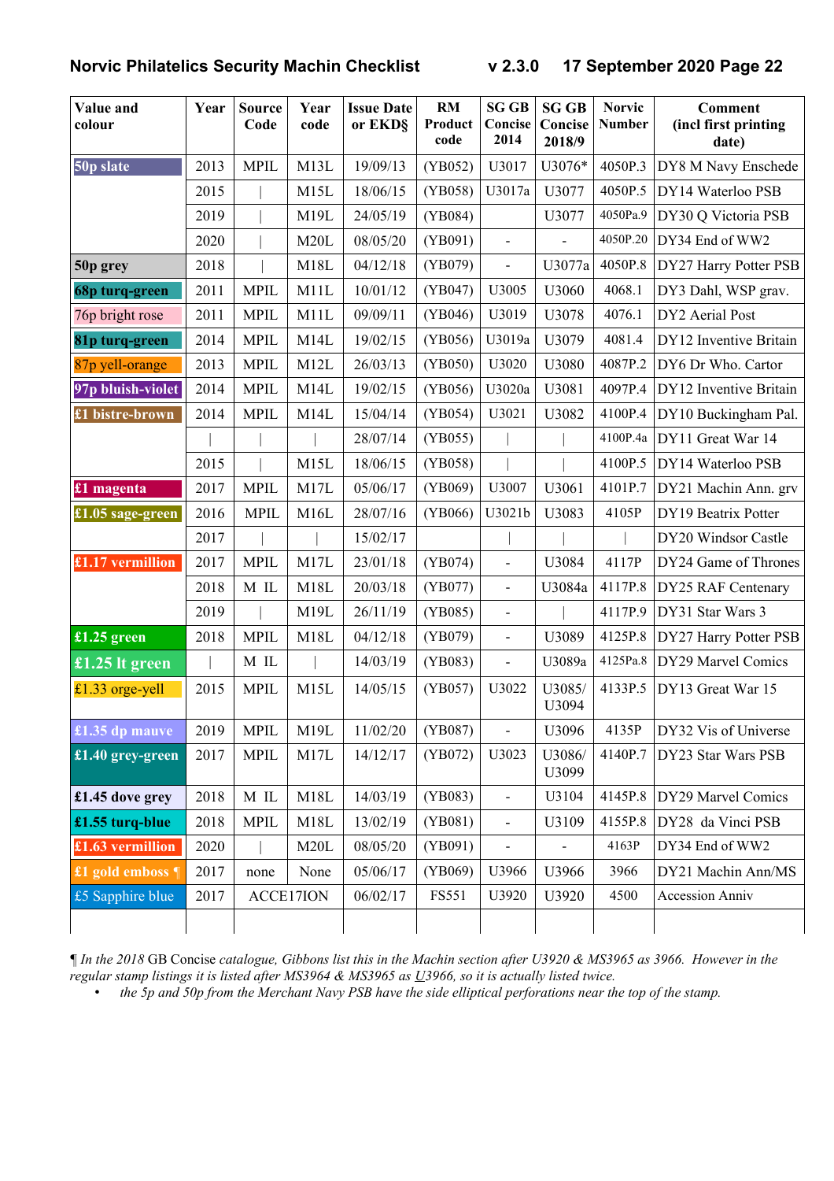| Value and<br>colour | Year | <b>Source</b><br>Code | Year<br>code | <b>Issue Date</b><br>or EKD§ | RM<br>Product<br>code | <b>SG GB</b><br>Concise<br>2014 | <b>SG GB</b><br>Concise<br>2018/9 | <b>Norvic</b><br><b>Number</b> | <b>Comment</b><br>(incl first printing<br>date) |
|---------------------|------|-----------------------|--------------|------------------------------|-----------------------|---------------------------------|-----------------------------------|--------------------------------|-------------------------------------------------|
| 50p slate           | 2013 | <b>MPIL</b>           | M13L         | 19/09/13                     | (YB052)               | U3017                           | U3076*                            | 4050P.3                        | DY8 M Navy Enschede                             |
|                     | 2015 |                       | M15L         | 18/06/15                     | (YB058)               | U3017a                          | U3077                             | 4050P.5                        | DY14 Waterloo PSB                               |
|                     | 2019 |                       | M19L         | 24/05/19                     | (YB084)               |                                 | U3077                             | 4050Pa.9                       | DY30 Q Victoria PSB                             |
|                     | 2020 |                       | M20L         | 08/05/20                     | (YB091)               | $\blacksquare$                  | $\overline{\phantom{a}}$          | 4050P.20                       | DY34 End of WW2                                 |
| 50p grey            | 2018 |                       | M18L         | 04/12/18                     | (YB079)               | $\blacksquare$                  | U3077a                            | 4050P.8                        | DY27 Harry Potter PSB                           |
| 68p turq-green      | 2011 | <b>MPIL</b>           | M11L         | 10/01/12                     | (YB047)               | U3005                           | U3060                             | 4068.1                         | DY3 Dahl, WSP grav.                             |
| 76p bright rose     | 2011 | <b>MPIL</b>           | M11L         | 09/09/11                     | (YB046)               | U3019                           | U3078                             | 4076.1                         | DY2 Aerial Post                                 |
| 81p turq-green      | 2014 | <b>MPIL</b>           | M14L         | 19/02/15                     | (YB056)               | U3019a                          | U3079                             | 4081.4                         | DY12 Inventive Britain                          |
| 87p yell-orange     | 2013 | <b>MPIL</b>           | M12L         | 26/03/13                     | (YB050)               | U3020                           | U3080                             | 4087P.2                        | DY6 Dr Who. Cartor                              |
| 97p bluish-violet   | 2014 | <b>MPIL</b>           | M14L         | 19/02/15                     | (YB056)               | U3020a                          | U3081                             | 4097P.4                        | DY12 Inventive Britain                          |
| £1 bistre-brown     | 2014 | <b>MPIL</b>           | M14L         | 15/04/14                     | (YB054)               | U3021                           | U3082                             | 4100P.4                        | DY10 Buckingham Pal.                            |
|                     |      |                       |              | 28/07/14                     | (YB055)               |                                 |                                   | 4100P.4a                       | DY11 Great War 14                               |
|                     | 2015 |                       | M15L         | 18/06/15                     | (YB058)               |                                 |                                   | 4100P.5                        | DY14 Waterloo PSB                               |
| £1 magenta          | 2017 | <b>MPIL</b>           | M17L         | 05/06/17                     | (YB069)               | U3007                           | U3061                             | 4101P.7                        | DY21 Machin Ann. grv                            |
| £1.05 sage-green    | 2016 | <b>MPIL</b>           | M16L         | 28/07/16                     | (YB066)               | U3021b                          | U3083                             | 4105P                          | DY19 Beatrix Potter                             |
|                     | 2017 |                       |              | 15/02/17                     |                       |                                 |                                   |                                | DY20 Windsor Castle                             |
| £1.17 vermillion    | 2017 | <b>MPIL</b>           | M17L         | 23/01/18                     | (YB074)               | $\qquad \qquad \blacksquare$    | U3084                             | 4117P                          | DY24 Game of Thrones                            |
|                     | 2018 | M IL                  | M18L         | 20/03/18                     | (YB077)               | $\qquad \qquad \blacksquare$    | U3084a                            | 4117P.8                        | DY25 RAF Centenary                              |
|                     | 2019 |                       | M19L         | 26/11/19                     | (YB085)               | $\qquad \qquad \blacksquare$    |                                   | 4117P.9                        | DY31 Star Wars 3                                |
| £1.25 green         | 2018 | <b>MPIL</b>           | M18L         | 04/12/18                     | (YB079)               | $\overline{a}$                  | U3089                             | 4125P.8                        | DY27 Harry Potter PSB                           |
| £1.25 lt green      |      | $\mathbf M$ IL        |              | 14/03/19                     | (YB083)               | $\overline{a}$                  | U3089a                            | 4125Pa.8                       | DY29 Marvel Comics                              |
| £1.33 orge-yell     | 2015 | <b>MPIL</b>           | M15L         | 14/05/15                     | (YB057)               | U3022                           | U3085/<br>U3094                   | 4133P.5                        | DY13 Great War 15                               |
| £1.35 dp mauve      | 2019 | <b>MPIL</b>           | M19L         | 11/02/20                     | (YB087)               | $\overline{a}$                  | U3096                             | 4135P                          | DY32 Vis of Universe                            |
| £1.40 grey-green    | 2017 | <b>MPIL</b>           | M17L         | 14/12/17                     | (YB072)               | U3023                           | U3086/<br>U3099                   | 4140P.7                        | DY23 Star Wars PSB                              |
| £1.45 dove grey     | 2018 | $\mathbf M$ IL        | M18L         | 14/03/19                     | (YB083)               | $\overline{a}$                  | U3104                             | 4145P.8                        | DY29 Marvel Comics                              |
| £1.55 turq-blue     | 2018 | <b>MPIL</b>           | M18L         | 13/02/19                     | (YB081)               | $\overline{a}$                  | U3109                             | 4155P.8                        | DY28 da Vinci PSB                               |
| £1.63 vermillion    | 2020 |                       | M20L         | 08/05/20                     | (YB091)               | $\blacksquare$                  | $\overline{\phantom{a}}$          | 4163P                          | DY34 End of WW2                                 |
| £1 gold emboss ¶    | 2017 | none                  | None         | 05/06/17                     | (YB069)               | U3966                           | U3966                             | 3966                           | DY21 Machin Ann/MS                              |
| £5 Sapphire blue    | 2017 |                       | ACCE17ION    | 06/02/17                     | <b>FS551</b>          | U3920                           | U3920                             | 4500                           | <b>Accession Anniv</b>                          |
|                     |      |                       |              |                              |                       |                                 |                                   |                                |                                                 |

*¶ In the 2018* GB Concise *catalogue, Gibbons list this in the Machin section after U3920 & MS3965 as 3966. However in the regular stamp listings it is listed after MS3964 & MS3965 as U3966, so it is actually listed twice.*

• *the 5p and 50p from the Merchant Navy PSB have the side elliptical perforations near the top of the stamp.*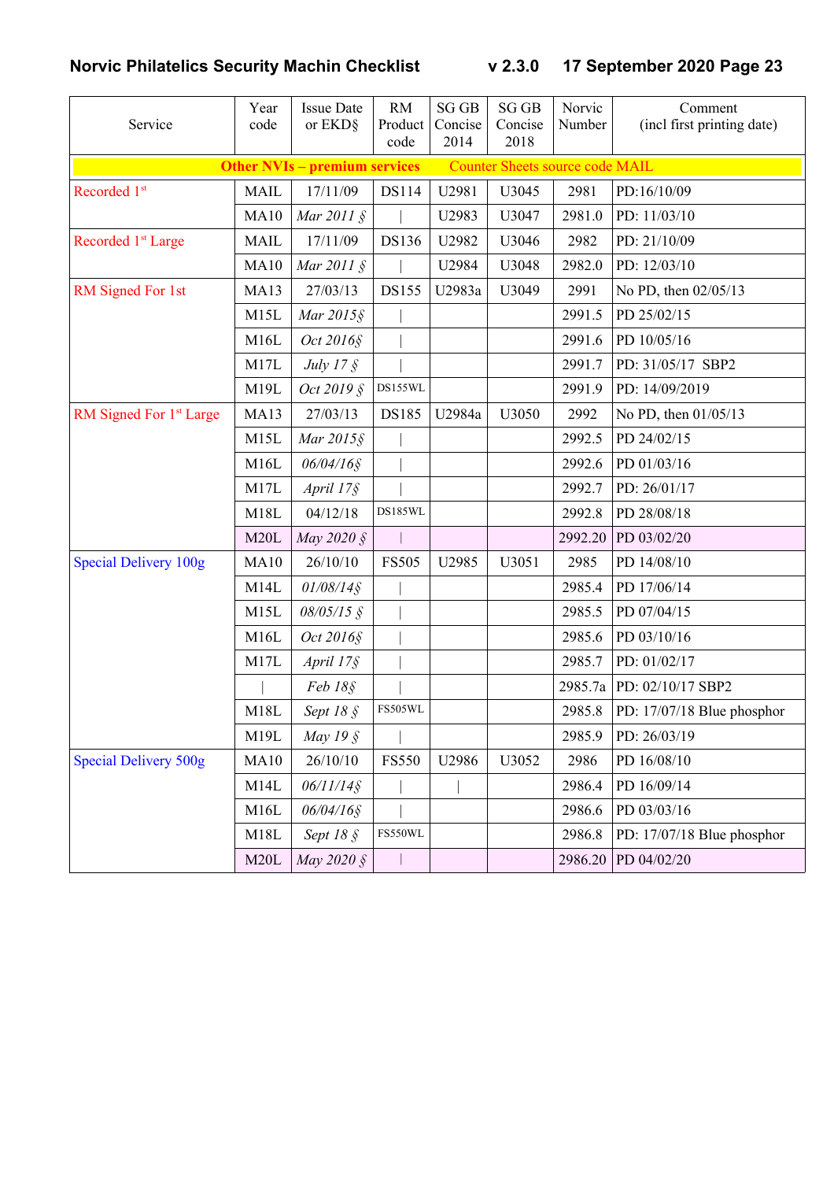| Service                             | Year<br>code | <b>Issue Date</b><br>or EKD§         | RM<br>Product<br>code | <b>SG GB</b><br>Concise<br>2014 | <b>SG GB</b><br>Concise<br>2018        | Norvic<br>Number | Comment<br>(incl first printing date) |
|-------------------------------------|--------------|--------------------------------------|-----------------------|---------------------------------|----------------------------------------|------------------|---------------------------------------|
|                                     |              | <b>Other NVIs - premium services</b> |                       |                                 | <b>Counter Sheets source code MAIL</b> |                  |                                       |
| Recorded 1st                        | <b>MAIL</b>  | 17/11/09                             | <b>DS114</b>          | U2981                           | U3045                                  | 2981             | PD:16/10/09                           |
|                                     | <b>MA10</b>  | Mar $2011 \text{ }$ \$               |                       | U2983                           | U3047                                  | 2981.0           | PD: 11/03/10                          |
| Recorded 1 <sup>st</sup> Large      | <b>MAIL</b>  | 17/11/09                             | DS136                 | U2982                           | U3046                                  | 2982             | PD: 21/10/09                          |
|                                     | <b>MA10</b>  | Mar $2011 \text{ }$ \$               |                       | U2984                           | U3048                                  | 2982.0           | PD: 12/03/10                          |
| RM Signed For 1st                   | MA13         | 27/03/13                             | <b>DS155</b>          | U2983a                          | U3049                                  | 2991             | No PD, then 02/05/13                  |
|                                     | M15L         | Mar 2015§                            |                       |                                 |                                        | 2991.5           | PD 25/02/15                           |
|                                     | M16L         | Oct 2016§                            |                       |                                 |                                        | 2991.6           | PD 10/05/16                           |
|                                     | M17L         | July $17 \xi$                        |                       |                                 |                                        | 2991.7           | PD: 31/05/17 SBP2                     |
|                                     | M19L         | Oct 2019 §                           | DS155WL               |                                 |                                        | 2991.9           | PD: 14/09/2019                        |
| RM Signed For 1 <sup>st</sup> Large | MA13         | 27/03/13                             | DS185                 | U2984a                          | U3050                                  | 2992             | No PD, then 01/05/13                  |
|                                     | M15L         | Mar 2015§                            |                       |                                 |                                        | 2992.5           | PD 24/02/15                           |
|                                     | M16L         | 06/04/16§                            |                       |                                 |                                        | 2992.6           | PD 01/03/16                           |
|                                     | M17L         | April 17§                            |                       |                                 |                                        | 2992.7           | PD: 26/01/17                          |
|                                     | M18L         | 04/12/18                             | DS185WL               |                                 |                                        | 2992.8           | PD 28/08/18                           |
|                                     | M20L         | May 2020 $\AA$                       |                       |                                 |                                        | 2992.20          | PD 03/02/20                           |
| <b>Special Delivery 100g</b>        | <b>MA10</b>  | 26/10/10                             | <b>FS505</b>          | U2985                           | U3051                                  | 2985             | PD 14/08/10                           |
|                                     | M14L         | $01/08/14$ §                         |                       |                                 |                                        | 2985.4           | PD 17/06/14                           |
|                                     | M15L         | $08/05/15$ §                         |                       |                                 |                                        | 2985.5           | PD 07/04/15                           |
|                                     | M16L         | Oct 2016§                            |                       |                                 |                                        | 2985.6           | PD 03/10/16                           |
|                                     | M17L         | April 17§                            |                       |                                 |                                        | 2985.7           | PD: 01/02/17                          |
|                                     |              | Feb 18§                              |                       |                                 |                                        | 2985.7a          | PD: 02/10/17 SBP2                     |
|                                     | M18L         | Sept 18 §                            | FS505WL               |                                 |                                        | 2985.8           | PD: 17/07/18 Blue phosphor            |
|                                     | M19L         | May 19 $\hat{S}$                     |                       |                                 |                                        | 2985.9           | PD: 26/03/19                          |
| <b>Special Delivery 500g</b>        | <b>MA10</b>  | 26/10/10                             | <b>FS550</b>          | U2986                           | U3052                                  | 2986             | PD 16/08/10                           |
|                                     | M14L         | $06/11/14$ §                         |                       |                                 |                                        | 2986.4           | PD 16/09/14                           |
|                                     | M16L         | 06/04/16§                            |                       |                                 |                                        | 2986.6           | PD 03/03/16                           |
|                                     | M18L         | Sept $18 \text{ }$                   | FS550WL               |                                 |                                        | 2986.8           | PD: 17/07/18 Blue phosphor            |
|                                     | M20L         | May 2020 §                           |                       |                                 |                                        | 2986.20          | PD 04/02/20                           |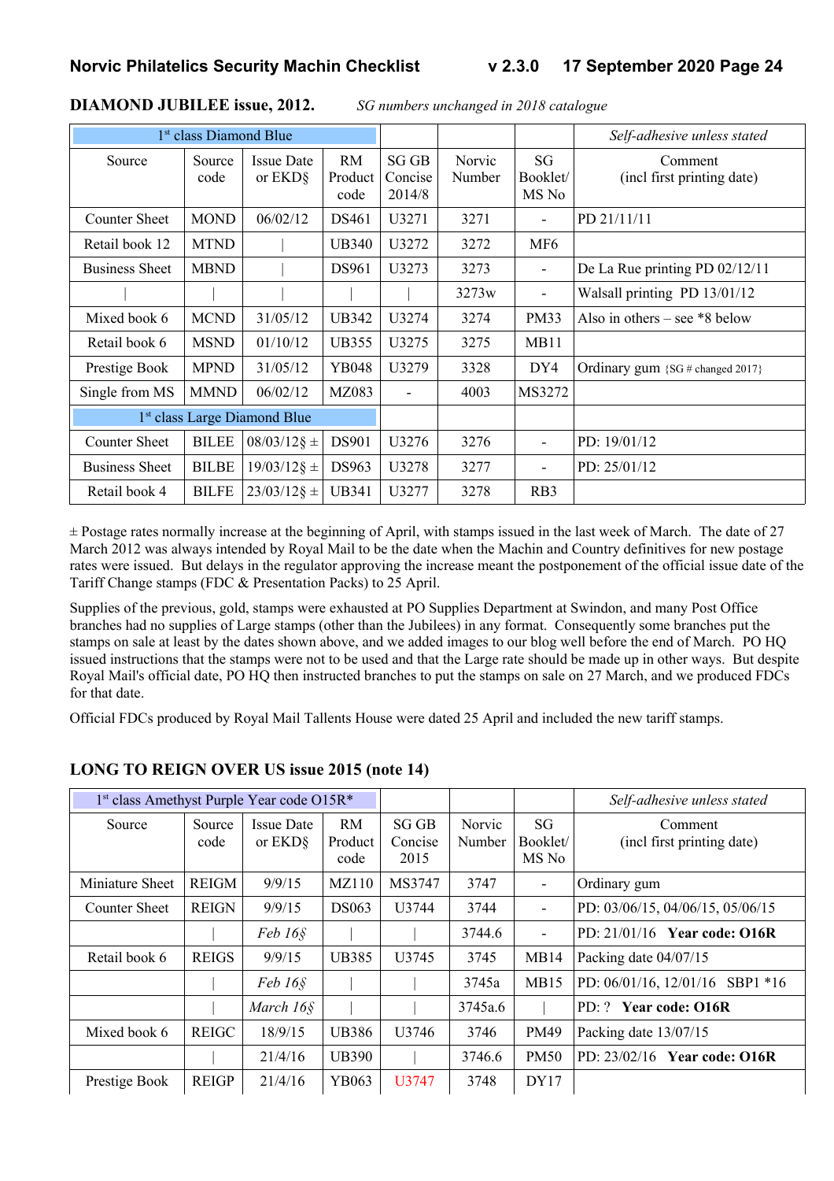|                       | 1 <sup>st</sup> class Diamond Blue |                                          |                              |                           |                  |                          | Self-adhesive unless stated           |
|-----------------------|------------------------------------|------------------------------------------|------------------------------|---------------------------|------------------|--------------------------|---------------------------------------|
| Source                | Source<br>code                     | <b>Issue Date</b><br>or EKD <sub>§</sub> | <b>RM</b><br>Product<br>code | SGGB<br>Concise<br>2014/8 | Norvic<br>Number | SG<br>Booklet/<br>MS No  | Comment<br>(incl first printing date) |
| <b>Counter Sheet</b>  | <b>MOND</b>                        | 06/02/12                                 | DS461                        | U3271                     | 3271             | $\overline{\phantom{a}}$ | PD 21/11/11                           |
| Retail book 12        | <b>MTND</b>                        |                                          | <b>UB340</b>                 | U3272                     | 3272             | MF <sub>6</sub>          |                                       |
| <b>Business Sheet</b> | <b>MBND</b>                        |                                          | DS961                        | U3273                     | 3273             | $\overline{\phantom{a}}$ | De La Rue printing PD $02/12/11$      |
|                       |                                    |                                          |                              |                           | 3273w            | $\overline{\phantom{a}}$ | Walsall printing PD 13/01/12          |
| Mixed book 6          | <b>MCND</b>                        | 31/05/12                                 | <b>UB342</b>                 | U3274                     | 3274             | <b>PM33</b>              | Also in others – see $*8$ below       |
| Retail book 6         | <b>MSND</b>                        | 01/10/12                                 | <b>UB355</b>                 | U3275                     | 3275             | MB11                     |                                       |
| Prestige Book         | <b>MPND</b>                        | 31/05/12                                 | YB048                        | U3279                     | 3328             | DY4                      | Ordinary gum $\{SG \# changed 2017\}$ |
| Single from MS        | <b>MMND</b>                        | 06/02/12                                 | MZ083                        | $\overline{\phantom{a}}$  | 4003             | MS3272                   |                                       |
|                       |                                    | 1 <sup>st</sup> class Large Diamond Blue |                              |                           |                  |                          |                                       |
| <b>Counter Sheet</b>  | <b>BILEE</b>                       | $08/03/12$ § ±                           | DS901                        | U3276                     | 3276             | ۰                        | PD: 19/01/12                          |
| <b>Business Sheet</b> | <b>BILBE</b>                       | $19/03/12$ § ±                           | DS963                        | U3278                     | 3277             | ۰                        | PD: 25/01/12                          |
| Retail book 4         | <b>BILFE</b>                       | $23/03/12$ § ±                           | <b>UB341</b>                 | U3277                     | 3278             | R <sub>B</sub> 3         |                                       |

#### **DIAMOND JUBILEE issue, 2012.** *SG numbers unchanged in 2018 catalogue*

 $\pm$  Postage rates normally increase at the beginning of April, with stamps issued in the last week of March. The date of 27 March 2012 was always intended by Royal Mail to be the date when the Machin and Country definitives for new postage rates were issued. But delays in the regulator approving the increase meant the postponement of the official issue date of the Tariff Change stamps (FDC & Presentation Packs) to 25 April.

Supplies of the previous, gold, stamps were exhausted at PO Supplies Department at Swindon, and many Post Office branches had no supplies of Large stamps (other than the Jubilees) in any format. Consequently some branches put the stamps on sale at least by the dates shown above, and we added images to our blog well before the end of March. PO HQ issued instructions that the stamps were not to be used and that the Large rate should be made up in other ways. But despite Royal Mail's official date, PO HQ then instructed branches to put the stamps on sale on 27 March, and we produced FDCs for that date.

Official FDCs produced by Royal Mail Tallents House were dated 25 April and included the new tariff stamps.

| 1 <sup>st</sup> class Amethyst Purple Year code O15R* |                |                                          |                              |                          |                  |                         | Self-adhesive unless stated           |
|-------------------------------------------------------|----------------|------------------------------------------|------------------------------|--------------------------|------------------|-------------------------|---------------------------------------|
| Source                                                | Source<br>code | <b>Issue Date</b><br>or EKD <sub>§</sub> | <b>RM</b><br>Product<br>code | SG GB<br>Concise<br>2015 | Norvic<br>Number | SG<br>Booklet/<br>MS No | Comment<br>(incl first printing date) |
| Miniature Sheet                                       | <b>REIGM</b>   | 9/9/15                                   | <b>MZ110</b>                 | MS3747                   | 3747             |                         | Ordinary gum                          |
| <b>Counter Sheet</b>                                  | <b>REIGN</b>   | 9/9/15                                   | <b>DS063</b>                 | U3744                    | 3744             | $\blacksquare$          | PD: 03/06/15, 04/06/15, 05/06/15      |
|                                                       |                | Feb 16 <sub>§</sub>                      |                              |                          | 3744.6           | -                       | PD: $21/01/16$ Year code: $016R$      |
| Retail book 6                                         | <b>REIGS</b>   | 9/9/15                                   | <b>UB385</b>                 | U3745                    | 3745             | MB14                    | Packing date 04/07/15                 |
|                                                       |                | $Feb 16\$                                |                              |                          | 3745a            | MB15                    | PD: $06/01/16$ , $12/01/16$ SBP1 *16  |
|                                                       |                | March 16§                                |                              |                          | 3745a.6          |                         | PD: ? Year code: 016R                 |
| Mixed book 6                                          | <b>REIGC</b>   | 18/9/15                                  | <b>UB386</b>                 | U3746                    | 3746             | <b>PM49</b>             | Packing date 13/07/15                 |
|                                                       |                | 21/4/16                                  | <b>UB390</b>                 |                          | 3746.6           | <b>PM50</b>             | PD: $23/02/16$ Year code: $O16R$      |
| Prestige Book                                         | <b>REIGP</b>   | 21/4/16                                  | YB063                        | U3747                    | 3748             | DY17                    |                                       |

#### **LONG TO REIGN OVER US issue 2015 (note 14)**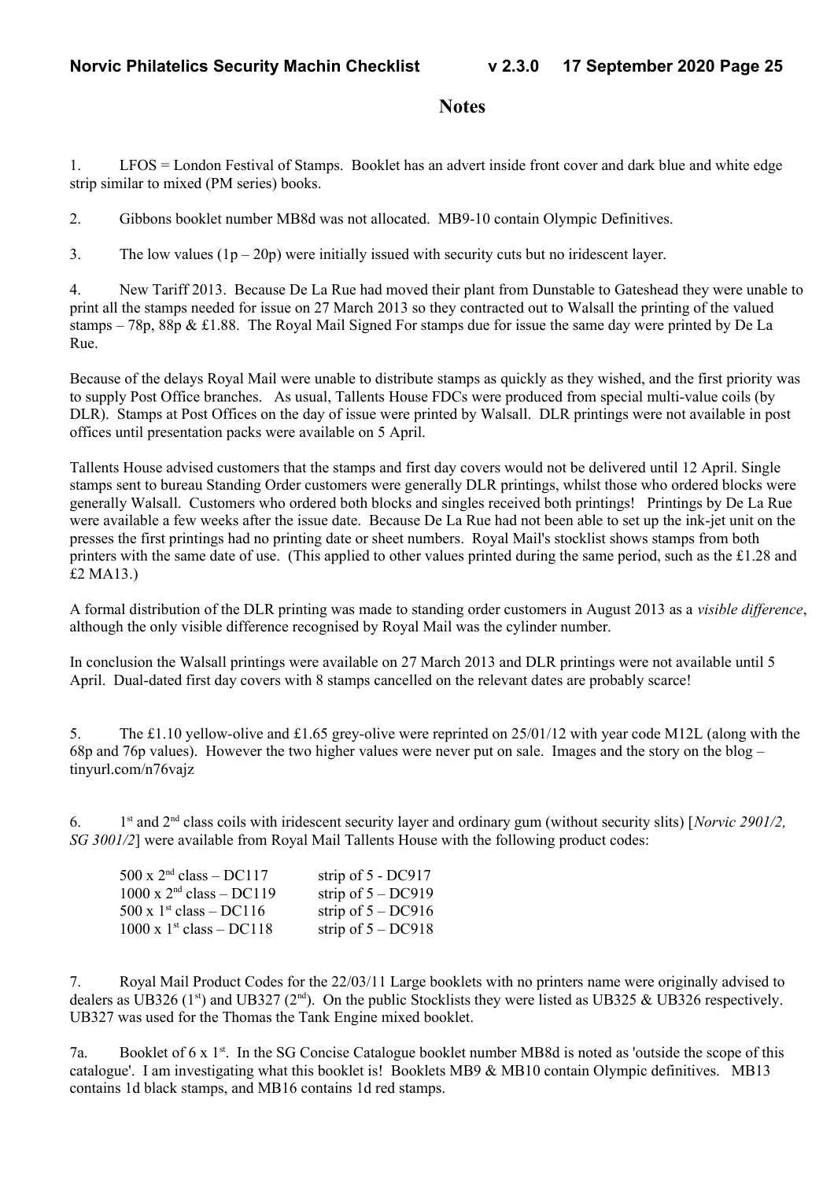#### **Notes**

1. LFOS = London Festival of Stamps. Booklet has an advert inside front cover and dark blue and white edge strip similar to mixed (PM series) books.

2. Gibbons booklet number MB8d was not allocated. MB9-10 contain Olympic Definitives.

3. The low values  $(1p - 20p)$  were initially issued with security cuts but no iridescent layer.

4. New Tariff 2013. Because De La Rue had moved their plant from Dunstable to Gateshead they were unable to print all the stamps needed for issue on 27 March 2013 so they contracted out to Walsall the printing of the valued stamps – 78p, 88p & £1.88. The Royal Mail Signed For stamps due for issue the same day were printed by De La Rue.

Because of the delays Royal Mail were unable to distribute stamps as quickly as they wished, and the first priority was to supply Post Office branches. As usual, Tallents House FDCs were produced from special multi-value coils (by DLR). Stamps at Post Offices on the day of issue were printed by Walsall. DLR printings were not available in post offices until presentation packs were available on 5 April.

Tallents House advised customers that the stamps and first day covers would not be delivered until 12 April. Single stamps sent to bureau Standing Order customers were generally DLR printings, whilst those who ordered blocks were generally Walsall. Customers who ordered both blocks and singles received both printings! Printings by De La Rue were available a few weeks after the issue date. Because De La Rue had not been able to set up the ink-jet unit on the presses the first printings had no printing date or sheet numbers. Royal Mail's stocklist shows stamps from both printers with the same date of use. (This applied to other values printed during the same period, such as the £1.28 and £2 MA13.)

A formal distribution of the DLR printing was made to standing order customers in August 2013 as a *visible difference*, although the only visible difference recognised by Royal Mail was the cylinder number.

In conclusion the Walsall printings were available on 27 March 2013 and DLR printings were not available until 5 April. Dual-dated first day covers with 8 stamps cancelled on the relevant dates are probably scarce!

5. The £1.10 yellow-olive and £1.65 grey-olive were reprinted on 25/01/12 with year code M12L (along with the 68p and 76p values). However the two higher values were never put on sale. Images and the story on the blog – tinyurl.com/n76vajz

 $6.$ 1<sup>st</sup> and 2<sup>nd</sup> class coils with iridescent security layer and ordinary gum (without security slits) [*Norvic 2901/2*, *SG 3001/2*] were available from Royal Mail Tallents House with the following product codes:

| $500 \times 2^{nd}$ class – DC117  | strip of $5 - DC917$ |
|------------------------------------|----------------------|
| $1000 \times 2^{nd}$ class - DC119 | strip of $5 - DC919$ |
| 500 x $1^{st}$ class – DC116       | strip of $5 - DC916$ |
| $1000 \times 1^{st}$ class – DC118 | strip of $5 - DC918$ |

7. Royal Mail Product Codes for the 22/03/11 Large booklets with no printers name were originally advised to dealers as UB326 (1st) and UB327 (2nd). On the public Stocklists they were listed as UB325 & UB326 respectively. UB327 was used for the Thomas the Tank Engine mixed booklet.

7a. Booklet of 6 x 1<sup>st</sup>. In the SG Concise Catalogue booklet number MB8d is noted as 'outside the scope of this catalogue'. I am investigating what this booklet is! Booklets MB9 & MB10 contain Olympic definitives. MB13 contains 1d black stamps, and MB16 contains 1d red stamps.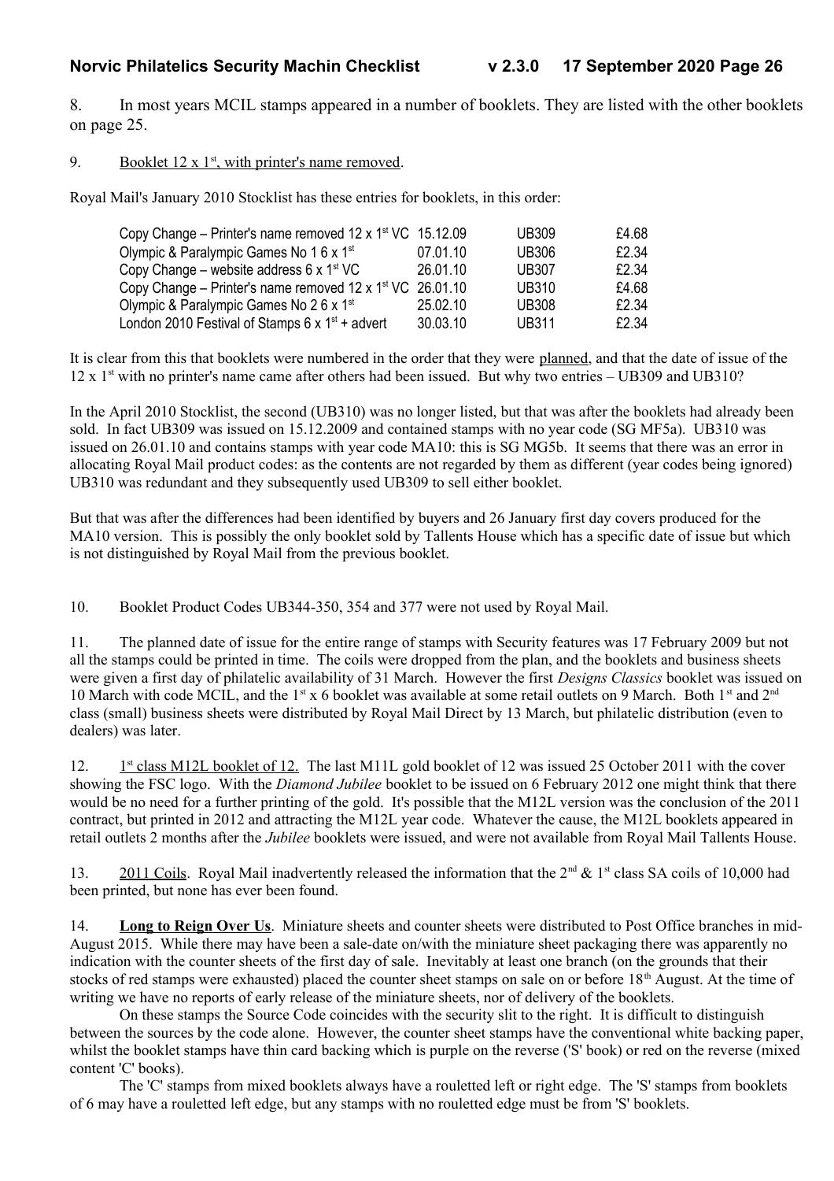8. In most years MCIL stamps appeared in a number of booklets. They are listed with the other booklets on page 25.

9. Booklet  $12 \times 1^{st}$ , with printer's name removed.

Royal Mail's January 2010 Stocklist has these entries for booklets, in this order:

| Copy Change – Printer's name removed $12 \times 1^{st}$ VC $15.12.09$ |          | <b>UB309</b> | £4.68 |
|-----------------------------------------------------------------------|----------|--------------|-------|
| Olympic & Paralympic Games No 1 6 x 1 <sup>st</sup>                   | 07.01.10 | <b>UB306</b> | £2.34 |
| Copy Change – website address 6 x $1st$ VC                            | 26.01.10 | <b>UB307</b> | £2.34 |
| Copy Change – Printer's name removed $12 \times 1^{st}$ VC 26.01.10   |          | <b>UB310</b> | £4.68 |
| Olympic & Paralympic Games No 2 6 x 1 <sup>st</sup>                   | 25.02.10 | <b>UB308</b> | £2.34 |
| London 2010 Festival of Stamps 6 x $1st$ + advert                     | 30.03.10 | <b>UB311</b> | £2.34 |

It is clear from this that booklets were numbered in the order that they were planned, and that the date of issue of the  $12 \times 1$ <sup>st</sup> with no printer's name came after others had been issued. But why two entries – UB309 and UB310?

In the April 2010 Stocklist, the second (UB310) was no longer listed, but that was after the booklets had already been sold. In fact UB309 was issued on 15.12.2009 and contained stamps with no year code (SG MF5a). UB310 was issued on 26.01.10 and contains stamps with year code MA10: this is SG MG5b. It seems that there was an error in allocating Royal Mail product codes: as the contents are not regarded by them as different (year codes being ignored) UB310 was redundant and they subsequently used UB309 to sell either booklet.

But that was after the differences had been identified by buyers and 26 January first day covers produced for the MA10 version. This is possibly the only booklet sold by Tallents House which has a specific date of issue but which is not distinguished by Royal Mail from the previous booklet.

10. Booklet Product Codes UB344-350, 354 and 377 were not used by Royal Mail.

11. The planned date of issue for the entire range of stamps with Security features was 17 February 2009 but not all the stamps could be printed in time. The coils were dropped from the plan, and the booklets and business sheets were given a first day of philatelic availability of 31 March. However the first *Designs Classics* booklet was issued on 10 March with code MCIL, and the 1<sup>st</sup> x 6 booklet was available at some retail outlets on 9 March. Both 1<sup>st</sup> and 2<sup>nd</sup> class (small) business sheets were distributed by Royal Mail Direct by 13 March, but philatelic distribution (even to dealers) was later.

12. 1  $s$ <sup>t</sup> class M12L booklet of 12. The last M11L gold booklet of 12 was issued 25 October 2011 with the cover showing the FSC logo. With the *Diamond Jubilee* booklet to be issued on 6 February 2012 one might think that there would be no need for a further printing of the gold. It's possible that the M12L version was the conclusion of the 2011 contract, but printed in 2012 and attracting the M12L year code. Whatever the cause, the M12L booklets appeared in retail outlets 2 months after the *Jubilee* booklets were issued, and were not available from Royal Mail Tallents House.

13. 2011 Coils. Royal Mail inadvertently released the information that the  $2^{nd}$  & 1<sup>st</sup> class SA coils of 10,000 had been printed, but none has ever been found.

14. **Long to Reign Over Us**. Miniature sheets and counter sheets were distributed to Post Office branches in mid-August 2015. While there may have been a sale-date on/with the miniature sheet packaging there was apparently no indication with the counter sheets of the first day of sale. Inevitably at least one branch (on the grounds that their stocks of red stamps were exhausted) placed the counter sheet stamps on sale on or before  $18<sup>th</sup>$  August. At the time of writing we have no reports of early release of the miniature sheets, nor of delivery of the booklets.

On these stamps the Source Code coincides with the security slit to the right. It is difficult to distinguish between the sources by the code alone. However, the counter sheet stamps have the conventional white backing paper, whilst the booklet stamps have thin card backing which is purple on the reverse ('S' book) or red on the reverse (mixed content 'C' books).

The 'C' stamps from mixed booklets always have a rouletted left or right edge. The 'S' stamps from booklets of 6 may have a rouletted left edge, but any stamps with no rouletted edge must be from 'S' booklets.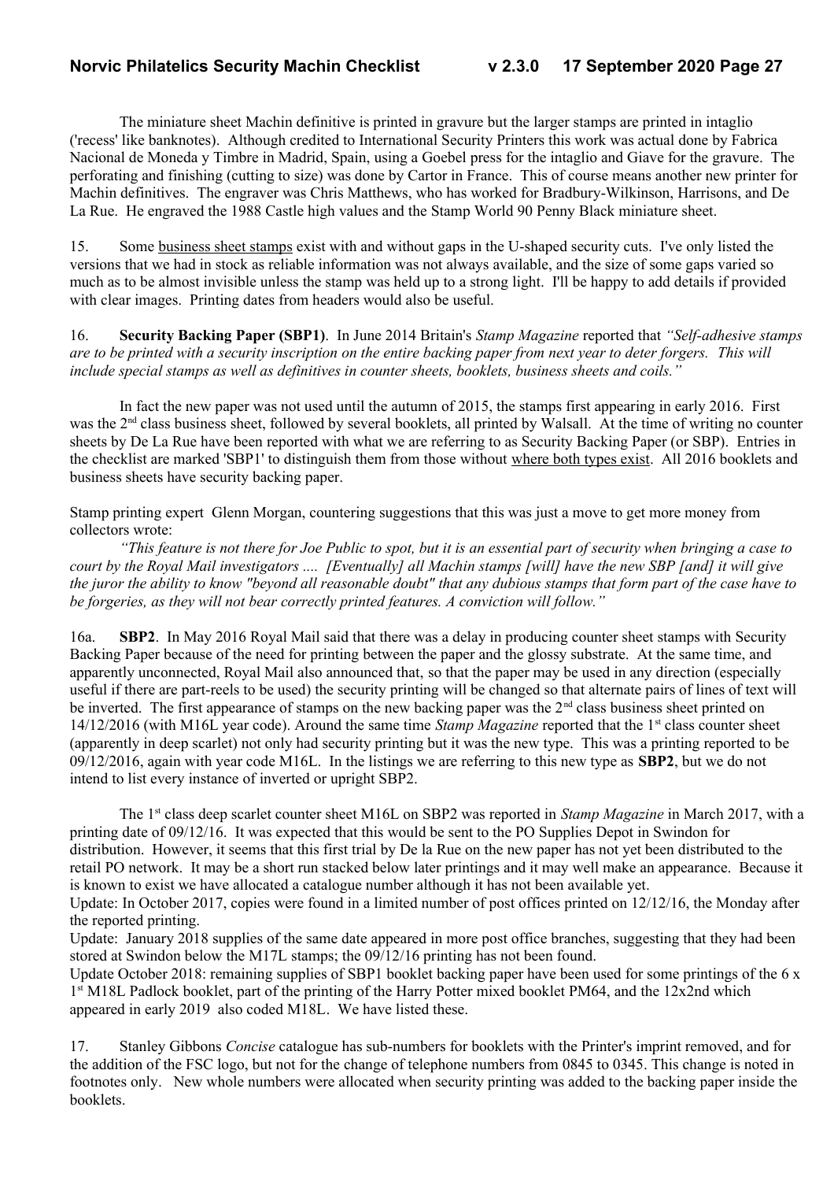The miniature sheet Machin definitive is printed in gravure but the larger stamps are printed in intaglio ('recess' like banknotes). Although credited to International Security Printers this work was actual done by Fabrica Nacional de Moneda y Timbre in Madrid, Spain, using a Goebel press for the intaglio and Giave for the gravure. The perforating and finishing (cutting to size) was done by Cartor in France. This of course means another new printer for Machin definitives. The engraver was Chris Matthews, who has worked for Bradbury-Wilkinson, Harrisons, and De La Rue. He engraved the 1988 Castle high values and the Stamp World 90 Penny Black miniature sheet.

15. Some business sheet stamps exist with and without gaps in the U-shaped security cuts. I've only listed the versions that we had in stock as reliable information was not always available, and the size of some gaps varied so much as to be almost invisible unless the stamp was held up to a strong light. I'll be happy to add details if provided with clear images. Printing dates from headers would also be useful.

16. **Security Backing Paper (SBP1)**. In June 2014 Britain's *Stamp Magazine* reported that *"Self-adhesive stamps are to be printed with a security inscription on the entire backing paper from next year to deter forgers. This will include special stamps as well as definitives in counter sheets, booklets, business sheets and coils."*

In fact the new paper was not used until the autumn of 2015, the stamps first appearing in early 2016. First was the 2<sup>nd</sup> class business sheet, followed by several booklets, all printed by Walsall. At the time of writing no counter sheets by De La Rue have been reported with what we are referring to as Security Backing Paper (or SBP). Entries in the checklist are marked 'SBP1' to distinguish them from those without where both types exist. All 2016 booklets and business sheets have security backing paper.

Stamp printing expert Glenn Morgan, countering suggestions that this was just a move to get more money from collectors wrote:

*"This feature is not there for Joe Public to spot, but it is an essential part of security when bringing a case to court by the Royal Mail investigators .... [Eventually] all Machin stamps [will] have the new SBP [and] it will give the juror the ability to know "beyond all reasonable doubt" that any dubious stamps that form part of the case have to be forgeries, as they will not bear correctly printed features. A conviction will follow."*

16a. **SBP2**. In May 2016 Royal Mail said that there was a delay in producing counter sheet stamps with Security Backing Paper because of the need for printing between the paper and the glossy substrate. At the same time, and apparently unconnected, Royal Mail also announced that, so that the paper may be used in any direction (especially useful if there are part-reels to be used) the security printing will be changed so that alternate pairs of lines of text will be inverted. The first appearance of stamps on the new backing paper was the 2<sup>nd</sup> class business sheet printed on 14/12/2016 (with M16L year code). Around the same time *Stamp Magazine* reported that the 1st class counter sheet (apparently in deep scarlet) not only had security printing but it was the new type. This was a printing reported to be 09/12/2016, again with year code M16L. In the listings we are referring to this new type as **SBP2**, but we do not intend to list every instance of inverted or upright SBP2.

The 1<sup>st</sup> class deep scarlet counter sheet M16L on SBP2 was reported in *Stamp Magazine* in March 2017, with a printing date of 09/12/16. It was expected that this would be sent to the PO Supplies Depot in Swindon for distribution. However, it seems that this first trial by De la Rue on the new paper has not yet been distributed to the retail PO network. It may be a short run stacked below later printings and it may well make an appearance. Because it is known to exist we have allocated a catalogue number although it has not been available yet.

Update: In October 2017, copies were found in a limited number of post offices printed on 12/12/16, the Monday after the reported printing.

Update: January 2018 supplies of the same date appeared in more post office branches, suggesting that they had been stored at Swindon below the M17L stamps; the 09/12/16 printing has not been found.

Update October 2018: remaining supplies of SBP1 booklet backing paper have been used for some printings of the 6 x 1<sup>st</sup> M18L Padlock booklet, part of the printing of the Harry Potter mixed booklet PM64, and the 12x2nd which appeared in early 2019 also coded M18L. We have listed these.

17. Stanley Gibbons *Concise* catalogue has sub-numbers for booklets with the Printer's imprint removed, and for the addition of the FSC logo, but not for the change of telephone numbers from 0845 to 0345. This change is noted in footnotes only. New whole numbers were allocated when security printing was added to the backing paper inside the booklets.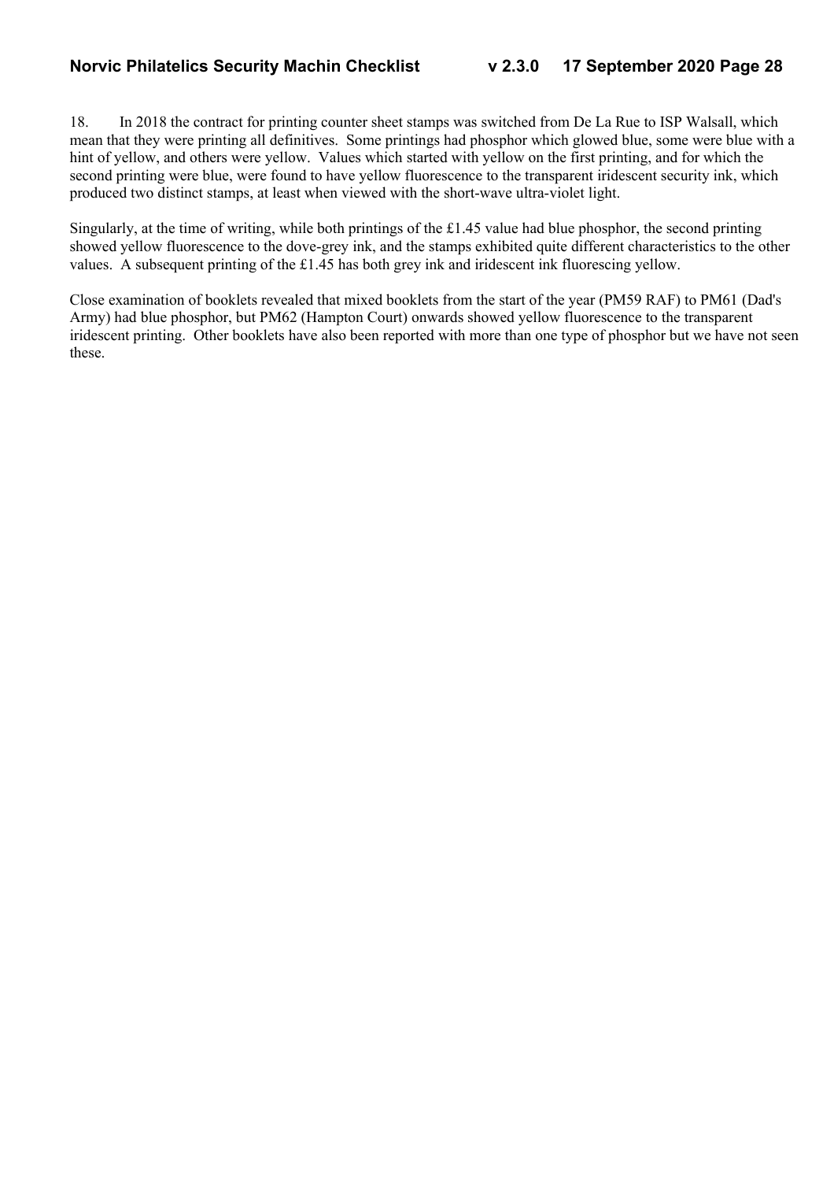18. In 2018 the contract for printing counter sheet stamps was switched from De La Rue to ISP Walsall, which mean that they were printing all definitives. Some printings had phosphor which glowed blue, some were blue with a hint of yellow, and others were yellow. Values which started with yellow on the first printing, and for which the second printing were blue, were found to have yellow fluorescence to the transparent iridescent security ink, which produced two distinct stamps, at least when viewed with the short-wave ultra-violet light.

Singularly, at the time of writing, while both printings of the £1.45 value had blue phosphor, the second printing showed yellow fluorescence to the dove-grey ink, and the stamps exhibited quite different characteristics to the other values. A subsequent printing of the £1.45 has both grey ink and iridescent ink fluorescing yellow.

Close examination of booklets revealed that mixed booklets from the start of the year (PM59 RAF) to PM61 (Dad's Army) had blue phosphor, but PM62 (Hampton Court) onwards showed yellow fluorescence to the transparent iridescent printing. Other booklets have also been reported with more than one type of phosphor but we have not seen these.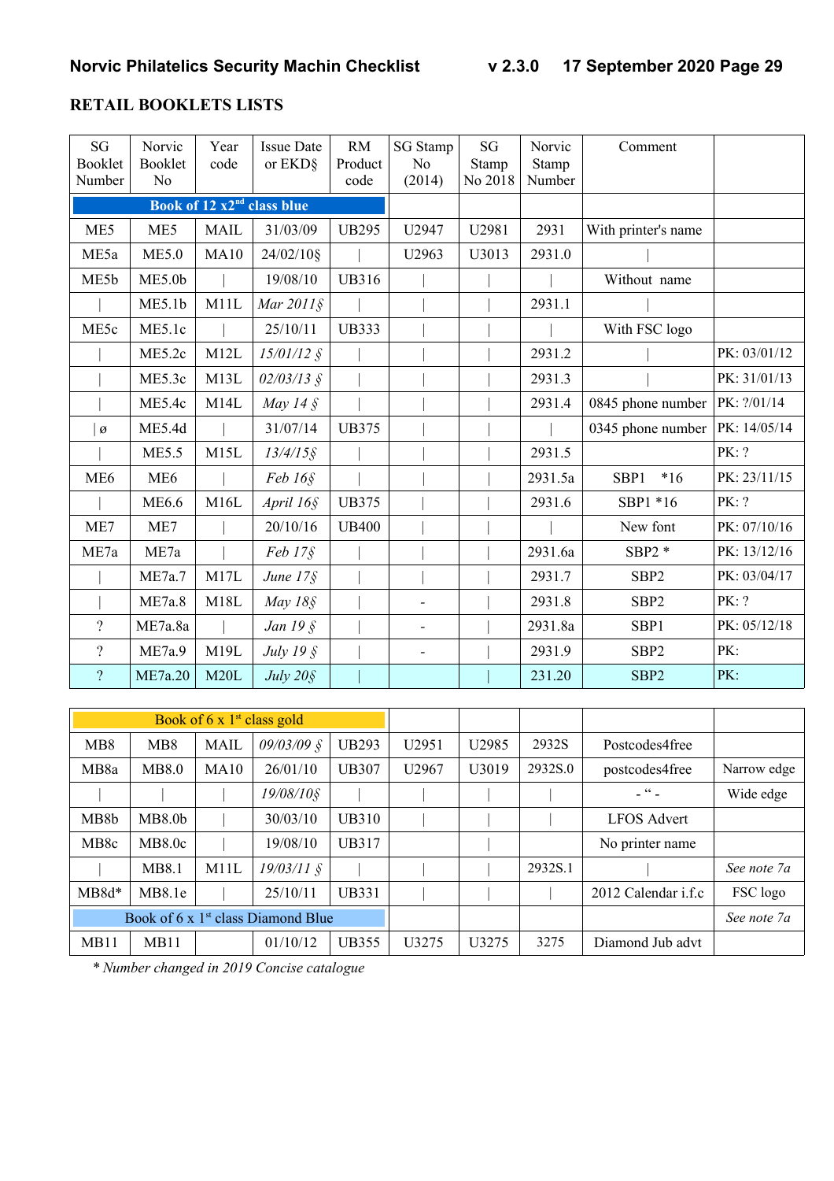#### **RETAIL BOOKLETS LISTS**

| SG<br><b>Booklet</b><br>Number | Norvic<br>Booklet<br>N <sub>0</sub> | Year<br>code | <b>Issue Date</b><br>or EKD§           | <b>RM</b><br>Product<br>code | <b>SG</b> Stamp<br>N <sub>o</sub><br>(2014) | SG<br>Stamp<br>No 2018 | Norvic<br>Stamp<br>Number | Comment             |              |
|--------------------------------|-------------------------------------|--------------|----------------------------------------|------------------------------|---------------------------------------------|------------------------|---------------------------|---------------------|--------------|
|                                |                                     |              | Book of 12 x2 <sup>nd</sup> class blue |                              |                                             |                        |                           |                     |              |
| ME5                            | ME5                                 | <b>MAIL</b>  | 31/03/09                               | <b>UB295</b>                 | U2947                                       | U2981                  | 2931                      | With printer's name |              |
| ME5a                           | <b>ME5.0</b>                        | <b>MA10</b>  | 24/02/10§                              |                              | U2963                                       | U3013                  | 2931.0                    |                     |              |
| ME5b                           | ME5.0 <sub>b</sub>                  |              | 19/08/10                               | <b>UB316</b>                 |                                             |                        |                           | Without name        |              |
|                                | ME5.1b                              | M11L         | Mar $2011\$                            |                              |                                             |                        | 2931.1                    |                     |              |
| ME5c                           | ME5.1c                              |              | 25/10/11                               | <b>UB333</b>                 |                                             |                        |                           | With FSC logo       |              |
|                                | ME5.2c                              | M12L         | $15/01/12$ §                           |                              |                                             |                        | 2931.2                    |                     | PK: 03/01/12 |
|                                | ME5.3c                              | M13L         | $02/03/13$ §                           |                              |                                             |                        | 2931.3                    |                     | PK: 31/01/13 |
|                                | ME5.4c                              | M14L         | May 14 $\AA$                           |                              |                                             |                        | 2931.4                    | 0845 phone number   | PK: ?/01/14  |
| $\varnothing$                  | ME5.4d                              |              | 31/07/14                               | <b>UB375</b>                 |                                             |                        |                           | 0345 phone number   | PK: 14/05/14 |
|                                | <b>ME5.5</b>                        | M15L         | $13/4/15$ §                            |                              |                                             |                        | 2931.5                    |                     | PK: ?        |
| ME <sub>6</sub>                | ME <sub>6</sub>                     |              | Feb 16 <sub>§</sub>                    |                              |                                             |                        | 2931.5a                   | SBP1<br>$*16$       | PK: 23/11/15 |
|                                | <b>ME6.6</b>                        | M16L         | April 16§                              | <b>UB375</b>                 |                                             |                        | 2931.6                    | SBP1 *16            | PK: ?        |
| ME7                            | ME7                                 |              | 20/10/16                               | <b>UB400</b>                 |                                             |                        |                           | New font            | PK: 07/10/16 |
| ME7a                           | ME7a                                |              | $Feb 17\S$                             |                              |                                             |                        | 2931.6a                   | SBP2 $*$            | PK: 13/12/16 |
|                                | ME7a.7                              | M17L         | June $17\$                             |                              |                                             |                        | 2931.7                    | SBP <sub>2</sub>    | PK: 03/04/17 |
|                                | ME7a.8                              | M18L         | May 18§                                |                              |                                             |                        | 2931.8                    | SBP <sub>2</sub>    | PK: ?        |
| $\overline{?}$                 | ME7a.8a                             |              | Jan $195$                              |                              | $\overline{\phantom{a}}$                    |                        | 2931.8a                   | SBP1                | PK: 05/12/18 |
| $\gamma$                       | ME7a.9                              | M19L         | July 19 §                              |                              | $\overline{\phantom{a}}$                    |                        | 2931.9                    | SBP <sub>2</sub>    | PK:          |
| $\overline{?}$                 | ME7a.20                             | M20L         | July 20§                               |                              |                                             |                        | 231.20                    | SBP <sub>2</sub>    | PK:          |

|                   |                    | Book of $6 \times 1^{\text{st}}$ class gold |                                                |              |                   |                   |         |                              |             |
|-------------------|--------------------|---------------------------------------------|------------------------------------------------|--------------|-------------------|-------------------|---------|------------------------------|-------------|
| MB <sub>8</sub>   | M <sub>B</sub> 8   | <b>MAIL</b>                                 | $09/03/09$ §                                   | <b>UB293</b> | U <sub>2951</sub> | U <sub>2985</sub> | 2932S   | Postcodes4free               |             |
| MB <sub>8</sub> a | <b>MB8.0</b>       | MA10                                        | 26/01/10                                       | <b>UB307</b> | U <sub>2967</sub> | U3019             | 2932S.0 | postcodes4free               | Narrow edge |
|                   |                    |                                             | $19/08/10$ §                                   |              |                   |                   |         | $ \frac{1}{2}$ $\frac{1}{2}$ | Wide edge   |
| MB <sub>8</sub> b | MB8.0 <sub>b</sub> |                                             | 30/03/10                                       | UB310        |                   |                   |         | <b>LFOS Advert</b>           |             |
| MB <sub>8</sub> c | MB8.0c             |                                             | 19/08/10                                       | UB317        |                   |                   |         | No printer name              |             |
|                   | <b>MB8.1</b>       | M <sub>1</sub> 1L                           | $19/03/11$ §                                   |              |                   |                   | 2932S.1 |                              | See note 7a |
| $MB8d*$           | MB8.1e             |                                             | 25/10/11                                       | UB331        |                   |                   |         | 2012 Calendar i.f.c          | FSC logo    |
|                   |                    |                                             | Book of 6 x 1 <sup>st</sup> class Diamond Blue |              |                   |                   |         |                              | See note 7a |
| MB11              | <b>MB11</b>        |                                             | 01/10/12                                       | UB355        | U3275             | U <sub>3275</sub> | 3275    | Diamond Jub advt             |             |

*\* Number changed in 2019 Concise catalogue*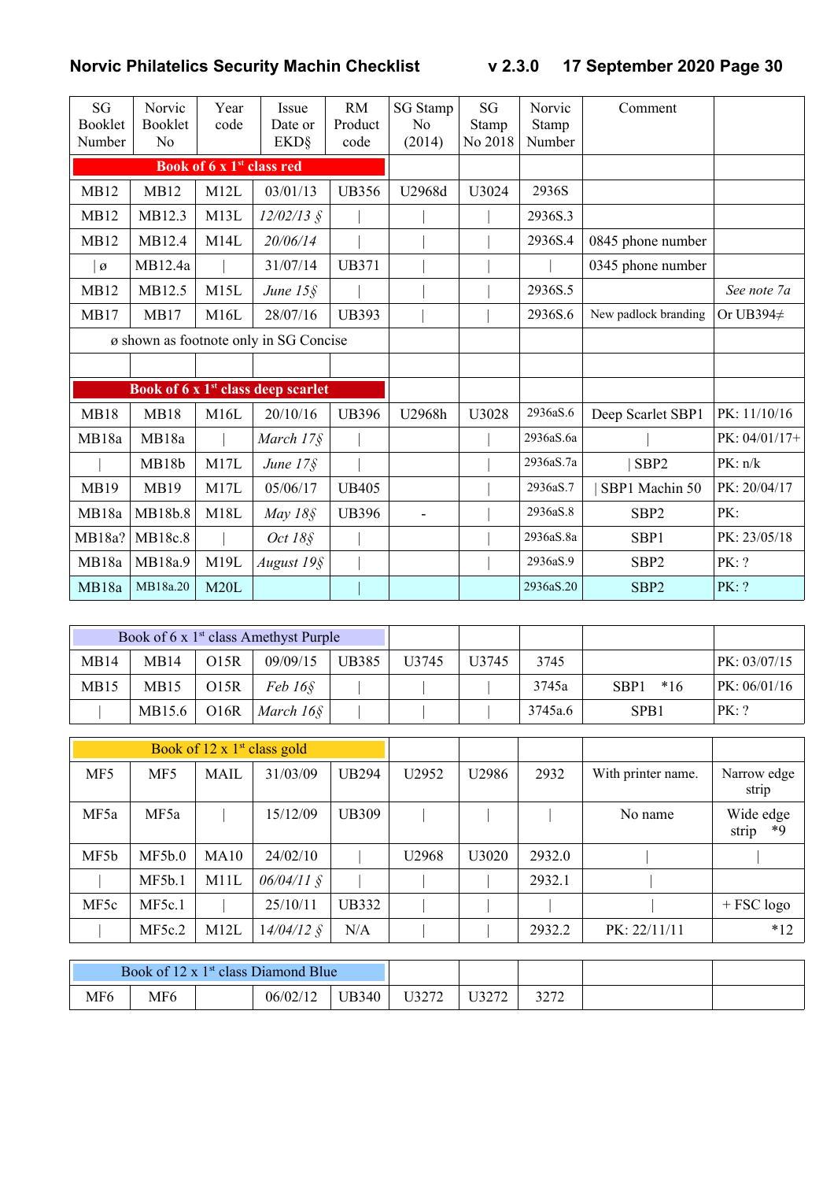| SG<br><b>Booklet</b><br>Number | Norvic<br><b>Booklet</b><br>N <sub>o</sub> | Year<br>code                          | Issue<br>Date or<br><b>EKD</b> §               | <b>RM</b><br>Product<br>code | <b>SG</b> Stamp<br>N <sub>0</sub><br>(2014) | SG<br>Stamp<br>No 2018 | Norvic<br>Stamp<br>Number | Comment              |                 |
|--------------------------------|--------------------------------------------|---------------------------------------|------------------------------------------------|------------------------------|---------------------------------------------|------------------------|---------------------------|----------------------|-----------------|
|                                |                                            | Book of 6 x 1 <sup>st</sup> class red |                                                |                              |                                             |                        |                           |                      |                 |
| <b>MB12</b>                    | <b>MB12</b>                                | M12L                                  | 03/01/13                                       | <b>UB356</b>                 | U2968d                                      | U3024                  | 2936S                     |                      |                 |
| <b>MB12</b>                    | MB12.3                                     | M13L                                  | $12/02/13$ §                                   |                              |                                             |                        | 2936S.3                   |                      |                 |
| <b>MB12</b>                    | MB12.4                                     | M14L                                  | 20/06/14                                       |                              |                                             |                        | 2936S.4                   | 0845 phone number    |                 |
| Ø                              | MB12.4a                                    |                                       | 31/07/14                                       | <b>UB371</b>                 |                                             |                        |                           | 0345 phone number    |                 |
| <b>MB12</b>                    | MB12.5                                     | M15L                                  | June $15\$                                     |                              |                                             |                        | 2936S.5                   |                      | See note 7a     |
| MB17                           | MB17                                       | M16L                                  | 28/07/16                                       | <b>UB393</b>                 |                                             |                        | 2936S.6                   | New padlock branding | Or UB394 $\neq$ |
|                                |                                            |                                       | ø shown as footnote only in SG Concise         |                              |                                             |                        |                           |                      |                 |
|                                |                                            |                                       |                                                |                              |                                             |                        |                           |                      |                 |
|                                |                                            |                                       | Book of 6 x 1 <sup>st</sup> class deep scarlet |                              |                                             |                        |                           |                      |                 |
| <b>MB18</b>                    | <b>MB18</b>                                | M16L                                  | 20/10/16                                       | <b>UB396</b>                 | U2968h                                      | U3028                  | 2936aS.6                  | Deep Scarlet SBP1    | PK: 11/10/16    |
| MB18a                          | MB18a                                      |                                       | March 17§                                      |                              |                                             |                        | 2936aS.6a                 |                      | PK: 04/01/17+   |
|                                | MB18b                                      | M17L                                  | June $17\$                                     |                              |                                             |                        | 2936aS.7a                 | SBP <sub>2</sub>     | PK: n/k         |
| MB19                           | <b>MB19</b>                                | M17L                                  | 05/06/17                                       | <b>UB405</b>                 |                                             |                        | 2936aS.7                  | SBP1 Machin 50       | PK: 20/04/17    |
| MB18a                          | MB18b.8                                    | M18L                                  | May $18\$                                      | <b>UB396</b>                 |                                             |                        | 2936aS.8                  | SBP <sub>2</sub>     | PK:             |
| MB18a?                         | MB18c.8                                    |                                       | Oct 18§                                        |                              |                                             |                        | 2936aS.8a                 | SBP1                 | PK: 23/05/18    |
| MB18a                          | MB18a.9                                    | M19L                                  | August 19§                                     |                              |                                             |                        | 2936aS.9                  | SBP <sub>2</sub>     | PK: ?           |
| MB18a                          | MB18a.20                                   | M20L                                  |                                                |                              |                                             |                        | 2936aS.20                 | SBP <sub>2</sub>     | PK: ?           |

|                  |                  |      | Book of 6 x $1st$ class Amethyst Purple |              |                   |                   |         |               |              |
|------------------|------------------|------|-----------------------------------------|--------------|-------------------|-------------------|---------|---------------|--------------|
| MB14             | MB14             | O15R | 09/09/15                                | <b>UB385</b> | U <sub>3745</sub> | U <sub>3745</sub> | 3745    |               | PK: 03/07/15 |
| MB <sub>15</sub> | MB <sub>15</sub> | O15R | $Feb\,16\xi$                            |              |                   |                   | 3745a   | $*16$<br>SBP1 | PK: 06/01/16 |
|                  | MB15.6           | O16R | March 16§                               |              |                   |                   | 3745a.6 | SPB1          | PK: ?        |

|                 |        |      | Book of $12 \times 1^{st}$ class gold |              |       |       |        |                    |                          |
|-----------------|--------|------|---------------------------------------|--------------|-------|-------|--------|--------------------|--------------------------|
| MF <sub>5</sub> | MF5    | MAIL | 31/03/09                              | <b>UB294</b> | U2952 | U2986 | 2932   | With printer name. | Narrow edge<br>strip     |
| MF5a            | MF5a   |      | 15/12/09                              | <b>UB309</b> |       |       |        | No name            | Wide edge<br>strip<br>*9 |
| MF5b            | MF5b.0 | MA10 | 24/02/10                              |              | U2968 | U3020 | 2932.0 |                    |                          |
|                 | MF5b.1 | M11L | $06/04/11$ §                          |              |       |       | 2932.1 |                    |                          |
| MF5c            | MF5c.1 |      | 25/10/11                              | <b>UB332</b> |       |       |        |                    | $+$ FSC logo             |
|                 | MF5c.2 | M12L | $14/04/12$ §                          | N/A          |       |       | 2932.2 | PK: 22/11/11       | $*12$                    |

| $\sim$ 1 $\gamma$ $\sim$<br><b>B</b> lue<br>Book of<br>i ət<br>Jiamond .<br>class |     |  |          |              |                          |                                                               |     |  |
|-----------------------------------------------------------------------------------|-----|--|----------|--------------|--------------------------|---------------------------------------------------------------|-----|--|
| MF <sub>6</sub>                                                                   | MF6 |  | 06/02/12 | <b>UB340</b> | T T Q Q H Q<br>U J 4 1 4 | $T^{\prime}$ $\sim$ $\sim$ $\sim$<br>◡ <i>◡∠</i><br><b>__</b> | 227 |  |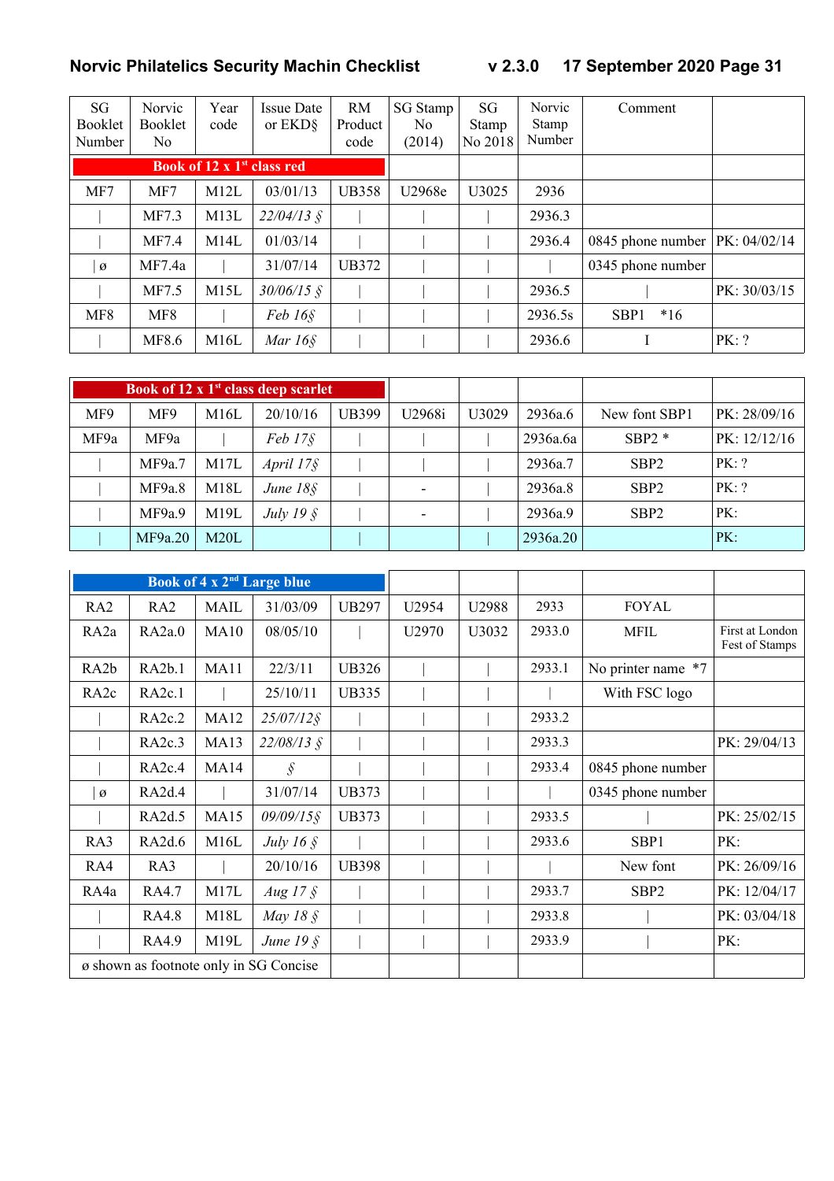| SG<br>Booklet<br>Number | Norvic<br><b>Booklet</b><br>No | Year<br>code                           | <b>Issue Date</b><br>or EKD <sub>§</sub> | <b>RM</b><br>Product<br>code | SG Stamp<br>No.<br>(2014) | SG<br>Stamp<br>No 2018 | <b>Norvic</b><br><b>Stamp</b><br>Number | Comment                            |              |
|-------------------------|--------------------------------|----------------------------------------|------------------------------------------|------------------------------|---------------------------|------------------------|-----------------------------------------|------------------------------------|--------------|
|                         |                                | Book of 12 x 1 <sup>st</sup> class red |                                          |                              |                           |                        |                                         |                                    |              |
| MF7                     | MF7                            | M12L                                   | 03/01/13                                 | <b>UB358</b>                 | U2968e                    | U3025                  | 2936                                    |                                    |              |
|                         | MF7.3                          | M13L                                   | $22/04/13$ §                             |                              |                           |                        | 2936.3                                  |                                    |              |
|                         | MF7.4                          | M14L                                   | 01/03/14                                 |                              |                           |                        | 2936.4                                  | 0845 phone number   PK: $04/02/14$ |              |
| Ø                       | MF7.4a                         |                                        | 31/07/14                                 | UB372                        |                           |                        |                                         | 0345 phone number                  |              |
|                         | MF7.5                          | M15L                                   | $30/06/15$ §                             |                              |                           |                        | 2936.5                                  |                                    | PK: 30/03/15 |
| MF8                     | MF8                            |                                        | $Feb 16\S$                               |                              |                           |                        | 2936.5s                                 | SBP <sub>1</sub><br>$*16$          |              |
|                         | MF8.6                          | M16L                                   | Mar $16\$                                |                              |                           |                        | 2936.6                                  |                                    | PK: ?        |

|      |         |      | Book of 12 x $1st$ class deep scarlet |       |        |       |          |                  |              |
|------|---------|------|---------------------------------------|-------|--------|-------|----------|------------------|--------------|
| MF9  | MF9     | M16L | 20/10/16                              | UB399 | U2968i | U3029 | 2936a.6  | New font SBP1    | PK: 28/09/16 |
| MF9a | MF9a    |      | $Feb$ 17 $§$                          |       |        |       | 2936a.6a | $SBP2*$          | PK: 12/12/16 |
|      | MF9a.7  | M17L | April $17\$                           |       |        |       | 2936a.7  | SBP <sub>2</sub> | PK: ?        |
|      | MF9a.8  | M18L | June $18\$                            |       |        |       | 2936a.8  | SBP <sub>2</sub> | PK: ?        |
|      | MF9a.9  | M19L | July 19 $\S$                          |       |        |       | 2936a.9  | SBP <sub>2</sub> | PK:          |
|      | MF9a.20 | M20L |                                       |       |        |       | 2936a.20 |                  | PK:          |

|                   |                     |             | Book of 4 x 2 <sup>nd</sup> Large blue |              |       |       |        |                    |                                   |
|-------------------|---------------------|-------------|----------------------------------------|--------------|-------|-------|--------|--------------------|-----------------------------------|
| RA2               | RA2                 | <b>MAIL</b> | 31/03/09                               | <b>UB297</b> | U2954 | U2988 | 2933   | <b>FOYAL</b>       |                                   |
| RA <sub>2</sub> a | RA2a.0              | MA10        | 08/05/10                               |              | U2970 | U3032 | 2933.0 | <b>MFIL</b>        | First at London<br>Fest of Stamps |
| RA <sub>2</sub> b | RA2b.1              | MA11        | 22/3/11                                | <b>UB326</b> |       |       | 2933.1 | No printer name *7 |                                   |
| RA <sub>2c</sub>  | RA <sub>2c.1</sub>  |             | 25/10/11                               | <b>UB335</b> |       |       |        | With FSC logo      |                                   |
|                   | RA <sub>2</sub> c.2 | <b>MA12</b> | $25/07/12$ §                           |              |       |       | 2933.2 |                    |                                   |
|                   | RA <sub>2c.3</sub>  | <b>MA13</b> | $22/08/13$ §                           |              |       |       | 2933.3 |                    | PK: 29/04/13                      |
|                   | RA2c.4              | MA14        | $\hat{\mathcal{S}}$                    |              |       |       | 2933.4 | 0845 phone number  |                                   |
| $\varnothing$     | RA2d.4              |             | 31/07/14                               | <b>UB373</b> |       |       |        | 0345 phone number  |                                   |
|                   | RA2d.5              | <b>MA15</b> | $09/09/15$ §                           | <b>UB373</b> |       |       | 2933.5 |                    | PK: 25/02/15                      |
| RA3               | RA2d.6              | M16L        | July 16 $\AA$                          |              |       |       | 2933.6 | SBP1               | PK:                               |
| RA4               | RA3                 |             | 20/10/16                               | <b>UB398</b> |       |       |        | New font           | PK: 26/09/16                      |
| RA4a              | RA4.7               | M17L        | Aug $17 \text{ }$                      |              |       |       | 2933.7 | SBP <sub>2</sub>   | PK: 12/04/17                      |
|                   | <b>RA4.8</b>        | M18L        | May 18 $\AA$                           |              |       |       | 2933.8 |                    | PK: 03/04/18                      |
|                   | RA4.9               | M19L        | June $19\$                             |              |       |       | 2933.9 |                    | PK:                               |
|                   |                     |             | ø shown as footnote only in SG Concise |              |       |       |        |                    |                                   |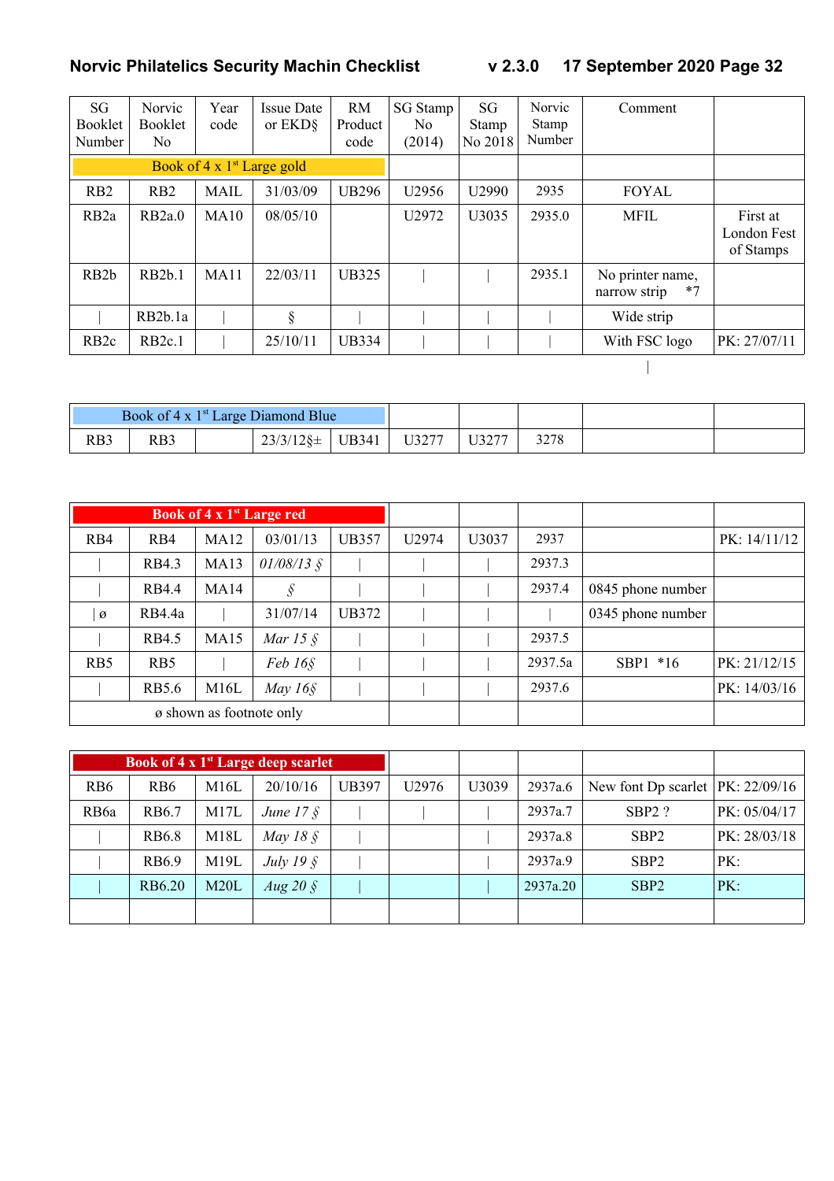| SG<br><b>Booklet</b><br>Number                | <b>Norvic</b><br><b>Booklet</b><br>No. | Year<br>code | <b>Issue Date</b><br>or EKD <sub>§</sub> | <b>RM</b><br>Product<br>code | SG Stamp<br>N <sub>0</sub><br>(2014) | SG<br>Stamp<br>No 2018 | Norvic<br><b>Stamp</b><br>Number | Comment                                  |                                      |
|-----------------------------------------------|----------------------------------------|--------------|------------------------------------------|------------------------------|--------------------------------------|------------------------|----------------------------------|------------------------------------------|--------------------------------------|
| Book of $4 \times 1$ <sup>st</sup> Large gold |                                        |              |                                          |                              |                                      |                        |                                  |                                          |                                      |
| R <sub>B2</sub>                               | RB2                                    | <b>MAIL</b>  | 31/03/09                                 | <b>UB296</b>                 | U2956                                | U2990                  | 2935                             | <b>FOYAL</b>                             |                                      |
| RB <sub>2a</sub>                              | RB <sub>2a.0</sub>                     | MA10         | 08/05/10                                 |                              | U2972                                | U3035                  | 2935.0                           | <b>MFIL</b>                              | First at<br>London Fest<br>of Stamps |
| RB <sub>2</sub> b                             | RB2b.1                                 | MA11         | 22/03/11                                 | <b>UB325</b>                 |                                      |                        | 2935.1                           | No printer name,<br>$*7$<br>narrow strip |                                      |
|                                               | RB <sub>2</sub> b.1a                   |              | §                                        |                              |                                      |                        |                                  | Wide strip                               |                                      |
| RB <sub>2c</sub>                              | RB <sub>2c.1</sub>                     |              | 25/10/11                                 | <b>UB334</b>                 |                                      |                        |                                  | With FSC logo                            | PK: 27/07/11                         |
|                                               |                                        |              |                                          |                              |                                      |                        |                                  |                                          |                                      |

| Book of 4 x 1 <sup>st</sup> Large Diamond Blue |     |  |                   |              |       |       |  |  |
|------------------------------------------------|-----|--|-------------------|--------------|-------|-------|--|--|
| RB3                                            | RB3 |  | $23/3/12$ § $\pm$ | <b>UB341</b> | U3277 | U3277 |  |  |

|                                   |                  |      | Book of 4 x 1 <sup>st</sup> Large red |              |       |       |         |                   |                |
|-----------------------------------|------------------|------|---------------------------------------|--------------|-------|-------|---------|-------------------|----------------|
| RB4                               | R <sub>B</sub> 4 | MA12 | 03/01/13                              | <b>UB357</b> | U2974 | U3037 | 2937    |                   | PK: $14/11/12$ |
|                                   | RB4.3            | MA13 | $01/08/13$ §                          |              |       |       | 2937.3  |                   |                |
|                                   | <b>RB4.4</b>     | MA14 | $\mathcal{S}$                         |              |       |       | 2937.4  | 0845 phone number |                |
| Ø                                 | RB4.4a           |      | 31/07/14                              | UB372        |       |       |         | 0345 phone number |                |
|                                   | <b>RB4.5</b>     | MA15 | Mar 15 $\AA$                          |              |       |       | 2937.5  |                   |                |
| R <sub>B5</sub>                   | R <sub>B5</sub>  |      | Feb 16 <sub>§</sub>                   |              |       |       | 2937.5a | $SBP1 * 16$       | PK: 21/12/15   |
| M16L<br>May $16\$<br><b>RB5.6</b> |                  |      |                                       |              |       |       | 2937.6  |                   | PK: 14/03/16   |
| ø shown as footnote only          |                  |      |                                       |              |       |       |         |                   |                |

|                  |                 |      | <b>Book of <math>\overline{4}</math> x 1st Large deep scarlet</b> |              |                   |       |          |                                      |              |
|------------------|-----------------|------|-------------------------------------------------------------------|--------------|-------------------|-------|----------|--------------------------------------|--------------|
| R <sub>B6</sub>  | RB <sub>6</sub> | M16L | 20/10/16                                                          | <b>UB397</b> | U <sub>2976</sub> | U3039 | 2937a.6  | New font Dp scarlet   PK: $22/09/16$ |              |
| RB <sub>6a</sub> | RB6.7           | M17L | June $17 \text{ }$                                                |              |                   |       | 2937a.7  | $SBP2$ ?                             | PK: 05/04/17 |
|                  | <b>RB6.8</b>    | M18L | May 18 $\AA$                                                      |              |                   |       | 2937a.8  | SBP <sub>2</sub>                     | PK: 28/03/18 |
|                  | RB6.9           | M19L | July 19 $\hat{\S}$                                                |              |                   |       | 2937a.9  | SBP <sub>2</sub>                     | PK:          |
|                  | RB6.20          | M20L | Aug 20 $\AA$                                                      |              |                   |       | 2937a.20 | SBP <sub>2</sub>                     | PK:          |
|                  |                 |      |                                                                   |              |                   |       |          |                                      |              |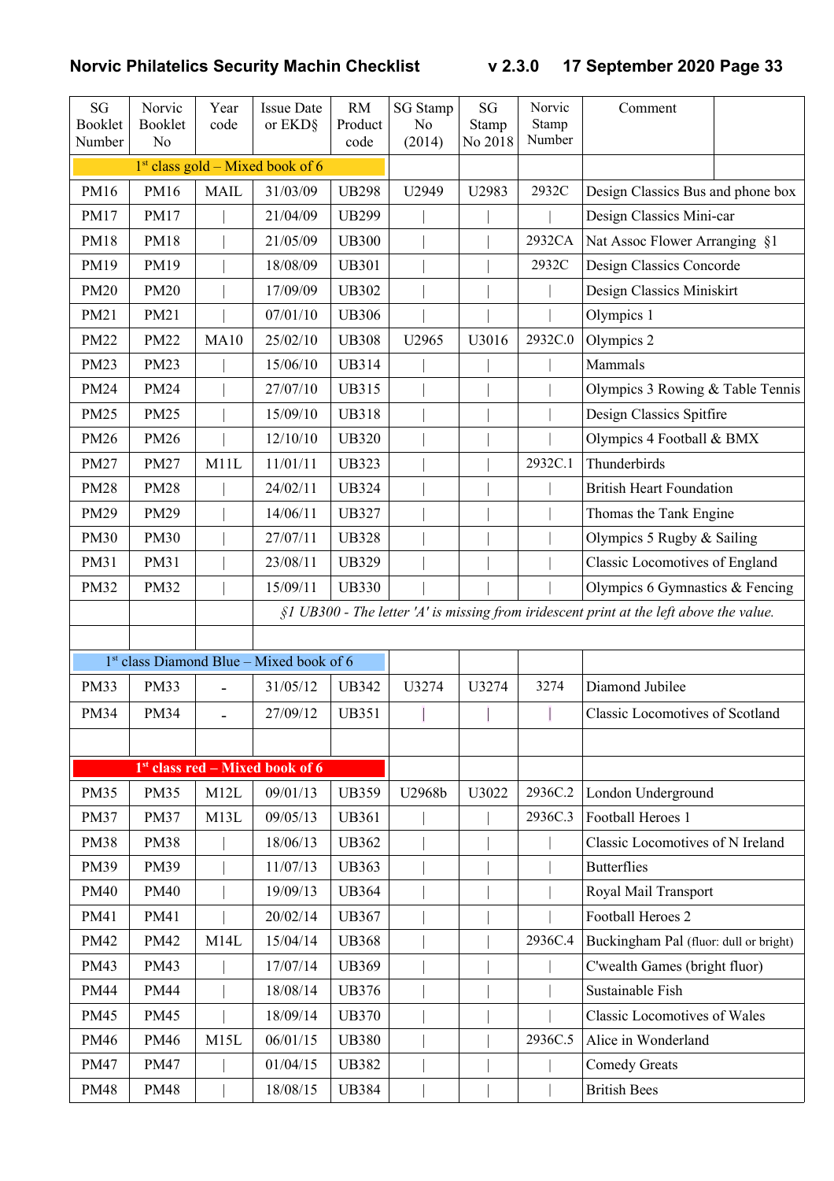| SG<br>Booklet<br>Number | Norvic<br>Booklet<br>No | Year<br>code | <b>Issue Date</b><br>or EKD§               | <b>RM</b><br>Product<br>code | <b>SG</b> Stamp<br>N <sub>o</sub><br>(2014) | SG<br>Stamp<br>No 2018 | Norvic<br>Stamp<br>Number | Comment                                                                                   |  |
|-------------------------|-------------------------|--------------|--------------------------------------------|------------------------------|---------------------------------------------|------------------------|---------------------------|-------------------------------------------------------------------------------------------|--|
|                         |                         |              | $1st$ class gold – Mixed book of 6         |                              |                                             |                        |                           |                                                                                           |  |
| PM16                    | PM16                    | <b>MAIL</b>  | 31/03/09                                   | <b>UB298</b>                 | U2949                                       | U2983                  | 2932C                     | Design Classics Bus and phone box                                                         |  |
| PM17                    | <b>PM17</b>             |              | 21/04/09                                   | <b>UB299</b>                 |                                             |                        |                           | Design Classics Mini-car                                                                  |  |
| <b>PM18</b>             | <b>PM18</b>             |              | 21/05/09                                   | <b>UB300</b>                 |                                             |                        | 2932CA                    | Nat Assoc Flower Arranging §1                                                             |  |
| PM19                    | PM19                    |              | 18/08/09                                   | <b>UB301</b>                 |                                             |                        | 2932C                     | Design Classics Concorde                                                                  |  |
| <b>PM20</b>             | <b>PM20</b>             |              | 17/09/09                                   | <b>UB302</b>                 |                                             |                        |                           | Design Classics Miniskirt                                                                 |  |
| PM21                    | PM21                    |              | 07/01/10                                   | <b>UB306</b>                 |                                             |                        |                           | Olympics 1                                                                                |  |
| <b>PM22</b>             | <b>PM22</b>             | <b>MA10</b>  | 25/02/10                                   | <b>UB308</b>                 | U2965                                       | U3016                  | 2932C.0                   | Olympics 2                                                                                |  |
| PM23                    | <b>PM23</b>             |              | 15/06/10                                   | <b>UB314</b>                 |                                             |                        |                           | Mammals                                                                                   |  |
| <b>PM24</b>             | <b>PM24</b>             |              | 27/07/10                                   | <b>UB315</b>                 |                                             |                        |                           | Olympics 3 Rowing & Table Tennis                                                          |  |
| <b>PM25</b>             | <b>PM25</b>             |              | 15/09/10                                   | <b>UB318</b>                 |                                             |                        |                           | Design Classics Spitfire                                                                  |  |
| <b>PM26</b>             | <b>PM26</b>             |              | 12/10/10                                   | <b>UB320</b>                 |                                             |                        |                           | Olympics 4 Football & BMX                                                                 |  |
| <b>PM27</b>             | <b>PM27</b>             | M11L         | 11/01/11                                   | <b>UB323</b>                 |                                             |                        | 2932C.1                   | Thunderbirds                                                                              |  |
| <b>PM28</b>             | <b>PM28</b>             |              | 24/02/11                                   | <b>UB324</b>                 |                                             |                        |                           | <b>British Heart Foundation</b>                                                           |  |
| <b>PM29</b>             | <b>PM29</b>             |              | 14/06/11                                   | <b>UB327</b>                 |                                             |                        |                           | Thomas the Tank Engine                                                                    |  |
| <b>PM30</b>             | <b>PM30</b>             |              | 27/07/11                                   | <b>UB328</b>                 |                                             |                        |                           | Olympics 5 Rugby & Sailing                                                                |  |
| PM31                    | PM31                    |              | 23/08/11                                   | <b>UB329</b>                 |                                             |                        |                           | <b>Classic Locomotives of England</b>                                                     |  |
| <b>PM32</b>             | <b>PM32</b>             |              | 15/09/11                                   | <b>UB330</b>                 |                                             |                        |                           | Olympics 6 Gymnastics $&$ Fencing                                                         |  |
|                         |                         |              |                                            |                              |                                             |                        |                           | $$1$ UB300 - The letter 'A' is missing from iridescent print at the left above the value. |  |
|                         |                         |              |                                            |                              |                                             |                        |                           |                                                                                           |  |
|                         |                         |              | $1st$ class Diamond Blue – Mixed book of 6 |                              |                                             |                        |                           |                                                                                           |  |
| <b>PM33</b>             | <b>PM33</b>             |              | 31/05/12                                   | <b>UB342</b>                 | U3274                                       | U3274                  | 3274                      | Diamond Jubilee                                                                           |  |
| <b>PM34</b>             | <b>PM34</b>             |              | 27/09/12                                   | <b>UB351</b>                 |                                             |                        |                           | <b>Classic Locomotives of Scotland</b>                                                    |  |
|                         |                         |              |                                            |                              |                                             |                        |                           |                                                                                           |  |
|                         |                         |              | $1st$ class red – Mixed book of 6          |                              |                                             |                        |                           |                                                                                           |  |
| <b>PM35</b>             | <b>PM35</b>             | M12L         | 09/01/13                                   | <b>UB359</b>                 | U2968b                                      | U3022                  | 2936C.2                   | London Underground                                                                        |  |
| <b>PM37</b>             | <b>PM37</b>             | M13L         | 09/05/13                                   | <b>UB361</b>                 |                                             |                        | 2936C.3                   | Football Heroes 1                                                                         |  |
| <b>PM38</b>             | <b>PM38</b>             |              | 18/06/13                                   | <b>UB362</b>                 |                                             |                        |                           | Classic Locomotives of N Ireland                                                          |  |
| PM39                    | <b>PM39</b>             |              | 11/07/13                                   | <b>UB363</b>                 |                                             |                        |                           | <b>Butterflies</b>                                                                        |  |
| <b>PM40</b>             | <b>PM40</b>             |              | 19/09/13                                   | <b>UB364</b>                 |                                             |                        |                           | Royal Mail Transport                                                                      |  |
| PM41                    | PM41                    |              | 20/02/14                                   | <b>UB367</b>                 |                                             |                        |                           | Football Heroes 2                                                                         |  |
| PM42                    | <b>PM42</b>             | M14L         | 15/04/14                                   | <b>UB368</b>                 |                                             |                        | 2936C.4                   | Buckingham Pal (fluor: dull or bright)                                                    |  |
| PM43                    | PM43                    |              | 17/07/14                                   | <b>UB369</b>                 |                                             |                        |                           | C'wealth Games (bright fluor)                                                             |  |
| <b>PM44</b>             | <b>PM44</b>             |              | 18/08/14                                   | <b>UB376</b>                 |                                             |                        |                           | Sustainable Fish                                                                          |  |
| <b>PM45</b>             | <b>PM45</b>             |              | 18/09/14                                   | <b>UB370</b>                 |                                             |                        |                           | <b>Classic Locomotives of Wales</b>                                                       |  |
| <b>PM46</b>             | <b>PM46</b>             | M15L         | 06/01/15                                   | <b>UB380</b>                 |                                             |                        | 2936C.5                   | Alice in Wonderland                                                                       |  |
| <b>PM47</b>             | <b>PM47</b>             |              | 01/04/15                                   | <b>UB382</b>                 |                                             |                        |                           | <b>Comedy Greats</b>                                                                      |  |
| <b>PM48</b>             | <b>PM48</b>             |              | 18/08/15                                   | <b>UB384</b>                 |                                             |                        |                           | <b>British Bees</b>                                                                       |  |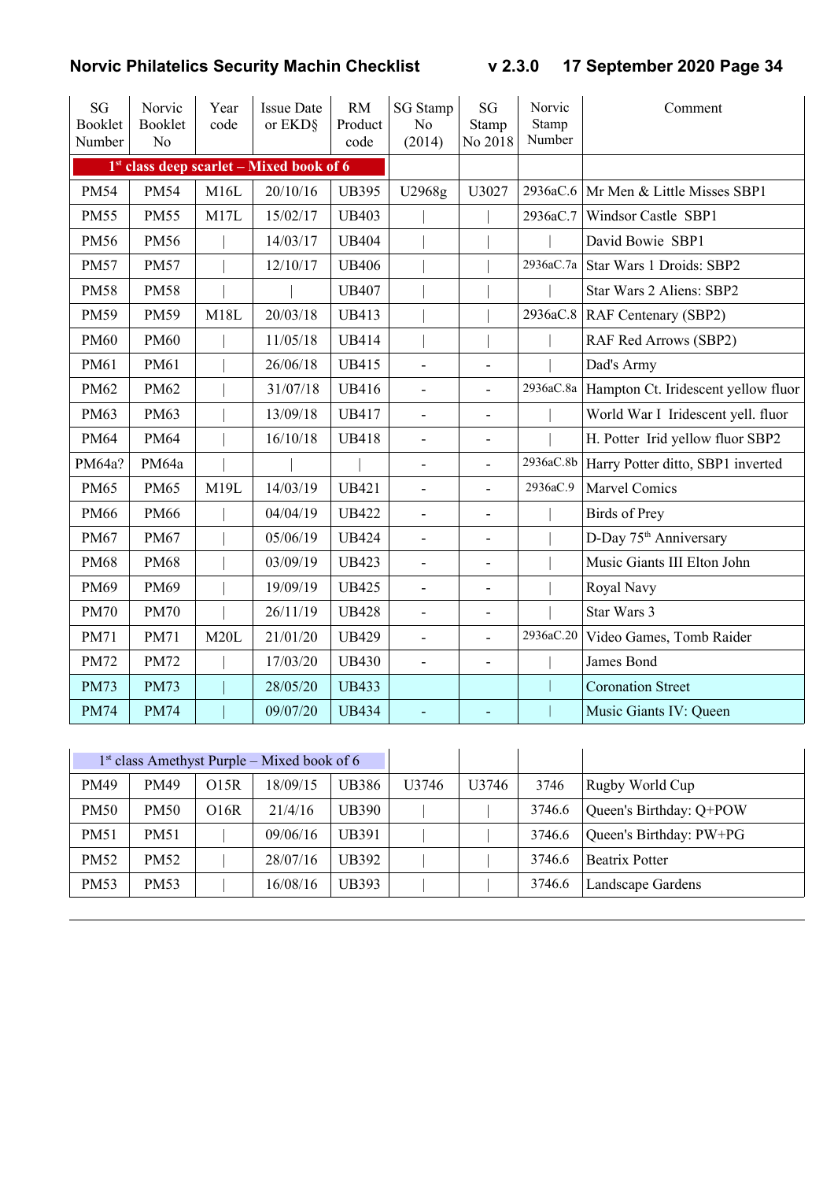| <b>SG</b><br><b>Booklet</b><br>Number | Norvic<br><b>Booklet</b><br>N <sub>o</sub> | Year<br>code | <b>Issue Date</b><br>or EKD§               | <b>RM</b><br>Product<br>code | <b>SG</b> Stamp<br>N <sub>o</sub><br>(2014) | <b>SG</b><br>Stamp<br>No 2018 | Norvic<br>Stamp<br>Number | Comment                              |
|---------------------------------------|--------------------------------------------|--------------|--------------------------------------------|------------------------------|---------------------------------------------|-------------------------------|---------------------------|--------------------------------------|
|                                       |                                            |              | $1st$ class deep scarlet – Mixed book of 6 |                              |                                             |                               |                           |                                      |
| <b>PM54</b>                           | <b>PM54</b>                                | M16L         | 20/10/16                                   | <b>UB395</b>                 | U2968g                                      | U3027                         |                           | 2936aC.6 Mr Men & Little Misses SBP1 |
| <b>PM55</b>                           | <b>PM55</b>                                | M17L         | 15/02/17                                   | <b>UB403</b>                 |                                             |                               | 2936aC.7                  | Windsor Castle SBP1                  |
| <b>PM56</b>                           | <b>PM56</b>                                |              | 14/03/17                                   | <b>UB404</b>                 |                                             |                               |                           | David Bowie SBP1                     |
| <b>PM57</b>                           | <b>PM57</b>                                |              | 12/10/17                                   | <b>UB406</b>                 |                                             |                               | 2936aC.7a                 | Star Wars 1 Droids: SBP2             |
| <b>PM58</b>                           | <b>PM58</b>                                |              |                                            | <b>UB407</b>                 |                                             |                               |                           | Star Wars 2 Aliens: SBP2             |
| <b>PM59</b>                           | <b>PM59</b>                                | M18L         | 20/03/18                                   | <b>UB413</b>                 |                                             |                               | 2936aC.8                  | RAF Centenary (SBP2)                 |
| <b>PM60</b>                           | <b>PM60</b>                                |              | 11/05/18                                   | <b>UB414</b>                 |                                             |                               |                           | RAF Red Arrows (SBP2)                |
| PM61                                  | PM61                                       |              | 26/06/18                                   | <b>UB415</b>                 | $\overline{a}$                              |                               |                           | Dad's Army                           |
| PM62                                  | <b>PM62</b>                                |              | 31/07/18                                   | <b>UB416</b>                 | $\blacksquare$                              | $\overline{a}$                | 2936aC.8a                 | Hampton Ct. Iridescent yellow fluor  |
| PM63                                  | <b>PM63</b>                                |              | 13/09/18                                   | <b>UB417</b>                 | $\blacksquare$                              | $\overline{a}$                |                           | World War I Iridescent yell. fluor   |
| <b>PM64</b>                           | <b>PM64</b>                                |              | 16/10/18                                   | <b>UB418</b>                 | $\overline{\phantom{a}}$                    | $\overline{\phantom{a}}$      |                           | H. Potter Irid yellow fluor SBP2     |
| PM64a?                                | PM64a                                      |              |                                            |                              | $\overline{\phantom{a}}$                    | $\overline{a}$                | 2936aC.8b                 | Harry Potter ditto, SBP1 inverted    |
| <b>PM65</b>                           | <b>PM65</b>                                | M19L         | 14/03/19                                   | <b>UB421</b>                 | $\overline{\phantom{a}}$                    | $\overline{a}$                | 2936aC.9                  | Marvel Comics                        |
| <b>PM66</b>                           | <b>PM66</b>                                |              | 04/04/19                                   | <b>UB422</b>                 | $\overline{\phantom{a}}$                    | $\blacksquare$                |                           | <b>Birds</b> of Prey                 |
| <b>PM67</b>                           | <b>PM67</b>                                |              | 05/06/19                                   | <b>UB424</b>                 | $\overline{\phantom{a}}$                    | ٠                             |                           | D-Day 75 <sup>th</sup> Anniversary   |
| <b>PM68</b>                           | <b>PM68</b>                                |              | 03/09/19                                   | <b>UB423</b>                 | $\blacksquare$                              | $\overline{a}$                |                           | Music Giants III Elton John          |
| PM69                                  | PM69                                       |              | 19/09/19                                   | <b>UB425</b>                 | $\overline{\phantom{a}}$                    | ٠                             |                           | Royal Navy                           |
| <b>PM70</b>                           | <b>PM70</b>                                |              | 26/11/19                                   | <b>UB428</b>                 | $\overline{\phantom{0}}$                    | $\overline{a}$                |                           | Star Wars 3                          |
| <b>PM71</b>                           | PM71                                       | M20L         | 21/01/20                                   | <b>UB429</b>                 |                                             | $\overline{a}$                | 2936aC.20                 | Video Games, Tomb Raider             |
| <b>PM72</b>                           | <b>PM72</b>                                |              | 17/03/20                                   | <b>UB430</b>                 | $\blacksquare$                              | $\overline{a}$                |                           | James Bond                           |
| <b>PM73</b>                           | <b>PM73</b>                                |              | 28/05/20                                   | <b>UB433</b>                 |                                             |                               |                           | <b>Coronation Street</b>             |
| <b>PM74</b>                           | <b>PM74</b>                                |              | 09/07/20                                   | <b>UB434</b>                 | $\blacksquare$                              |                               |                           | Music Giants IV: Queen               |

|             |                  |      | $1st$ class Amethyst Purple – Mixed book of 6 |       |                   |                   |        |                         |
|-------------|------------------|------|-----------------------------------------------|-------|-------------------|-------------------|--------|-------------------------|
| <b>PM49</b> | <b>PM49</b>      | O15R | 18/09/15                                      | UB386 | U <sub>3746</sub> | U <sub>3746</sub> | 3746   | Rugby World Cup         |
| <b>PM50</b> | <b>PM50</b>      | O16R | 21/4/16                                       | UB390 |                   |                   | 3746.6 | Queen's Birthday: Q+POW |
| <b>PM51</b> | PM51             |      | 09/06/16                                      | UB391 |                   |                   | 3746.6 | Queen's Birthday: PW+PG |
| <b>PM52</b> | <b>PM52</b>      |      | 28/07/16                                      | UB392 |                   |                   | 3746.6 | <b>Beatrix Potter</b>   |
| <b>PM53</b> | PM <sub>53</sub> |      | 16/08/16                                      | UB393 |                   |                   | 3746.6 | Landscape Gardens       |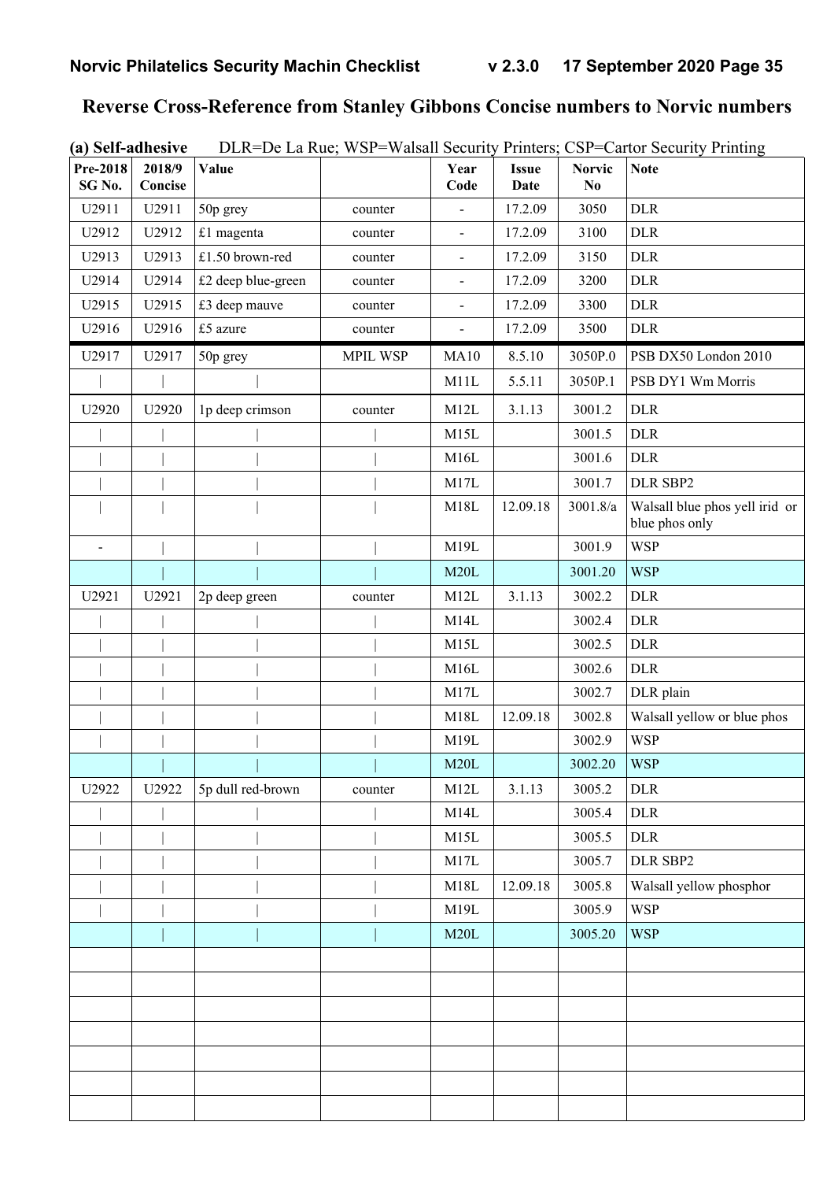# **Reverse Cross-Reference from Stanley Gibbons Concise numbers to Norvic numbers**

| (a) Self-adhesive | DLR=De La Rue; WSP=Walsall Security Printers; CSP=Cartor Security Printing |
|-------------------|----------------------------------------------------------------------------|
|                   |                                                                            |

| Pre-2018<br>SG <sub>No.</sub> | 2018/9<br>Concise | <b>Value</b>       |                 | Year<br>Code             | <b>Issue</b><br>Date | <b>Norvic</b><br>N <sub>0</sub> | <b>Note</b>                                      |
|-------------------------------|-------------------|--------------------|-----------------|--------------------------|----------------------|---------------------------------|--------------------------------------------------|
| U2911                         | U2911             | 50p grey           | counter         | $\overline{a}$           | 17.2.09              | 3050                            | <b>DLR</b>                                       |
| U2912                         | U2912             | £1 magenta         | counter         | $\overline{\phantom{a}}$ | 17.2.09              | 3100                            | <b>DLR</b>                                       |
| U2913                         | U2913             | £1.50 brown-red    | counter         | $\overline{\phantom{a}}$ | 17.2.09              | 3150                            | <b>DLR</b>                                       |
| U2914                         | U2914             | £2 deep blue-green | counter         | $\blacksquare$           | 17.2.09              | 3200                            | <b>DLR</b>                                       |
| U2915                         | U2915             | £3 deep mauve      | counter         | $\blacksquare$           | 17.2.09              | 3300                            | <b>DLR</b>                                       |
| U2916                         | U2916             | £5 azure           | counter         | $\overline{\phantom{0}}$ | 17.2.09              | 3500                            | <b>DLR</b>                                       |
| U2917                         | U2917             | 50p grey           | <b>MPIL WSP</b> | MA10                     | 8.5.10               | 3050P.0                         | PSB DX50 London 2010                             |
|                               |                   |                    |                 | M11L                     | 5.5.11               | 3050P.1                         | PSB DY1 Wm Morris                                |
| U2920                         | U2920             | 1p deep crimson    | counter         | M12L                     | 3.1.13               | 3001.2                          | <b>DLR</b>                                       |
|                               |                   |                    |                 | M15L                     |                      | 3001.5                          | <b>DLR</b>                                       |
|                               |                   |                    |                 | M16L                     |                      | 3001.6                          | <b>DLR</b>                                       |
|                               |                   |                    |                 | M17L                     |                      | 3001.7                          | DLR SBP2                                         |
|                               |                   |                    |                 | M18L                     | 12.09.18             | 3001.8/a                        | Walsall blue phos yell irid or<br>blue phos only |
| $\blacksquare$                |                   |                    |                 | M19L                     |                      | 3001.9                          | <b>WSP</b>                                       |
|                               |                   |                    |                 | M20L                     |                      | 3001.20                         | <b>WSP</b>                                       |
| U2921                         | U2921             | 2p deep green      | counter         | M12L                     | 3.1.13               | 3002.2                          | <b>DLR</b>                                       |
|                               |                   |                    |                 | M14L                     |                      | 3002.4                          | <b>DLR</b>                                       |
|                               |                   |                    |                 | M15L                     |                      | 3002.5                          | <b>DLR</b>                                       |
|                               |                   |                    |                 | M16L                     |                      | 3002.6                          | <b>DLR</b>                                       |
|                               |                   |                    |                 | M17L                     |                      | 3002.7                          | DLR plain                                        |
|                               |                   |                    |                 | M18L                     | 12.09.18             | 3002.8                          | Walsall yellow or blue phos                      |
|                               |                   |                    |                 | M19L                     |                      | 3002.9                          | <b>WSP</b>                                       |
|                               |                   |                    |                 | M20L                     |                      | 3002.20                         | <b>WSP</b>                                       |
| U2922                         | U2922             | 5p dull red-brown  | counter         | M <sub>12</sub> L        | 3.1.13               | 3005.2                          | <b>DLR</b>                                       |
|                               |                   |                    |                 | M14L                     |                      | 3005.4                          | <b>DLR</b>                                       |
|                               |                   |                    |                 | M15L                     |                      | 3005.5                          | <b>DLR</b>                                       |
|                               |                   |                    |                 | M17L                     |                      | 3005.7                          | DLR SBP2                                         |
|                               |                   |                    |                 | M18L                     | 12.09.18             | 3005.8                          | Walsall yellow phosphor                          |
|                               |                   |                    |                 | M19L                     |                      | 3005.9                          | <b>WSP</b>                                       |
|                               |                   |                    |                 | M20L                     |                      | 3005.20                         | <b>WSP</b>                                       |
|                               |                   |                    |                 |                          |                      |                                 |                                                  |
|                               |                   |                    |                 |                          |                      |                                 |                                                  |
|                               |                   |                    |                 |                          |                      |                                 |                                                  |
|                               |                   |                    |                 |                          |                      |                                 |                                                  |
|                               |                   |                    |                 |                          |                      |                                 |                                                  |
|                               |                   |                    |                 |                          |                      |                                 |                                                  |
|                               |                   |                    |                 |                          |                      |                                 |                                                  |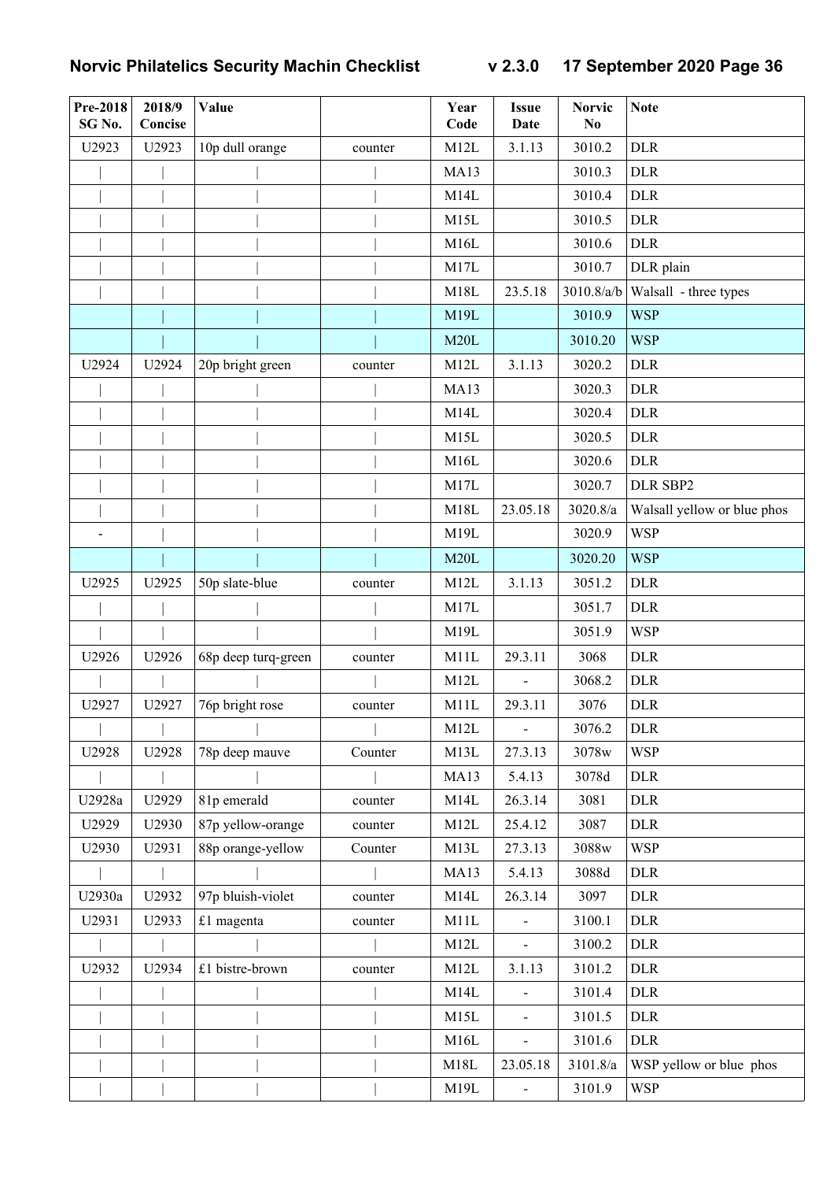| Pre-2018<br>SG No. | 2018/9<br>Concise | Value               |         | Year<br>Code | <b>Issue</b><br>Date     | <b>Norvic</b><br>N <sub>0</sub> | <b>Note</b>                 |
|--------------------|-------------------|---------------------|---------|--------------|--------------------------|---------------------------------|-----------------------------|
| U2923              | U2923             | 10p dull orange     | counter | M12L         | 3.1.13                   | 3010.2                          | <b>DLR</b>                  |
|                    |                   |                     |         | MA13         |                          | 3010.3                          | <b>DLR</b>                  |
|                    |                   |                     |         | M14L         |                          | 3010.4                          | <b>DLR</b>                  |
|                    |                   |                     |         | M15L         |                          | 3010.5                          | <b>DLR</b>                  |
|                    |                   |                     |         | M16L         |                          | 3010.6                          | <b>DLR</b>                  |
|                    |                   |                     |         | M17L         |                          | 3010.7                          | DLR plain                   |
|                    |                   |                     |         | M18L         | 23.5.18                  | 3010.8/a/b                      | Walsall - three types       |
|                    |                   |                     |         | M19L         |                          | 3010.9                          | <b>WSP</b>                  |
|                    |                   |                     |         | M20L         |                          | 3010.20                         | <b>WSP</b>                  |
| U2924              | U2924             | 20p bright green    | counter | M12L         | 3.1.13                   | 3020.2                          | <b>DLR</b>                  |
|                    |                   |                     |         | MA13         |                          | 3020.3                          | <b>DLR</b>                  |
|                    |                   |                     |         | M14L         |                          | 3020.4                          | <b>DLR</b>                  |
|                    |                   |                     |         | M15L         |                          | 3020.5                          | <b>DLR</b>                  |
|                    |                   |                     |         | M16L         |                          | 3020.6                          | <b>DLR</b>                  |
|                    |                   |                     |         | M17L         |                          | 3020.7                          | DLR SBP2                    |
|                    |                   |                     |         | M18L         | 23.05.18                 | 3020.8/a                        | Walsall yellow or blue phos |
|                    |                   |                     |         | M19L         |                          | 3020.9                          | <b>WSP</b>                  |
|                    |                   |                     |         | M20L         |                          | 3020.20                         | <b>WSP</b>                  |
| U2925              | U2925             | 50p slate-blue      | counter | M12L         | 3.1.13                   | 3051.2                          | <b>DLR</b>                  |
|                    |                   |                     |         | M17L         |                          | 3051.7                          | <b>DLR</b>                  |
|                    |                   |                     |         | M19L         |                          | 3051.9                          | <b>WSP</b>                  |
| U2926              | U2926             | 68p deep turq-green | counter | M11L         | 29.3.11                  | 3068                            | <b>DLR</b>                  |
|                    |                   |                     |         | M12L         |                          | 3068.2                          | <b>DLR</b>                  |
| U2927              | U2927             | 76p bright rose     | counter | M11L         | 29.3.11                  | 3076                            | <b>DLR</b>                  |
|                    |                   |                     |         | M12L         | $\overline{a}$           | 3076.2                          | <b>DLR</b>                  |
| U2928              | U2928             | 78p deep mauve      | Counter | M13L         | 27.3.13                  | 3078w                           | <b>WSP</b>                  |
|                    |                   |                     |         | MA13         | 5.4.13                   | 3078d                           | <b>DLR</b>                  |
| U2928a             | U2929             | 81p emerald         | counter | M14L         | 26.3.14                  | 3081                            | <b>DLR</b>                  |
| U2929              | U2930             | 87p yellow-orange   | counter | M12L         | 25.4.12                  | 3087                            | <b>DLR</b>                  |
| U2930              | U2931             | 88p orange-yellow   | Counter | M13L         | 27.3.13                  | 3088w                           | <b>WSP</b>                  |
|                    |                   |                     |         | <b>MA13</b>  | 5.4.13                   | 3088d                           | <b>DLR</b>                  |
| U2930a             | U2932             | 97p bluish-violet   | counter | M14L         | 26.3.14                  | 3097                            | <b>DLR</b>                  |
| U2931              | U2933             | £1 magenta          | counter | M11L         | $\overline{\phantom{a}}$ | 3100.1                          | <b>DLR</b>                  |
|                    |                   |                     |         | M12L         | $\sim$                   | 3100.2                          | <b>DLR</b>                  |
| U2932              | U2934             | £1 bistre-brown     | counter | M12L         | 3.1.13                   | 3101.2                          | <b>DLR</b>                  |
|                    |                   |                     |         | M14L         |                          | 3101.4                          | <b>DLR</b>                  |
|                    |                   |                     |         | M15L         | $\blacksquare$           | 3101.5                          | <b>DLR</b>                  |
|                    |                   |                     |         | M16L         |                          | 3101.6                          | <b>DLR</b>                  |
|                    |                   |                     |         | M18L         | 23.05.18                 | 3101.8/a                        | WSP yellow or blue phos     |
|                    |                   |                     |         | M19L         | $\blacksquare$           | 3101.9                          | <b>WSP</b>                  |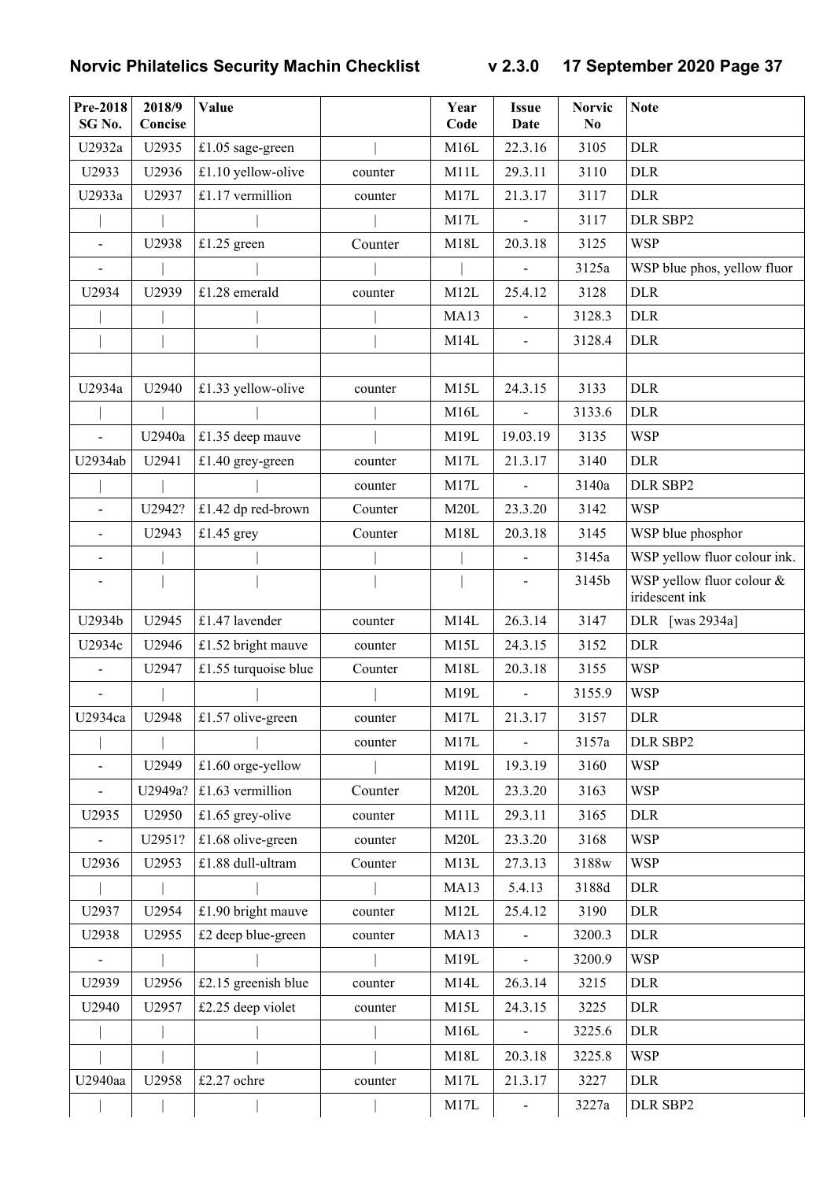| Pre-2018<br>SG No.       | 2018/9<br>Concise | Value                |         | Year<br>Code | <b>Issue</b><br>Date | <b>Norvic</b><br>N <sub>0</sub> | <b>Note</b>                                 |
|--------------------------|-------------------|----------------------|---------|--------------|----------------------|---------------------------------|---------------------------------------------|
| U2932a                   | U2935             | £1.05 sage-green     |         | M16L         | 22.3.16              | 3105                            | <b>DLR</b>                                  |
| U2933                    | U2936             | £1.10 yellow-olive   | counter | M11L         | 29.3.11              | 3110                            | <b>DLR</b>                                  |
| U2933a                   | U2937             | £1.17 vermillion     | counter | M17L         | 21.3.17              | 3117                            | <b>DLR</b>                                  |
|                          |                   |                      |         | M17L         |                      | 3117                            | DLR SBP2                                    |
| $\overline{\phantom{a}}$ | U2938             | £1.25 green          | Counter | M18L         | 20.3.18              | 3125                            | <b>WSP</b>                                  |
|                          |                   |                      |         |              |                      | 3125a                           | WSP blue phos, yellow fluor                 |
| U2934                    | U2939             | £1.28 emerald        | counter | M12L         | 25.4.12              | 3128                            | <b>DLR</b>                                  |
|                          |                   |                      |         | <b>MA13</b>  |                      | 3128.3                          | <b>DLR</b>                                  |
|                          |                   |                      |         | M14L         | $\frac{1}{2}$        | 3128.4                          | <b>DLR</b>                                  |
| U2934a                   | U2940             | £1.33 yellow-olive   | counter | M15L         | 24.3.15              | 3133                            | <b>DLR</b>                                  |
|                          |                   |                      |         | M16L         |                      | 3133.6                          | <b>DLR</b>                                  |
| $\overline{a}$           | U2940a            | £1.35 deep mauve     |         | M19L         | 19.03.19             | 3135                            | <b>WSP</b>                                  |
| U2934ab                  | U2941             | £1.40 grey-green     | counter | M17L         | 21.3.17              | 3140                            | <b>DLR</b>                                  |
|                          |                   |                      | counter | M17L         |                      | 3140a                           | DLR SBP2                                    |
| $\overline{a}$           | U2942?            | £1.42 dp red-brown   | Counter | M20L         | 23.3.20              | 3142                            | <b>WSP</b>                                  |
| $\overline{a}$           | U2943             | £1.45 grey           | Counter | M18L         | 20.3.18              | 3145                            | WSP blue phosphor                           |
| $\overline{a}$           |                   |                      |         |              | $\blacksquare$       | 3145a                           | WSP yellow fluor colour ink.                |
|                          |                   |                      |         |              |                      | 3145b                           | WSP yellow fluor colour &<br>iridescent ink |
| U2934b                   | U2945             | £1.47 lavender       | counter | M14L         | 26.3.14              | 3147                            | DLR [was 2934a]                             |
| U2934c                   | U2946             | £1.52 bright mauve   | counter | M15L         | 24.3.15              | 3152                            | <b>DLR</b>                                  |
|                          | U2947             | £1.55 turquoise blue | Counter | M18L         | 20.3.18              | 3155                            | <b>WSP</b>                                  |
|                          |                   |                      |         | M19L         |                      | 3155.9                          | <b>WSP</b>                                  |
| U2934ca                  | U2948             | $ £1.57$ olive-green | counter | M17L         | 21.3.17              | 3157                            | <b>DLR</b>                                  |
|                          |                   |                      | counter | M17L         | $\blacksquare$       | 3157a                           | DLR SBP2                                    |
| $\overline{\phantom{0}}$ | U2949             | £1.60 orge-yellow    |         | M19L         | 19.3.19              | 3160                            | <b>WSP</b>                                  |
| $\overline{a}$           | U2949a?           | $£1.63$ vermillion   | Counter | M20L         | 23.3.20              | 3163                            | <b>WSP</b>                                  |
| U2935                    | U2950             | £1.65 grey-olive     | counter | M11L         | 29.3.11              | 3165                            | <b>DLR</b>                                  |
| $\overline{a}$           | U2951?            | £1.68 olive-green    | counter | M20L         | 23.3.20              | 3168                            | <b>WSP</b>                                  |
| U2936                    | U2953             | £1.88 dull-ultram    | Counter | M13L         | 27.3.13              | 3188w                           | <b>WSP</b>                                  |
|                          |                   |                      |         | <b>MA13</b>  | 5.4.13               | 3188d                           | <b>DLR</b>                                  |
| U2937                    | U2954             | £1.90 bright mauve   | counter | M12L         | 25.4.12              | 3190                            | <b>DLR</b>                                  |
| U2938                    | U2955             | £2 deep blue-green   | counter | MA13         |                      | 3200.3                          | <b>DLR</b>                                  |
| $\frac{1}{2}$            |                   |                      |         | M19L         | $\blacksquare$       | 3200.9                          | <b>WSP</b>                                  |
| U2939                    | U2956             | £2.15 greenish blue  | counter | M14L         | 26.3.14              | 3215                            | <b>DLR</b>                                  |
| U2940                    | U2957             | £2.25 deep violet    | counter | M15L         | 24.3.15              | 3225                            | <b>DLR</b>                                  |
|                          |                   |                      |         | M16L         |                      | 3225.6                          | <b>DLR</b>                                  |
|                          |                   |                      |         | M18L         | 20.3.18              | 3225.8                          | <b>WSP</b>                                  |
| U2940aa                  | U2958             | £2.27 ochre          | counter | M17L         | 21.3.17              | 3227                            | <b>DLR</b>                                  |
|                          |                   |                      |         | M17L         |                      | 3227a                           | DLR SBP2                                    |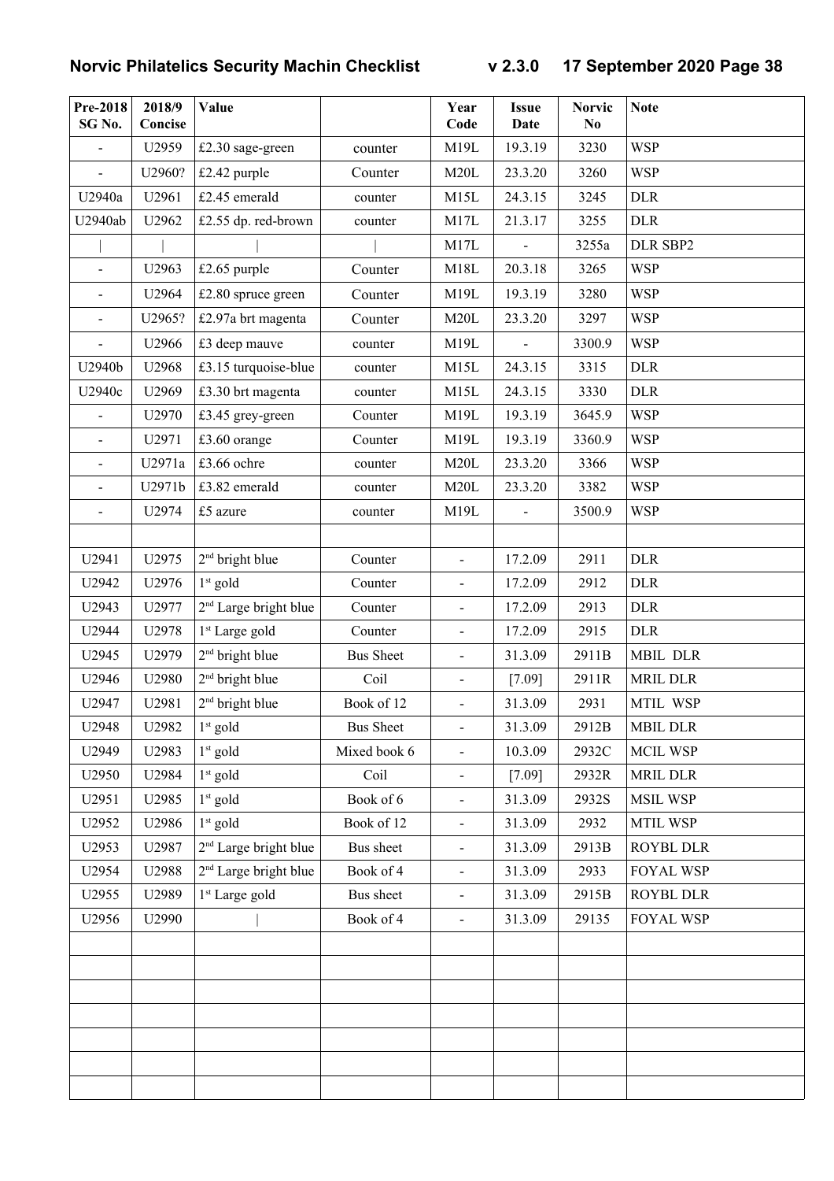| Pre-2018<br>SG No.       | 2018/9<br>Concise | Value                             |                  | Year<br>Code             | <b>Issue</b><br>Date | <b>Norvic</b><br>N <sub>0</sub> | <b>Note</b>      |
|--------------------------|-------------------|-----------------------------------|------------------|--------------------------|----------------------|---------------------------------|------------------|
| $\overline{a}$           | U2959             | £2.30 sage-green                  | counter          | M19L                     | 19.3.19              | 3230                            | <b>WSP</b>       |
| $\frac{1}{2}$            | U2960?            | £2.42 purple                      | Counter          | M20L                     | 23.3.20              | 3260                            | <b>WSP</b>       |
| U2940a                   | U2961             | £2.45 emerald                     | counter          | M15L                     | 24.3.15              | 3245                            | <b>DLR</b>       |
| U2940ab                  | U2962             | £2.55 dp. red-brown               | counter          | M17L                     | 21.3.17              | 3255                            | <b>DLR</b>       |
|                          |                   |                                   |                  | M17L                     | $\overline{a}$       | 3255a                           | DLR SBP2         |
| $\overline{\phantom{a}}$ | U2963             | £2.65 purple                      | Counter          | M18L                     | 20.3.18              | 3265                            | <b>WSP</b>       |
| $\overline{\phantom{a}}$ | U2964             | £2.80 spruce green                | Counter          | M19L                     | 19.3.19              | 3280                            | <b>WSP</b>       |
| $\overline{\phantom{a}}$ | U2965?            | £2.97a brt magenta                | Counter          | M20L                     | 23.3.20              | 3297                            | <b>WSP</b>       |
| $\overline{a}$           | U2966             | £3 deep mauve                     | counter          | M19L                     | $\overline{a}$       | 3300.9                          | <b>WSP</b>       |
| U2940b                   | U2968             | £3.15 turquoise-blue              | counter          | M15L                     | 24.3.15              | 3315                            | <b>DLR</b>       |
| U2940c                   | U2969             | £3.30 brt magenta                 | counter          | M15L                     | 24.3.15              | 3330                            | <b>DLR</b>       |
| $\overline{a}$           | U2970             | £3.45 grey-green                  | Counter          | M19L                     | 19.3.19              | 3645.9                          | <b>WSP</b>       |
| $\blacksquare$           | U2971             | £3.60 orange                      | Counter          | M19L                     | 19.3.19              | 3360.9                          | <b>WSP</b>       |
| $\overline{a}$           | U2971a            | £3.66 ochre                       | counter          | M20L                     | 23.3.20              | 3366                            | <b>WSP</b>       |
| $\overline{\phantom{a}}$ | U2971b            | £3.82 emerald                     | counter          | M20L                     | 23.3.20              | 3382                            | <b>WSP</b>       |
|                          | U2974             | £5 azure                          | counter          | M19L                     | $\frac{1}{2}$        | 3500.9                          | <b>WSP</b>       |
|                          |                   |                                   |                  |                          |                      |                                 |                  |
| U2941                    | U2975             | 2 <sup>nd</sup> bright blue       | Counter          | $\overline{a}$           | 17.2.09              | 2911                            | <b>DLR</b>       |
| U2942                    | U2976             | $1st$ gold                        | Counter          | $\overline{\phantom{0}}$ | 17.2.09              | 2912                            | <b>DLR</b>       |
| U2943                    | U2977             | 2 <sup>nd</sup> Large bright blue | Counter          | $\overline{\phantom{a}}$ | 17.2.09              | 2913                            | <b>DLR</b>       |
| U2944                    | U2978             | 1 <sup>st</sup> Large gold        | Counter          | $\overline{\phantom{0}}$ | 17.2.09              | 2915                            | <b>DLR</b>       |
| U2945                    | U2979             | 2 <sup>nd</sup> bright blue       | <b>Bus Sheet</b> | -                        | 31.3.09              | 2911B                           | MBIL DLR         |
| U2946                    | U2980             | 2 <sup>nd</sup> bright blue       | Coil             | $\overline{\phantom{0}}$ | $[7.09]$             | 2911R                           | <b>MRIL DLR</b>  |
| U2947                    | U2981             | 2 <sup>nd</sup> bright blue       | Book of 12       | $\overline{\phantom{0}}$ | 31.3.09              | 2931                            | MTIL WSP         |
| U2948                    | U2982             | $1st$ gold                        | <b>Bus Sheet</b> | $\overline{\phantom{a}}$ | 31.3.09              | 2912B                           | <b>MBIL DLR</b>  |
| U2949                    | U2983             | $1st$ gold                        | Mixed book 6     | $\overline{\phantom{0}}$ | 10.3.09              | 2932C                           | <b>MCIL WSP</b>  |
| U2950                    | U2984             | $1st$ gold                        | Coil             | -                        | $[7.09]$             | 2932R                           | <b>MRIL DLR</b>  |
| U2951                    | U2985             | $1st$ gold                        | Book of 6        | $\overline{\phantom{0}}$ | 31.3.09              | 2932S                           | <b>MSIL WSP</b>  |
| U2952                    | U2986             | $1st$ gold                        | Book of 12       | $\overline{\phantom{0}}$ | 31.3.09              | 2932                            | MTIL WSP         |
| U2953                    | U2987             | 2 <sup>nd</sup> Large bright blue | Bus sheet        |                          | 31.3.09              | 2913B                           | ROYBL DLR        |
| U2954                    | U2988             | 2 <sup>nd</sup> Large bright blue | Book of 4        | $\blacksquare$           | 31.3.09              | 2933                            | FOYAL WSP        |
| U2955                    | U2989             | 1 <sup>st</sup> Large gold        | Bus sheet        | $\blacksquare$           | 31.3.09              | 2915B                           | ROYBL DLR        |
| U2956                    | U2990             |                                   | Book of 4        | $\overline{\phantom{0}}$ | 31.3.09              | 29135                           | <b>FOYAL WSP</b> |
|                          |                   |                                   |                  |                          |                      |                                 |                  |
|                          |                   |                                   |                  |                          |                      |                                 |                  |
|                          |                   |                                   |                  |                          |                      |                                 |                  |
|                          |                   |                                   |                  |                          |                      |                                 |                  |
|                          |                   |                                   |                  |                          |                      |                                 |                  |
|                          |                   |                                   |                  |                          |                      |                                 |                  |
|                          |                   |                                   |                  |                          |                      |                                 |                  |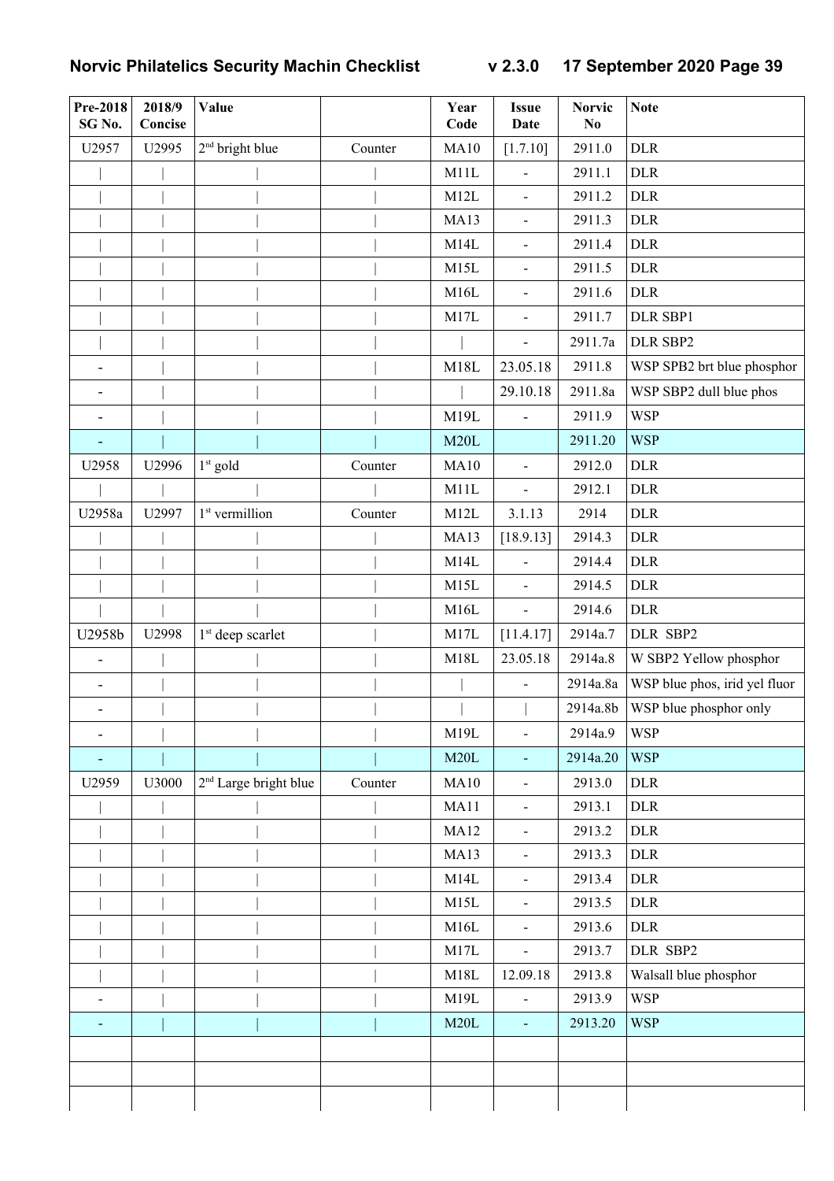| Pre-2018<br>SG No.           | 2018/9<br>Concise | Value                             |         | Year<br>Code | <b>Issue</b><br><b>Date</b> | <b>Norvic</b><br>N <sub>0</sub> | <b>Note</b>                   |
|------------------------------|-------------------|-----------------------------------|---------|--------------|-----------------------------|---------------------------------|-------------------------------|
| U2957                        | U2995             | 2 <sup>nd</sup> bright blue       | Counter | <b>MA10</b>  | [1.7.10]                    | 2911.0                          | <b>DLR</b>                    |
|                              |                   |                                   |         | M11L         | $\blacksquare$              | 2911.1                          | <b>DLR</b>                    |
|                              |                   |                                   |         | M12L         | $\blacksquare$              | 2911.2                          | <b>DLR</b>                    |
|                              |                   |                                   |         | MA13         | $\blacksquare$              | 2911.3                          | <b>DLR</b>                    |
|                              |                   |                                   |         | M14L         | $\blacksquare$              | 2911.4                          | <b>DLR</b>                    |
|                              |                   |                                   |         | M15L         | $\blacksquare$              | 2911.5                          | <b>DLR</b>                    |
|                              |                   |                                   |         | M16L         | $\blacksquare$              | 2911.6                          | <b>DLR</b>                    |
|                              |                   |                                   |         | M17L         | $\blacksquare$              | 2911.7                          | DLR SBP1                      |
|                              |                   |                                   |         |              |                             | 2911.7a                         | DLR SBP2                      |
|                              |                   |                                   |         | M18L         | 23.05.18                    | 2911.8                          | WSP SPB2 brt blue phosphor    |
|                              |                   |                                   |         |              | 29.10.18                    | 2911.8a                         | WSP SBP2 dull blue phos       |
|                              |                   |                                   |         | M19L         | $\overline{\phantom{a}}$    | 2911.9                          | <b>WSP</b>                    |
| $\overline{\phantom{a}}$     |                   |                                   |         | M20L         |                             | 2911.20                         | <b>WSP</b>                    |
| U2958                        | U2996             | $1st$ gold                        | Counter | MA10         | $\blacksquare$              | 2912.0                          | <b>DLR</b>                    |
|                              |                   |                                   |         | M11L         | $\blacksquare$              | 2912.1                          | <b>DLR</b>                    |
| U2958a                       | U2997             | 1 <sup>st</sup> vermillion        | Counter | M12L         | 3.1.13                      | 2914                            | <b>DLR</b>                    |
|                              |                   |                                   |         | MA13         | [18.9.13]                   | 2914.3                          | <b>DLR</b>                    |
|                              |                   |                                   |         | M14L         |                             | 2914.4                          | <b>DLR</b>                    |
|                              |                   |                                   |         | M15L         | $\blacksquare$              | 2914.5                          | $\rm{DLR}$                    |
|                              |                   |                                   |         | M16L         | $\blacksquare$              | 2914.6                          | $\rm{DLR}$                    |
| U2958b                       | U2998             | 1 <sup>st</sup> deep scarlet      |         | M17L         | [11.4.17]                   | 2914a.7                         | DLR SBP2                      |
| $\overline{\phantom{a}}$     |                   |                                   |         | M18L         | 23.05.18                    | 2914a.8                         | W SBP2 Yellow phosphor        |
| $\overline{\phantom{a}}$     |                   |                                   |         |              |                             | 2914a.8a                        | WSP blue phos, irid yel fluor |
| $\qquad \qquad \blacksquare$ |                   |                                   |         |              |                             | 2914a.8b                        | WSP blue phosphor only        |
| $\qquad \qquad \blacksquare$ |                   |                                   |         | M19L         | $\blacksquare$              | 2914a.9                         | <b>WSP</b>                    |
|                              |                   |                                   |         | M20L         | $\blacksquare$              | 2914a.20                        | <b>WSP</b>                    |
| U2959                        | U3000             | 2 <sup>nd</sup> Large bright blue | Counter | MA10         | $\blacksquare$              | 2913.0                          | <b>DLR</b>                    |
|                              |                   |                                   |         | MA11         | $\blacksquare$              | 2913.1                          | <b>DLR</b>                    |
|                              |                   |                                   |         | <b>MA12</b>  | $\blacksquare$              | 2913.2                          | <b>DLR</b>                    |
|                              |                   |                                   |         | <b>MA13</b>  | $\blacksquare$              | 2913.3                          | <b>DLR</b>                    |
|                              |                   |                                   |         | M14L         | $\blacksquare$              | 2913.4                          | <b>DLR</b>                    |
|                              |                   |                                   |         | M15L         | $\blacksquare$              | 2913.5                          | <b>DLR</b>                    |
|                              |                   |                                   |         | M16L         | $\blacksquare$              | 2913.6                          | <b>DLR</b>                    |
|                              |                   |                                   |         | M17L         | $\blacksquare$              | 2913.7                          | DLR SBP2                      |
|                              |                   |                                   |         | M18L         | 12.09.18                    | 2913.8                          | Walsall blue phosphor         |
| $\overline{a}$               |                   |                                   |         | M19L         | $\overline{\phantom{a}}$    | 2913.9                          | <b>WSP</b>                    |
|                              |                   |                                   |         | M20L         | $\omega$                    | 2913.20                         | <b>WSP</b>                    |
|                              |                   |                                   |         |              |                             |                                 |                               |
|                              |                   |                                   |         |              |                             |                                 |                               |
|                              |                   |                                   |         |              |                             |                                 |                               |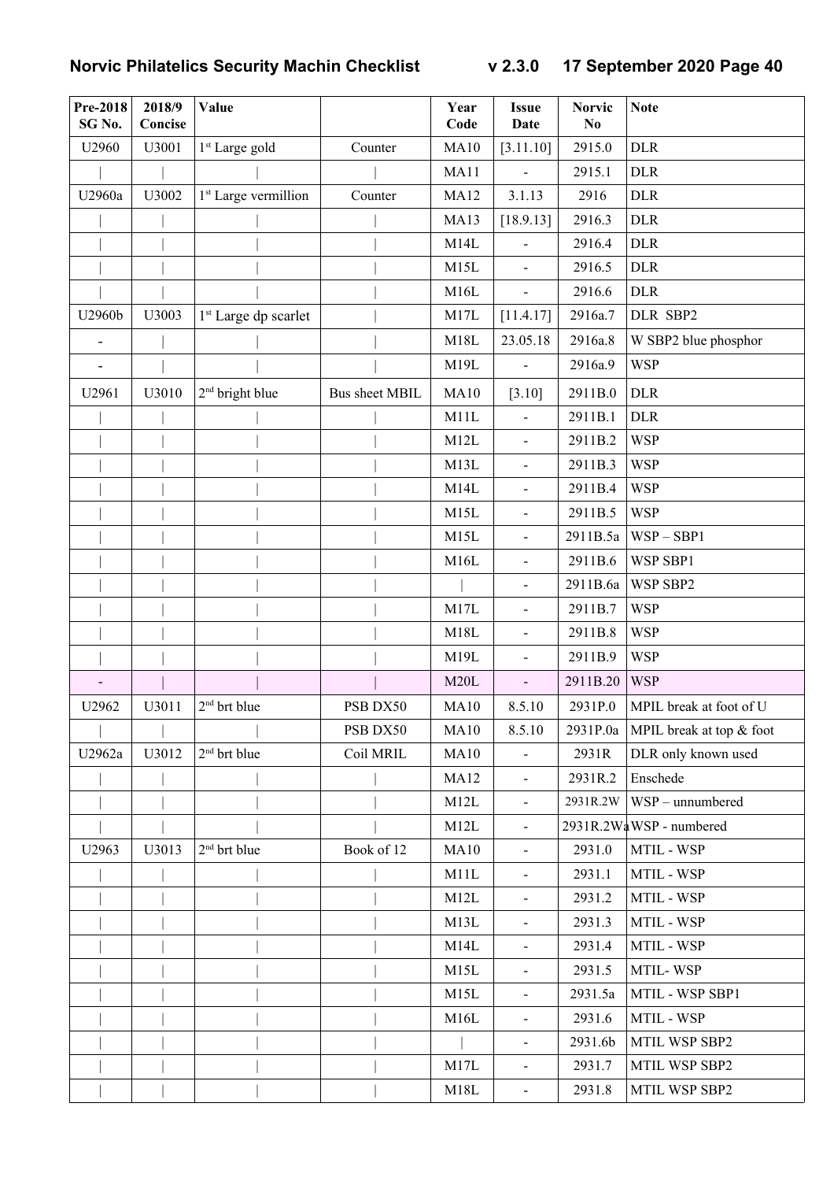| <b>Pre-2018</b><br>SG <sub>No.</sub> | 2018/9<br>Concise | Value                            |                       | Year<br>Code | <b>Issue</b><br><b>Date</b> | <b>Norvic</b><br>N <sub>0</sub> | <b>Note</b>              |
|--------------------------------------|-------------------|----------------------------------|-----------------------|--------------|-----------------------------|---------------------------------|--------------------------|
| U2960                                | U3001             | 1 <sup>st</sup> Large gold       | Counter               | <b>MA10</b>  | [3.11.10]                   | 2915.0                          | <b>DLR</b>               |
|                                      |                   |                                  |                       | <b>MA11</b>  | $\mathbf{r}$                | 2915.1                          | <b>DLR</b>               |
| U2960a                               | U3002             | 1 <sup>st</sup> Large vermillion | Counter               | <b>MA12</b>  | 3.1.13                      | 2916                            | <b>DLR</b>               |
|                                      |                   |                                  |                       | MA13         | [18.9.13]                   | 2916.3                          | <b>DLR</b>               |
|                                      |                   |                                  |                       | M14L         | $\blacksquare$              | 2916.4                          | <b>DLR</b>               |
|                                      |                   |                                  |                       | M15L         | $\blacksquare$              | 2916.5                          | <b>DLR</b>               |
|                                      |                   |                                  |                       | M16L         | $\blacksquare$              | 2916.6                          | <b>DLR</b>               |
| U2960b                               | U3003             | 1 <sup>st</sup> Large dp scarlet |                       | M17L         | [11.4.17]                   | 2916a.7                         | DLR SBP2                 |
| $\overline{\phantom{a}}$             |                   |                                  |                       | M18L         | 23.05.18                    | 2916a.8                         | W SBP2 blue phosphor     |
| $\overline{\phantom{0}}$             |                   |                                  |                       | M19L         | $\overline{\phantom{a}}$    | 2916a.9                         | <b>WSP</b>               |
| U2961                                | U3010             | $2nd$ bright blue                | <b>Bus sheet MBIL</b> | MA10         | [3.10]                      | 2911B.0                         | <b>DLR</b>               |
|                                      |                   |                                  |                       | M11L         |                             | 2911B.1                         | <b>DLR</b>               |
|                                      |                   |                                  |                       | M12L         | $\blacksquare$              | 2911B.2                         | <b>WSP</b>               |
|                                      |                   |                                  |                       | M13L         | $\blacksquare$              | 2911B.3                         | <b>WSP</b>               |
|                                      |                   |                                  |                       | M14L         | $\blacksquare$              | 2911B.4                         | <b>WSP</b>               |
|                                      |                   |                                  |                       | M15L         | $\blacksquare$              | 2911B.5                         | <b>WSP</b>               |
|                                      |                   |                                  |                       | M15L         | $\blacksquare$              | 2911B.5a                        | $WSP - SBP1$             |
|                                      |                   |                                  |                       | M16L         | $\blacksquare$              | 2911B.6                         | WSP SBP1                 |
|                                      |                   |                                  |                       |              | $\blacksquare$              | 2911B.6a                        | WSP SBP2                 |
|                                      |                   |                                  |                       | M17L         | $\blacksquare$              | 2911B.7                         | <b>WSP</b>               |
|                                      |                   |                                  |                       | M18L         | $\blacksquare$              | 2911B.8                         | <b>WSP</b>               |
|                                      |                   |                                  |                       | M19L         | $\blacksquare$              | 2911B.9                         | <b>WSP</b>               |
|                                      |                   |                                  |                       | M20L         | $\blacksquare$              | 2911B.20                        | <b>WSP</b>               |
| U2962                                | U3011             | 2 <sup>nd</sup> brt blue         | PSB DX50              | MA10         | 8.5.10                      | 2931P.0                         | MPIL break at foot of U  |
|                                      |                   |                                  | PSB DX50              | MA10         | 8.5.10                      | 2931P.0a                        | MPIL break at top & foot |
| U2962a                               | U3012             | $2nd$ brt blue                   | Coil MRIL             | MA10         |                             | 2931R                           | DLR only known used      |
|                                      |                   |                                  |                       | <b>MA12</b>  | $\blacksquare$              | 2931R.2                         | Enschede                 |
|                                      |                   |                                  |                       | M12L         | $\blacksquare$              | 2931R.2W                        | WSP - unnumbered         |
|                                      |                   |                                  |                       | M12L         | $\blacksquare$              |                                 | 2931R.2WaWSP - numbered  |
| U2963                                | U3013             | $2nd$ brt blue                   | Book of 12            | <b>MA10</b>  | $\blacksquare$              | 2931.0                          | MTIL - WSP               |
|                                      |                   |                                  |                       | M11L         | $\blacksquare$              | 2931.1                          | MTIL - WSP               |
|                                      |                   |                                  |                       | M12L         | $\blacksquare$              | 2931.2                          | MTIL - WSP               |
|                                      |                   |                                  |                       | M13L         | $\blacksquare$              | 2931.3                          | MTIL - WSP               |
|                                      |                   |                                  |                       | M14L         | $\blacksquare$              | 2931.4                          | MTIL - WSP               |
|                                      |                   |                                  |                       | M15L         | $\blacksquare$              | 2931.5                          | MTIL-WSP                 |
|                                      |                   |                                  |                       | M15L         | $\blacksquare$              | 2931.5a                         | MTIL - WSP SBP1          |
|                                      |                   |                                  |                       | M16L         | $\blacksquare$              | 2931.6                          | MTIL - WSP               |
|                                      |                   |                                  |                       |              | $\blacksquare$              | 2931.6b                         | MTIL WSP SBP2            |
|                                      |                   |                                  |                       | M17L         | $\blacksquare$              | 2931.7                          | MTIL WSP SBP2            |
|                                      |                   |                                  |                       | M18L         | $\blacksquare$              | 2931.8                          | MTIL WSP SBP2            |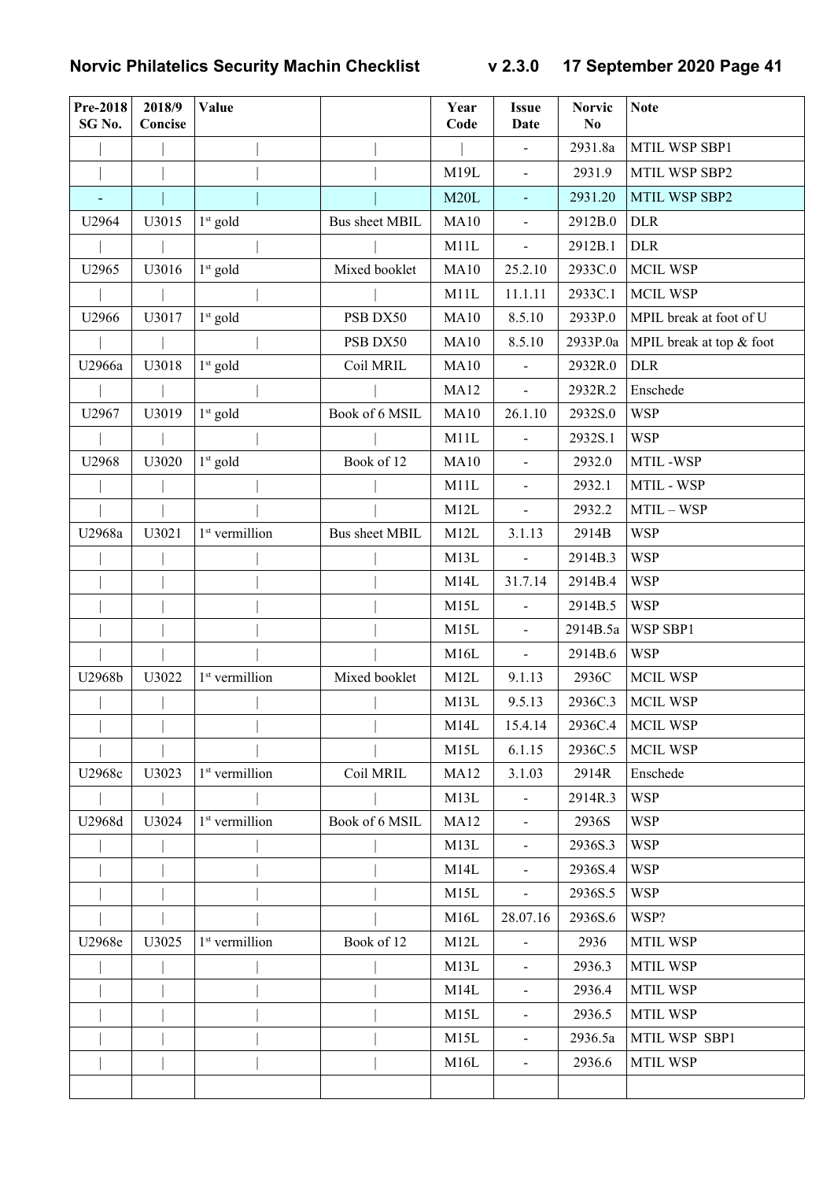| Pre-2018<br>SG No. | 2018/9<br>Concise | Value                      |                       | Year<br>Code | <b>Issue</b><br>Date     | <b>Norvic</b><br>N <sub>0</sub> | <b>Note</b>              |
|--------------------|-------------------|----------------------------|-----------------------|--------------|--------------------------|---------------------------------|--------------------------|
|                    |                   |                            |                       |              | $\blacksquare$           | 2931.8a                         | MTIL WSP SBP1            |
|                    |                   |                            |                       | M19L         | $\blacksquare$           | 2931.9                          | MTIL WSP SBP2            |
|                    |                   |                            |                       | M20L         | $\equiv$                 | 2931.20                         | MTIL WSP SBP2            |
| U2964              | U3015             | $1st$ gold                 | <b>Bus sheet MBIL</b> | MA10         | $\blacksquare$           | 2912B.0                         | <b>DLR</b>               |
|                    |                   |                            |                       | M11L         | $\blacksquare$           | 2912B.1                         | <b>DLR</b>               |
| U2965              | U3016             | $1st$ gold                 | Mixed booklet         | <b>MA10</b>  | 25.2.10                  | 2933C.0                         | <b>MCIL WSP</b>          |
|                    |                   |                            |                       | M11L         | 11.1.11                  | 2933C.1                         | <b>MCIL WSP</b>          |
| U2966              | U3017             | $1st$ gold                 | PSB DX50              | <b>MA10</b>  | 8.5.10                   | 2933P.0                         | MPIL break at foot of U  |
|                    |                   |                            | PSB DX50              | MA10         | 8.5.10                   | 2933P.0a                        | MPIL break at top & foot |
| U2966a             | U3018             | $1st$ gold                 | Coil MRIL             | MA10         | $\overline{\phantom{a}}$ | 2932R.0                         | <b>DLR</b>               |
|                    |                   |                            |                       | <b>MA12</b>  | $\Box$                   | 2932R.2                         | Enschede                 |
| U2967              | U3019             | $1st$ gold                 | Book of 6 MSIL        | <b>MA10</b>  | 26.1.10                  | 2932S.0                         | <b>WSP</b>               |
|                    |                   |                            |                       | M11L         | $\blacksquare$           | 2932S.1                         | <b>WSP</b>               |
| U2968              | U3020             | $1st$ gold                 | Book of 12            | <b>MA10</b>  | $\blacksquare$           | 2932.0                          | MTIL-WSP                 |
|                    |                   |                            |                       | M11L         | $\blacksquare$           | 2932.1                          | MTIL - WSP               |
|                    |                   |                            |                       | M12L         | $\blacksquare$           | 2932.2                          | MTIL - WSP               |
| U2968a             | U3021             | 1 <sup>st</sup> vermillion | <b>Bus sheet MBIL</b> | M12L         | 3.1.13                   | 2914B                           | <b>WSP</b>               |
|                    |                   |                            |                       | M13L         | $\blacksquare$           | 2914B.3                         | <b>WSP</b>               |
|                    |                   |                            |                       | M14L         | 31.7.14                  | 2914B.4                         | <b>WSP</b>               |
|                    |                   |                            |                       | M15L         |                          | 2914B.5                         | <b>WSP</b>               |
|                    |                   |                            |                       | M15L         | $\blacksquare$           | 2914B.5a                        | WSP SBP1                 |
|                    |                   |                            |                       | M16L         | $\blacksquare$           | 2914B.6                         | <b>WSP</b>               |
| U2968b             | U3022             | 1 <sup>st</sup> vermillion | Mixed booklet         | M12L         | 9.1.13                   | 2936C                           | <b>MCIL WSP</b>          |
|                    |                   |                            |                       | M13L         | 9.5.13                   | 2936C.3                         | <b>MCIL WSP</b>          |
|                    |                   |                            |                       | M14L         | 15.4.14                  | 2936C.4                         | <b>MCIL WSP</b>          |
|                    |                   |                            |                       | M15L         | 6.1.15                   | 2936C.5                         | <b>MCIL WSP</b>          |
| U2968c             | U3023             | 1 <sup>st</sup> vermillion | Coil MRIL             | <b>MA12</b>  | 3.1.03                   | 2914R                           | Enschede                 |
|                    |                   |                            |                       | M13L         |                          | 2914R.3                         | <b>WSP</b>               |
| U2968d             | U3024             | 1 <sup>st</sup> vermillion | Book of 6 MSIL        | <b>MA12</b>  |                          | 2936S                           | <b>WSP</b>               |
|                    |                   |                            |                       | M13L         | $\blacksquare$           | 2936S.3                         | <b>WSP</b>               |
|                    |                   |                            |                       | M14L         | $\blacksquare$           | 2936S.4                         | <b>WSP</b>               |
|                    |                   |                            |                       | M15L         | $\blacksquare$           | 2936S.5                         | <b>WSP</b>               |
|                    |                   |                            |                       | M16L         | 28.07.16                 | 2936S.6                         | WSP?                     |
| U2968e             | U3025             | 1 <sup>st</sup> vermillion | Book of 12            | M12L         |                          | 2936                            | <b>MTIL WSP</b>          |
|                    |                   |                            |                       | M13L         | $\blacksquare$           | 2936.3                          | <b>MTIL WSP</b>          |
|                    |                   |                            |                       | M14L         |                          | 2936.4                          | <b>MTIL WSP</b>          |
|                    |                   |                            |                       | M15L         | $\blacksquare$           | 2936.5                          | <b>MTIL WSP</b>          |
|                    |                   |                            |                       | M15L         | $\blacksquare$           | 2936.5a                         | MTIL WSP SBP1            |
|                    |                   |                            |                       | M16L         | $\blacksquare$           | 2936.6                          | <b>MTIL WSP</b>          |
|                    |                   |                            |                       |              |                          |                                 |                          |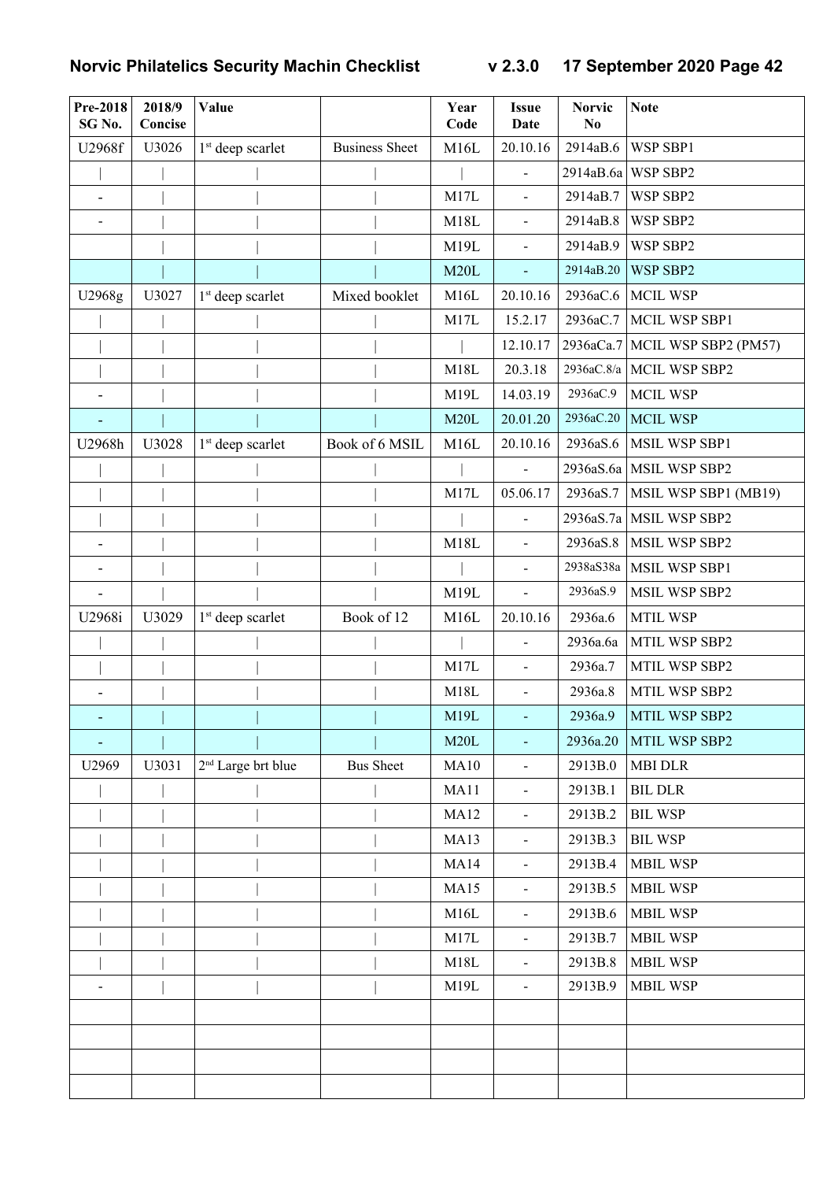| Pre-2018<br>SG No.       | 2018/9<br>Concise | Value                          |                       | Year<br>Code | <b>Issue</b><br><b>Date</b> | <b>Norvic</b><br>N <sub>0</sub> | <b>Note</b>                |
|--------------------------|-------------------|--------------------------------|-----------------------|--------------|-----------------------------|---------------------------------|----------------------------|
| U2968f                   | U3026             | $1st$ deep scarlet             | <b>Business Sheet</b> | M16L         | 20.10.16                    | 2914aB.6                        | WSP SBP1                   |
|                          |                   |                                |                       |              |                             | 2914aB.6a                       | WSP SBP2                   |
| $\overline{\phantom{0}}$ |                   |                                |                       | M17L         | $\blacksquare$              | 2914aB.7                        | WSP SBP2                   |
|                          |                   |                                |                       | M18L         | $\blacksquare$              | 2914aB.8                        | WSP SBP2                   |
|                          |                   |                                |                       | M19L         | $\blacksquare$              | 2914aB.9                        | WSP SBP2                   |
|                          |                   |                                |                       | M20L         | $\overline{\phantom{a}}$    | 2914aB.20                       | WSP SBP2                   |
| U2968g                   | U3027             | 1 <sup>st</sup> deep scarlet   | Mixed booklet         | M16L         | 20.10.16                    | 2936aC.6                        | <b>MCIL WSP</b>            |
|                          |                   |                                |                       | M17L         | 15.2.17                     | 2936aC.7                        | MCIL WSP SBP1              |
|                          |                   |                                |                       |              | 12.10.17                    | 2936aCa.7                       | MCIL WSP SBP2 (PM57)       |
|                          |                   |                                |                       | M18L         | 20.3.18                     |                                 | 2936aC.8/a   MCIL WSP SBP2 |
| $\overline{\phantom{0}}$ |                   |                                |                       | M19L         | 14.03.19                    | 2936aC.9                        | <b>MCIL WSP</b>            |
|                          |                   |                                |                       | M20L         | 20.01.20                    | 2936aC.20                       | <b>MCIL WSP</b>            |
| U2968h                   | U3028             | $1st$ deep scarlet             | Book of 6 MSIL        | M16L         | 20.10.16                    | 2936aS.6                        | MSIL WSP SBP1              |
|                          |                   |                                |                       |              |                             | 2936aS.6a                       | MSIL WSP SBP2              |
|                          |                   |                                |                       | M17L         | 05.06.17                    | 2936aS.7                        | MSIL WSP SBP1 (MB19)       |
|                          |                   |                                |                       |              |                             |                                 | 2936aS.7a   MSIL WSP SBP2  |
|                          |                   |                                |                       | M18L         | $\overline{a}$              | 2936aS.8                        | MSIL WSP SBP2              |
|                          |                   |                                |                       |              | $\overline{\phantom{a}}$    | 2938aS38a                       | MSIL WSP SBP1              |
|                          |                   |                                |                       | M19L         | $\overline{a}$              | 2936aS.9                        | MSIL WSP SBP2              |
| U2968i                   | U3029             | $1st$ deep scarlet             | Book of 12            | M16L         | 20.10.16                    | 2936a.6                         | MTIL WSP                   |
|                          |                   |                                |                       |              | $\overline{a}$              | 2936a.6a                        | MTIL WSP SBP2              |
|                          |                   |                                |                       | M17L         | $\overline{\phantom{a}}$    | 2936a.7                         | MTIL WSP SBP2              |
|                          |                   |                                |                       | M18L         | $\blacksquare$              | 2936a.8                         | MTIL WSP SBP2              |
|                          |                   |                                |                       | M19L         | $\sim$                      | 2936a.9                         | MTIL WSP SBP2              |
| $\overline{\phantom{a}}$ |                   |                                |                       | M20L         |                             | 2936a.20                        | MTIL WSP SBP2              |
| U2969                    | U3031             | 2 <sup>nd</sup> Large brt blue | <b>Bus Sheet</b>      | MA10         | $\blacksquare$              | 2913B.0                         | <b>MBI DLR</b>             |
|                          |                   |                                |                       | MA11         | $\blacksquare$              | 2913B.1                         | <b>BIL DLR</b>             |
|                          |                   |                                |                       | <b>MA12</b>  | $\blacksquare$              | 2913B.2                         | <b>BIL WSP</b>             |
|                          |                   |                                |                       | <b>MA13</b>  | $\blacksquare$              | 2913B.3                         | <b>BIL WSP</b>             |
|                          |                   |                                |                       | <b>MA14</b>  | $\blacksquare$              | 2913B.4                         | <b>MBIL WSP</b>            |
|                          |                   |                                |                       | <b>MA15</b>  | $\blacksquare$              | 2913B.5                         | <b>MBIL WSP</b>            |
|                          |                   |                                |                       | M16L         | $\blacksquare$              | 2913B.6                         | <b>MBIL WSP</b>            |
|                          |                   |                                |                       | M17L         |                             | 2913B.7                         | <b>MBIL WSP</b>            |
|                          |                   |                                |                       | M18L         | $\blacksquare$              | 2913B.8                         | <b>MBIL WSP</b>            |
|                          |                   |                                |                       | M19L         | $\blacksquare$              | 2913B.9                         | <b>MBIL WSP</b>            |
|                          |                   |                                |                       |              |                             |                                 |                            |
|                          |                   |                                |                       |              |                             |                                 |                            |
|                          |                   |                                |                       |              |                             |                                 |                            |
|                          |                   |                                |                       |              |                             |                                 |                            |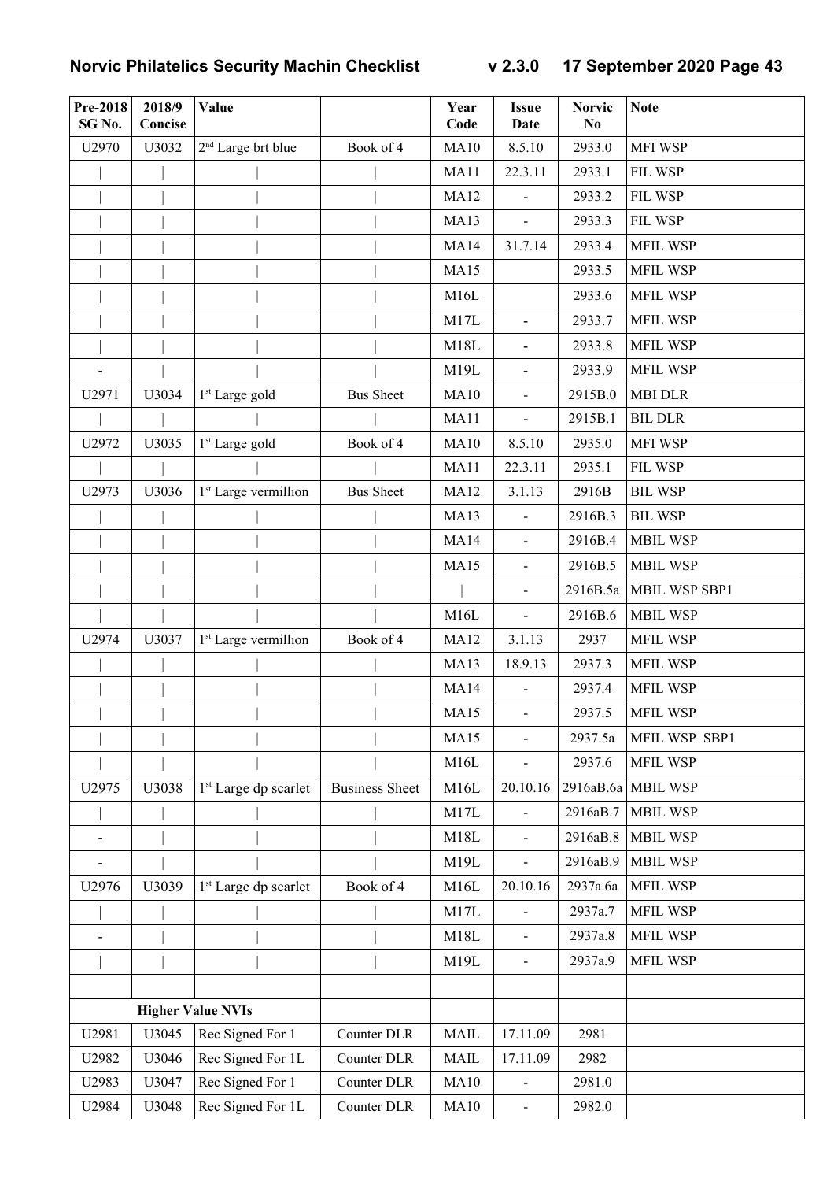| <b>Pre-2018</b><br>SG No. | 2018/9<br>Concise | Value                            |                       | Year<br>Code | <b>Issue</b><br><b>Date</b>  | <b>Norvic</b><br>N <sub>0</sub> | <b>Note</b>        |
|---------------------------|-------------------|----------------------------------|-----------------------|--------------|------------------------------|---------------------------------|--------------------|
| U2970                     | U3032             | 2 <sup>nd</sup> Large brt blue   | Book of 4             | <b>MA10</b>  | 8.5.10                       | 2933.0                          | MFI WSP            |
|                           |                   |                                  |                       | MA11         | 22.3.11                      | 2933.1                          | FIL WSP            |
|                           |                   |                                  |                       | <b>MA12</b>  | $\overline{\phantom{a}}$     | 2933.2                          | FIL WSP            |
|                           |                   |                                  |                       | <b>MA13</b>  | $\overline{a}$               | 2933.3                          | FIL WSP            |
|                           |                   |                                  |                       | <b>MA14</b>  | 31.7.14                      | 2933.4                          | <b>MFIL WSP</b>    |
|                           |                   |                                  |                       | <b>MA15</b>  |                              | 2933.5                          | MFIL WSP           |
|                           |                   |                                  |                       | M16L         |                              | 2933.6                          | <b>MFIL WSP</b>    |
|                           |                   |                                  |                       | M17L         | $\overline{\phantom{a}}$     | 2933.7                          | <b>MFIL WSP</b>    |
|                           |                   |                                  |                       | M18L         | $\overline{\phantom{a}}$     | 2933.8                          | <b>MFIL WSP</b>    |
| $\overline{\phantom{0}}$  |                   |                                  |                       | M19L         | $\overline{\phantom{a}}$     | 2933.9                          | <b>MFIL WSP</b>    |
| U2971                     | U3034             | 1 <sup>st</sup> Large gold       | <b>Bus Sheet</b>      | <b>MA10</b>  | $\blacksquare$               | 2915B.0                         | <b>MBI DLR</b>     |
|                           |                   |                                  |                       | <b>MA11</b>  | $\overline{\phantom{a}}$     | 2915B.1                         | <b>BIL DLR</b>     |
| U2972                     | U3035             | 1 <sup>st</sup> Large gold       | Book of 4             | <b>MA10</b>  | 8.5.10                       | 2935.0                          | MFI WSP            |
|                           |                   |                                  |                       | <b>MA11</b>  | 22.3.11                      | 2935.1                          | FIL WSP            |
| U2973                     | U3036             | 1 <sup>st</sup> Large vermillion | <b>Bus Sheet</b>      | <b>MA12</b>  | 3.1.13                       | 2916B                           | <b>BIL WSP</b>     |
|                           |                   |                                  |                       | <b>MA13</b>  | $\blacksquare$               | 2916B.3                         | <b>BIL WSP</b>     |
|                           |                   |                                  |                       | <b>MA14</b>  | $\blacksquare$               | 2916B.4                         | <b>MBIL WSP</b>    |
|                           |                   |                                  |                       | <b>MA15</b>  | $\blacksquare$               | 2916B.5                         | <b>MBIL WSP</b>    |
|                           |                   |                                  |                       |              | $\blacksquare$               | 2916B.5a                        | MBIL WSP SBP1      |
|                           |                   |                                  |                       | M16L         | $\blacksquare$               | 2916B.6                         | <b>MBIL WSP</b>    |
| U2974                     | U3037             | 1 <sup>st</sup> Large vermillion | Book of 4             | <b>MA12</b>  | 3.1.13                       | 2937                            | MFIL WSP           |
|                           |                   |                                  |                       | <b>MA13</b>  | 18.9.13                      | 2937.3                          | <b>MFIL WSP</b>    |
|                           |                   |                                  |                       | <b>MA14</b>  | $\overline{\phantom{a}}$     | 2937.4                          | <b>MFIL WSP</b>    |
|                           |                   |                                  |                       | <b>MA15</b>  | $\blacksquare$               | 2937.5                          | <b>MFIL WSP</b>    |
|                           |                   |                                  |                       | <b>MA15</b>  | $\qquad \qquad -$            | 2937.5a                         | MFIL WSP SBP1      |
|                           |                   |                                  |                       | M16L         |                              | 2937.6                          | <b>MFIL WSP</b>    |
| U2975                     | U3038             | 1 <sup>st</sup> Large dp scarlet | <b>Business Sheet</b> | M16L         | 20.10.16                     |                                 | 2916aB.6a MBIL WSP |
|                           |                   |                                  |                       | M17L         |                              | 2916aB.7                        | <b>MBIL WSP</b>    |
|                           |                   |                                  |                       | M18L         | $\qquad \qquad \blacksquare$ | 2916aB.8                        | <b>MBIL WSP</b>    |
| $\overline{\phantom{0}}$  |                   |                                  |                       | M19L         | $\frac{1}{2}$                | 2916aB.9                        | <b>MBIL WSP</b>    |
| U2976                     | U3039             | 1 <sup>st</sup> Large dp scarlet | Book of 4             | M16L         | 20.10.16                     | 2937a.6a                        | <b>MFIL WSP</b>    |
|                           |                   |                                  |                       | M17L         |                              | 2937a.7                         | <b>MFIL WSP</b>    |
|                           |                   |                                  |                       | M18L         | $\blacksquare$               | 2937a.8                         | <b>MFIL WSP</b>    |
|                           |                   |                                  |                       | M19L         | $\blacksquare$               | 2937a.9                         | MFIL WSP           |
|                           |                   |                                  |                       |              |                              |                                 |                    |
|                           |                   | <b>Higher Value NVIs</b>         |                       |              |                              |                                 |                    |
| U2981                     | U3045             | Rec Signed For 1                 | Counter DLR           | <b>MAIL</b>  | 17.11.09                     | 2981                            |                    |
| U2982                     | U3046             | Rec Signed For 1L                | Counter DLR           | <b>MAIL</b>  | 17.11.09                     | 2982                            |                    |
| U2983                     | U3047             | Rec Signed For 1                 | Counter DLR           | MA10         |                              | 2981.0                          |                    |
| U2984                     | U3048             | Rec Signed For 1L                | Counter DLR           | MA10         | $\blacksquare$               | 2982.0                          |                    |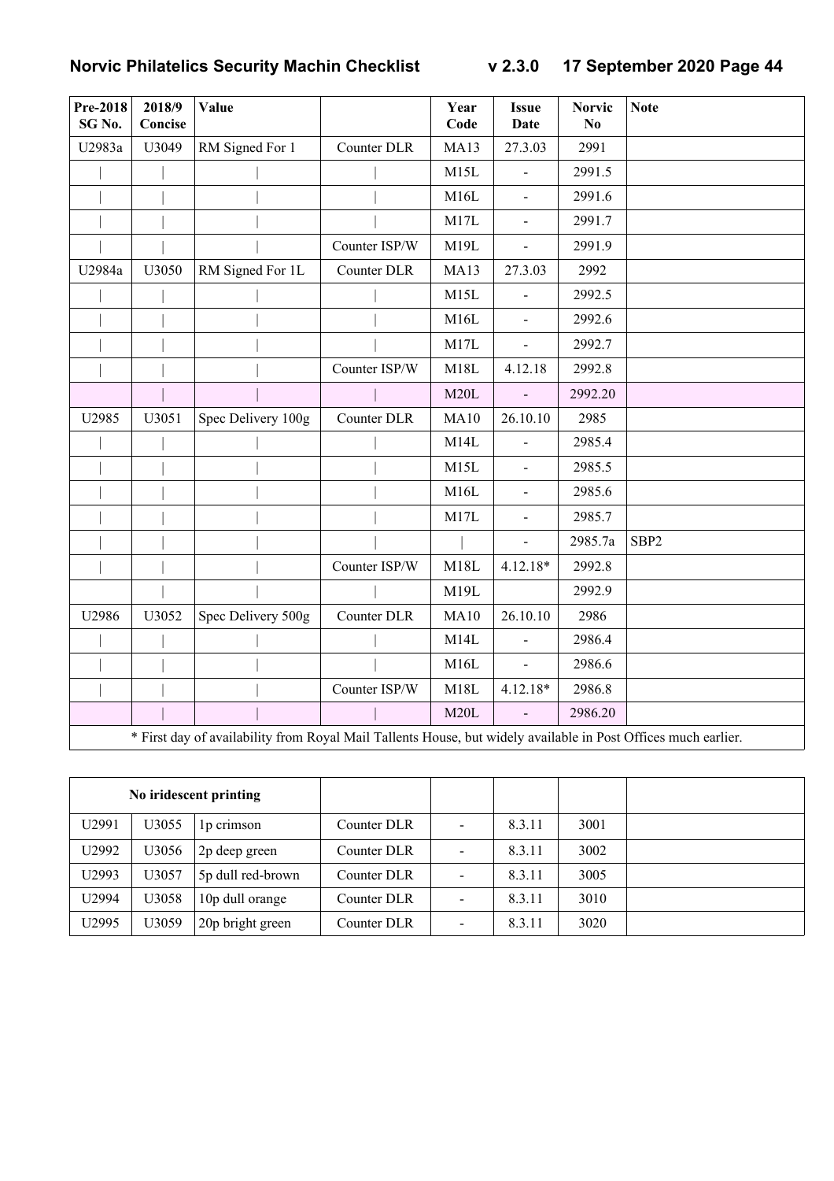| <b>Pre-2018</b><br>SG No. | 2018/9<br>Concise | Value                                                                                                          |               | Year<br>Code | <b>Issue</b><br>Date | <b>Norvic</b><br>N <sub>0</sub> | <b>Note</b>      |
|---------------------------|-------------------|----------------------------------------------------------------------------------------------------------------|---------------|--------------|----------------------|---------------------------------|------------------|
| U2983a                    | U3049             | RM Signed For 1                                                                                                | Counter DLR   | <b>MA13</b>  | 27.3.03              | 2991                            |                  |
|                           |                   |                                                                                                                |               | M15L         |                      | 2991.5                          |                  |
|                           |                   |                                                                                                                |               | M16L         |                      | 2991.6                          |                  |
|                           |                   |                                                                                                                |               | M17L         | $\blacksquare$       | 2991.7                          |                  |
|                           |                   |                                                                                                                | Counter ISP/W | M19L         | $\blacksquare$       | 2991.9                          |                  |
| U2984a                    | U3050             | RM Signed For 1L                                                                                               | Counter DLR   | <b>MA13</b>  | 27.3.03              | 2992                            |                  |
|                           |                   |                                                                                                                |               | M15L         |                      | 2992.5                          |                  |
|                           |                   |                                                                                                                |               | M16L         |                      | 2992.6                          |                  |
|                           |                   |                                                                                                                |               | M17L         | $\blacksquare$       | 2992.7                          |                  |
|                           |                   |                                                                                                                | Counter ISP/W | M18L         | 4.12.18              | 2992.8                          |                  |
|                           |                   |                                                                                                                |               | M20L         |                      | 2992.20                         |                  |
| U2985                     | U3051             | Spec Delivery 100g                                                                                             | Counter DLR   | MA10         | 26.10.10             | 2985                            |                  |
|                           |                   |                                                                                                                |               | M14L         |                      | 2985.4                          |                  |
|                           |                   |                                                                                                                |               | M15L         | $\blacksquare$       | 2985.5                          |                  |
|                           |                   |                                                                                                                |               | M16L         | $\blacksquare$       | 2985.6                          |                  |
|                           |                   |                                                                                                                |               | M17L         | $\blacksquare$       | 2985.7                          |                  |
|                           |                   |                                                                                                                |               |              |                      | 2985.7a                         | SBP <sub>2</sub> |
|                           |                   |                                                                                                                | Counter ISP/W | M18L         | 4.12.18*             | 2992.8                          |                  |
|                           |                   |                                                                                                                |               | M19L         |                      | 2992.9                          |                  |
| U2986                     | U3052             | Spec Delivery 500g                                                                                             | Counter DLR   | <b>MA10</b>  | 26.10.10             | 2986                            |                  |
|                           |                   |                                                                                                                |               | M14L         |                      | 2986.4                          |                  |
|                           |                   |                                                                                                                |               | M16L         |                      | 2986.6                          |                  |
|                           |                   |                                                                                                                | Counter ISP/W | M18L         | 4.12.18*             | 2986.8                          |                  |
|                           |                   |                                                                                                                |               | M20L         | $\bar{\phantom{a}}$  | 2986.20                         |                  |
|                           |                   | * First day of availability from Royal Mail Tallents House, but widely available in Post Offices much earlier. |               |              |                      |                                 |                  |

| No iridescent printing |       |                   |             |        |      |  |
|------------------------|-------|-------------------|-------------|--------|------|--|
| U2991                  | U3055 | 1p crimson        | Counter DLR | 8.3.11 | 3001 |  |
| U2992                  | U3056 | 2p deep green     | Counter DLR | 8.3.11 | 3002 |  |
| U2993                  | U3057 | 5p dull red-brown | Counter DLR | 8.3.11 | 3005 |  |
| U2994                  | U3058 | 10p dull orange   | Counter DLR | 8.3.11 | 3010 |  |
| U2995                  | U3059 | 20p bright green  | Counter DLR | 8.3.11 | 3020 |  |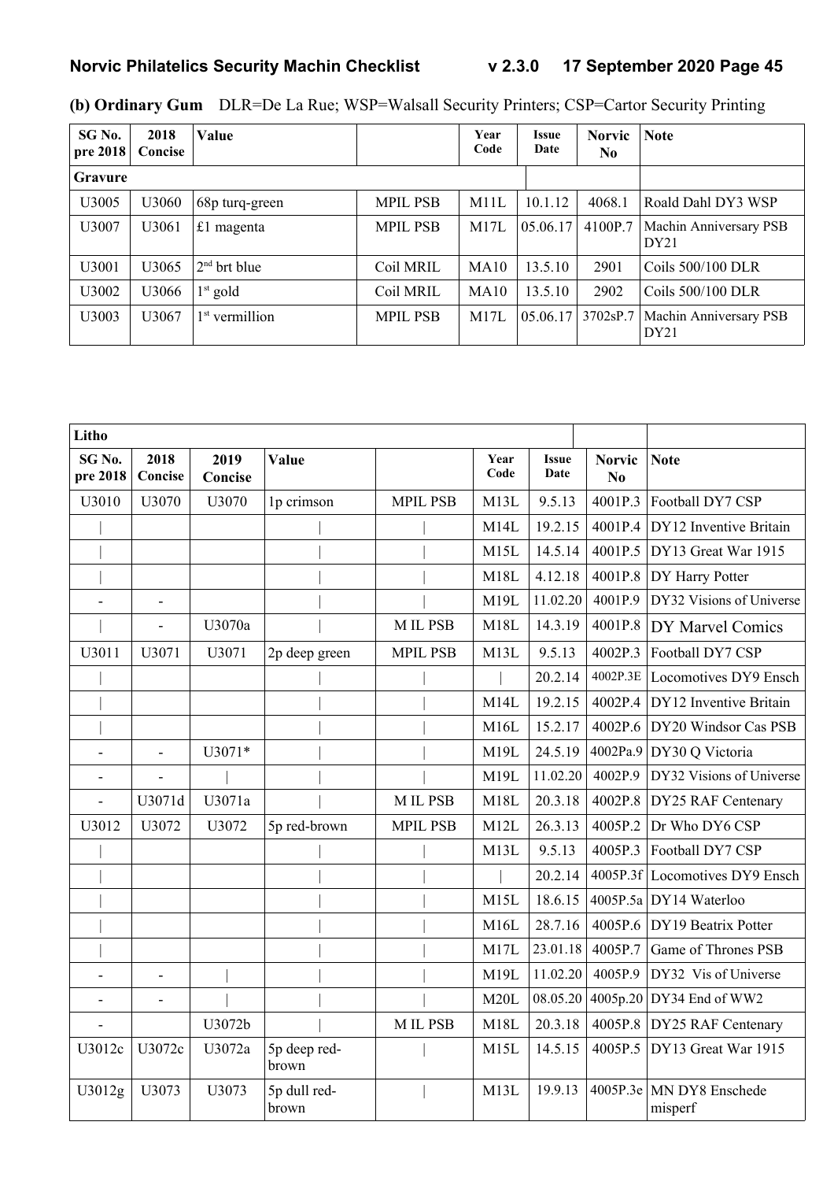| SG No.<br>pre 2018 | 2018<br>Concise   | Value            |                 | Year<br>Code | <b>Issue</b><br>Date | <b>Norvic</b><br>N <sub>0</sub> | <b>Note</b>                                |
|--------------------|-------------------|------------------|-----------------|--------------|----------------------|---------------------------------|--------------------------------------------|
| <b>Gravure</b>     |                   |                  |                 |              |                      |                                 |                                            |
| U3005              | U3060             | 68p turq-green   | <b>MPIL PSB</b> | M11L         | 10.1.12              | 4068.1                          | Roald Dahl DY3 WSP                         |
| U3007              | U3061             | £1 magenta       | <b>MPIL PSB</b> | M17L         | 05.06.17             | 4100P.7                         | Machin Anniversary PSB<br>DY21             |
| U3001              | U3065             | $2nd$ brt blue   | Coil MRIL       | MA10         | 13.5.10              | 2901                            | Coils 500/100 DLR                          |
| U3002              | U3066             | $1st$ gold       | Coil MRIL       | MA10         | 13.5.10              | 2902                            | Coils 500/100 DLR                          |
| U3003              | U <sub>3067</sub> | $1st$ vermillion | <b>MPIL PSB</b> | M17L         | 05.06.17             | 3702sP.7                        | Machin Anniversary PSB<br>DY <sub>21</sub> |

|  | (b) Ordinary Gum DLR=De La Rue; WSP=Walsall Security Printers; CSP=Cartor Security Printing |  |
|--|---------------------------------------------------------------------------------------------|--|
|  |                                                                                             |  |

| Litho                         |                          |                 |                       |                 |              |                      |                                 |                                   |
|-------------------------------|--------------------------|-----------------|-----------------------|-----------------|--------------|----------------------|---------------------------------|-----------------------------------|
| SG <sub>No.</sub><br>pre 2018 | 2018<br>Concise          | 2019<br>Concise | Value                 |                 | Year<br>Code | <b>Issue</b><br>Date | <b>Norvic</b><br>N <sub>0</sub> | <b>Note</b>                       |
| U3010                         | U3070                    | U3070           | 1p crimson            | <b>MPIL PSB</b> | M13L         | 9.5.13               | 4001P.3                         | Football DY7 CSP                  |
|                               |                          |                 |                       |                 | M14L         | 19.2.15              | 4001P.4                         | DY12 Inventive Britain            |
|                               |                          |                 |                       |                 | M15L         | 14.5.14              | 4001P.5                         | DY13 Great War 1915               |
|                               |                          |                 |                       |                 | M18L         | 4.12.18              | 4001P.8                         | DY Harry Potter                   |
| $\overline{a}$                | $\overline{\phantom{a}}$ |                 |                       |                 | M19L         | 11.02.20             | 4001P.9                         | DY32 Visions of Universe          |
|                               | $\overline{\phantom{a}}$ | U3070a          |                       | M IL PSB        | M18L         | 14.3.19              | 4001P.8                         | DY Marvel Comics                  |
| U3011                         | U3071                    | U3071           | 2p deep green         | <b>MPIL PSB</b> | M13L         | 9.5.13               | 4002P.3                         | Football DY7 CSP                  |
|                               |                          |                 |                       |                 |              | 20.2.14              | 4002P.3E                        | Locomotives DY9 Ensch             |
|                               |                          |                 |                       |                 | M14L         | 19.2.15              | 4002P.4                         | DY12 Inventive Britain            |
|                               |                          |                 |                       |                 | M16L         | 15.2.17              | 4002P.6                         | DY20 Windsor Cas PSB              |
|                               | L,                       | U3071*          |                       |                 | M19L         | 24.5.19              | 4002Pa.9                        | DY30 Q Victoria                   |
| $\overline{a}$                | L,                       |                 |                       |                 | M19L         | 11.02.20             | 4002P.9                         | DY32 Visions of Universe          |
| L,                            | U3071d                   | U3071a          |                       | <b>MILPSB</b>   | M18L         | 20.3.18              | 4002P.8                         | DY25 RAF Centenary                |
| U3012                         | U3072                    | U3072           | 5p red-brown          | <b>MPIL PSB</b> | M12L         | 26.3.13              | 4005P.2                         | Dr Who DY6 CSP                    |
|                               |                          |                 |                       |                 | M13L         | 9.5.13               | 4005P.3                         | Football DY7 CSP                  |
|                               |                          |                 |                       |                 |              | 20.2.14              | 4005P.3f                        | Locomotives DY9 Ensch             |
|                               |                          |                 |                       |                 | M15L         | 18.6.15              | 4005P.5a                        | DY14 Waterloo                     |
|                               |                          |                 |                       |                 | M16L         | 28.7.16              | 4005P.6                         | DY19 Beatrix Potter               |
|                               |                          |                 |                       |                 | M17L         | 23.01.18             | 4005P.7                         | Game of Thrones PSB               |
|                               | $\overline{\phantom{a}}$ |                 |                       |                 | M19L         | 11.02.20             | 4005P.9                         | DY32 Vis of Universe              |
| $\overline{a}$                | $\overline{a}$           |                 |                       |                 | M20L         | 08.05.20             | 4005p.20                        | DY34 End of WW2                   |
|                               |                          | U3072b          |                       | <b>MILPSB</b>   | M18L         | 20.3.18              | 4005P.8                         | DY25 RAF Centenary                |
| U3012c                        | U3072c                   | U3072a          | 5p deep red-<br>brown |                 | M15L         | 14.5.15              | 4005P.5                         | DY13 Great War 1915               |
| U3012g                        | U3073                    | U3073           | 5p dull red-<br>brown |                 | M13L         | 19.9.13              | 4005P.3e                        | <b>MN DY8 Enschede</b><br>misperf |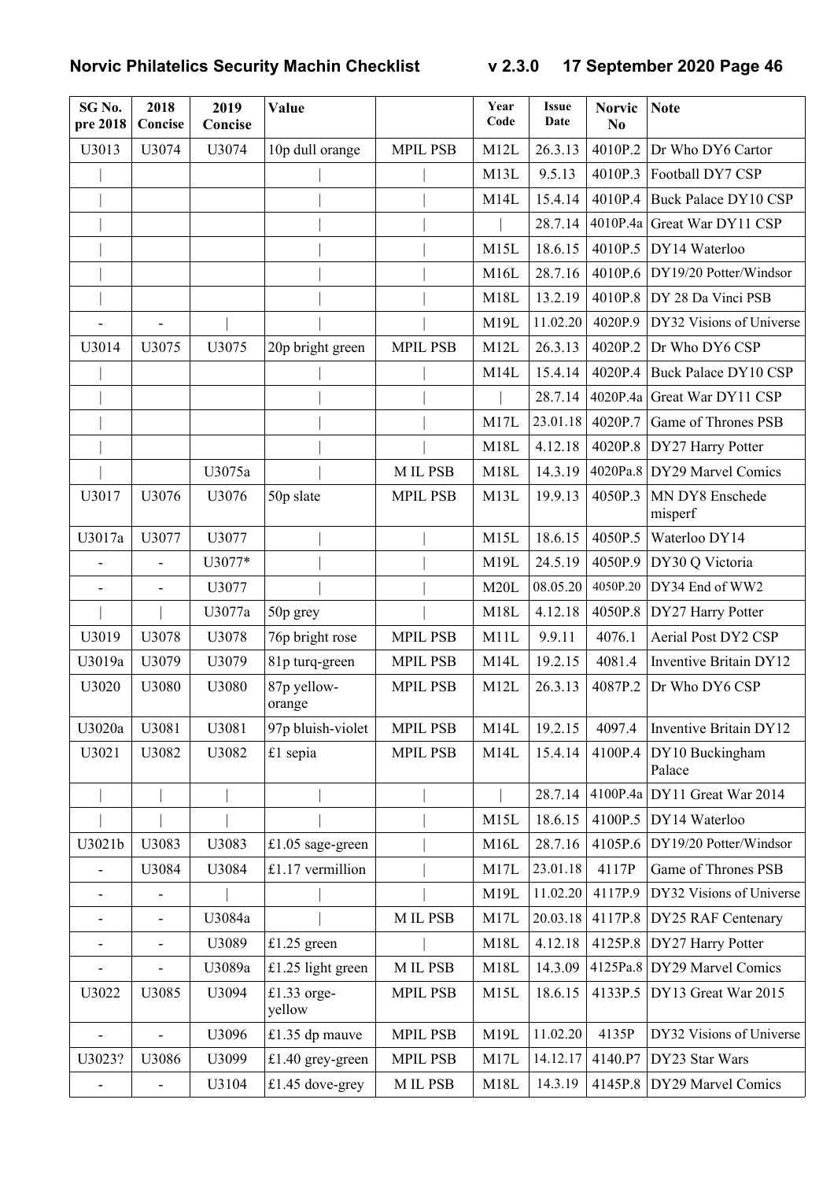| SG No.<br>pre 2018           | 2018<br>Concise              | 2019<br>Concise | <b>Value</b>            |                 | Year<br>Code | <b>Issue</b><br>Date | <b>Norvic</b><br>N <sub>0</sub> | <b>Note</b>                 |
|------------------------------|------------------------------|-----------------|-------------------------|-----------------|--------------|----------------------|---------------------------------|-----------------------------|
| U3013                        | U3074                        | U3074           | 10p dull orange         | <b>MPIL PSB</b> | M12L         | 26.3.13              | 4010P.2                         | Dr Who DY6 Cartor           |
|                              |                              |                 |                         |                 | M13L         | 9.5.13               | 4010P.3                         | Football DY7 CSP            |
|                              |                              |                 |                         |                 | M14L         | 15.4.14              | 4010P.4                         | <b>Buck Palace DY10 CSP</b> |
|                              |                              |                 |                         |                 |              | 28.7.14              | 4010P.4a                        | Great War DY11 CSP          |
|                              |                              |                 |                         |                 | M15L         | 18.6.15              | 4010P.5                         | DY14 Waterloo               |
|                              |                              |                 |                         |                 | M16L         | 28.7.16              | 4010P.6                         | DY19/20 Potter/Windsor      |
|                              |                              |                 |                         |                 | M18L         | 13.2.19              | 4010P.8                         | DY 28 Da Vinci PSB          |
|                              | $\overline{\phantom{a}}$     |                 |                         |                 | M19L         | 11.02.20             | 4020P.9                         | DY32 Visions of Universe    |
| U3014                        | U3075                        | U3075           | 20p bright green        | <b>MPIL PSB</b> | M12L         | 26.3.13              | 4020P.2                         | Dr Who DY6 CSP              |
|                              |                              |                 |                         |                 | M14L         | 15.4.14              | 4020P.4                         | <b>Buck Palace DY10 CSP</b> |
|                              |                              |                 |                         |                 |              | 28.7.14              | 4020P.4a                        | Great War DY11 CSP          |
|                              |                              |                 |                         |                 | M17L         | 23.01.18             | 4020P.7                         | Game of Thrones PSB         |
|                              |                              |                 |                         |                 | M18L         | 4.12.18              | 4020P.8                         | DY27 Harry Potter           |
|                              |                              | U3075a          |                         | M IL PSB        | M18L         | 14.3.19              |                                 | 4020Pa.8 DY29 Marvel Comics |
| U3017                        | U3076                        | U3076           | 50p slate               | <b>MPIL PSB</b> | M13L         | 19.9.13              | 4050P.3                         | MN DY8 Enschede<br>misperf  |
| U3017a                       | U3077                        | U3077           |                         |                 | M15L         | 18.6.15              | 4050P.5                         | Waterloo DY14               |
| L,                           | $\qquad \qquad \blacksquare$ | U3077*          |                         |                 | M19L         | 24.5.19              | 4050P.9                         | DY30 Q Victoria             |
|                              |                              | U3077           |                         |                 | M20L         | 08.05.20             | 4050P.20                        | DY34 End of WW2             |
|                              |                              | U3077a          | 50p grey                |                 | M18L         | 4.12.18              | 4050P.8                         | DY27 Harry Potter           |
| U3019                        | U3078                        | U3078           | 76p bright rose         | <b>MPIL PSB</b> | M11L         | 9.9.11               | 4076.1                          | Aerial Post DY2 CSP         |
| U3019a                       | U3079                        | U3079           | 81p turq-green          | <b>MPIL PSB</b> | M14L         | 19.2.15              | 4081.4                          | Inventive Britain DY12      |
| U3020                        | U3080                        | U3080           | 87p yellow-<br>orange   | <b>MPIL PSB</b> | M12L         | 26.3.13              | 4087P.2                         | Dr Who DY6 CSP              |
| U3020a                       | U3081                        | U3081           | 97p bluish-violet       | <b>MPIL PSB</b> | M14L         | 19.2.15              | 4097.4                          | Inventive Britain DY12      |
| U3021                        | U3082                        | U3082           | £1 sepia                | <b>MPIL PSB</b> | M14L         | 15.4.14              | 4100P.4                         | DY10 Buckingham<br>Palace   |
|                              |                              |                 |                         |                 |              | 28.7.14              | 4100P.4a                        | DY11 Great War 2014         |
|                              |                              |                 |                         |                 | M15L         | 18.6.15              | 4100P.5                         | DY14 Waterloo               |
| U3021b                       | U3083                        | U3083           | £1.05 sage-green        |                 | M16L         | 28.7.16              | 4105P.6                         | DY19/20 Potter/Windsor      |
| $\qquad \qquad \blacksquare$ | U3084                        | U3084           | £1.17 vermillion        |                 | M17L         | 23.01.18             | 4117P                           | Game of Thrones PSB         |
| $\qquad \qquad \blacksquare$ | ٠                            |                 |                         |                 | M19L         | 11.02.20             | 4117P.9                         | DY32 Visions of Universe    |
| $\overline{\phantom{a}}$     | $\overline{\phantom{0}}$     | U3084a          |                         | M IL PSB        | M17L         | 20.03.18             | 4117P.8                         | DY25 RAF Centenary          |
| -                            | $\overline{\phantom{0}}$     | U3089           | £1.25 green             |                 | M18L         | 4.12.18              | 4125P.8                         | DY27 Harry Potter           |
|                              | -                            | U3089a          | £1.25 light green       | M IL PSB        | M18L         | 14.3.09              |                                 | 4125Pa.8 DY29 Marvel Comics |
| U3022                        | U3085                        | U3094           | $£1.33$ orge-<br>yellow | <b>MPIL PSB</b> | M15L         | 18.6.15              | 4133P.5                         | DY13 Great War 2015         |
|                              |                              | U3096           | £1.35 dp mauve          | <b>MPIL PSB</b> | M19L         | 11.02.20             | 4135P                           | DY32 Visions of Universe    |
| U3023?                       | U3086                        | U3099           | £1.40 grey-green        | <b>MPIL PSB</b> | M17L         | 14.12.17             | 4140.P7                         | DY23 Star Wars              |
|                              |                              | U3104           | £1.45 dove-grey         | M IL PSB        | M18L         | 14.3.19              | 4145P.8                         | DY29 Marvel Comics          |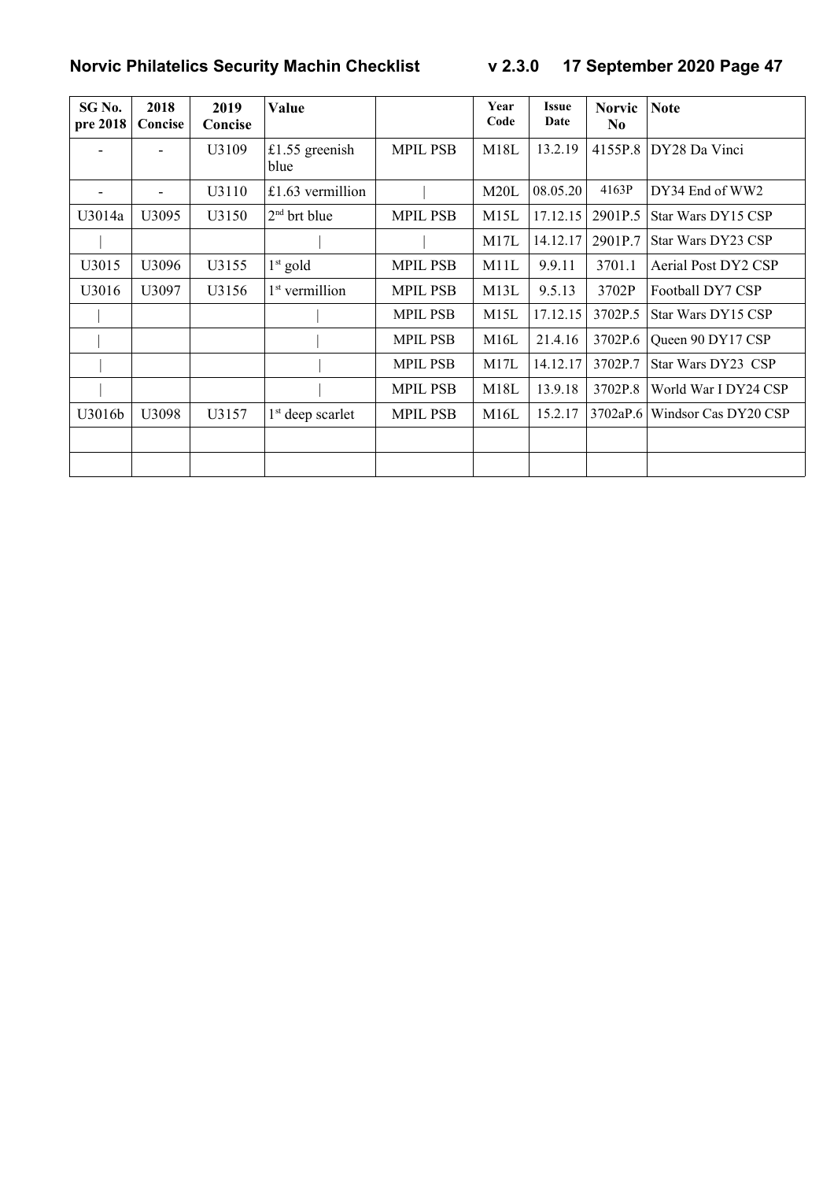| SG No.<br>pre 2018       | 2018<br>Concise | 2019<br>Concise | Value                      |                 | Year<br>Code | <b>Issue</b><br>Date | <b>Norvic</b><br>N <sub>0</sub> | <b>Note</b>          |
|--------------------------|-----------------|-----------------|----------------------------|-----------------|--------------|----------------------|---------------------------------|----------------------|
|                          |                 | U3109           | £1.55 greenish<br>blue     | <b>MPIL PSB</b> | M18L         | 13.2.19              | 4155P.8                         | DY28 Da Vinci        |
| $\overline{\phantom{a}}$ | $\overline{a}$  | U3110           | £1.63 vermillion           |                 | M20L         | 08.05.20             | 4163P                           | DY34 End of WW2      |
| U3014a                   | U3095           | U3150           | $2nd$ brt blue             | <b>MPIL PSB</b> | M15L         | 17.12.15             | 2901P.5                         | Star Wars DY15 CSP   |
|                          |                 |                 |                            |                 | M17L         | 14.12.17             | 2901P.7                         | Star Wars DY23 CSP   |
| U3015                    | U3096           | U3155           | $1st$ gold                 | <b>MPIL PSB</b> | M11L         | 9.9.11               | 3701.1                          | Aerial Post DY2 CSP  |
| U3016                    | U3097           | U3156           | 1 <sup>st</sup> vermillion | <b>MPIL PSB</b> | M13L         | 9.5.13               | 3702P                           | Football DY7 CSP     |
|                          |                 |                 |                            | <b>MPIL PSB</b> | M15L         | 17.12.15             | 3702P.5                         | Star Wars DY15 CSP   |
|                          |                 |                 |                            | <b>MPIL PSB</b> | M16L         | 21.4.16              | 3702P.6                         | Queen 90 DY17 CSP    |
|                          |                 |                 |                            | <b>MPIL PSB</b> | M17L         | 14.12.17             | 3702P.7                         | Star Wars DY23 CSP   |
|                          |                 |                 |                            | <b>MPIL PSB</b> | M18L         | 13.9.18              | 3702P.8                         | World War I DY24 CSP |
| U3016b                   | U3098           | U3157           | $1st$ deep scarlet         | <b>MPIL PSB</b> | M16L         | 15.2.17              | 3702aP.6                        | Windsor Cas DY20 CSP |
|                          |                 |                 |                            |                 |              |                      |                                 |                      |
|                          |                 |                 |                            |                 |              |                      |                                 |                      |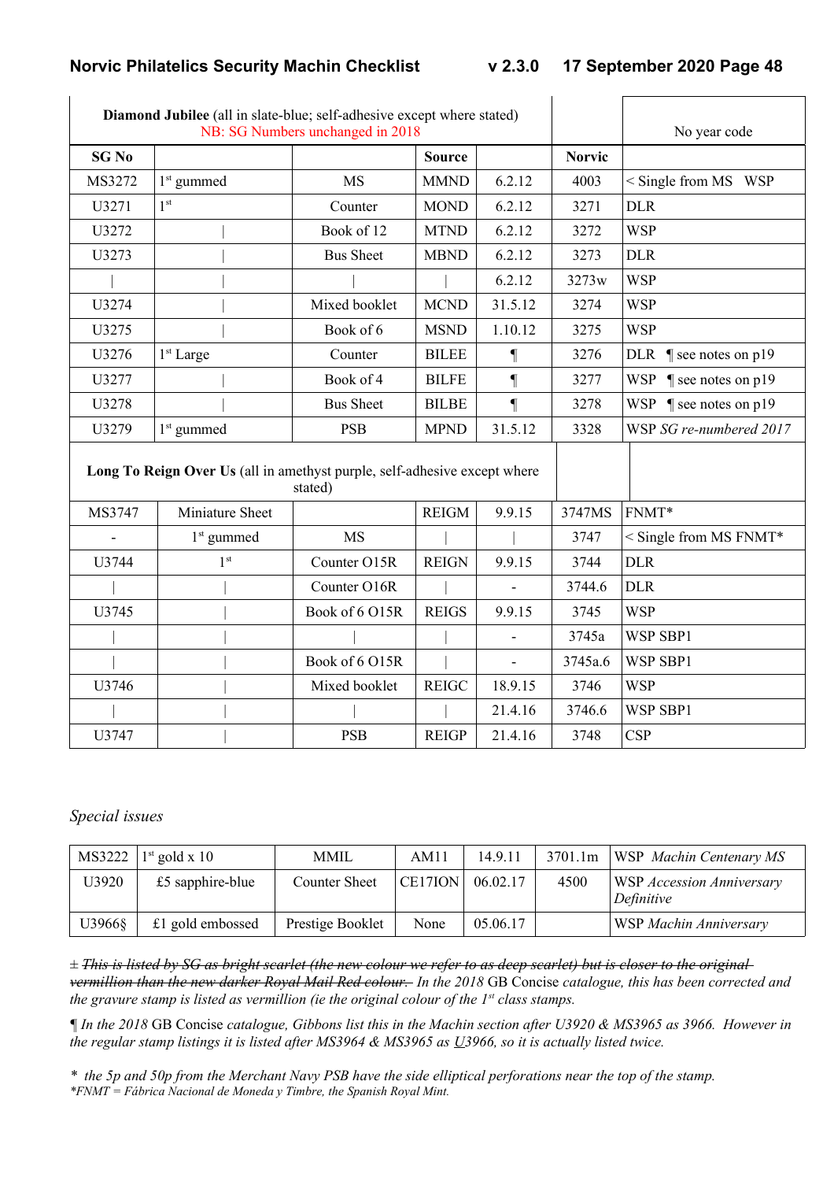|              | Diamond Jubilee (all in slate-blue; self-adhesive except where stated)<br>NB: SG Numbers unchanged in 2018 |                  | No year code  |                          |               |                                  |
|--------------|------------------------------------------------------------------------------------------------------------|------------------|---------------|--------------------------|---------------|----------------------------------|
| <b>SG No</b> |                                                                                                            |                  | <b>Source</b> |                          | <b>Norvic</b> |                                  |
| MS3272       | $1st$ gummed                                                                                               | <b>MS</b>        | <b>MMND</b>   | 6.2.12                   | 4003          | $\le$ Single from MS WSP         |
| U3271        | 1 <sup>st</sup>                                                                                            | Counter          | <b>MOND</b>   | 6.2.12                   | 3271          | <b>DLR</b>                       |
| U3272        |                                                                                                            | Book of 12       | <b>MTND</b>   | 6.2.12                   | 3272          | <b>WSP</b>                       |
| U3273        |                                                                                                            | <b>Bus Sheet</b> | <b>MBND</b>   | 6.2.12                   | 3273          | <b>DLR</b>                       |
|              |                                                                                                            |                  |               | 6.2.12                   | 3273w         | <b>WSP</b>                       |
| U3274        |                                                                                                            | Mixed booklet    | <b>MCND</b>   | 31.5.12                  | 3274          | <b>WSP</b>                       |
| U3275        |                                                                                                            | Book of 6        | <b>MSND</b>   | 1.10.12                  | 3275          | <b>WSP</b>                       |
| U3276        | 1 <sup>st</sup> Large                                                                                      | Counter          | <b>BILEE</b>  | $\P$                     | 3276          | DLR $\parallel$ see notes on p19 |
| U3277        |                                                                                                            | Book of 4        | <b>BILFE</b>  | $\P$                     | 3277          | WSP $\parallel$ see notes on p19 |
| U3278        |                                                                                                            | <b>Bus Sheet</b> | <b>BILBE</b>  | $\P$                     | 3278          | WSP $\parallel$ see notes on p19 |
| U3279        | $1st$ gummed                                                                                               | <b>PSB</b>       | <b>MPND</b>   | 31.5.12                  | 3328          | WSP SG re-numbered 2017          |
|              | Long To Reign Over Us (all in amethyst purple, self-adhesive except where                                  | stated)          |               |                          |               |                                  |
| MS3747       | Miniature Sheet                                                                                            |                  | <b>REIGM</b>  | 9.9.15                   | 3747MS        | FNMT*                            |
|              | 1 <sup>st</sup> gummed                                                                                     | <b>MS</b>        |               |                          | 3747          | $<$ Single from MS FNMT*         |
| U3744        | 1 <sup>st</sup>                                                                                            | Counter O15R     | <b>REIGN</b>  | 9.9.15                   | 3744          | <b>DLR</b>                       |
|              |                                                                                                            | Counter O16R     |               |                          | 3744.6        | <b>DLR</b>                       |
| U3745        |                                                                                                            | Book of 6 O15R   | <b>REIGS</b>  | 9.9.15                   | 3745          | <b>WSP</b>                       |
|              |                                                                                                            |                  |               | $\overline{\phantom{a}}$ | 3745a         | WSP SBP1                         |
|              |                                                                                                            | Book of 6 O15R   |               | $\overline{a}$           | 3745a.6       | WSP SBP1                         |
| U3746        |                                                                                                            | Mixed booklet    | <b>REIGC</b>  | 18.9.15                  | 3746          | <b>WSP</b>                       |
|              |                                                                                                            |                  |               | 21.4.16                  | 3746.6        | WSP SBP1                         |
| U3747        |                                                                                                            | <b>PSB</b>       | <b>REIGP</b>  | 21.4.16                  | 3748          | <b>CSP</b>                       |

#### *Special issues*

|        | MS3222   $1^{st}$ gold x 10 | <b>MMIL</b>      | AM11    | 14.9.11  | 3701.1m | <b>WSP</b> Machin Centenary MS                 |
|--------|-----------------------------|------------------|---------|----------|---------|------------------------------------------------|
| U3920  | $£5$ sapphire-blue          | Counter Sheet    | CE17ION | 06.02.17 | 4500    | <b>WSP</b> Accession Anniversary<br>Definitive |
| U3966§ | $£1$ gold embossed          | Prestige Booklet | None    | 05.06.17 |         | WSP Machin Anniversary                         |

*± This is listed by SG as bright scarlet (the new colour we refer to as deep scarlet) but is closer to the original vermillion than the new darker Royal Mail Red colour. In the 2018* GB Concise *catalogue, this has been corrected and the gravure stamp is listed as vermillion (ie the original colour of the 1st class stamps.*

*¶ In the 2018* GB Concise *catalogue, Gibbons list this in the Machin section after U3920 & MS3965 as 3966. However in the regular stamp listings it is listed after MS3964 & MS3965 as U3966, so it is actually listed twice.*

*\* the 5p and 50p from the Merchant Navy PSB have the side elliptical perforations near the top of the stamp. \*FNMT = Fábrica Nacional de Moneda y Timbre, the Spanish Royal Mint.*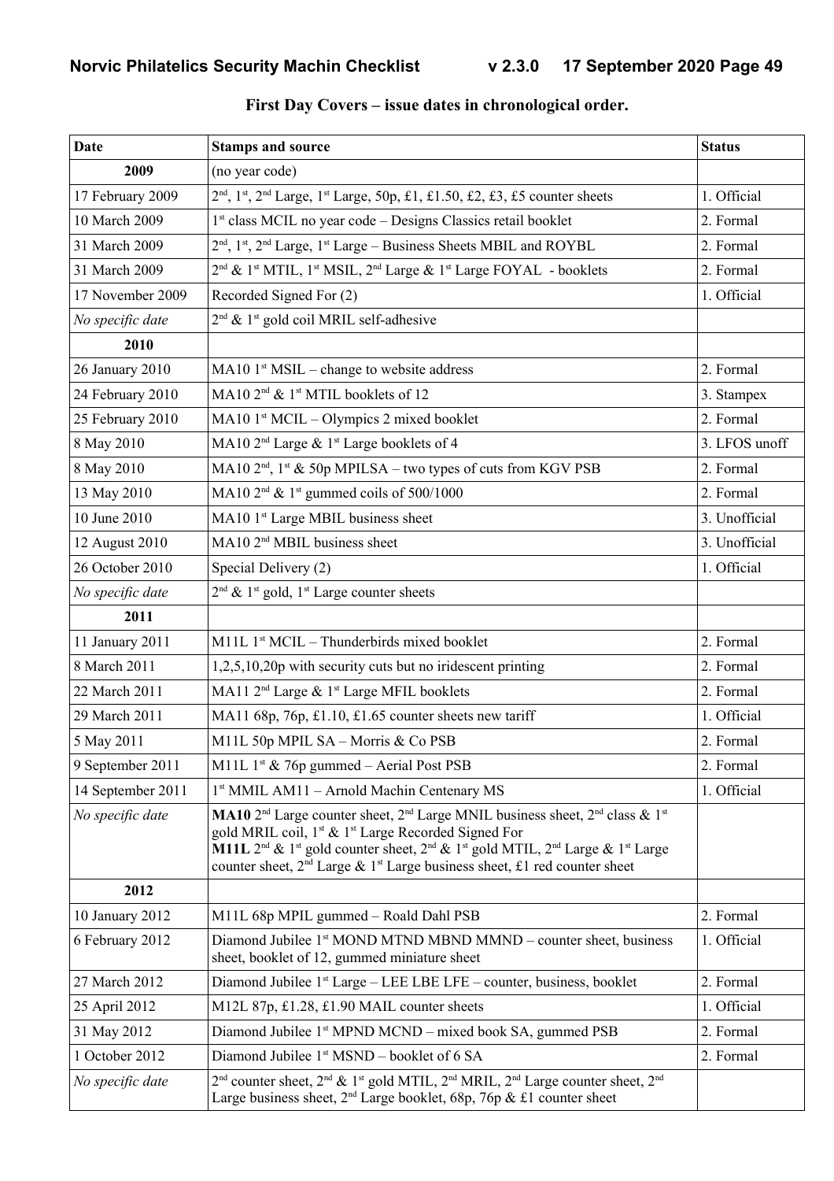| Date              | <b>Stamps and source</b>                                                                                                                                                                                                                                                                                                                                                                                                                                                         | <b>Status</b> |
|-------------------|----------------------------------------------------------------------------------------------------------------------------------------------------------------------------------------------------------------------------------------------------------------------------------------------------------------------------------------------------------------------------------------------------------------------------------------------------------------------------------|---------------|
| 2009              | (no year code)                                                                                                                                                                                                                                                                                                                                                                                                                                                                   |               |
| 17 February 2009  | 2 <sup>nd</sup> , 1 <sup>st</sup> , 2 <sup>nd</sup> Large, 1 <sup>st</sup> Large, 50p, £1, £1.50, £2, £3, £5 counter sheets                                                                                                                                                                                                                                                                                                                                                      | 1. Official   |
| 10 March 2009     | 1 <sup>st</sup> class MCIL no year code – Designs Classics retail booklet                                                                                                                                                                                                                                                                                                                                                                                                        | 2. Formal     |
| 31 March 2009     | 2 <sup>nd</sup> , 1 <sup>st</sup> , 2 <sup>nd</sup> Large, 1 <sup>st</sup> Large – Business Sheets MBIL and ROYBL                                                                                                                                                                                                                                                                                                                                                                | 2. Formal     |
| 31 March 2009     | 2 <sup>nd</sup> & 1 <sup>st</sup> MTIL, 1 <sup>st</sup> MSIL, 2 <sup>nd</sup> Large & 1 <sup>st</sup> Large FOYAL - booklets                                                                                                                                                                                                                                                                                                                                                     | 2. Formal     |
| 17 November 2009  | Recorded Signed For (2)                                                                                                                                                                                                                                                                                                                                                                                                                                                          | 1. Official   |
| No specific date  | $2nd$ & 1 <sup>st</sup> gold coil MRIL self-adhesive                                                                                                                                                                                                                                                                                                                                                                                                                             |               |
| 2010              |                                                                                                                                                                                                                                                                                                                                                                                                                                                                                  |               |
| 26 January 2010   | $MA10 1st MSIL - change to website address$                                                                                                                                                                                                                                                                                                                                                                                                                                      | 2. Formal     |
| 24 February 2010  | MA10 2 <sup>nd</sup> & 1 <sup>st</sup> MTIL booklets of 12                                                                                                                                                                                                                                                                                                                                                                                                                       | 3. Stampex    |
| 25 February 2010  | $MA10 1st MClL – Olympics 2 mixed booklet$                                                                                                                                                                                                                                                                                                                                                                                                                                       | 2. Formal     |
| 8 May 2010        | MA10 2 <sup>nd</sup> Large & 1 <sup>st</sup> Large booklets of 4                                                                                                                                                                                                                                                                                                                                                                                                                 | 3. LFOS unoff |
| 8 May 2010        | MA10 $2nd$ , $1st$ & 50p MPILSA – two types of cuts from KGV PSB                                                                                                                                                                                                                                                                                                                                                                                                                 | 2. Formal     |
| 13 May 2010       | MA10 $2nd$ & 1 <sup>st</sup> gummed coils of 500/1000                                                                                                                                                                                                                                                                                                                                                                                                                            | 2. Formal     |
| 10 June 2010      | MA10 1st Large MBIL business sheet                                                                                                                                                                                                                                                                                                                                                                                                                                               | 3. Unofficial |
| 12 August 2010    | MA10 2 <sup>nd</sup> MBIL business sheet                                                                                                                                                                                                                                                                                                                                                                                                                                         | 3. Unofficial |
| 26 October 2010   | Special Delivery (2)                                                                                                                                                                                                                                                                                                                                                                                                                                                             | 1. Official   |
| No specific date  | $2nd$ & 1 <sup>st</sup> gold, 1 <sup>st</sup> Large counter sheets                                                                                                                                                                                                                                                                                                                                                                                                               |               |
| 2011              |                                                                                                                                                                                                                                                                                                                                                                                                                                                                                  |               |
| 11 January 2011   | $M11L$ 1 <sup>st</sup> MCIL – Thunderbirds mixed booklet                                                                                                                                                                                                                                                                                                                                                                                                                         | 2. Formal     |
| 8 March 2011      | 1,2,5,10,20p with security cuts but no iridescent printing                                                                                                                                                                                                                                                                                                                                                                                                                       | 2. Formal     |
| 22 March 2011     | MA11 2 <sup>nd</sup> Large & 1 <sup>st</sup> Large MFIL booklets                                                                                                                                                                                                                                                                                                                                                                                                                 | 2. Formal     |
| 29 March 2011     | MA11 68p, 76p, £1.10, £1.65 counter sheets new tariff                                                                                                                                                                                                                                                                                                                                                                                                                            | 1. Official   |
| 5 May 2011        | M11L 50p MPIL SA - Morris & Co PSB                                                                                                                                                                                                                                                                                                                                                                                                                                               | 2. Formal     |
| 9 September 2011  | M11L $1^{\text{st}}$ & 76p gummed – Aerial Post PSB                                                                                                                                                                                                                                                                                                                                                                                                                              | 2. Formal     |
| 14 September 2011 | 1st MMIL AM11 - Arnold Machin Centenary MS                                                                                                                                                                                                                                                                                                                                                                                                                                       | 1. Official   |
| No specific date  | MA10 2 <sup>nd</sup> Large counter sheet, 2 <sup>nd</sup> Large MNIL business sheet, 2 <sup>nd</sup> class & 1 <sup>st</sup><br>gold MRIL coil, 1 <sup>st</sup> & 1 <sup>st</sup> Large Recorded Signed For<br><b>M11L</b> 2 <sup>nd</sup> & 1 <sup>st</sup> gold counter sheet, 2 <sup>nd</sup> & 1 <sup>st</sup> gold MTIL, 2 <sup>nd</sup> Large & 1 <sup>st</sup> Large<br>counter sheet, 2 <sup>nd</sup> Large & 1 <sup>st</sup> Large business sheet, £1 red counter sheet |               |
| 2012              |                                                                                                                                                                                                                                                                                                                                                                                                                                                                                  |               |
| 10 January 2012   | M11L 68p MPIL gummed - Roald Dahl PSB                                                                                                                                                                                                                                                                                                                                                                                                                                            | 2. Formal     |
| 6 February 2012   | Diamond Jubilee 1 <sup>st</sup> MOND MTND MBND MMND – counter sheet, business<br>sheet, booklet of 12, gummed miniature sheet                                                                                                                                                                                                                                                                                                                                                    | 1. Official   |
| 27 March 2012     | Diamond Jubilee 1 <sup>st</sup> Large – LEE LBE LFE – counter, business, booklet                                                                                                                                                                                                                                                                                                                                                                                                 | 2. Formal     |
| 25 April 2012     | M12L 87p, £1.28, £1.90 MAIL counter sheets                                                                                                                                                                                                                                                                                                                                                                                                                                       | 1. Official   |
| 31 May 2012       | Diamond Jubilee 1 <sup>st</sup> MPND MCND – mixed book SA, gummed PSB                                                                                                                                                                                                                                                                                                                                                                                                            | 2. Formal     |
| 1 October 2012    | Diamond Jubilee 1 <sup>st</sup> MSND – booklet of 6 SA                                                                                                                                                                                                                                                                                                                                                                                                                           | 2. Formal     |
| No specific date  | $2nd$ counter sheet, $2nd$ & 1 <sup>st</sup> gold MTIL, $2nd$ MRIL, $2nd$ Large counter sheet, $2nd$<br>Large business sheet, $2^{nd}$ Large booklet, 68p, 76p & £1 counter sheet                                                                                                                                                                                                                                                                                                |               |

#### **First Day Covers – issue dates in chronological order.**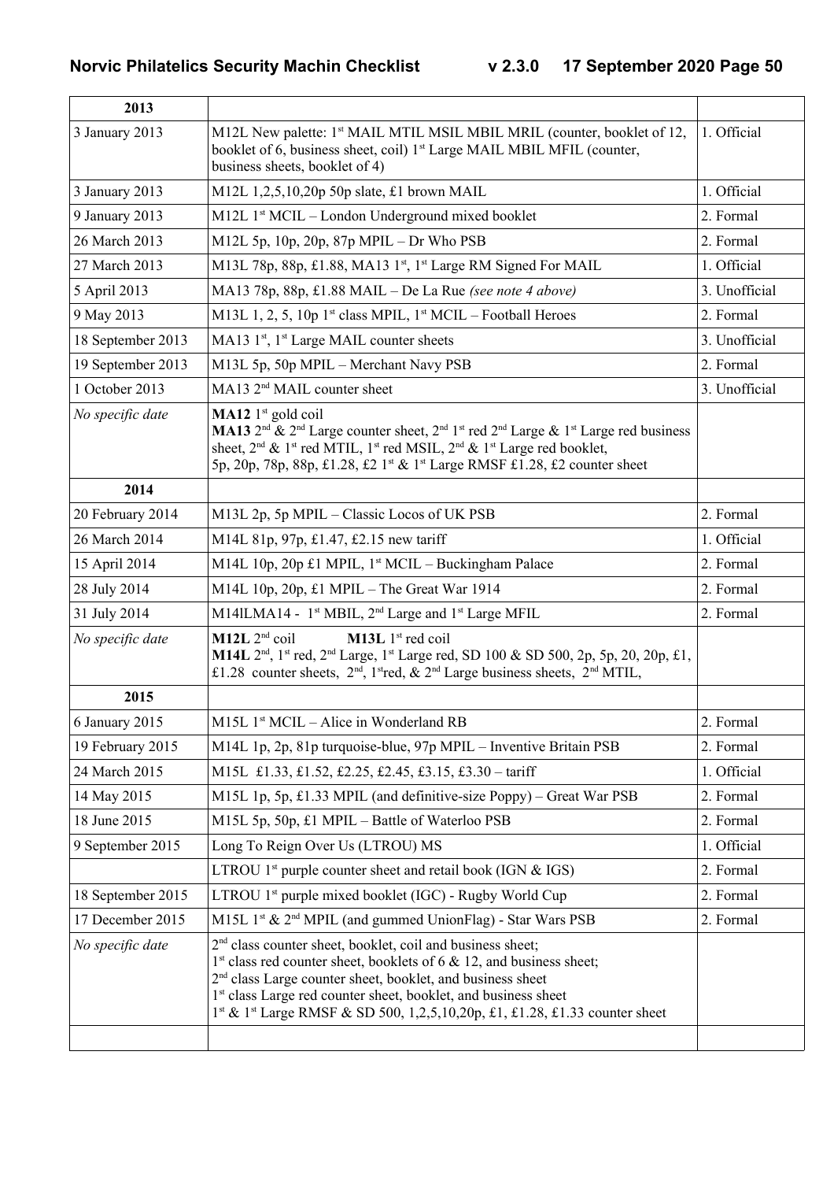| 2013              |                                                                                                                                                                                                                                                                                                                                                                                                                 |               |
|-------------------|-----------------------------------------------------------------------------------------------------------------------------------------------------------------------------------------------------------------------------------------------------------------------------------------------------------------------------------------------------------------------------------------------------------------|---------------|
| 3 January 2013    | M12L New palette: 1 <sup>st</sup> MAIL MTIL MSIL MBIL MRIL (counter, booklet of 12,<br>booklet of 6, business sheet, coil) 1 <sup>st</sup> Large MAIL MBIL MFIL (counter,<br>business sheets, booklet of 4)                                                                                                                                                                                                     | 1. Official   |
| 3 January 2013    | M12L $1,2,5,10,20p$ 50p slate, £1 brown MAIL                                                                                                                                                                                                                                                                                                                                                                    | 1. Official   |
| 9 January 2013    | M12L 1 <sup>st</sup> MCIL – London Underground mixed booklet                                                                                                                                                                                                                                                                                                                                                    | 2. Formal     |
| 26 March 2013     | M12L 5p, 10p, 20p, 87p MPIL $-$ Dr Who PSB                                                                                                                                                                                                                                                                                                                                                                      | 2. Formal     |
| 27 March 2013     | M13L 78p, 88p, £1.88, MA13 1 <sup>st</sup> , 1 <sup>st</sup> Large RM Signed For MAIL                                                                                                                                                                                                                                                                                                                           | 1. Official   |
| 5 April 2013      | MA13 78p, 88p, £1.88 MAIL – De La Rue (see note 4 above)                                                                                                                                                                                                                                                                                                                                                        | 3. Unofficial |
| 9 May 2013        | M13L 1, 2, 5, 10p 1st class MPIL, $1st MClL - Football$ Heroes                                                                                                                                                                                                                                                                                                                                                  | 2. Formal     |
| 18 September 2013 | MA13 1 <sup>st</sup> , 1 <sup>st</sup> Large MAIL counter sheets                                                                                                                                                                                                                                                                                                                                                | 3. Unofficial |
| 19 September 2013 | M13L 5p, 50p MPIL - Merchant Navy PSB                                                                                                                                                                                                                                                                                                                                                                           | 2. Formal     |
| 1 October 2013    | MA13 2 <sup>nd</sup> MAIL counter sheet                                                                                                                                                                                                                                                                                                                                                                         | 3. Unofficial |
| No specific date  | <b>MA12</b> $1^{\text{st}}$ gold coil<br><b>MA13</b> $2^{nd}$ & $2^{nd}$ Large counter sheet, $2^{nd}$ 1 <sup>st</sup> red $2^{nd}$ Large & 1 <sup>st</sup> Large red business<br>sheet, $2^{nd}$ & 1 <sup>st</sup> red MTIL, 1 <sup>st</sup> red MSIL, $2^{nd}$ & 1 <sup>st</sup> Large red booklet,<br>5p, 20p, 78p, 88p, £1.28, £2 1 <sup>st</sup> & 1 <sup>st</sup> Large RMSF £1.28, £2 counter sheet      |               |
| 2014              |                                                                                                                                                                                                                                                                                                                                                                                                                 |               |
| 20 February 2014  | M13L 2p, 5p MPIL - Classic Locos of UK PSB                                                                                                                                                                                                                                                                                                                                                                      | 2. Formal     |
| 26 March 2014     | M14L 81p, 97p, £1.47, £2.15 new tariff                                                                                                                                                                                                                                                                                                                                                                          | 1. Official   |
| 15 April 2014     | M14L 10p, 20p £1 MPIL, $1st MClL - Buckingham Palace$                                                                                                                                                                                                                                                                                                                                                           | 2. Formal     |
| 28 July 2014      | M14L 10p, 20p, £1 MPIL - The Great War 1914                                                                                                                                                                                                                                                                                                                                                                     | 2. Formal     |
| 31 July 2014      | M14ILMA14 - 1 <sup>st</sup> MBIL, 2 <sup>nd</sup> Large and 1 <sup>st</sup> Large MFIL                                                                                                                                                                                                                                                                                                                          | 2. Formal     |
| No specific date  | $M12L$ $2nd$ coil<br>M13L 1 <sup>st</sup> red coil<br><b>M14L</b> $2^{nd}$ , $1^{st}$ red, $2^{nd}$ Large, $1^{st}$ Large red, SD 100 & SD 500, 2p, 5p, 20, 20p, £1,<br>£1.28 counter sheets, $2nd$ , $1st$ red, & $2nd$ Large business sheets, $2nd$ MTIL,                                                                                                                                                     |               |
| 2015              |                                                                                                                                                                                                                                                                                                                                                                                                                 |               |
| 6 January 2015    | $M15L$ 1 <sup>st</sup> MCIL – Alice in Wonderland RB                                                                                                                                                                                                                                                                                                                                                            | 2. Formal     |
| 19 February 2015  | M14L 1p, 2p, 81p turquoise-blue, 97p MPIL – Inventive Britain PSB                                                                                                                                                                                                                                                                                                                                               | 2. Formal     |
| 24 March 2015     | M15L £1.33, £1.52, £2.25, £2.45, £3.15, £3.30 - tariff                                                                                                                                                                                                                                                                                                                                                          | 1. Official   |
| 14 May 2015       | M15L 1p, 5p, £1.33 MPIL (and definitive-size Poppy) – Great War PSB                                                                                                                                                                                                                                                                                                                                             | 2. Formal     |
| 18 June 2015      | M15L 5p, 50p, £1 MPIL – Battle of Waterloo PSB                                                                                                                                                                                                                                                                                                                                                                  | 2. Formal     |
| 9 September 2015  | Long To Reign Over Us (LTROU) MS                                                                                                                                                                                                                                                                                                                                                                                | 1. Official   |
|                   | LTROU $1st$ purple counter sheet and retail book (IGN & IGS)                                                                                                                                                                                                                                                                                                                                                    | 2. Formal     |
| 18 September 2015 | LTROU 1 <sup>st</sup> purple mixed booklet (IGC) - Rugby World Cup                                                                                                                                                                                                                                                                                                                                              | 2. Formal     |
| 17 December 2015  | M15L 1st & 2 <sup>nd</sup> MPIL (and gummed UnionFlag) - Star Wars PSB                                                                                                                                                                                                                                                                                                                                          | 2. Formal     |
| No specific date  | 2 <sup>nd</sup> class counter sheet, booklet, coil and business sheet;<br>$1st$ class red counter sheet, booklets of 6 & 12, and business sheet;<br>2 <sup>nd</sup> class Large counter sheet, booklet, and business sheet<br>1 <sup>st</sup> class Large red counter sheet, booklet, and business sheet<br>1 <sup>st</sup> & 1 <sup>st</sup> Large RMSF & SD 500, 1,2,5,10,20p, £1, £1.28, £1.33 counter sheet |               |
|                   |                                                                                                                                                                                                                                                                                                                                                                                                                 |               |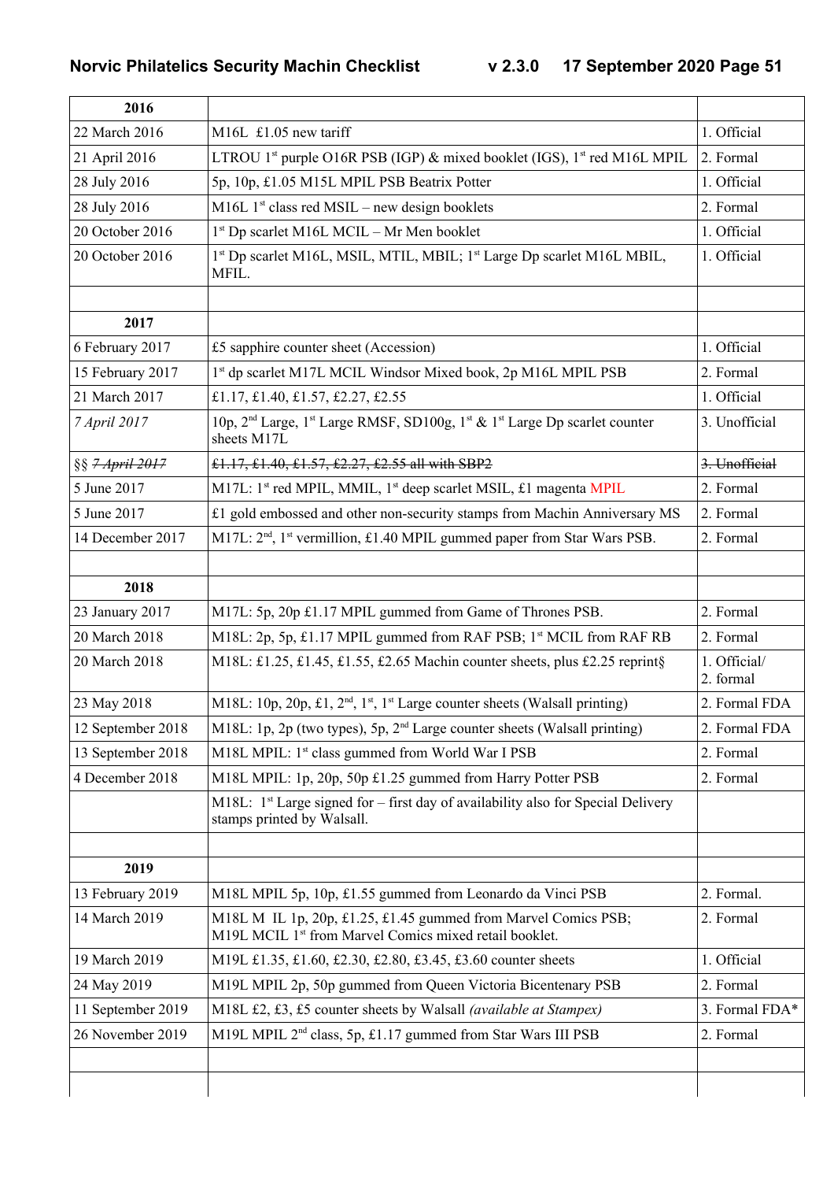| 2016                       |                                                                                                                                           |                           |
|----------------------------|-------------------------------------------------------------------------------------------------------------------------------------------|---------------------------|
| 22 March 2016              | M16L £1.05 new tariff                                                                                                                     | 1. Official               |
| 21 April 2016              | LTROU 1 <sup>st</sup> purple O16R PSB (IGP) & mixed booklet (IGS), 1 <sup>st</sup> red M16L MPIL                                          | 2. Formal                 |
| 28 July 2016               | 5p, 10p, £1.05 M15L MPIL PSB Beatrix Potter                                                                                               | 1. Official               |
| 28 July 2016               | M16L $1st$ class red MSIL – new design booklets                                                                                           | 2. Formal                 |
| 20 October 2016            | $1st$ Dp scarlet M16L MCIL – Mr Men booklet                                                                                               | 1. Official               |
| 20 October 2016            | 1 <sup>st</sup> Dp scarlet M16L, MSIL, MTIL, MBIL; 1 <sup>st</sup> Large Dp scarlet M16L MBIL,<br>MFIL.                                   | 1. Official               |
|                            |                                                                                                                                           |                           |
| 2017                       |                                                                                                                                           |                           |
| 6 February 2017            | £5 sapphire counter sheet (Accession)                                                                                                     | 1. Official               |
| 15 February 2017           | 1st dp scarlet M17L MCIL Windsor Mixed book, 2p M16L MPIL PSB                                                                             | 2. Formal                 |
| 21 March 2017              | £1.17, £1.40, £1.57, £2.27, £2.55                                                                                                         | 1. Official               |
| 7 April 2017               | 10p, 2 <sup>nd</sup> Large, 1 <sup>st</sup> Large RMSF, SD100g, 1 <sup>st</sup> & 1 <sup>st</sup> Large Dp scarlet counter<br>sheets M17L | 3. Unofficial             |
| §§ <del>7 April 2017</del> | £1.17, £1.40, £1.57, £2.27, £2.55 all with SBP2                                                                                           | 3. Unofficial             |
| 5 June 2017                | M17L: 1 <sup>st</sup> red MPIL, MMIL, 1 <sup>st</sup> deep scarlet MSIL, £1 magenta MPIL                                                  | 2. Formal                 |
| 5 June 2017                | £1 gold embossed and other non-security stamps from Machin Anniversary MS                                                                 | 2. Formal                 |
| 14 December 2017           | M17L: 2 <sup>nd</sup> , 1 <sup>st</sup> vermillion, £1.40 MPIL gummed paper from Star Wars PSB.                                           | 2. Formal                 |
| 2018                       |                                                                                                                                           |                           |
| 23 January 2017            | M17L: 5p, 20p £1.17 MPIL gummed from Game of Thrones PSB.                                                                                 | 2. Formal                 |
| 20 March 2018              | M18L: 2p, 5p, £1.17 MPIL gummed from RAF PSB; 1st MCIL from RAF RB                                                                        | 2. Formal                 |
| 20 March 2018              | M18L: £1.25, £1.45, £1.55, £2.65 Machin counter sheets, plus £2.25 reprint§                                                               | 1. Official/<br>2. formal |
| 23 May 2018                | M18L: 10p, 20p, £1, 2 <sup>nd</sup> , 1 <sup>st</sup> , 1 <sup>st</sup> Large counter sheets (Walsall printing)                           | 2. Formal FDA             |
| 12 September 2018          | M18L: 1p, 2p (two types), 5p, $2nd$ Large counter sheets (Walsall printing)                                                               | 2. Formal FDA             |
| 13 September 2018          | M18L MPIL: 1 <sup>st</sup> class gummed from World War I PSB                                                                              | 2. Formal                 |
| 4 December 2018            | M18L MPIL: 1p, 20p, 50p £1.25 gummed from Harry Potter PSB                                                                                | 2. Formal                 |
|                            | M18L: $1st$ Large signed for – first day of availability also for Special Delivery<br>stamps printed by Walsall.                          |                           |
|                            |                                                                                                                                           |                           |
| 2019                       |                                                                                                                                           |                           |
| 13 February 2019           | M18L MPIL 5p, 10p, £1.55 gummed from Leonardo da Vinci PSB                                                                                | 2. Formal.                |
| 14 March 2019              | M18L M IL 1p, 20p, £1.25, £1.45 gummed from Marvel Comics PSB;<br>M19L MCIL 1 <sup>st</sup> from Marvel Comics mixed retail booklet.      | 2. Formal                 |
| 19 March 2019              | M19L £1.35, £1.60, £2.30, £2.80, £3.45, £3.60 counter sheets                                                                              | 1. Official               |
| 24 May 2019                | M19L MPIL 2p, 50p gummed from Queen Victoria Bicentenary PSB                                                                              | 2. Formal                 |
| 11 September 2019          | M18L £2, £3, £5 counter sheets by Walsall (available at Stampex)                                                                          | 3. Formal FDA*            |
| 26 November 2019           | M19L MPIL 2 <sup>nd</sup> class, 5p, £1.17 gummed from Star Wars III PSB                                                                  | 2. Formal                 |
|                            |                                                                                                                                           |                           |
|                            |                                                                                                                                           |                           |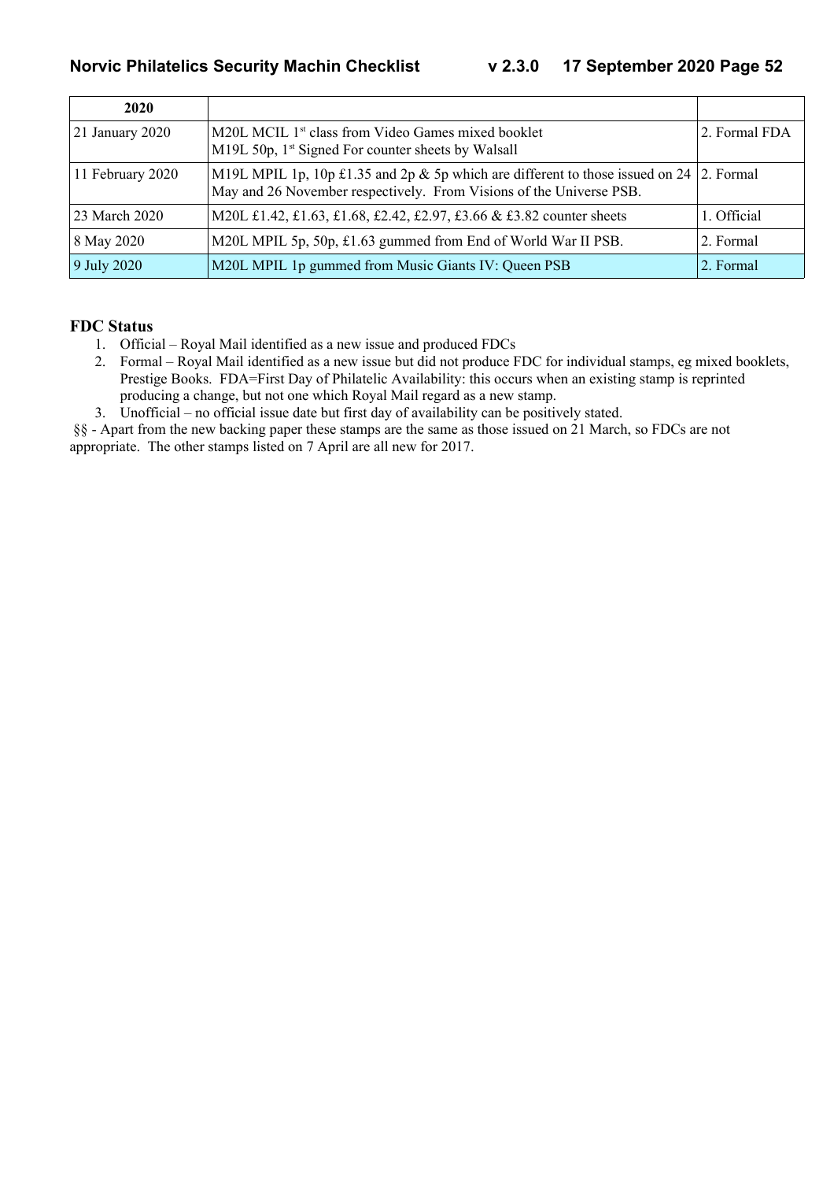| 2020             |                                                                                                                                                                  |               |
|------------------|------------------------------------------------------------------------------------------------------------------------------------------------------------------|---------------|
| 21 January 2020  | M20L MCIL 1 <sup>st</sup> class from Video Games mixed booklet<br>M19L 50p, 1 <sup>st</sup> Signed For counter sheets by Walsall                                 | 2. Formal FDA |
| 11 February 2020 | M19L MPIL 1p, 10p £1.35 and 2p & 5p which are different to those issued on 24   2. Formal<br>May and 26 November respectively. From Visions of the Universe PSB. |               |
| 23 March 2020    | M20L £1.42, £1.63, £1.68, £2.42, £2.97, £3.66 & £3.82 counter sheets                                                                                             | 1. Official   |
| 8 May 2020       | M20L MPIL 5p, 50p, £1.63 gummed from End of World War II PSB.                                                                                                    | 2. Formal     |
| 9 July 2020      | M20L MPIL 1p gummed from Music Giants IV: Queen PSB                                                                                                              | 2. Formal     |

#### **FDC Status**

- 1. Official Royal Mail identified as a new issue and produced FDCs
- 2. Formal Royal Mail identified as a new issue but did not produce FDC for individual stamps, eg mixed booklets, Prestige Books. FDA=First Day of Philatelic Availability: this occurs when an existing stamp is reprinted producing a change, but not one which Royal Mail regard as a new stamp.
- 3. Unofficial no official issue date but first day of availability can be positively stated.

 §§ - Apart from the new backing paper these stamps are the same as those issued on 21 March, so FDCs are not appropriate. The other stamps listed on 7 April are all new for 2017.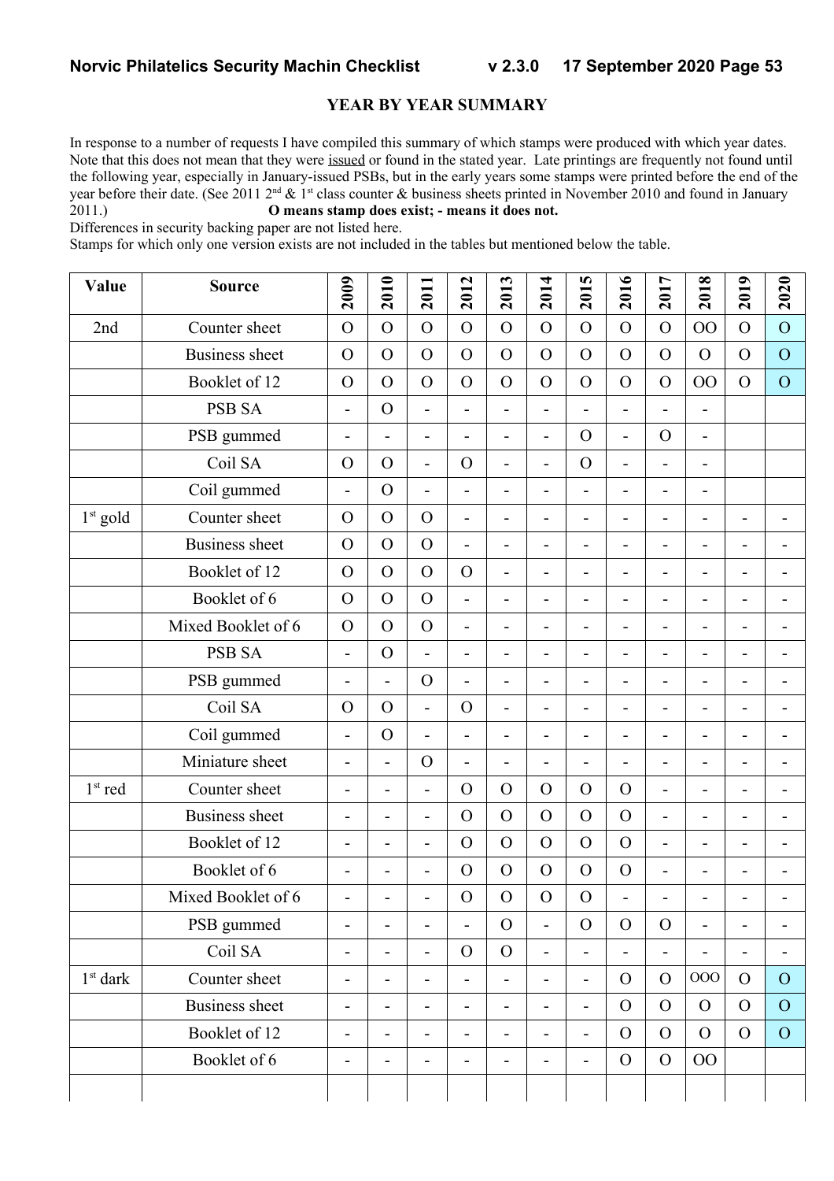#### **YEAR BY YEAR SUMMARY**

In response to a number of requests I have compiled this summary of which stamps were produced with which year dates. Note that this does not mean that they were issued or found in the stated year. Late printings are frequently not found until the following year, especially in January-issued PSBs, but in the early years some stamps were printed before the end of the year before their date. (See 2011  $2^{nd} \& 1^{st}$  class counter  $\&$  business sheets printed in November 2010 and found in January 2011.) **O means stamp does exist; - means it does not.**

#### Differences in security backing paper are not listed here.

Stamps for which only one version exists are not included in the tables but mentioned below the table.

| Value      | <b>Source</b>         | 2009                         | 2010                         | 2011                         | 2012                         | 2013                         | 2014                         | 2015                         | 2016                     | 2017                     | 2018                     | 2019                         | 2020                         |
|------------|-----------------------|------------------------------|------------------------------|------------------------------|------------------------------|------------------------------|------------------------------|------------------------------|--------------------------|--------------------------|--------------------------|------------------------------|------------------------------|
| 2nd        | Counter sheet         | $\overline{O}$               | $\overline{O}$               | $\overline{O}$               | $\overline{O}$               | $\overline{O}$               | $\overline{O}$               | $\overline{O}$               | $\overline{O}$           | $\mathcal{O}$            | 00                       | $\overline{O}$               | $\overline{O}$               |
|            | <b>Business sheet</b> | $\overline{O}$               | $\overline{O}$               | $\overline{O}$               | $\overline{O}$               | $\overline{O}$               | $\overline{O}$               | $\overline{O}$               | $\mathcal{O}$            | $\mathcal{O}$            | $\overline{O}$           | $\mathcal{O}$                | $\overline{O}$               |
|            | Booklet of 12         | $\overline{O}$               | $\mathcal{O}$                | $\mathbf{O}$                 | $\overline{O}$               | $\overline{O}$               | $\overline{O}$               | $\mathbf{O}$                 | $\overline{O}$           | $\mathcal{O}$            | 00                       | $\Omega$                     | $\overline{O}$               |
|            | <b>PSB SA</b>         | $\overline{\phantom{0}}$     | $\overline{O}$               | $\overline{a}$               | $\overline{\phantom{0}}$     | $\blacksquare$               | $\blacksquare$               | $\overline{\phantom{0}}$     | $\overline{\phantom{0}}$ | -                        | $\overline{\phantom{0}}$ |                              |                              |
|            | PSB gummed            | $\overline{\phantom{0}}$     | $\overline{a}$               | $\overline{\phantom{0}}$     | $\overline{\phantom{a}}$     | $\blacksquare$               | $\overline{\phantom{m}}$     | $\overline{O}$               | $\overline{a}$           | $\mathcal{O}$            | -                        |                              |                              |
|            | Coil SA               | $\overline{O}$               | $\overline{O}$               | $\overline{\phantom{0}}$     | $\overline{O}$               | $\overline{\phantom{a}}$     | $\overline{\phantom{a}}$     | $\overline{O}$               | -                        | Ĭ.                       | ۰                        |                              |                              |
|            | Coil gummed           | $\frac{1}{2}$                | $\mathcal{O}$                | $\overline{\phantom{0}}$     | $\overline{a}$               | $\overline{\phantom{a}}$     | $\overline{\phantom{m}}$     | $\overline{a}$               | $\overline{a}$           | L,                       | -                        |                              |                              |
| $1st$ gold | Counter sheet         | $\overline{O}$               | $\mathcal{O}$                | $\mathbf O$                  | $\overline{\phantom{0}}$     | $\overline{\phantom{0}}$     | $\overline{\phantom{a}}$     | $\overline{\phantom{a}}$     | $\overline{\phantom{0}}$ | -                        | ۰                        | $\overline{a}$               | $\blacksquare$               |
|            | <b>Business sheet</b> | $\overline{O}$               | $\overline{O}$               | $\overline{O}$               | $\overline{a}$               | $\overline{a}$               | $\blacksquare$               | $\overline{a}$               | $\overline{a}$           | L,                       | $\overline{\phantom{0}}$ | $\overline{a}$               |                              |
|            | Booklet of 12         | $\overline{O}$               | $\overline{O}$               | $\overline{O}$               | $\overline{O}$               | $\overline{\phantom{0}}$     | $\overline{\phantom{a}}$     | -                            | $\overline{\phantom{0}}$ | ÷                        | ÷                        |                              |                              |
|            | Booklet of 6          | $\overline{O}$               | $\mathcal{O}$                | $\mathbf{O}$                 | $\overline{a}$               | $\overline{\phantom{m}}$     | $\overline{\phantom{a}}$     | -                            | -                        | L,                       | L,                       | $\overline{\phantom{0}}$     |                              |
|            | Mixed Booklet of 6    | $\mathbf{O}$                 | $\mathcal{O}$                | $\mathbf{O}$                 | $\overline{\phantom{0}}$     | $\qquad \qquad \blacksquare$ | $\overline{\phantom{0}}$     | $\qquad \qquad \blacksquare$ | $\overline{\phantom{0}}$ | $\overline{\phantom{0}}$ | -                        | $\overline{a}$               | $\qquad \qquad \blacksquare$ |
|            | PSB SA                | $\overline{a}$               | $\overline{O}$               | $\overline{a}$               | $\overline{a}$               | $\overline{\phantom{m}}$     | $\overline{\phantom{m}}$     | $\overline{a}$               | -                        | L,                       | ÷                        | $\overline{a}$               |                              |
|            | PSB gummed            | $\overline{\phantom{0}}$     | $\qquad \qquad \blacksquare$ | $\mathbf{O}$                 | $\overline{\phantom{0}}$     | $\overline{\phantom{a}}$     | -                            | -                            | -                        | -                        | ۰                        |                              |                              |
|            | Coil SA               | $\overline{O}$               | $\overline{O}$               | $\overline{a}$               | $\overline{O}$               | $\overline{\phantom{m}}$     | $\overline{\phantom{a}}$     | $\overline{\phantom{0}}$     | $\overline{\phantom{0}}$ | L,                       | Ē,                       | $\overline{\phantom{0}}$     |                              |
|            | Coil gummed           | $\qquad \qquad \blacksquare$ | $\overline{O}$               | $\qquad \qquad \blacksquare$ | $\qquad \qquad \blacksquare$ | $\qquad \qquad \blacksquare$ | $\qquad \qquad \blacksquare$ | $\overline{\phantom{0}}$     | -                        | $\overline{\phantom{0}}$ | ۰                        | $\overline{a}$               |                              |
|            | Miniature sheet       | $\overline{\phantom{a}}$     | $\overline{\phantom{0}}$     | $\overline{O}$               | $\overline{\phantom{0}}$     | $\overline{\phantom{a}}$     | $\overline{\phantom{a}}$     | $\qquad \qquad \blacksquare$ | $\overline{\phantom{0}}$ | L,                       | L,                       | $\overline{a}$               | $\overline{a}$               |
| $1st$ red  | Counter sheet         | $\qquad \qquad \blacksquare$ | -                            | $\overline{a}$               | $\overline{O}$               | $\overline{O}$               | $\overline{O}$               | $\mathbf{O}$                 | $\mathbf{O}$             | L,                       | ÷                        | ÷                            |                              |
|            | <b>Business sheet</b> | $\overline{\phantom{0}}$     | -                            | $\overline{\phantom{0}}$     | $\overline{O}$               | $\overline{O}$               | $\overline{O}$               | $\overline{O}$               | $\mathcal{O}$            | L,                       | Ē,                       | $\overline{\phantom{0}}$     | $\overline{\phantom{0}}$     |
|            | Booklet of 12         | $\overline{\phantom{0}}$     | -                            | $\overline{\phantom{0}}$     | $\overline{O}$               | $\overline{O}$               | $\overline{O}$               | $\mathbf{O}$                 | $\mathcal{O}$            | $\overline{\phantom{0}}$ | -                        | $\overline{a}$               | $\blacksquare$               |
|            | Booklet of 6          | $\overline{\phantom{a}}$     | L,                           | $\overline{a}$               | $\mathcal{O}$                | $\overline{O}$               | $\overline{O}$               | $\mathbf{O}$                 | $\mathbf O$              | L,                       | ÷                        | ÷                            |                              |
|            | Mixed Booklet of 6    |                              |                              |                              | $\mathcal{O}$                | $\overline{O}$               | $\overline{O}$               | $\mathcal{O}$                |                          |                          |                          |                              |                              |
|            | PSB gummed            | $\overline{\phantom{a}}$     | $\overline{\phantom{a}}$     | -                            | $\qquad \qquad -$            | $\overline{O}$               | $\overline{\phantom{a}}$     | $\overline{O}$               | $\overline{O}$           | $\overline{O}$           | Ē,                       | ۰                            |                              |
|            | Coil SA               | $\overline{\phantom{0}}$     | -                            | $\overline{\phantom{0}}$     | $\mathcal{O}$                | $\mathcal{O}$                | $\blacksquare$               | $\qquad \qquad \blacksquare$ | $\overline{\phantom{0}}$ | -                        |                          | $\qquad \qquad \blacksquare$ |                              |
| $1st$ dark | Counter sheet         | $\overline{\phantom{0}}$     | $\qquad \qquad \blacksquare$ | $\overline{\phantom{0}}$     | $\overline{\phantom{0}}$     | $\overline{\phantom{0}}$     | $\qquad \qquad \blacksquare$ | $\overline{\phantom{0}}$     | $\Omega$                 | $\overline{O}$           | 000                      | $\overline{O}$               | $\overline{O}$               |
|            | <b>Business sheet</b> | -                            | $\overline{\phantom{0}}$     | $\blacksquare$               | $\overline{\phantom{0}}$     | $\qquad \qquad \blacksquare$ | $\overline{\phantom{0}}$     | $\blacksquare$               | $\Omega$                 | $\mathcal{O}$            | $\Omega$                 | $\Omega$                     | $\overline{O}$               |
|            | Booklet of 12         | $\overline{\phantom{0}}$     | -                            | -                            | $\overline{\phantom{a}}$     | $\blacksquare$               | $\blacksquare$               | $\overline{\phantom{0}}$     | $\overline{O}$           | $\overline{O}$           | $\overline{O}$           | $\overline{O}$               | $\overline{O}$               |
|            | Booklet of 6          | -                            | -                            | $\overline{\phantom{0}}$     | $\qquad \qquad \blacksquare$ | -                            | -                            | $\overline{\phantom{0}}$     | $\mathcal{O}$            | $\mathcal{O}$            | OO                       |                              |                              |
|            |                       |                              |                              |                              |                              |                              |                              |                              |                          |                          |                          |                              |                              |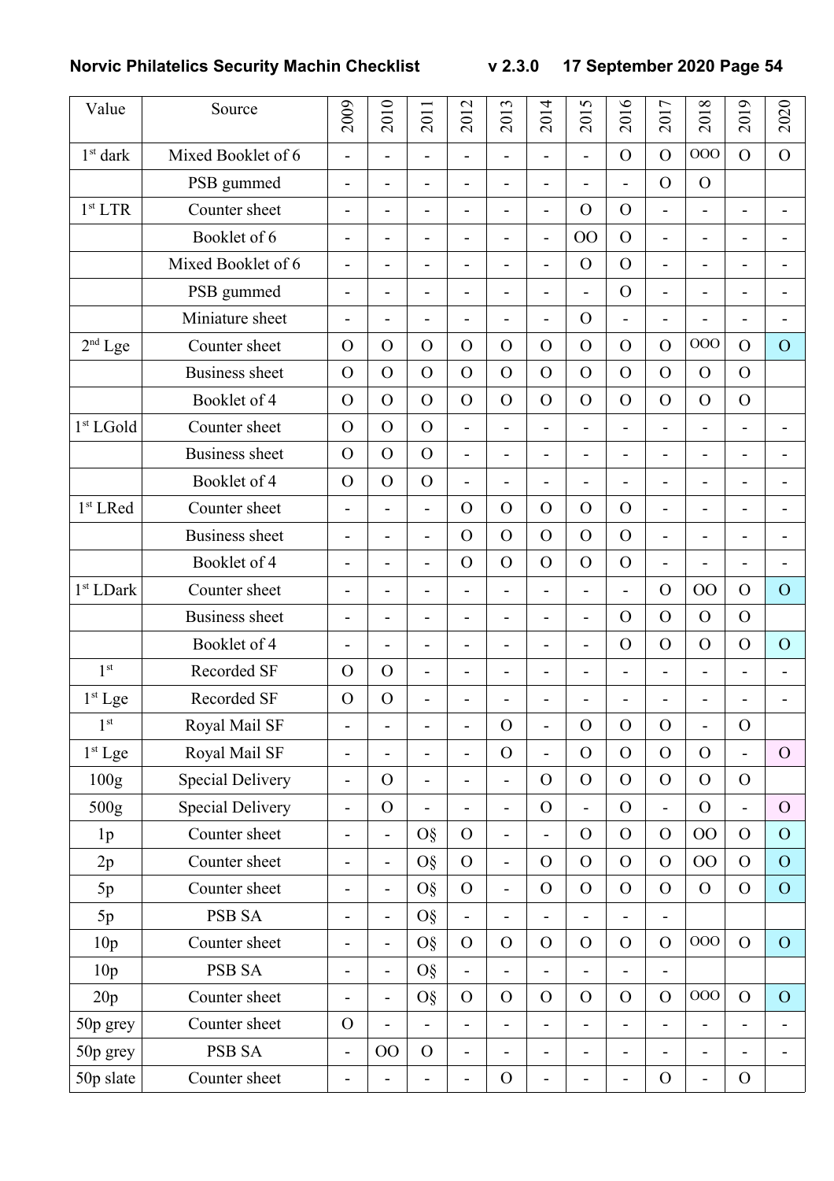| Value                 | Source                  | 2009                         | 2010                     | 2011                     | 2012                         | 2013                         | 2014                     | 2015                         | 2016                     | 2017                     | 2018                         | 2019                     | 2020                     |
|-----------------------|-------------------------|------------------------------|--------------------------|--------------------------|------------------------------|------------------------------|--------------------------|------------------------------|--------------------------|--------------------------|------------------------------|--------------------------|--------------------------|
| $1^{\rm st}$ dark     | Mixed Booklet of 6      | $\blacksquare$               | $\overline{a}$           | $\overline{\phantom{a}}$ | $\overline{\phantom{a}}$     | $\overline{\phantom{0}}$     | $\overline{a}$           | $\overline{a}$               | $\mathbf{O}$             | $\overline{O}$           | 000                          | $\overline{O}$           | $\overline{O}$           |
|                       | PSB gummed              | $\qquad \qquad \blacksquare$ | $\blacksquare$           | $\overline{\phantom{a}}$ | $\overline{\phantom{a}}$     | -                            | $\overline{\phantom{0}}$ | $\overline{\phantom{0}}$     | Ĭ.                       | $\overline{O}$           | $\overline{O}$               |                          |                          |
| 1 <sup>st</sup> LTR   | Counter sheet           | $\overline{\phantom{0}}$     | $\overline{\phantom{a}}$ | $\overline{\phantom{a}}$ | $\qquad \qquad \blacksquare$ | $\qquad \qquad \blacksquare$ | $\overline{\phantom{0}}$ | $\mathcal{O}$                | $\mathbf{O}$             | $\blacksquare$           | L.                           | $\overline{\phantom{0}}$ |                          |
|                       | Booklet of 6            | $\overline{\phantom{0}}$     | $\overline{\phantom{a}}$ | $\overline{\phantom{a}}$ | $\overline{\phantom{a}}$     | $\blacksquare$               | $\overline{a}$           | 00                           | $\overline{O}$           | $\overline{a}$           | $\overline{\phantom{0}}$     | $\overline{a}$           |                          |
|                       | Mixed Booklet of 6      | $\overline{\phantom{0}}$     | $\overline{\phantom{a}}$ | $\overline{\phantom{a}}$ | $\overline{\phantom{a}}$     | $\overline{\phantom{a}}$     | $\overline{a}$           | $\mathcal{O}$                | $\mathbf{O}$             | $\overline{\phantom{0}}$ | L,                           | $\overline{\phantom{0}}$ | $\overline{\phantom{a}}$ |
|                       | PSB gummed              | $\overline{\phantom{0}}$     | $\overline{\phantom{a}}$ | $\overline{\phantom{0}}$ | $\overline{\phantom{0}}$     | $\blacksquare$               | $\overline{a}$           | $\overline{a}$               | $\overline{O}$           | Ē,                       | L.                           |                          |                          |
|                       | Miniature sheet         | $\overline{\phantom{0}}$     | $\overline{\phantom{a}}$ | $\overline{\phantom{a}}$ | $\qquad \qquad \blacksquare$ | $\overline{\phantom{a}}$     | $\overline{a}$           | $\Omega$                     | Ĭ.                       | Ē,                       |                              |                          |                          |
| $2nd$ Lge             | Counter sheet           | $\mathcal{O}$                | $\overline{O}$           | $\mathbf{O}$             | $\overline{O}$               | $\overline{O}$               | $\mathbf{O}$             | $\Omega$                     | $\Omega$                 | $\Omega$                 | 000                          | $\Omega$                 | $\overline{O}$           |
|                       | <b>Business sheet</b>   | $\mathbf{O}$                 | $\overline{O}$           | $\overline{O}$           | $\overline{O}$               | $\mathcal{O}$                | $\overline{O}$           | $\overline{O}$               | $\overline{O}$           | $\overline{O}$           | $\Omega$                     | $\Omega$                 |                          |
|                       | Booklet of 4            | $\mathbf{O}$                 | $\overline{O}$           | $\mathbf{O}$             | $\overline{O}$               | $\overline{O}$               | $\overline{O}$           | $\mathbf{O}$                 | $\mathbf{O}$             | $\Omega$                 | $\Omega$                     | $\overline{O}$           |                          |
| 1st LGold             | Counter sheet           | $\mathbf{O}$                 | $\overline{O}$           | $\overline{O}$           | $\overline{\phantom{a}}$     | $\overline{\phantom{a}}$     | $\overline{\phantom{0}}$ | $\overline{\phantom{0}}$     | ÷                        | $\overline{a}$           | $\qquad \qquad \blacksquare$ | $\overline{\phantom{a}}$ |                          |
|                       | <b>Business</b> sheet   | $\mathbf{O}$                 | $\overline{O}$           | $\mathbf{O}$             | $\blacksquare$               | $\overline{\phantom{a}}$     | $\overline{a}$           | $\overline{\phantom{0}}$     | ÷                        | ÷,                       | L.                           | ÷                        |                          |
|                       | Booklet of 4            | $\mathbf{O}$                 | $\overline{O}$           | $\mathbf{O}$             | $\overline{\phantom{a}}$     | $\qquad \qquad \blacksquare$ | $\overline{\phantom{0}}$ | $\overline{\phantom{0}}$     | $\overline{\phantom{0}}$ | $\overline{\phantom{0}}$ | $\overline{\phantom{0}}$     | $\overline{\phantom{a}}$ | $\blacksquare$           |
| 1 <sup>st</sup> LRed  | Counter sheet           | $\overline{a}$               | $\overline{a}$           | $\overline{\phantom{a}}$ | $\overline{O}$               | $\overline{O}$               | $\mathbf{O}$             | $\mathbf{O}$                 | $\mathbf{O}$             | L,                       | L.                           | ÷                        |                          |
|                       | <b>Business sheet</b>   | $\overline{a}$               | $\overline{a}$           | $\overline{\phantom{a}}$ | $\overline{O}$               | $\overline{O}$               | $\overline{O}$           | $\overline{O}$               | $\overline{O}$           | Ē,                       | ۰                            |                          |                          |
|                       | Booklet of 4            | $\overline{\phantom{0}}$     | $\overline{\phantom{a}}$ | $\overline{\phantom{0}}$ | $\overline{O}$               | $\overline{O}$               | $\overline{O}$           | $\mathcal{O}$                | $\overline{O}$           | $\overline{a}$           | Ē,                           | ۰                        |                          |
| 1 <sup>st</sup> LDark | Counter sheet           | $\overline{\phantom{0}}$     | $\overline{\phantom{a}}$ | $\overline{\phantom{a}}$ | $\overline{a}$               | $\overline{\phantom{0}}$     | $\overline{a}$           | $\overline{a}$               | $\overline{a}$           | $\mathcal{O}$            | OO                           | $\overline{O}$           | $\overline{O}$           |
|                       | <b>Business sheet</b>   | $\overline{\phantom{0}}$     | $\overline{\phantom{a}}$ | $\overline{\phantom{a}}$ | $\qquad \qquad \blacksquare$ | $\overline{\phantom{a}}$     | $\overline{\phantom{m}}$ | $\overline{\phantom{0}}$     | $\Omega$                 | $\overline{O}$           | $\Omega$                     | $\overline{O}$           |                          |
|                       | Booklet of 4            | $\overline{a}$               | $\overline{a}$           | $\overline{\phantom{a}}$ | $\overline{\phantom{0}}$     | $\overline{\phantom{m}}$     | $\overline{a}$           | $\overline{a}$               | $\Omega$                 | $\Omega$                 | $\Omega$                     | $\Omega$                 | $\overline{O}$           |
| 1 <sup>st</sup>       | Recorded SF             | $\Omega$                     | $\overline{O}$           | $\overline{\phantom{a}}$ | $\qquad \qquad \blacksquare$ | -                            | -                        | $\qquad \qquad \blacksquare$ | $\overline{a}$           | $\overline{a}$           | ٠                            | $\overline{\phantom{a}}$ |                          |
| $1st$ Lge             | Recorded SF             | $\mathcal{O}$                | $\overline{O}$           | $\overline{\phantom{a}}$ | $\qquad \qquad \blacksquare$ | $\overline{\phantom{0}}$     | -                        | -                            | -                        | $\overline{a}$           | ٠                            |                          |                          |
| 1 <sup>st</sup>       | Royal Mail SF           | $\blacksquare$               | $\overline{\phantom{m}}$ | $\overline{\phantom{a}}$ | $\blacksquare$               | $\Omega$                     | $\frac{1}{2}$            | $\mathbf{O}$                 | $\Omega$                 | $\mathbf{O}$             | $\overline{a}$               | $\Omega$                 |                          |
| $1st$ Lge             | Royal Mail SF           | $\overline{\phantom{0}}$     | $\overline{\phantom{a}}$ | $\overline{\phantom{a}}$ | $\overline{\phantom{a}}$     | $\mathbf{O}$                 | $\overline{a}$           | $\mathcal{O}$                | $\mathbf{O}$             | $\mathcal{O}$            | $\overline{O}$               | $\overline{a}$           | $\overline{O}$           |
| 100 <sub>g</sub>      | <b>Special Delivery</b> | $\qquad \qquad \blacksquare$ | $\overline{O}$           | $\overline{\phantom{a}}$ | $\qquad \qquad \blacksquare$ | $\overline{\phantom{0}}$     | $\overline{O}$           | $\mathcal{O}$                | $\overline{O}$           | $\mathcal{O}$            | $\overline{O}$               | $\overline{O}$           |                          |
| 500g                  | <b>Special Delivery</b> | $\overline{\phantom{a}}$     | $\mathbf{O}$             | $\overline{\phantom{a}}$ | $\overline{\phantom{a}}$     | $\blacksquare$               | $\overline{O}$           | $\overline{\phantom{0}}$     | $\mathbf{O}$             | $\overline{a}$           | $\Omega$                     | $\overline{\phantom{a}}$ | $\mathcal{O}$            |
| 1 <sub>p</sub>        | Counter sheet           | $\qquad \qquad \blacksquare$ | $\overline{\phantom{a}}$ | $\overline{OS}$          | $\mathbf{O}$                 | $\qquad \qquad \blacksquare$ | $\overline{\phantom{0}}$ | $\mathcal{O}$                | $\mathbf{O}$             | $\mathcal{O}$            | OO                           | $\Omega$                 | $\overline{O}$           |
| 2p                    | Counter sheet           | $\overline{\phantom{0}}$     | $\overline{\phantom{a}}$ | O§                       | $\mathbf{O}$                 | $\overline{a}$               | $\mathcal{O}$            | $\mathcal{O}$                | $\mathcal{O}$            | $\mathcal{O}$            | OO                           | $\mathcal{O}$            | $\overline{O}$           |
| 5p                    | Counter sheet           | $\blacksquare$               | $\overline{\phantom{a}}$ | $\overline{OS}$          | $\mathcal{O}$                | $\overline{a}$               | $\mathbf{O}$             | $\mathcal{O}$                | $\overline{O}$           | $\overline{O}$           | $\overline{O}$               | $\overline{O}$           | $\overline{O}$           |
| 5p                    | <b>PSB SA</b>           | $\overline{\phantom{0}}$     | $\blacksquare$           | $\overline{OS}$          | $\blacksquare$               | $\overline{\phantom{0}}$     | $\overline{\phantom{0}}$ | L,                           | ÷                        |                          |                              |                          |                          |
| 10 <sub>p</sub>       | Counter sheet           | $\overline{\phantom{a}}$     | $\overline{\phantom{a}}$ | $\overline{OS}$          | $\mathbf{O}$                 | $\mathcal{O}$                | $\mathcal{O}$            | $\mathcal{O}$                | $\Omega$                 | $\overline{O}$           | 000                          | $\overline{O}$           | $\overline{O}$           |
| 10 <sub>p</sub>       | <b>PSB SA</b>           | $\overline{\phantom{0}}$     | $\overline{\phantom{a}}$ | $\overline{O}_{8}$       | $\overline{\phantom{a}}$     | $\overline{\phantom{0}}$     | $\overline{\phantom{0}}$ | $\overline{\phantom{0}}$     | -                        | $\overline{a}$           |                              |                          |                          |
| 20p                   | Counter sheet           | $\overline{\phantom{0}}$     | $\overline{\phantom{a}}$ | $\overline{OS}$          | $\mathcal{O}$                | $\mathcal{O}$                | $\mathcal{O}$            | $\mathcal{O}$                | $\mathcal{O}$            | $\mathcal{O}$            | 000                          | $\overline{O}$           | $\overline{O}$           |
| 50p grey              | Counter sheet           | $\mathbf{O}$                 | $\overline{\phantom{a}}$ |                          | $\overline{\phantom{0}}$     | $\overline{\phantom{0}}$     | $\overline{\phantom{0}}$ | -                            | ÷                        |                          |                              |                          |                          |
| 50p grey              | <b>PSB SA</b>           | $\qquad \qquad \blacksquare$ | $00\,$                   | $\mathbf{O}$             | $\qquad \qquad \blacksquare$ | $\qquad \qquad \blacksquare$ | -                        | -                            | -                        |                          |                              |                          |                          |
| 50p slate             | Counter sheet           | $\qquad \qquad \blacksquare$ | $\blacksquare$           | $\blacksquare$           | $\qquad \qquad \blacksquare$ | $\mathbf O$                  | $\overline{\phantom{0}}$ | $\overline{\phantom{0}}$     | $\overline{\phantom{0}}$ | $\mathcal{O}$            | $\overline{\phantom{0}}$     | $\mathcal{O}$            |                          |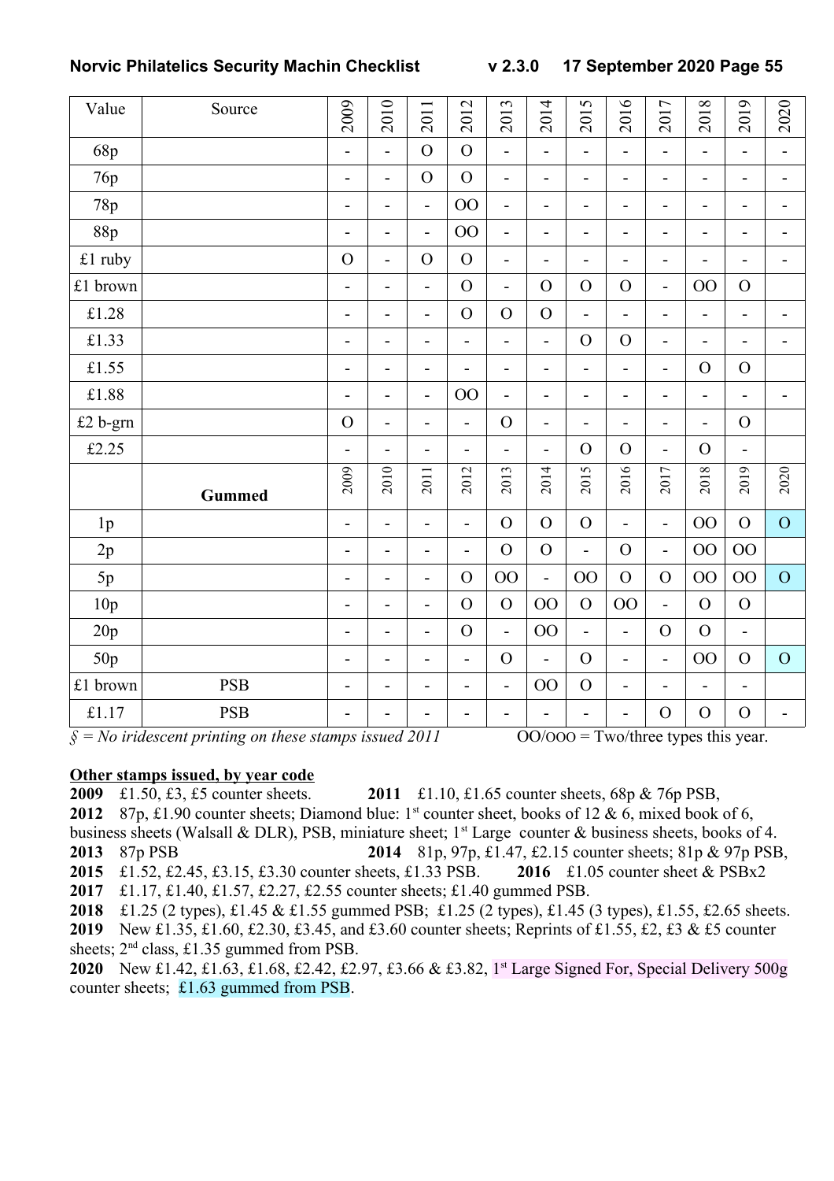| Value          | Source        | 2009                         | 2010                     | 2011                     | 2012                         | 2013                     | 2014                     | 2015                     | 2016                     | 2017                     | 2018                     | 2019                         | 2020                     |
|----------------|---------------|------------------------------|--------------------------|--------------------------|------------------------------|--------------------------|--------------------------|--------------------------|--------------------------|--------------------------|--------------------------|------------------------------|--------------------------|
| 68p            |               | $\overline{\phantom{a}}$     | $\overline{\phantom{a}}$ | $\overline{O}$           | $\overline{O}$               | $\blacksquare$           | $\overline{\phantom{0}}$ | $\overline{\phantom{0}}$ | $\overline{\phantom{a}}$ | -                        | -                        | $\qquad \qquad \blacksquare$ | $\blacksquare$           |
| 76p            |               | $\overline{\phantom{a}}$     | $\overline{\phantom{a}}$ | $\overline{O}$           | $\overline{O}$               | $\overline{\phantom{a}}$ | $\overline{\phantom{0}}$ | $\overline{\phantom{0}}$ | $\overline{\phantom{0}}$ | -                        | Ĭ.                       | $\overline{a}$               | $\overline{\phantom{a}}$ |
| 78p            |               | $\overline{\phantom{a}}$     | $\overline{\phantom{a}}$ | $\blacksquare$           | OO                           | $\overline{a}$           | $\overline{\phantom{0}}$ | $\overline{\phantom{0}}$ | $\overline{\phantom{0}}$ | $\overline{a}$           | -                        | $\overline{a}$               | $\overline{\phantom{a}}$ |
| 88p            |               | $\overline{\phantom{a}}$     | $\overline{\phantom{a}}$ | $\blacksquare$           | 00                           | $\blacksquare$           | $\overline{\phantom{0}}$ | $\overline{\phantom{0}}$ | $\overline{\phantom{0}}$ | $\overline{a}$           | $\overline{\phantom{0}}$ | $\overline{a}$               | $\overline{\phantom{a}}$ |
| £1 ruby        |               | $\overline{O}$               | $\overline{\phantom{m}}$ | $\mathbf O$              | $\overline{O}$               | $\overline{\phantom{0}}$ | $\overline{\phantom{0}}$ | $\overline{\phantom{0}}$ | -                        | -                        | ÷                        | $\overline{a}$               | $\overline{\phantom{a}}$ |
| £1 brown       |               | $\overline{\phantom{0}}$     | $\overline{\phantom{a}}$ | $\overline{a}$           | $\overline{O}$               | $\overline{a}$           | $\overline{O}$           | $\mathbf O$              | $\overline{O}$           | $\overline{a}$           | 00                       | $\mathbf{O}$                 |                          |
| £1.28          |               | $\overline{\phantom{a}}$     | $\overline{\phantom{0}}$ | $\overline{\phantom{a}}$ | $\overline{O}$               | $\overline{O}$           | $\overline{O}$           | $\overline{a}$           | $\overline{\phantom{0}}$ | L,                       | $\overline{\phantom{0}}$ | $\overline{\phantom{0}}$     | $\overline{\phantom{a}}$ |
| £1.33          |               | $\qquad \qquad \blacksquare$ | $\overline{\phantom{a}}$ | $\overline{\phantom{a}}$ | $\qquad \qquad \blacksquare$ | $\blacksquare$           | $\overline{\phantom{0}}$ | $\mathbf{O}$             | $\overline{O}$           | $\overline{a}$           | $\overline{\phantom{0}}$ | $\overline{\phantom{0}}$     | $\overline{\phantom{a}}$ |
| £1.55          |               | $\overline{\phantom{a}}$     | $\overline{\phantom{a}}$ | $\overline{\phantom{a}}$ | $\overline{\phantom{0}}$     | $\blacksquare$           | $\overline{\phantom{0}}$ | $\overline{\phantom{0}}$ | $\overline{\phantom{0}}$ | $\overline{\phantom{m}}$ | $\Omega$                 | $\overline{O}$               |                          |
| £1.88          |               | $\overline{\phantom{0}}$     | $\overline{\phantom{a}}$ | $\blacksquare$           | 00                           | $\overline{a}$           | $\overline{\phantom{0}}$ | $\overline{a}$           | $\overline{\phantom{0}}$ | -                        | -                        | $\overline{a}$               | $\blacksquare$           |
| £2 b-grn       |               | $\overline{O}$               | $\blacksquare$           | $\overline{\phantom{0}}$ | $\overline{a}$               | $\overline{O}$           | $\overline{a}$           | $\overline{\phantom{a}}$ | $\overline{a}$           | L,                       | L,                       | $\overline{O}$               |                          |
| £2.25          |               | $\overline{\phantom{0}}$     | $\overline{\phantom{a}}$ | $\overline{\phantom{a}}$ | $\overline{\phantom{a}}$     | $\overline{\phantom{m}}$ | $\overline{\phantom{0}}$ | $\mathbf{O}$             | $\overline{O}$           | -                        | $\Omega$                 | $\overline{\phantom{0}}$     |                          |
|                | <b>Gummed</b> | 2009                         | 2010                     | 2011                     | 2012                         | 2013                     | 2014                     | 2015                     | 2016                     | 2017                     | 2018                     | 2019                         | 2020                     |
| 1 <sub>p</sub> |               | $\blacksquare$               | $\overline{\phantom{a}}$ | $\overline{a}$           | ÷,                           | $\mathcal{O}$            | $\mathbf O$              | $\mathbf O$              | $\overline{a}$           | $\overline{a}$           | OO                       | $\overline{O}$               | $\overline{O}$           |
| 2p             |               | $\overline{\phantom{0}}$     | $\blacksquare$           | $\overline{\phantom{0}}$ | $\overline{\phantom{0}}$     | $\overline{O}$           | $\mathbf O$              | $\overline{a}$           | $\overline{O}$           | $\overline{a}$           | 00                       | 00                           |                          |
| 5p             |               | $\overline{\phantom{a}}$     | $\overline{\phantom{0}}$ | $\overline{\phantom{a}}$ | $\overline{O}$               | OO                       | $\overline{a}$           | 00                       | $\overline{O}$           | $\mathcal{O}$            | 00                       | 00                           | $\overline{O}$           |
| 10p            |               | $\overline{\phantom{a}}$     | $\overline{\phantom{a}}$ | $\overline{\phantom{a}}$ | $\overline{O}$               | $\mathbf{O}$             | 00                       | $\mathcal{O}$            | OO                       | $\blacksquare$           | $\overline{O}$           | $\mathbf{O}$                 |                          |
| 20p            |               | $\overline{\phantom{a}}$     | $\overline{\phantom{a}}$ | $\overline{\phantom{a}}$ | $\overline{O}$               | $\overline{a}$           | $00\,$                   | $\overline{a}$           | $\overline{a}$           | $\mathcal{O}$            | $\mathcal{O}$            | $\overline{\phantom{0}}$     |                          |
| 50p            |               | $\overline{\phantom{a}}$     | $\blacksquare$           | $\overline{\phantom{a}}$ | $\overline{a}$               | $\overline{O}$           | $\overline{a}$           | $\mathbf{O}$             | $\overline{a}$           | $\overline{a}$           | OO                       | $\mathcal{O}$                | $\overline{O}$           |
| £1 brown       | <b>PSB</b>    | $\overline{\phantom{a}}$     | $\overline{\phantom{a}}$ | -                        | $\overline{\phantom{a}}$     | $\overline{\phantom{0}}$ | 00                       | $\mathbf O$              | $\overline{\phantom{0}}$ | -                        | ÷                        | $\overline{a}$               |                          |
| £1.17          | <b>PSB</b>    | $\qquad \qquad \blacksquare$ | -                        | -                        | $\overline{a}$               | $\overline{\phantom{0}}$ | -                        | L,                       | ÷                        | $\mathcal{O}$            | $\overline{O}$           | $\overline{O}$               | $\overline{\phantom{a}}$ |

 $\hat{\mathcal{S}} = No$  *iridescent printing on these stamps issued 2011*  $OO/OOO = Two/three$  types this year.

#### **Other stamps issued, by year code**

 £1.50, £3, £5 counter sheets. **2011** £1.10, £1.65 counter sheets, 68p & 76p PSB, 2012 87p, £1.90 counter sheets; Diamond blue: 1<sup>st</sup> counter sheet, books of 12 & 6, mixed book of 6, business sheets (Walsall & DLR), PSB, miniature sheet;  $1<sup>st</sup>$  Large counter & business sheets, books of 4. 87p PSB **2014** 81p, 97p, £1.47, £2.15 counter sheets; 81p & 97p PSB, £1.52, £2.45, £3.15, £3.30 counter sheets, £1.33 PSB. **2016** £1.05 counter sheet & PSBx2 £1.17, £1.40, £1.57, £2.27, £2.55 counter sheets; £1.40 gummed PSB.

£1.25 (2 types), £1.45 & £1.55 gummed PSB; £1.25 (2 types), £1.45 (3 types), £1.55, £2.65 sheets.

 New £1.35, £1.60, £2.30, £3.45, and £3.60 counter sheets; Reprints of £1.55, £2, £3 & £5 counter sheets;  $2<sup>nd</sup>$  class, £1.35 gummed from PSB.

 New £1.42, £1.63, £1.68, £2.42, £2.97, £3.66 & £3.82, 1 st Large Signed For, Special Delivery 500g counter sheets; £1.63 gummed from PSB.